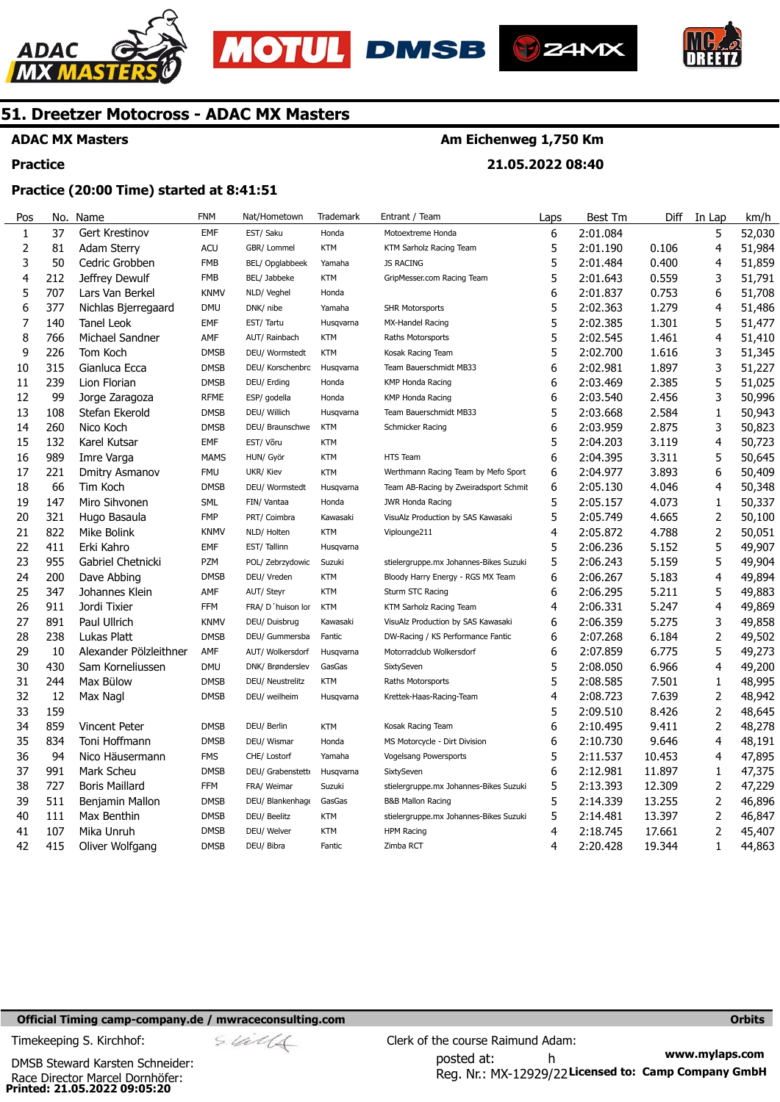





**Am Eichenweg 1,750 Km** 

**21.05.2022 08:40** 



### **51. Dreetzer Motocross - ADAC MX Masters**

### **ADAC MX Masters**

#### **Practice**

#### **Practice (20:00 Time) started at 8:41:51**

| Pos                     | No. | Name                   | <b>FNM</b>  | Nat/Hometown      | Trademark  | Entrant / Team                         | Laps | Best Tm  | Diff   | In Lap         | km/h   |
|-------------------------|-----|------------------------|-------------|-------------------|------------|----------------------------------------|------|----------|--------|----------------|--------|
| $\mathbf{1}$            | 37  | Gert Krestinov         | <b>EMF</b>  | EST/ Saku         | Honda      | Motoextreme Honda                      | 6    | 2:01.084 |        | 5              | 52,030 |
| $\overline{2}$          | 81  | <b>Adam Sterry</b>     | <b>ACU</b>  | GBR/ Lommel       | <b>KTM</b> | KTM Sarholz Racing Team                | 5    | 2:01.190 | 0.106  | 4              | 51,984 |
| 3                       | 50  | Cedric Grobben         | <b>FMB</b>  | BEL/ Opglabbeek   | Yamaha     | <b>JS RACING</b>                       | 5    | 2:01.484 | 0.400  | 4              | 51,859 |
| $\overline{\mathbf{4}}$ | 212 | Jeffrey Dewulf         | <b>FMB</b>  | BEL/ Jabbeke      | <b>KTM</b> | GripMesser.com Racing Team             | 5    | 2:01.643 | 0.559  | 3              | 51,791 |
| 5                       | 707 | Lars Van Berkel        | <b>KNMV</b> | NLD/ Veghel       | Honda      |                                        | 6    | 2:01.837 | 0.753  | 6              | 51,708 |
| 6                       | 377 | Nichlas Bjerregaard    | <b>DMU</b>  | DNK/ nibe         | Yamaha     | <b>SHR Motorsports</b>                 | 5    | 2:02.363 | 1.279  | 4              | 51,486 |
| 7                       | 140 | Tanel Leok             | EMF         | EST/ Tartu        | Husqvarna  | MX-Handel Racing                       | 5    | 2:02.385 | 1.301  | 5              | 51,477 |
| 8                       | 766 | Michael Sandner        | AMF         | AUT/ Rainbach     | <b>KTM</b> | Raths Motorsports                      | 5    | 2:02.545 | 1.461  | 4              | 51,410 |
| 9                       | 226 | Tom Koch               | <b>DMSB</b> | DEU/ Wormstedt    | <b>KTM</b> | Kosak Racing Team                      | 5    | 2:02.700 | 1.616  | 3              | 51,345 |
| 10                      | 315 | Gianluca Ecca          | <b>DMSB</b> | DEU/ Korschenbrc  | Husqvarna  | Team Bauerschmidt MB33                 | 6    | 2:02.981 | 1.897  | 3              | 51,227 |
| 11                      | 239 | Lion Florian           | <b>DMSB</b> | DEU/ Erding       | Honda      | <b>KMP Honda Racing</b>                | 6    | 2:03.469 | 2.385  | 5              | 51,025 |
| 12                      | 99  | Jorge Zaragoza         | <b>RFME</b> | ESP/ godella      | Honda      | <b>KMP Honda Racing</b>                | 6    | 2:03.540 | 2.456  | 3              | 50,996 |
| 13                      | 108 | Stefan Ekerold         | <b>DMSB</b> | DEU/ Willich      | Husqvarna  | Team Bauerschmidt MB33                 | 5    | 2:03.668 | 2.584  | 1              | 50,943 |
| 14                      | 260 | Nico Koch              | <b>DMSB</b> | DEU/ Braunschwe   | <b>KTM</b> | Schmicker Racing                       | 6    | 2:03.959 | 2.875  | 3              | 50,823 |
| 15                      | 132 | Karel Kutsar           | EMF         | EST/ Võru         | <b>KTM</b> |                                        | 5    | 2:04.203 | 3.119  | 4              | 50,723 |
| 16                      | 989 | Imre Varga             | <b>MAMS</b> | HUN/ Györ         | <b>KTM</b> | HTS Team                               | 6    | 2:04.395 | 3.311  | 5              | 50,645 |
| 17                      | 221 | Dmitry Asmanov         | <b>FMU</b>  | UKR/ Kiev         | <b>KTM</b> | Werthmann Racing Team by Mefo Sport    | 6    | 2:04.977 | 3.893  | 6              | 50,409 |
| 18                      | 66  | Tim Koch               | <b>DMSB</b> | DEU/ Wormstedt    | Husqvarna  | Team AB-Racing by Zweiradsport Schmit  | 6    | 2:05.130 | 4.046  | 4              | 50,348 |
| 19                      | 147 | Miro Sihvonen          | <b>SML</b>  | FIN/ Vantaa       | Honda      | <b>JWR Honda Racing</b>                | 5    | 2:05.157 | 4.073  | 1              | 50,337 |
| 20                      | 321 | Hugo Basaula           | <b>FMP</b>  | PRT/ Coimbra      | Kawasaki   | VisuAlz Production by SAS Kawasaki     | 5    | 2:05.749 | 4.665  | 2              | 50,100 |
| 21                      | 822 | Mike Bolink            | <b>KNMV</b> | NLD/ Holten       | <b>KTM</b> | Viplounge211                           | 4    | 2:05.872 | 4.788  | 2              | 50,051 |
| 22                      | 411 | Erki Kahro             | EMF         | EST/Tallinn       | Husqvarna  |                                        | 5    | 2:06.236 | 5.152  | 5              | 49,907 |
| 23                      | 955 | Gabriel Chetnicki      | <b>PZM</b>  | POL/ Zebrzydowic  | Suzuki     | stielergruppe.mx Johannes-Bikes Suzuki | 5    | 2:06.243 | 5.159  | 5              | 49,904 |
| 24                      | 200 | Dave Abbing            | <b>DMSB</b> | DEU/ Vreden       | <b>KTM</b> | Bloody Harry Energy - RGS MX Team      | 6    | 2:06.267 | 5.183  | 4              | 49,894 |
| 25                      | 347 | Johannes Klein         | AMF         | AUT/ Steyr        | <b>KTM</b> | Sturm STC Racing                       | 6    | 2:06.295 | 5.211  | 5              | 49,883 |
| 26                      | 911 | Jordi Tixier           | <b>FFM</b>  | FRA/ D'huison lor | <b>KTM</b> | KTM Sarholz Racing Team                | 4    | 2:06.331 | 5.247  | 4              | 49,869 |
| 27                      | 891 | Paul Ullrich           | <b>KNMV</b> | DEU/ Duisbrug     | Kawasaki   | VisuAlz Production by SAS Kawasaki     | 6    | 2:06.359 | 5.275  | 3              | 49,858 |
| 28                      | 238 | Lukas Platt            | <b>DMSB</b> | DEU/ Gummersba    | Fantic     | DW-Racing / KS Performance Fantic      | 6    | 2:07.268 | 6.184  | $\overline{2}$ | 49,502 |
| 29                      | 10  | Alexander Pölzleithner | AMF         | AUT/ Wolkersdorf  | Husgvarna  | Motorradclub Wolkersdorf               | 6    | 2:07.859 | 6.775  | 5              | 49,273 |
| 30                      | 430 | Sam Korneliussen       | <b>DMU</b>  | DNK/ Brønderslev  | GasGas     | SixtySeven                             | 5    | 2:08.050 | 6.966  | 4              | 49,200 |
| 31                      | 244 | Max Bülow              | <b>DMSB</b> | DEU/ Neustrelitz  | <b>KTM</b> | Raths Motorsports                      | 5    | 2:08.585 | 7.501  | 1              | 48,995 |
| 32                      | 12  | Max Nagl               | <b>DMSB</b> | DEU/ weilheim     | Husqvarna  | Krettek-Haas-Racing-Team               | 4    | 2:08.723 | 7.639  | 2              | 48,942 |
| 33                      | 159 |                        |             |                   |            |                                        | 5    | 2:09.510 | 8.426  | 2              | 48,645 |
| 34                      | 859 | Vincent Peter          | <b>DMSB</b> | DEU/ Berlin       | <b>KTM</b> | Kosak Racing Team                      | 6    | 2:10.495 | 9.411  | 2              | 48,278 |
| 35                      | 834 | Toni Hoffmann          | <b>DMSB</b> | DEU/ Wismar       | Honda      | MS Motorcycle - Dirt Division          | 6    | 2:10.730 | 9.646  | 4              | 48,191 |
| 36                      | 94  | Nico Häusermann        | <b>FMS</b>  | CHE/ Lostorf      | Yamaha     | Vogelsang Powersports                  | 5    | 2:11.537 | 10.453 | 4              | 47,895 |
| 37                      | 991 | Mark Scheu             | <b>DMSB</b> | DEU/ Grabenstett  | Husqvarna  | SixtySeven                             | 6    | 2:12.981 | 11.897 | 1              | 47,375 |
| 38                      | 727 | <b>Boris Maillard</b>  | <b>FFM</b>  | FRA/ Weimar       | Suzuki     | stielergruppe.mx Johannes-Bikes Suzuki | 5    | 2:13.393 | 12.309 | 2              | 47,229 |
| 39                      | 511 | Benjamin Mallon        | <b>DMSB</b> | DEU/ Blankenhage  | GasGas     | <b>B&amp;B Mallon Racing</b>           | 5    | 2:14.339 | 13.255 | 2              | 46,896 |
| 40                      | 111 | Max Benthin            | <b>DMSB</b> | DEU/ Beelitz      | <b>KTM</b> | stielergruppe.mx Johannes-Bikes Suzuki | 5    | 2:14.481 | 13.397 | 2              | 46,847 |
| 41                      | 107 | Mika Unruh             | <b>DMSB</b> | DEU/ Welver       | <b>KTM</b> | <b>HPM Racing</b>                      | 4    | 2:18.745 | 17.661 | $\overline{2}$ | 45,407 |
| 42                      | 415 | Oliver Wolfgang        | <b>DMSB</b> | DEU/ Bibra        | Fantic     | Zimba RCT                              | 4    | 2:20.428 | 19.344 | $\mathbf{1}$   | 44,863 |

#### **Official Timing camp-company.de / mwraceconsulting.com <b>Orbits and Company.de Company** orbits **Orbits Orbits**

**Printed: 21.05.2022 09:05:20**  Race Director Marcel Dornhöfer: DMSB Steward Karsten Schneider:

$$
\mathscr{A} \cap \mathscr{A}
$$

**www.mylaps.com**  Reg. Nr.: MX-12929/22 Licensed to: Camp Company GmbH posted at: h Timekeeping S. Kirchhof:  $\frac{C}{2}$  Clerk of the course Raimund Adam: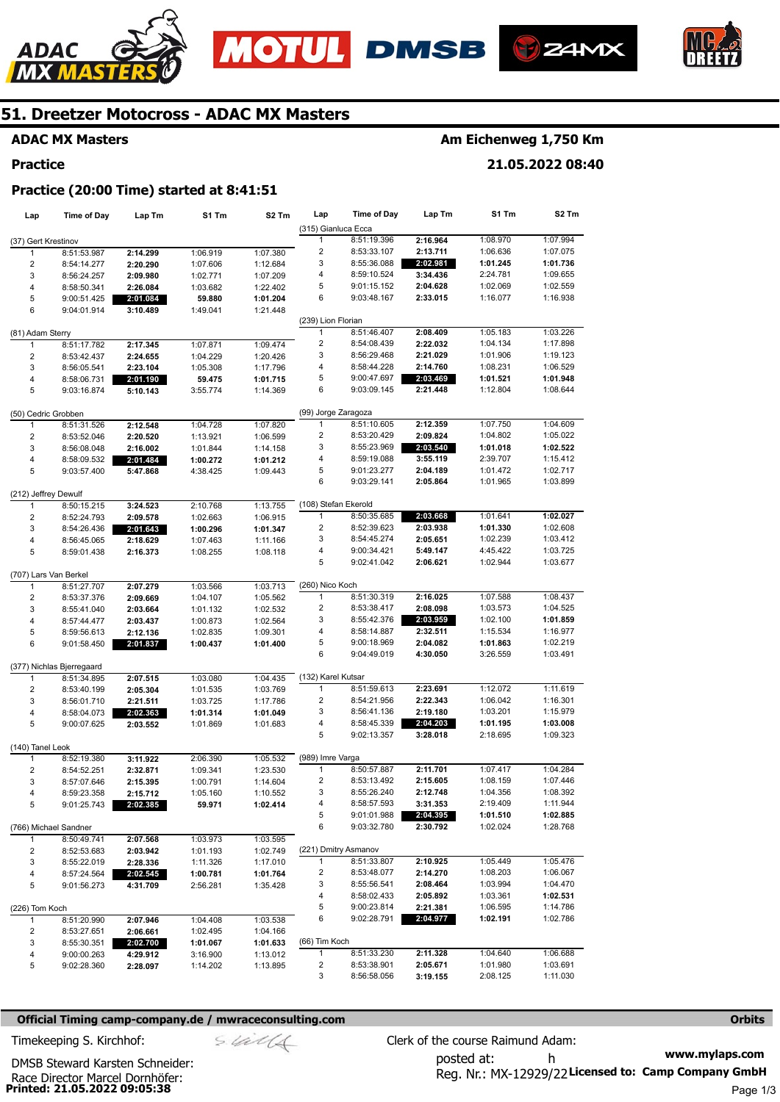





**Am Eichenweg 1,750 Km** 

**21.05.2022 08:40** 



### **51. Dreetzer Motocross - ADAC MX Masters**

### **ADAC MX Masters**

#### **Practice**

## **Practice (20:00 Time) started at 8:41:51**

| Lap                   | Time of Day                          | Lap Tm   | S1 Tm    | S <sub>2</sub> Tm | Lap                     | <b>Time of Day</b>         | Lap Tm               | S1 Tm                | S <sub>2</sub> Tm    |
|-----------------------|--------------------------------------|----------|----------|-------------------|-------------------------|----------------------------|----------------------|----------------------|----------------------|
|                       |                                      |          |          |                   | (315) Gianluca Ecca     |                            |                      |                      |                      |
| (37) Gert Krestinov   |                                      |          |          |                   | 1                       | 8:51:19.396                | 2:16.964             | 1:08.970             | 1:07.994             |
| 1                     | 8:51:53.987                          | 2:14.299 | 1:06.919 | 1:07.380          | $\overline{\mathbf{c}}$ | 8:53:33.107                | 2:13.711             | 1:06.636             | 1:07.075             |
| $\overline{2}$        | 8:54:14.277                          | 2:20.290 | 1:07.606 | 1:12.684          | 3                       | 8:55:36.088                | 2:02.981             | 1:01.245             | 1:01.736             |
| 3                     | 8:56:24.257                          | 2:09.980 | 1:02.771 | 1:07.209          | 4                       | 8:59:10.524                | 3:34.436             | 2:24.781             | 1:09.655             |
| 4                     | 8:58:50.341                          | 2:26.084 | 1:03.682 | 1:22.402          | 5                       | 9:01:15.152                | 2:04.628             | 1:02.069             | 1:02.559             |
| 5                     | 9:00:51.425                          | 2:01.084 | 59.880   | 1:01.204          | 6                       | 9:03:48.167                | 2:33.015             | 1:16.077             | 1:16.938             |
| 6                     | 9:04:01.914                          | 3:10.489 | 1:49.041 | 1:21.448          |                         |                            |                      |                      |                      |
|                       |                                      |          |          |                   | (239) Lion Florian      |                            |                      |                      |                      |
| (81) Adam Sterry      |                                      |          |          |                   | 1                       | 8:51:46.407                | 2:08.409             | 1:05.183             | 1:03.226             |
| $\mathbf{1}$          | 8:51:17.782                          | 2:17.345 | 1:07.871 | 1:09.474          | 2                       | 8:54:08.439                | 2:22.032             | 1:04.134             | 1:17.898             |
| $\overline{2}$        | 8:53:42.437                          | 2:24.655 | 1:04.229 | 1:20.426          | 3                       | 8:56:29.468                | 2:21.029             | 1:01.906             | 1:19.123             |
| 3                     | 8:56:05.541                          | 2:23.104 | 1:05.308 | 1:17.796          | 4                       | 8:58:44.228                | 2:14.760             | 1:08.231             | 1:06.529             |
| 4                     | 8:58:06.731                          | 2:01.190 | 59.475   | 1:01.715          | 5                       | 9:00:47.697                | 2:03.469             | 1:01.521             | 1:01.948             |
| 5                     | 9:03:16.874                          | 5:10.143 | 3:55.774 | 1:14.369          | 6                       | 9:03:09.145                | 2:21.448             | 1:12.804             | 1:08.644             |
| (50) Cedric Grobben   |                                      |          |          |                   | (99) Jorge Zaragoza     |                            |                      |                      |                      |
| 1                     | 8:51:31.526                          | 2:12.548 | 1:04.728 | 1:07.820          | 1                       | 8:51:10.605                | 2:12.359             | 1:07.750             | 1:04.609             |
| $\overline{2}$        | 8:53:52.046                          | 2:20.520 | 1:13.921 | 1:06.599          | 2                       | 8:53:20.429                | 2:09.824             | 1:04.802             | 1:05.022             |
| 3                     | 8:56:08.048                          | 2:16.002 | 1:01.844 | 1:14.158          | 3                       | 8:55:23.969                | 2:03.540             | 1:01.018             | 1:02.522             |
| 4                     | 8:58:09.532                          | 2:01.484 | 1:00.272 | 1:01.212          | 4                       | 8:59:19.088                | 3:55.119             | 2:39.707             | 1:15.412             |
| 5                     | 9:03:57.400                          | 5:47.868 | 4:38.425 | 1:09.443          | 5                       | 9:01:23.277                | 2:04.189             | 1:01.472             | 1:02.717             |
|                       |                                      |          |          |                   | 6                       | 9:03:29.141                | 2:05.864             | 1:01.965             | 1:03.899             |
| (212) Jeffrey Dewulf  |                                      |          |          |                   |                         |                            |                      |                      |                      |
| 1                     | 8:50:15.215                          | 3:24.523 | 2:10.768 | 1:13.755          | (108) Stefan Ekerold    |                            |                      |                      |                      |
| $\overline{2}$        | 8:52:24.793                          | 2:09.578 | 1:02.663 | 1:06.915          | 1                       | 8:50:35.685                | 2:03.668             | 1:01.641             | 1:02.027             |
| 3                     | 8:54:26.436                          | 2:01.643 | 1:00.296 | 1:01.347          | $\overline{\mathbf{c}}$ | 8:52:39.623                | 2:03.938             | 1:01.330             | 1:02.608             |
| 4                     | 8:56:45.065                          | 2:18.629 | 1:07.463 | 1:11.166          | 3                       | 8:54:45.274                | 2:05.651             | 1:02.239             | 1:03.412             |
| 5                     | 8:59:01.438                          | 2:16.373 | 1:08.255 | 1:08.118          | 4                       | 9:00:34.421                | 5:49.147             | 4:45.422             | 1:03.725             |
|                       |                                      |          |          |                   | 5                       | 9:02:41.042                | 2:06.621             | 1:02.944             | 1:03.677             |
| (707) Lars Van Berkel |                                      |          |          |                   |                         |                            |                      |                      |                      |
| 1                     | 8:51:27.707                          | 2:07.279 | 1:03.566 | 1:03.713          | (260) Nico Koch         |                            |                      |                      |                      |
| $\overline{2}$        | 8:53:37.376                          | 2:09.669 | 1:04.107 | 1:05.562          | 1                       | 8:51:30.319                | 2:16.025             | 1:07.588             | 1:08.437             |
| 3                     | 8:55:41.040                          | 2:03.664 | 1:01.132 | 1:02.532          | 2                       | 8:53:38.417                | 2:08.098             | 1:03.573             | 1:04.525             |
| $\overline{4}$        | 8:57:44.477                          | 2:03.437 | 1:00.873 | 1:02.564          | 3                       | 8:55:42.376                | 2:03.959             | 1:02.100             | 1:01.859             |
| 5                     | 8:59:56.613                          | 2:12.136 | 1:02.835 | 1:09.301          | 4                       | 8:58:14.887                | 2:32.511             | 1:15.534             | 1:16.977             |
| 6                     | 9:01:58.450                          | 2:01.837 | 1:00.437 | 1:01.400          | 5                       | 9:00:18.969                | 2:04.082             | 1:01.863             | 1:02.219             |
|                       |                                      |          |          |                   | 6                       | 9:04:49.019                | 4:30.050             | 3:26.559             | 1:03.491             |
|                       | (377) Nichlas Bjerregaard            |          |          |                   |                         |                            |                      |                      |                      |
| 1                     | 8:51:34.895                          | 2:07.515 | 1:03.080 | 1:04.435          | (132) Karel Kutsar      |                            |                      |                      |                      |
| $\overline{2}$        | 8:53:40.199                          | 2:05.304 | 1:01.535 | 1:03.769          | 1                       | 8:51:59.613                | 2:23.691             | 1:12.072             | 1:11.619             |
| 3                     | 8:56:01.710                          | 2:21.511 | 1:03.725 | 1:17.786          | $\overline{\mathbf{c}}$ | 8:54:21.956                | 2:22.343             | 1:06.042             | 1:16.301             |
| $\overline{4}$        | 8:58:04.073                          | 2:02.363 | 1:01.314 | 1:01.049          | 3                       | 8:56:41.136                | 2:19.180             | 1:03.201             | 1:15.979             |
| 5                     | 9:00:07.625                          | 2:03.552 | 1:01.869 | 1:01.683          | 4                       | 8:58:45.339                | 2:04.203             | 1:01.195             | 1:03.008             |
|                       |                                      |          |          |                   | 5                       | 9:02:13.357                | 3:28.018             | 2:18.695             | 1:09.323             |
| (140) Tanel Leok<br>1 | 8:52:19.380                          | 3:11.922 | 2:06.390 | 1:05.532          | (989) Imre Varga        |                            |                      |                      |                      |
| $\overline{2}$        |                                      | 2:32.871 |          |                   | 1                       | 8:50:57.887                | 2:11.701             | 1:07.417             | 1:04.284             |
|                       | 8:54:52.251                          |          | 1:09.341 | 1:23.530          | 2                       | 8:53:13.492                | 2:15.605             | 1:08.159             | 1:07.446             |
| 3                     | 8:57:07.646                          | 2:15.395 | 1:00.791 | 1:14.604          | 3                       | 8:55:26.240                |                      | 1:04.356             | 1:08.392             |
| 4                     | 8:59:23.358                          | 2:15.712 | 1:05.160 | 1:10.552          |                         |                            | 2:12.748<br>3:31.353 |                      | 1:11.944             |
| 5                     | 9:01:25.743                          | 2:02.385 | 59.971   | 1:02.414          | 4<br>5                  | 8:58:57.593<br>9:01:01.988 | 2:04.395             | 2:19.409<br>1:01.510 | 1:02.885             |
|                       |                                      |          |          |                   | 6                       | 9:03:32.780                |                      |                      |                      |
| $\mathbf{1}$          | (766) Michael Sandner<br>8:50:49.741 | 2:07.568 | 1:03.973 | 1:03.595          |                         |                            | 2:30.792             | 1:02.024             | 1:28.768             |
|                       |                                      | 2:03.942 |          |                   |                         | (221) Dmitry Asmanov       |                      |                      |                      |
| 2<br>3                | 8:52:53.683                          | 2:28.336 | 1:01.193 | 1:02.749          | 1                       | 8:51:33.807                | 2:10.925             | 1:05.449             | 1:05.476             |
|                       | 8:55:22.019                          |          | 1:11.326 | 1:17.010          | 2                       | 8:53:48.077                | 2:14.270             | 1:08.203             | 1:06.067             |
| 4<br>5                | 8:57:24.564                          | 2:02.545 | 1:00.781 | 1:01.764          | 3                       | 8:55:56.541                | 2:08.464             | 1:03.994             | 1:04.470             |
|                       | 9:01:56.273                          | 4:31.709 | 2:56.281 | 1:35.428          | 4                       |                            | 2:05.892             | 1:03.361             | 1:02.531             |
|                       |                                      |          |          |                   |                         | 8:58:02.433                |                      |                      |                      |
| (226) Tom Koch        |                                      |          |          |                   | 5<br>6                  | 9:00:23.814<br>9:02:28.791 | 2:21.381<br>2:04.977 | 1:06.595             | 1:14.786<br>1:02.786 |
| 1                     | 8:51:20.990                          | 2:07.946 | 1:04.408 | 1:03.538          |                         |                            |                      | 1:02.191             |                      |
| 2                     | 8:53:27.651                          | 2:06.661 | 1:02.495 | 1:04.166          |                         |                            |                      |                      |                      |
| 3                     | 8:55:30.351                          | 2:02.700 | 1:01.067 | 1:01.633          | (66) Tim Koch<br>1      |                            |                      | 1:04.640             |                      |
| 4                     | 9:00:00.263                          | 4:29.912 | 3:16.900 | 1:13.012          |                         | 8:51:33.230                | 2:11.328             |                      | 1:06.688             |
| 5                     | 9:02:28.360                          | 2:28.097 | 1:14.202 | 1:13.895          | 2                       | 8:53:38.901                | 2:05.671             | 1:01.980             | 1:03.691             |
|                       |                                      |          |          |                   | 3                       | 8:56:58.056                | 3:19.155             | 2:08.125             | 1:11.030             |

#### **Official Timing camp-company.de / mwraceconsulting.com <b>Orbits Orbits Orbits Orbits**

$$
\mathop{}\text{S.}\mathop{Gal}\nolimits(\mathop{\text{A}}\nolimits
$$

**www.mylaps.com**  Reg. Nr.: MX-12929/22 Licensed to: Camp Company GmbH posted at: h Timekeeping S. Kirchhof:  $\frac{1}{2}$  Clerk of the course Raimund Adam:

**Printed: 21.05.2022 09:05:38**  Race Director Marcel Dornhöfer: DMSB Steward Karsten Schneider:

Page 1/3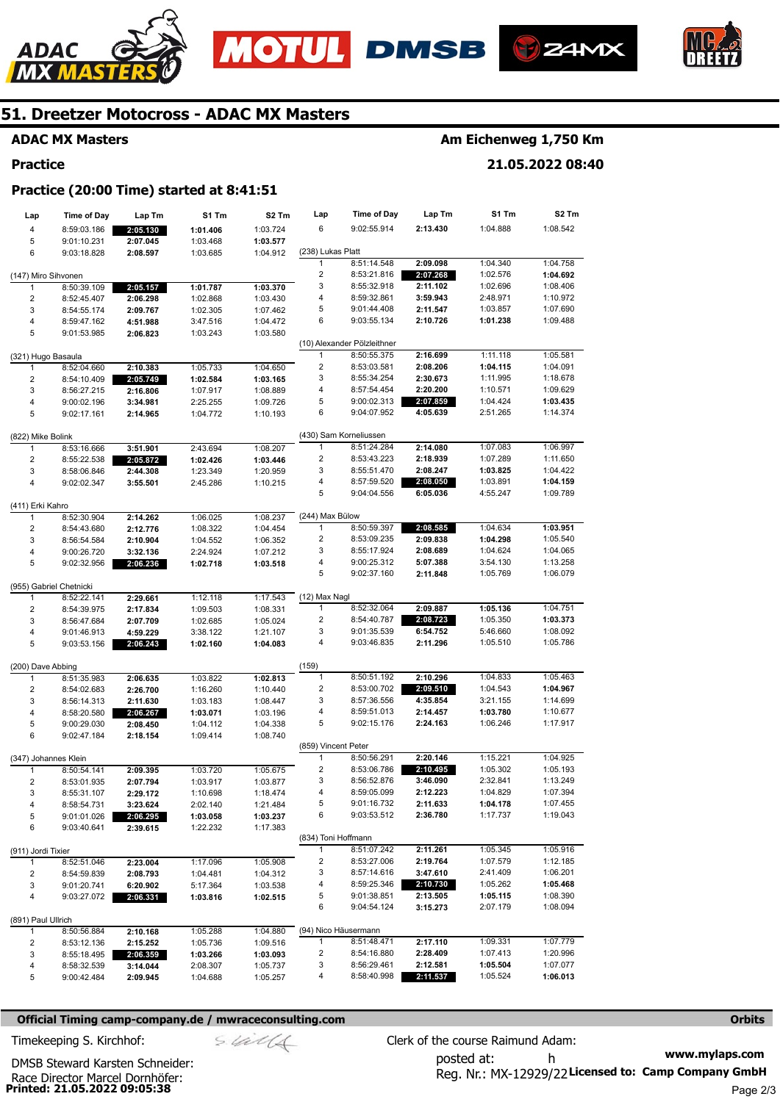







### **ADAC MX Masters**

**Practice** 

### **Am Eichenweg 1,750 Km**

**21.05.2022 08:40** 

### **Practice (20:00 Time) started at 8:41:51**

| Lap                          | <b>Time of Day</b>         | Lap Tm               | S1 Tm                | S <sub>2</sub> Tm    | Lap                 | <b>Time of Day</b>          | Lap Tm               | S1 Tm                | S <sub>2</sub> Tm    |
|------------------------------|----------------------------|----------------------|----------------------|----------------------|---------------------|-----------------------------|----------------------|----------------------|----------------------|
| 4                            | 8:59:03.186                | 2:05.130             | 1:01.406             | 1:03.724             | 6                   | 9:02:55.914                 | 2:13.430             | 1:04.888             | 1:08.542             |
| 5                            | 9:01:10.231                | 2:07.045             | 1:03.468             | 1:03.577             |                     |                             |                      |                      |                      |
| 6                            | 9:03:18.828                | 2:08.597             | 1:03.685             | 1:04.912             | (238) Lukas Platt   |                             |                      |                      |                      |
|                              |                            |                      |                      |                      | 1                   | 8:51:14.548                 | 2:09.098             | 1:04.340             | 1:04.758             |
| (147) Miro Sihvonen          |                            |                      |                      |                      | $\overline{2}$      | 8:53:21.816                 | 2:07.268             | 1:02.576             | 1:04.692             |
| 1                            | 8:50:39.109                | 2:05.157             | 1:01.787             | 1:03.370             | 3                   | 8:55:32.918                 | 2:11.102<br>3:59.943 | 1:02.696             | 1:08.406             |
| $\overline{c}$               | 8:52:45.407                | 2:06.298             | 1:02.868             | 1:03.430             | 4<br>5              | 8:59:32.861<br>9:01:44.408  |                      | 2:48.971<br>1:03.857 | 1:10.972<br>1:07.690 |
| 3<br>$\overline{\mathbf{4}}$ | 8:54:55.174                | 2:09.767             | 1:02.305             | 1:07.462             | 6                   | 9:03:55.134                 | 2:11.547<br>2:10.726 | 1:01.238             | 1:09.488             |
| 5                            | 8:59:47.162<br>9:01:53.985 | 4:51.988             | 3:47.516<br>1:03.243 | 1:04.472<br>1:03.580 |                     |                             |                      |                      |                      |
|                              |                            | 2:06.823             |                      |                      |                     | (10) Alexander Pölzleithner |                      |                      |                      |
| (321) Hugo Basaula           |                            |                      |                      |                      | $\mathbf{1}$        | 8:50:55.375                 | 2:16.699             | 1:11.118             | 1:05.581             |
| $\mathbf{1}$                 | 8:52:04.660                | 2:10.383             | 1:05.733             | 1:04.650             | $\overline{2}$      | 8:53:03.581                 | 2:08.206             | 1:04.115             | 1:04.091             |
| $\overline{2}$               | 8:54:10.409                | 2:05.749             | 1:02.584             | 1:03.165             | 3                   | 8:55:34.254                 | 2:30.673             | 1:11.995             | 1:18.678             |
| 3                            | 8:56:27.215                | 2:16.806             | 1:07.917             | 1:08.889             | 4                   | 8:57:54.454                 | 2:20.200             | 1:10.571             | 1:09.629             |
| $\overline{\mathbf{4}}$      | 9:00:02.196                | 3:34.981             | 2:25.255             | 1:09.726             | 5                   | 9:00:02.313                 | 2:07.859             | 1:04.424             | 1:03.435             |
| 5                            | 9:02:17.161                | 2:14.965             | 1:04.772             | 1:10.193             | 6                   | 9:04:07.952                 | 4:05.639             | 2:51.265             | 1:14.374             |
|                              |                            |                      |                      |                      |                     |                             |                      |                      |                      |
| (822) Mike Bolink            |                            |                      |                      |                      |                     | (430) Sam Korneliussen      |                      |                      |                      |
| $\mathbf{1}$                 | 8:53:16.666                | 3:51.901             | 2:43.694             | 1:08.207             | 1                   | 8:51:24.284                 | 2:14.080             | 1:07.083             | 1:06.997             |
| 2                            | 8:55:22.538                | 2:05.872             | 1:02.426             | 1:03.446             | $\overline{2}$      | 8:53:43.223                 | 2:18.939             | 1:07.289             | 1:11.650             |
| 3                            | 8:58:06.846                | 2:44.308             | 1:23.349             | 1:20.959             | 3                   | 8:55:51.470                 | 2:08.247             | 1:03.825             | 1:04.422             |
| $\overline{4}$               | 9:02:02.347                | 3:55.501             | 2:45.286             | 1:10.215             | 4                   | 8:57:59.520                 | 2:08.050             | 1:03.891             | 1:04.159             |
|                              |                            |                      |                      |                      | 5                   | 9:04:04.556                 | 6:05.036             | 4:55.247             | 1:09.789             |
| (411) Erki Kahro             |                            |                      |                      |                      |                     |                             |                      |                      |                      |
| 1                            | 8:52:30.904                | 2:14.262             | 1:06.025             | 1:08.237             | (244) Max Bülow     |                             |                      |                      |                      |
| $\overline{\mathbf{c}}$      | 8:54:43.680                | 2:12.776             | 1:08.322             | 1:04.454             | $\mathbf{1}$        | 8:50:59.397                 | 2:08.585             | 1:04.634             | 1:03.951             |
| 3                            | 8:56:54.584                | 2:10.904             | 1:04.552             | 1:06.352             | 2                   | 8:53:09.235                 | 2:09.838             | 1:04.298             | 1:05.540             |
| $\overline{\mathbf{4}}$      | 9:00:26.720                | 3:32.136             | 2:24.924             | 1:07.212             | 3                   | 8:55:17.924                 | 2:08.689             | 1:04.624             | 1:04.065             |
| 5                            | 9:02:32.956                | 2:06.236             | 1:02.718             | 1:03.518             | 4                   | 9:00:25.312                 | 5:07.388             | 3:54.130             | 1:13.258             |
|                              |                            |                      |                      |                      | 5                   | 9:02:37.160                 | 2:11.848             | 1:05.769             | 1:06.079             |
| (955) Gabriel Chetnicki<br>1 | 8:52:22.141                |                      | 1:12.118             | 1:17.543             | (12) Max Nagl       |                             |                      |                      |                      |
| $\overline{\mathbf{c}}$      | 8:54:39.975                | 2:29.661             | 1:09.503             | 1:08.331             | 1                   | 8:52:32.064                 | 2:09.887             | 1:05.136             | 1:04.751             |
| 3                            | 8:56:47.684                | 2:17.834<br>2:07.709 | 1:02.685             | 1:05.024             | $\overline{2}$      | 8:54:40.787                 | 2:08.723             | 1:05.350             | 1:03.373             |
| $\overline{\mathbf{4}}$      | 9:01:46.913                | 4:59.229             | 3:38.122             | 1:21.107             | 3                   | 9:01:35.539                 | 6:54.752             | 5:46.660             | 1:08.092             |
| 5                            | 9:03:53.156                | 2:06.243             | 1:02.160             | 1:04.083             | 4                   | 9:03:46.835                 | 2:11.296             | 1:05.510             | 1:05.786             |
|                              |                            |                      |                      |                      |                     |                             |                      |                      |                      |
| (200) Dave Abbing            |                            |                      |                      |                      | (159)               |                             |                      |                      |                      |
| 1                            | 8:51:35.983                | 2:06.635             | 1:03.822             | 1:02.813             | $\mathbf{1}$        | 8:50:51.192                 | 2:10.296             | 1:04.833             | 1:05.463             |
| 2                            | 8:54:02.683                | 2:26.700             | 1:16.260             | 1:10.440             | 2                   | 8:53:00.702                 | 2:09.510             | 1:04.543             | 1:04.967             |
| 3                            | 8:56:14.313                | 2:11.630             | 1:03.183             | 1:08.447             | 3                   | 8:57:36.556                 | 4:35.854             | 3:21.155             | 1:14.699             |
| $\overline{\mathbf{4}}$      | 8:58:20.580                | 2:06.267             | 1:03.071             | 1:03.196             | 4                   | 8:59:51.013                 | 2:14.457             | 1:03.780             | 1:10.677             |
| 5                            | 9:00:29.030                | 2:08.450             | 1:04.112             | 1:04.338             | 5                   | 9:02:15.176                 | 2:24.163             | 1:06.246             | 1:17.917             |
| 6                            | 9:02:47.184                | 2:18.154             | 1:09.414             | 1:08.740             |                     |                             |                      |                      |                      |
|                              |                            |                      |                      |                      | (859) Vincent Peter |                             |                      |                      |                      |
| (347) Johannes Klein         |                            |                      |                      |                      | 1                   | 8:50:56.291                 | 2:20.146             | 1:15.221             | 1:04.925             |
| 1                            | 8:50:54.141                | 2:09.395             | 1:03.720             | 1:05.675             | $\overline{2}$      | 8:53:06.786                 | 2:10.495             | 1:05.302             | 1:05.193             |
| 2                            | 8:53:01.935                | 2:07.794             | 1:03.917             | 1:03.877             | 3<br>4              | 8:56:52.876                 | 3:46.090             | 2:32.841             | 1:13.249<br>1:07.394 |
| 3                            | 8:55:31.107                | 2:29.172             | 1:10.698             | 1:18.474             | 5                   | 8:59:05.099<br>9:01:16.732  | 2:12.223<br>2:11.633 | 1:04.829<br>1:04.178 | 1:07.455             |
| 4                            | 8:58:54.731                | 3:23.624             | 2:02.140             | 1:21.484             | 6                   | 9:03:53.512                 | 2:36.780             | 1:17.737             | 1:19.043             |
| 5<br>6                       | 9:01:01.026                | 2:06.295             | 1:03.058             | 1:03.237             |                     |                             |                      |                      |                      |
|                              | 9:03:40.641                | 2:39.615             | 1:22.232             | 1:17.383             | (834) Toni Hoffmann |                             |                      |                      |                      |
| (911) Jordi Tixier           |                            |                      |                      |                      | $\mathbf{1}$        | 8:51:07.242                 | 2:11.261             | 1:05.345             | 1:05.916             |
| $\mathbf{1}$                 | 8:52:51.046                | 2:23.004             | 1:17.096             | 1:05.908             | 2                   | 8:53:27.006                 | 2:19.764             | 1:07.579             | 1:12.185             |
| 2                            | 8:54:59.839                | 2:08.793             | 1:04.481             | 1:04.312             | 3                   | 8:57:14.616                 | 3:47.610             | 2:41.409             | 1:06.201             |
| 3                            | 9:01:20.741                | 6:20.902             | 5:17.364             | 1:03.538             | 4                   | 8:59:25.346                 | 2:10.730             | 1:05.262             | 1:05.468             |
| 4                            | 9:03:27.072                | 2:06.331             | 1:03.816             | 1:02.515             | 5                   | 9:01:38.851                 | 2:13.505             | 1:05.115             | 1:08.390             |
|                              |                            |                      |                      |                      | 6                   | 9:04:54.124                 | 3:15.273             | 2:07.179             | 1:08.094             |
| (891) Paul Ullrich           |                            |                      |                      |                      |                     |                             |                      |                      |                      |
| 1                            | 8:50:56.884                | 2:10.168             | 1:05.288             | 1:04.880             |                     | (94) Nico Häusermann        |                      |                      |                      |
| 2                            | 8:53:12.136                | 2:15.252             | 1:05.736             | 1:09.516             | $\mathbf{1}$        | 8:51:48.471                 | 2:17.110             | 1:09.331             | 1:07.779             |
| 3                            | 8:55:18.495                | 2:06.359             | 1:03.266             | 1:03.093             | 2                   | 8:54:16.880                 | 2:28.409             | 1:07.413             | 1:20.996             |
| 4                            | 8:58:32.539                | 3:14.044             | 2:08.307             | 1:05.737             | 3                   | 8:56:29.461                 | 2:12.581             | 1:05.504             | 1:07.077             |
| 5                            | 9:00:42.484                | 2:09.945             | 1:04.688             | 1:05.257             | 4                   | 8:58:40.998                 | 2:11.537             | 1:05.524             | 1:06.013             |

#### **Official Timing camp-company.de / mwraceconsulting.com <b>Orbits Orbits Orbits Orbits**

$$
\mathcal{S}.\mathcal{U}.\mathcal{U}/\mathcal{A}
$$

**www.mylaps.com**  Reg. Nr.: MX-12929/22 Licensed to: Camp Company GmbH posted at: h Timekeeping S. Kirchhof:  $\le \frac{1}{2}$  Clerk of the course Raimund Adam:

**Printed: 21.05.2022 09:05:38**  Race Director Marcel Dornhöfer: DMSB Steward Karsten Schneider: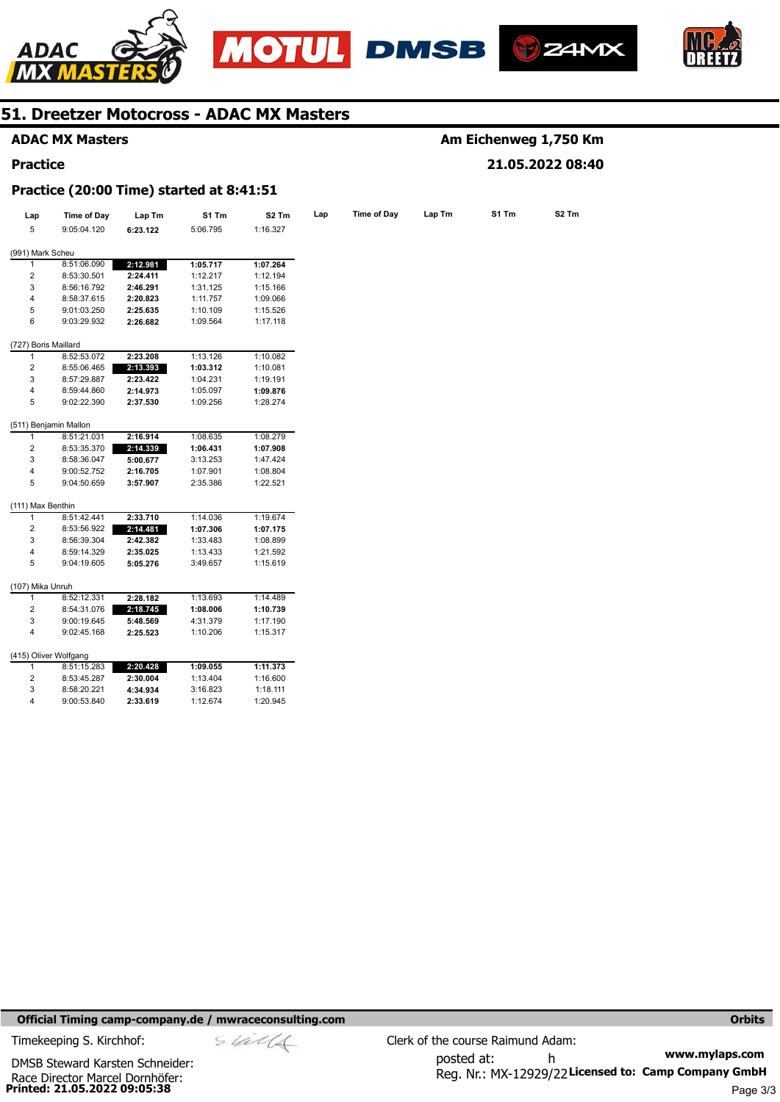







### **ADAC MX Masters**

#### **Practice**

### **Am Eichenweg 1,750 Km 21.05.2022 08:40**

#### **Practice (20:00 Time) started at 8:41:51**

| Lap                  | Time of Day           | Lap Tm   | S1 Tm    | S <sub>2</sub> Tm | Lap | Time of Day | Lap Tm | S1 Tm | S <sub>2</sub> Tm |
|----------------------|-----------------------|----------|----------|-------------------|-----|-------------|--------|-------|-------------------|
| 5                    | 9:05:04.120           | 6:23.122 | 5:06.795 | 1:16.327          |     |             |        |       |                   |
|                      |                       |          |          |                   |     |             |        |       |                   |
| (991) Mark Scheu     |                       |          |          |                   |     |             |        |       |                   |
| 1                    | 8:51:06.090           | 2:12.981 | 1:05.717 | 1:07.264          |     |             |        |       |                   |
| 2                    | 8:53:30.501           | 2:24.411 | 1:12.217 | 1:12.194          |     |             |        |       |                   |
| 3                    | 8:56:16.792           | 2:46.291 | 1:31.125 | 1:15.166          |     |             |        |       |                   |
| 4                    | 8:58:37.615           | 2:20.823 | 1:11.757 | 1:09.066          |     |             |        |       |                   |
| 5                    | 9:01:03.250           | 2:25.635 | 1:10.109 | 1:15.526          |     |             |        |       |                   |
| 6                    | 9:03:29.932           | 2:26.682 | 1:09.564 | 1:17.118          |     |             |        |       |                   |
| (727) Boris Maillard |                       |          |          |                   |     |             |        |       |                   |
| 1                    | 8:52:53.072           | 2:23.208 | 1:13.126 | 1:10.082          |     |             |        |       |                   |
| 2                    | 8:55:06.465           | 2:13.393 | 1:03.312 | 1:10.081          |     |             |        |       |                   |
| 3                    | 8:57:29.887           | 2:23.422 | 1:04.231 | 1:19.191          |     |             |        |       |                   |
| 4                    | 8:59:44.860           | 2:14.973 | 1:05.097 | 1:09.876          |     |             |        |       |                   |
| 5                    | 9:02:22.390           | 2:37.530 | 1:09.256 | 1:28.274          |     |             |        |       |                   |
|                      | (511) Benjamin Mallon |          |          |                   |     |             |        |       |                   |
| 1                    | 8:51:21.031           | 2:16.914 | 1:08.635 | 1:08.279          |     |             |        |       |                   |
| $\overline{2}$       | 8:53:35.370           | 2:14.339 | 1:06.431 | 1:07.908          |     |             |        |       |                   |
| 3                    | 8:58:36.047           | 5:00.677 | 3:13.253 | 1:47.424          |     |             |        |       |                   |
| 4                    | 9:00:52.752           | 2:16.705 | 1:07.901 | 1:08.804          |     |             |        |       |                   |
| 5                    | 9:04:50.659           | 3:57.907 | 2:35.386 | 1:22.521          |     |             |        |       |                   |
| (111) Max Benthin    |                       |          |          |                   |     |             |        |       |                   |
| 1                    | 8:51:42.441           | 2:33.710 | 1:14.036 | 1:19.674          |     |             |        |       |                   |
| 2                    | 8:53:56.922           | 2:14.481 | 1:07.306 | 1:07.175          |     |             |        |       |                   |
| 3                    | 8:56:39.304           | 2:42.382 | 1:33.483 | 1:08.899          |     |             |        |       |                   |
| 4                    | 8:59:14.329           | 2:35.025 | 1:13.433 | 1:21.592          |     |             |        |       |                   |
| 5                    | 9:04:19.605           | 5:05.276 | 3:49.657 | 1:15.619          |     |             |        |       |                   |
|                      |                       |          |          |                   |     |             |        |       |                   |
| (107) Mika Unruh     |                       |          |          |                   |     |             |        |       |                   |
| 1                    | 8:52:12.331           | 2:28.182 | 1:13.693 | 1:14.489          |     |             |        |       |                   |
| 2                    | 8:54:31.076           | 2:18.745 | 1:08.006 | 1:10.739          |     |             |        |       |                   |
| 3                    | 9:00:19.645           | 5:48.569 | 4:31.379 | 1:17.190          |     |             |        |       |                   |
| 4                    | 9:02:45.168           | 2:25.523 | 1:10.206 | 1:15.317          |     |             |        |       |                   |
|                      | (415) Oliver Wolfgang |          |          |                   |     |             |        |       |                   |
| $\mathbf{1}$         | 8:51:15.283           | 2:20.428 | 1:09.055 | 1:11.373          |     |             |        |       |                   |
| 2                    | 8:53:45.287           | 2:30.004 | 1:13.404 | 1:16.600          |     |             |        |       |                   |
| 3                    | 8:58:20.221           | 4:34.934 | 3:16.823 | 1:18.111          |     |             |        |       |                   |
| 4                    | 9:00:53.840           | 2:33.619 | 1:12.674 | 1:20.945          |     |             |        |       |                   |

#### **Official Timing camp-company.de / mwraceconsulting.com <b>Orbits Orbits Orbits Orbits**

**Printed: 21.05.2022 09:05:38**  Race Director Marcel Dornhöfer: DMSB Steward Karsten Schneider: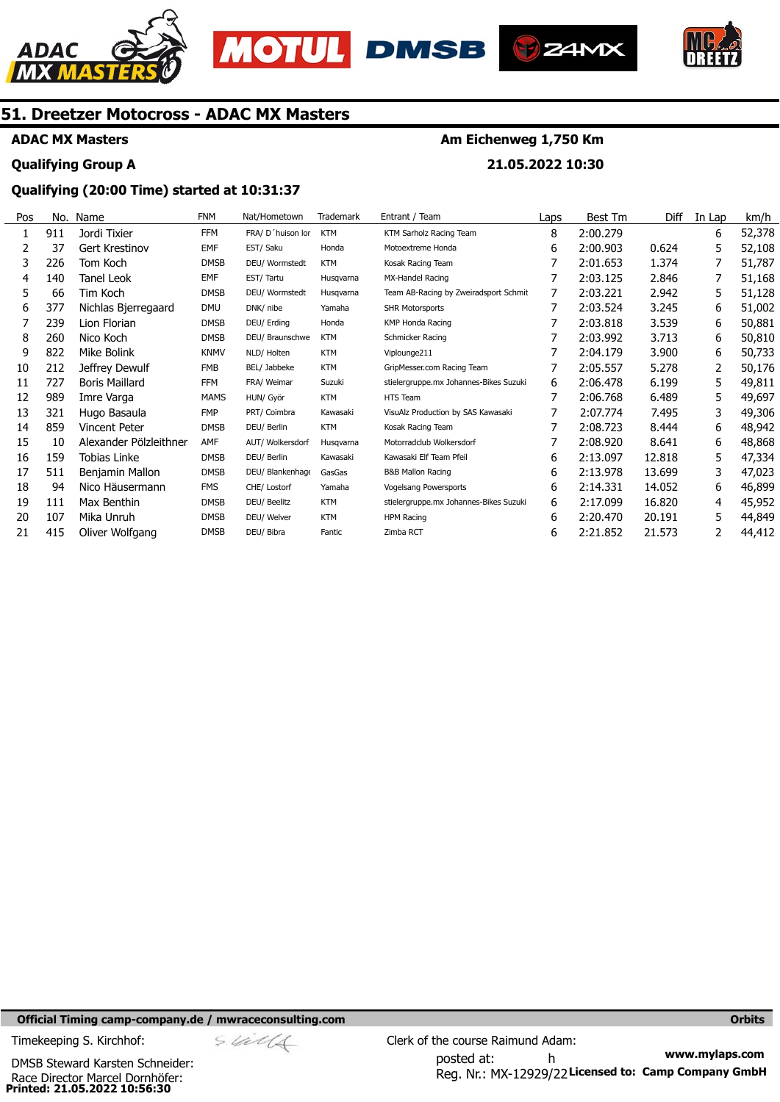







## **ADAC MX Masters Qualifying Group A**

## **Am Eichenweg 1,750 Km**

**21.05.2022 10:30** 

### **Qualifying (20:00 Time) started at 10:31:37**

| Pos | No. | Name                   | <b>FNM</b>  | Nat/Hometown      | Trademark  | Entrant / Team                         | Laps | <b>Best Tm</b> | Diff   | In Lap | km/h   |
|-----|-----|------------------------|-------------|-------------------|------------|----------------------------------------|------|----------------|--------|--------|--------|
|     | 911 | Jordi Tixier           | <b>FFM</b>  | FRA/ D'huison lor | <b>KTM</b> | KTM Sarholz Racing Team                | 8    | 2:00.279       |        | 6      | 52,378 |
|     | 37  | Gert Krestinov         | <b>EMF</b>  | EST/ Saku         | Honda      | Motoextreme Honda                      | 6    | 2:00.903       | 0.624  | 5      | 52,108 |
| 3   | 226 | Tom Koch               | <b>DMSB</b> | DEU/ Wormstedt    | <b>KTM</b> | Kosak Racing Team                      |      | 2:01.653       | 1.374  |        | 51,787 |
| 4   | 140 | Tanel Leok             | <b>EMF</b>  | EST/Tartu         | Husgvarna  | MX-Handel Racing                       |      | 2:03.125       | 2.846  |        | 51,168 |
| 5   | 66  | Tim Koch               | <b>DMSB</b> | DEU/ Wormstedt    | Husgvarna  | Team AB-Racing by Zweiradsport Schmit  | 7    | 2:03.221       | 2.942  | 5      | 51,128 |
| 6   | 377 | Nichlas Bjerregaard    | <b>DMU</b>  | DNK/ nibe         | Yamaha     | <b>SHR Motorsports</b>                 |      | 2:03.524       | 3.245  | 6      | 51,002 |
|     | 239 | Lion Florian           | <b>DMSB</b> | DEU/ Erding       | Honda      | <b>KMP Honda Racing</b>                |      | 2:03.818       | 3.539  | 6      | 50,881 |
| 8   | 260 | Nico Koch              | <b>DMSB</b> | DEU/ Braunschwe   | <b>KTM</b> | Schmicker Racing                       |      | 2:03.992       | 3.713  | 6      | 50,810 |
| 9   | 822 | Mike Bolink            | <b>KNMV</b> | NLD/ Holten       | <b>KTM</b> | Viplounge211                           |      | 2:04.179       | 3.900  | 6      | 50,733 |
| 10  | 212 | Jeffrey Dewulf         | <b>FMB</b>  | BEL/ Jabbeke      | <b>KTM</b> | GripMesser.com Racing Team             |      | 2:05.557       | 5.278  |        | 50,176 |
| 11  | 727 | <b>Boris Maillard</b>  | <b>FFM</b>  | FRA/ Weimar       | Suzuki     | stielergruppe.mx Johannes-Bikes Suzuki | 6    | 2:06.478       | 6.199  | 5      | 49,811 |
| 12  | 989 | Imre Varga             | <b>MAMS</b> | HUN/ Györ         | <b>KTM</b> | HTS Team                               | 7    | 2:06.768       | 6.489  | 5      | 49,697 |
| 13  | 321 | Hugo Basaula           | <b>FMP</b>  | PRT/ Coimbra      | Kawasaki   | VisuAlz Production by SAS Kawasaki     |      | 2:07.774       | 7.495  | 3      | 49,306 |
| 14  | 859 | Vincent Peter          | <b>DMSB</b> | DEU/ Berlin       | <b>KTM</b> | Kosak Racing Team                      |      | 2:08.723       | 8.444  | 6      | 48,942 |
| 15  | 10  | Alexander Pölzleithner | AMF         | AUT/ Wolkersdorf  | Husgvarna  | Motorradclub Wolkersdorf               |      | 2:08.920       | 8.641  | 6      | 48,868 |
| 16  | 159 | Tobias Linke           | <b>DMSB</b> | DEU/ Berlin       | Kawasaki   | Kawasaki Elf Team Pfeil                | 6    | 2:13.097       | 12.818 | 5      | 47,334 |
| 17  | 511 | Benjamin Mallon        | <b>DMSB</b> | DEU/ Blankenhage  | GasGas     | <b>B&amp;B Mallon Racing</b>           | 6    | 2:13.978       | 13.699 | 3      | 47,023 |
| 18  | 94  | Nico Häusermann        | <b>FMS</b>  | CHE/ Lostorf      | Yamaha     | Vogelsang Powersports                  | 6    | 2:14.331       | 14.052 | 6      | 46,899 |
| 19  | 111 | Max Benthin            | <b>DMSB</b> | DEU/ Beelitz      | <b>KTM</b> | stielergruppe.mx Johannes-Bikes Suzuki | 6    | 2:17.099       | 16.820 | 4      | 45,952 |
| 20  | 107 | Mika Unruh             | <b>DMSB</b> | DEU/ Welver       | <b>KTM</b> | HPM Racing                             | 6    | 2:20.470       | 20.191 | 5      | 44,849 |
| 21  | 415 | Oliver Wolfgang        | <b>DMSB</b> | DEU/ Bibra        | Fantic     | Zimba RCT                              | 6    | 2:21.852       | 21.573 |        | 44,412 |

**Official Timing camp-company.de / mwraceconsulting.com <b>Orbits and Company.de Company** orbits **Orbits Orbits** 

**Printed: 21.05.2022 10:56:30**  Race Director Marcel Dornhöfer: DMSB Steward Karsten Schneider:

**www.mylaps.com**  Reg. Nr.: MX-12929/22 Licensed to: Camp Company GmbH posted at: h Timekeeping S. Kirchhof:  $\frac{1}{2}$  Clerk of the course Raimund Adam: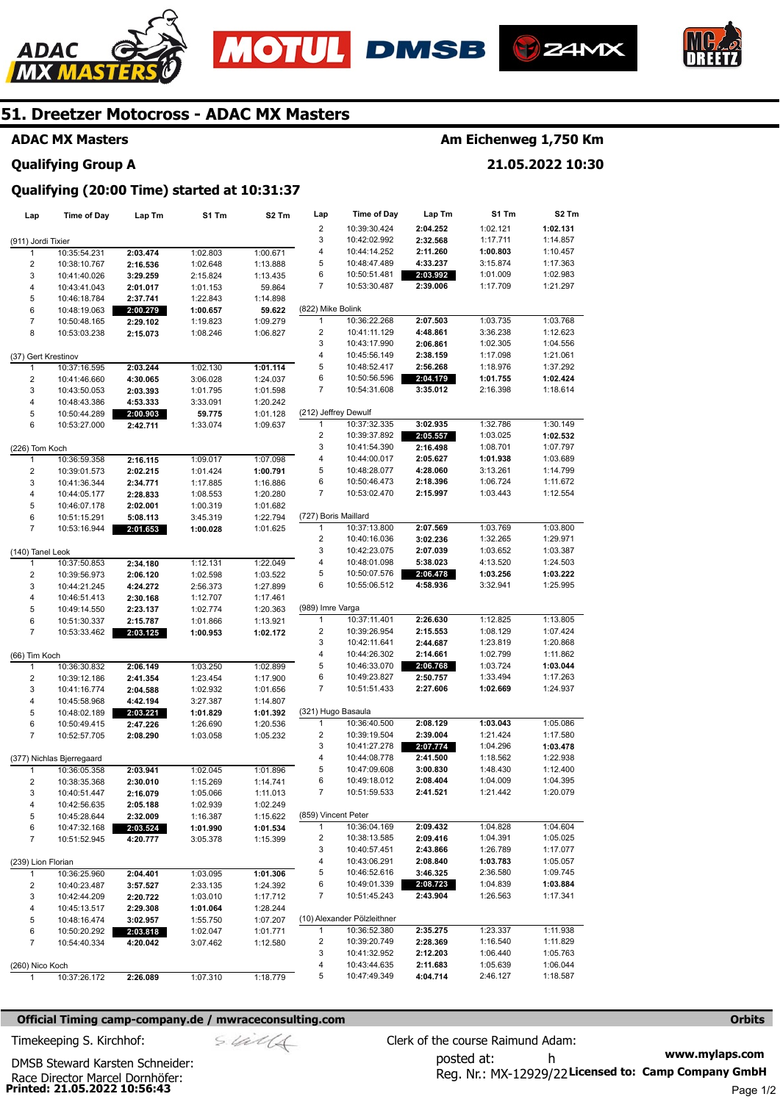







#### **ADAC MX Masters**

### **Am Eichenweg 1,750 Km**

**21.05.2022 10:30** 

**Qualifying Group A** 

### **Qualifying (20:00 Time) started at 10:31:37**

| Lap                           | <b>Time of Day</b>           | Lap Tm   | S1 Tm                | S2 Tm                | Lap                       | <b>Time of Day</b>           | Lap Tm               | S1 Tm    | S <sub>2</sub> Tm    |
|-------------------------------|------------------------------|----------|----------------------|----------------------|---------------------------|------------------------------|----------------------|----------|----------------------|
|                               |                              |          |                      |                      | $\overline{\mathbf{c}}$   | 10:39:30.424                 | 2:04.252             | 1:02.121 | 1:02.131             |
| (911) Jordi Tixier            |                              |          |                      |                      | 3                         | 10:42:02.992                 | 2:32.568             | 1:17.711 | 1:14.857             |
| 1                             | 10:35:54.231                 | 2:03.474 | 1:02.803             | 1:00.671             | 4                         | 10:44:14.252                 | 2:11.260             | 1:00.803 | 1:10.457             |
| $\overline{c}$                | 10:38:10.767                 | 2:16.536 | 1:02.648             | 1:13.888             | 5                         | 10:48:47.489                 | 4:33.237             | 3:15.874 | 1:17.363             |
| 3                             | 10:41:40.026                 | 3:29.259 | 2:15.824             | 1:13.435             | 6                         | 10:50:51.481                 | 2:03.992             | 1:01.009 | 1:02.983             |
| 4                             | 10:43:41.043                 | 2:01.017 | 1:01.153             | 59.864               | 7                         | 10:53:30.487                 | 2:39.006             | 1:17.709 | 1:21.297             |
| 5                             | 10:46:18.784                 | 2:37.741 | 1:22.843             | 1:14.898             |                           |                              |                      |          |                      |
| 6                             | 10:48:19.063                 | 2:00.279 | 1:00.657             | 59.622               | (822) Mike Bolink         |                              |                      |          |                      |
| $\overline{7}$                | 10:50:48.165                 | 2:29.102 | 1:19.823             | 1:09.279             | $\mathbf{1}$              | 10:36:22.268                 | 2:07.503             | 1:03.735 | 1:03.768             |
| 8                             | 10:53:03.238                 | 2:15.073 | 1:08.246             | 1:06.827             | 2                         | 10:41:11.129                 | 4:48.861             | 3:36.238 | 1:12.623             |
|                               |                              |          |                      |                      | 3                         | 10:43:17.990                 | 2:06.861             | 1:02.305 | 1:04.556             |
| (37) Gert Krestinov           |                              |          |                      |                      | 4                         | 10:45:56.149                 | 2:38.159             | 1:17.098 | 1:21.061             |
| $\mathbf{1}$                  | 10:37:16.595                 | 2:03.244 | 1:02.130             | 1:01.114             | 5                         | 10:48:52.417                 | 2:56.268             | 1:18.976 | 1:37.292             |
| $\overline{2}$                | 10:41:46.660                 | 4:30.065 | 3:06.028             | 1:24.037             | 6                         | 10:50:56.596                 | 2:04.179             | 1:01.755 | 1:02.424             |
| 3                             | 10:43:50.053                 | 2:03.393 | 1:01.795             | 1:01.598             | 7                         | 10:54:31.608                 | 3:35.012             | 2:16.398 | 1:18.614             |
| $\overline{\mathbf{4}}$       | 10:48:43.386                 | 4:53.333 | 3:33.091             | 1:20.242             |                           |                              |                      |          |                      |
| 5                             | 10:50:44.289                 | 2:00.903 | 59.775               | 1:01.128             | (212) Jeffrey Dewulf      |                              |                      |          |                      |
| 6                             | 10:53:27.000                 | 2:42.711 | 1:33.074             | 1:09.637             | 1                         | 10:37:32.335                 | 3:02.935             | 1:32.786 | 1:30.149             |
|                               |                              |          |                      |                      | 2                         | 10:39:37.892                 | 2:05.557             | 1:03.025 | 1:02.532             |
| (226) Tom Koch                |                              |          |                      |                      | 3                         | 10:41:54.390                 | 2:16.498             | 1:08.701 | 1:07.797             |
| 1                             | 10:36:59.358                 | 2:16.115 | 1:09.017             | 1:07.098             | 4                         | 10:44:00.017<br>10:48:28.077 | 2:05.627             | 1:01.938 | 1:03.689             |
| $\overline{2}$                | 10:39:01.573                 | 2:02.215 | 1:01.424             | 1:00.791             | 5                         |                              | 4:28.060<br>2:18.396 | 3:13.261 | 1:14.799<br>1:11.672 |
| 3                             | 10:41:36.344                 | 2:34.771 | 1:17.885             | 1:16.886             | 6<br>7                    | 10:50:46.473<br>10:53:02.470 |                      | 1:06.724 | 1:12.554             |
| 4                             | 10:44:05.177                 | 2:28.833 | 1:08.553             | 1:20.280             |                           |                              | 2:15.997             | 1:03.443 |                      |
| 5                             | 10:46:07.178                 | 2:02.001 | 1:00.319             | 1:01.682             |                           |                              |                      |          |                      |
| 6<br>$\overline{7}$           | 10:51:15.291                 | 5:08.113 | 3:45.319             | 1:22.794             | (727) Boris Maillard<br>1 | 10:37:13.800                 | 2:07.569             | 1:03.769 | 1:03.800             |
|                               | 10:53:16.944                 | 2:01.653 | 1:00.028             | 1:01.625             | $\overline{c}$            | 10:40:16.036                 | 3:02.236             | 1:32.265 | 1:29.971             |
|                               |                              |          |                      |                      | 3                         | 10:42:23.075                 | 2:07.039             | 1:03.652 | 1:03.387             |
| (140) Tanel Leok<br>1         |                              |          |                      |                      | 4                         | 10:48:01.098                 | 5:38.023             | 4:13.520 | 1:24.503             |
| $\overline{\mathbf{c}}$       | 10:37:50.853                 | 2:34.180 | 1:12.131             | 1:22.049             | 5                         | 10:50:07.576                 | 2:06.478             | 1:03.256 | 1:03.222             |
|                               | 10:39:56.973                 | 2:06.120 | 1:02.598             | 1:03.522             | 6                         | 10:55:06.512                 | 4:58.936             | 3:32.941 | 1:25.995             |
| 3<br>$\overline{\mathbf{4}}$  | 10:44:21.245                 | 4:24.272 | 2:56.373             | 1:27.899             |                           |                              |                      |          |                      |
| 5                             | 10:46:51.413                 | 2:30.168 | 1:12.707             | 1:17.461             | (989) Imre Varga          |                              |                      |          |                      |
| 6                             | 10:49:14.550<br>10:51:30.337 | 2:23.137 | 1:02.774<br>1:01.866 | 1:20.363<br>1:13.921 | 1                         | 10:37:11.401                 | 2:26.630             | 1:12.825 | 1:13.805             |
| $\overline{7}$                |                              | 2:15.787 | 1:00.953             | 1:02.172             | 2                         | 10:39:26.954                 | 2:15.553             | 1:08.129 | 1:07.424             |
|                               | 10:53:33.462                 | 2:03.125 |                      |                      | 3                         | 10:42:11.641                 | 2:44.687             | 1:23.819 | 1:20.868             |
|                               |                              |          |                      |                      | 4                         | 10:44:26.302                 | 2:14.661             | 1:02.799 | 1:11.862             |
| (66) Tim Koch<br>$\mathbf{1}$ | 10:36:30.832                 | 2:06.149 | 1:03.250             | 1:02.899             | 5                         | 10:46:33.070                 | 2:06.768             | 1:03.724 | 1:03.044             |
| $\overline{c}$                | 10:39:12.186                 | 2:41.354 | 1:23.454             | 1:17.900             | 6                         | 10:49:23.827                 | 2:50.757             | 1:33.494 | 1:17.263             |
| 3                             | 10:41:16.774                 | 2:04.588 | 1:02.932             | 1:01.656             | 7                         | 10:51:51.433                 | 2:27.606             | 1:02.669 | 1:24.937             |
| $\overline{\mathbf{4}}$       | 10:45:58.968                 | 4:42.194 | 3:27.387             | 1:14.807             |                           |                              |                      |          |                      |
| 5                             | 10:48:02.189                 | 2:03.221 | 1:01.829             | 1:01.392             | (321) Hugo Basaula        |                              |                      |          |                      |
| 6                             | 10:50:49.415                 | 2:47.226 | 1:26.690             | 1:20.536             | $\mathbf{1}$              | 10:36:40.500                 | 2:08.129             | 1:03.043 | 1:05.086             |
| $\overline{7}$                | 10:52:57.705                 | 2:08.290 | 1:03.058             | 1:05.232             | $\overline{\mathbf{c}}$   | 10:39:19.504                 | 2:39.004             | 1:21.424 | 1:17.580             |
|                               |                              |          |                      |                      | 3                         | 10:41:27.278                 | 2:07.774             | 1:04.296 | 1:03.478             |
|                               | (377) Nichlas Bjerregaard    |          |                      |                      | 4                         | 10:44:08.778                 | 2:41.500             | 1:18.562 | 1:22.938             |
| 1                             | 10:36:05.358                 | 2:03.941 | 1:02.045             | 1:01.896             | 5                         | 10:47:09.608                 | 3:00.830             | 1:48.430 | 1:12.400             |
| $\overline{c}$                | 10:38:35.368                 | 2:30.010 | 1:15.269             | 1:14.741             | 6                         | 10:49:18.012                 | 2:08.404             | 1:04.009 | 1:04.395             |
| 3                             | 10:40:51.447                 | 2:16.079 | 1:05.066             | 1:11.013             | 7                         | 10:51:59.533                 | 2:41.521             | 1:21.442 | 1:20.079             |
| 4                             | 10:42:56.635                 | 2:05.188 | 1:02.939             | 1:02.249             |                           |                              |                      |          |                      |
| 5                             | 10:45:28.644                 | 2:32.009 | 1:16.387             | 1:15.622             | (859) Vincent Peter       |                              |                      |          |                      |
| 6                             | 10:47:32.168                 | 2:03.524 | 1:01.990             | 1:01.534             | 1                         | 10:36:04.169                 | 2:09.432             | 1:04.828 | 1:04.604             |
| 7                             | 10:51:52.945                 | 4:20.777 | 3:05.378             | 1:15.399             | 2                         | 10:38:13.585                 | 2:09.416             | 1:04.391 | 1:05.025             |
|                               |                              |          |                      |                      | 3                         | 10:40:57.451                 | 2:43.866             | 1:26.789 | 1:17.077             |
| (239) Lion Florian            |                              |          |                      |                      | 4                         | 10:43:06.291                 | 2:08.840             | 1:03.783 | 1:05.057             |
| 1                             | 10:36:25.960                 | 2:04.401 | 1:03.095             | 1:01.306             | 5                         | 10:46:52.616                 | 3:46.325             | 2:36.580 | 1:09.745             |
| 2                             | 10:40:23.487                 | 3:57.527 | 2:33.135             | 1:24.392             | 6                         | 10:49:01.339                 | 2:08.723             | 1:04.839 | 1:03.884             |
| 3                             | 10:42:44.209                 | 2:20.722 | 1:03.010             | 1:17.712             | 7                         | 10:51:45.243                 | 2:43.904             | 1:26.563 | 1:17.341             |
| 4                             | 10:45:13.517                 | 2:29.308 | 1:01.064             | 1:28.244             |                           |                              |                      |          |                      |
| 5                             | 10:48:16.474                 | 3:02.957 | 1:55.750             | 1:07.207             |                           | (10) Alexander Pölzleithner  |                      |          |                      |
| 6                             | 10:50:20.292                 | 2:03.818 | 1:02.047             | 1:01.771             | $\mathbf{1}$              | 10:36:52.380                 | 2:35.275             | 1:23.337 | 1:11.938             |
| $\overline{7}$                | 10:54:40.334                 | 4:20.042 | 3:07.462             | 1:12.580             | $\overline{2}$            | 10:39:20.749                 | 2:28.369             | 1:16.540 | 1:11.829             |
|                               |                              |          |                      |                      | 3                         | 10:41:32.952                 | 2:12.203             | 1:06.440 | 1:05.763             |
| (260) Nico Koch               |                              |          |                      |                      | 4                         | 10:43:44.635                 | 2:11.683             | 1:05.639 | 1:06.044             |
| 1                             | 10:37:26.172                 | 2:26.089 | 1:07.310             | 1:18.779             | 5                         | 10:47:49.349                 | 4:04.714             | 2:46.127 | 1:18.587             |

#### **Official Timing camp-company.de / mwraceconsulting.com <b>Orbits and Company.de Company** orbits **Orbits Orbits**

**www.mylaps.com**  Reg. Nr.: MX-12929/22 Licensed to: Camp Company GmbH posted at: h Timekeeping S. Kirchhof:  $\frac{1}{2}$  Clerk of the course Raimund Adam: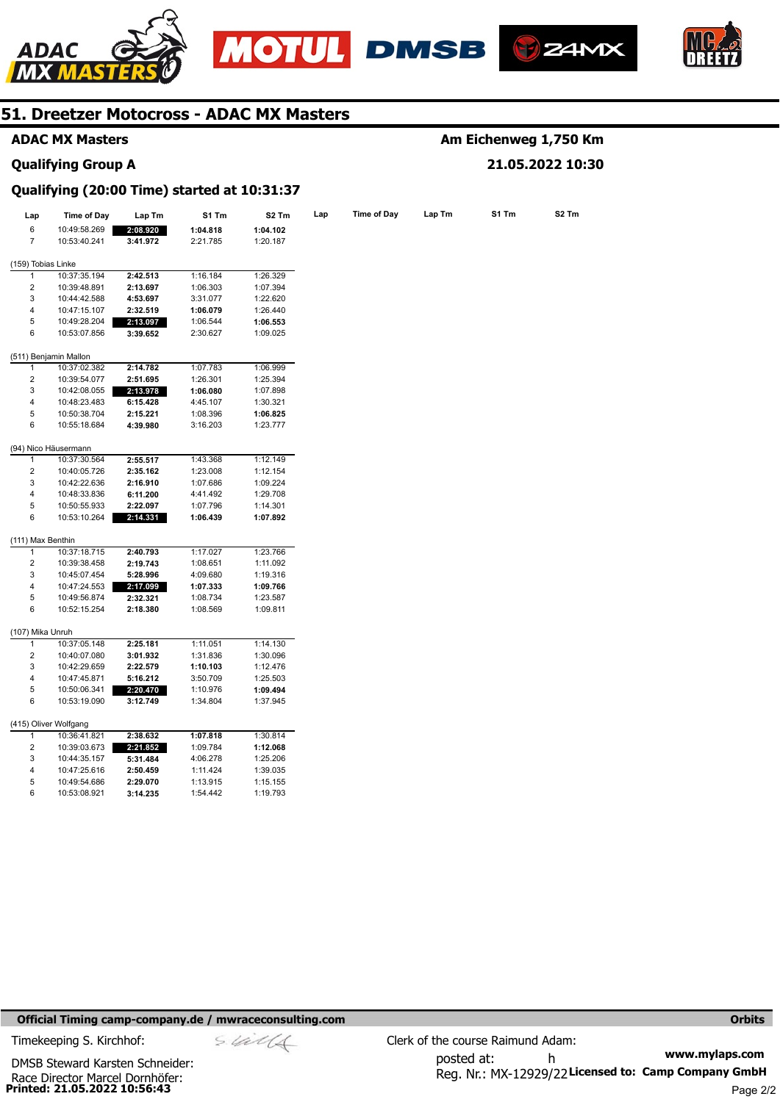







#### **ADAC MX Masters**

#### **Qualifying Group A**

### **Am Eichenweg 1,750 Km 21.05.2022 10:30**

### **Qualifying (20:00 Time) started at 10:31:37**

| Lap                     | <b>Time of Day</b>                    | Lap Tm               | S1 Tm                | S <sub>2</sub> Tm    | Lap | <b>Time of Day</b> | Lap Tm | S1 Tm | S2 Tm |
|-------------------------|---------------------------------------|----------------------|----------------------|----------------------|-----|--------------------|--------|-------|-------|
| 6                       | 10:49:58.269                          | 2:08.920             | 1:04.818             | 1:04.102             |     |                    |        |       |       |
| $\overline{7}$          | 10:53:40.241                          | 3:41.972             | 2:21.785             | 1:20.187             |     |                    |        |       |       |
| (159) Tobias Linke      |                                       |                      |                      |                      |     |                    |        |       |       |
| 1                       | 10:37:35.194                          | 2:42.513             | 1:16.184             | 1:26.329             |     |                    |        |       |       |
| 2                       | 10:39:48.891                          | 2:13.697             | 1:06.303             | 1:07.394             |     |                    |        |       |       |
| 3                       | 10:44:42.588                          | 4:53.697             | 3:31.077             | 1:22.620             |     |                    |        |       |       |
| 4                       | 10:47:15.107                          | 2:32.519             | 1:06.079             | 1:26.440             |     |                    |        |       |       |
| 5                       | 10:49:28.204                          | 2:13.097             | 1:06.544             | 1:06.553             |     |                    |        |       |       |
| 6                       | 10:53:07.856                          | 3:39.652             | 2:30.627             | 1:09.025             |     |                    |        |       |       |
|                         |                                       |                      |                      |                      |     |                    |        |       |       |
| 1                       | (511) Benjamin Mallon<br>10:37:02.382 | 2:14.782             | 1:07.783             | 1:06.999             |     |                    |        |       |       |
| $\overline{\mathbf{c}}$ | 10:39:54.077                          | 2:51.695             | 1:26.301             | 1:25.394             |     |                    |        |       |       |
| 3                       | 10:42:08.055                          | 2:13.978             | 1:06.080             | 1:07.898             |     |                    |        |       |       |
| 4                       | 10:48:23.483                          | 6:15.428             | 4:45.107             | 1:30.321             |     |                    |        |       |       |
| 5                       | 10:50:38.704                          | 2:15.221             | 1:08.396             | 1:06.825             |     |                    |        |       |       |
| 6                       | 10:55:18.684                          | 4:39.980             | 3:16.203             |                      |     |                    |        |       |       |
|                         |                                       |                      |                      | 1:23.777             |     |                    |        |       |       |
|                         | (94) Nico Häusermann                  |                      |                      |                      |     |                    |        |       |       |
| 1                       | 10:37:30.564                          | 2:55.517             | 1:43.368             | 1:12.149             |     |                    |        |       |       |
| 2                       | 10:40:05.726                          | 2:35.162             | 1:23.008             | 1:12.154             |     |                    |        |       |       |
| 3                       | 10:42:22.636                          | 2:16.910             | 1:07.686             | 1:09.224             |     |                    |        |       |       |
| 4                       | 10:48:33.836                          | 6:11.200             | 4:41.492             | 1:29.708             |     |                    |        |       |       |
| 5                       | 10:50:55.933                          | 2:22.097             | 1:07.796             | 1:14.301             |     |                    |        |       |       |
| 6                       | 10:53:10.264                          | 2:14.331             | 1:06.439             | 1:07.892             |     |                    |        |       |       |
| (111) Max Benthin       |                                       |                      |                      |                      |     |                    |        |       |       |
| 1                       | 10:37:18.715                          | 2:40.793             | 1:17.027             | 1:23.766             |     |                    |        |       |       |
| 2                       | 10:39:38.458                          | 2:19.743             | 1:08.651             | 1:11.092             |     |                    |        |       |       |
| 3                       | 10:45:07.454                          | 5:28.996             | 4:09.680             | 1:19.316             |     |                    |        |       |       |
| 4                       | 10:47:24.553                          | 2:17.099             | 1:07.333             | 1:09.766             |     |                    |        |       |       |
| 5                       | 10:49:56.874                          | 2:32.321             | 1:08.734             | 1:23.587             |     |                    |        |       |       |
| 6                       | 10:52:15.254                          | 2:18.380             | 1:08.569             | 1:09.811             |     |                    |        |       |       |
| (107) Mika Unruh        |                                       |                      |                      |                      |     |                    |        |       |       |
| 1                       | 10:37:05.148                          | 2:25.181             | 1:11.051             | 1:14.130             |     |                    |        |       |       |
| 2                       | 10:40:07.080                          | 3:01.932             | 1:31.836             | 1:30.096             |     |                    |        |       |       |
| 3                       | 10:42:29.659                          | 2:22.579             | 1:10.103             | 1:12.476             |     |                    |        |       |       |
| 4                       | 10:47:45.871                          | 5:16.212             | 3:50.709             | 1:25.503             |     |                    |        |       |       |
| 5                       | 10:50:06.341                          | 2:20.470             | 1:10.976             | 1:09.494             |     |                    |        |       |       |
| 6                       | 10:53:19.090                          | 3:12.749             | 1:34.804             | 1:37.945             |     |                    |        |       |       |
|                         | (415) Oliver Wolfgang                 |                      |                      |                      |     |                    |        |       |       |
| 1                       | 10:36:41.821                          | 2:38.632             | 1:07.818             | 1:30.814             |     |                    |        |       |       |
|                         | 10:39:03.673                          | 2:21.852             | 1:09.784             | 1:12.068             |     |                    |        |       |       |
| 2                       |                                       |                      |                      |                      |     |                    |        |       |       |
| 3                       |                                       |                      |                      |                      |     |                    |        |       |       |
| 4                       | 10:44:35.157                          | 5:31.484             | 4:06.278             | 1:25.206             |     |                    |        |       |       |
| 5                       | 10:47:25.616<br>10:49:54.686          | 2:50.459<br>2:29.070 | 1:11.424<br>1:13.915 | 1:39.035<br>1:15.155 |     |                    |        |       |       |

#### **Official Timing camp-company.de / mwraceconsulting.com <b>Orbits and Company.de Company** orbits **Orbits Orbits**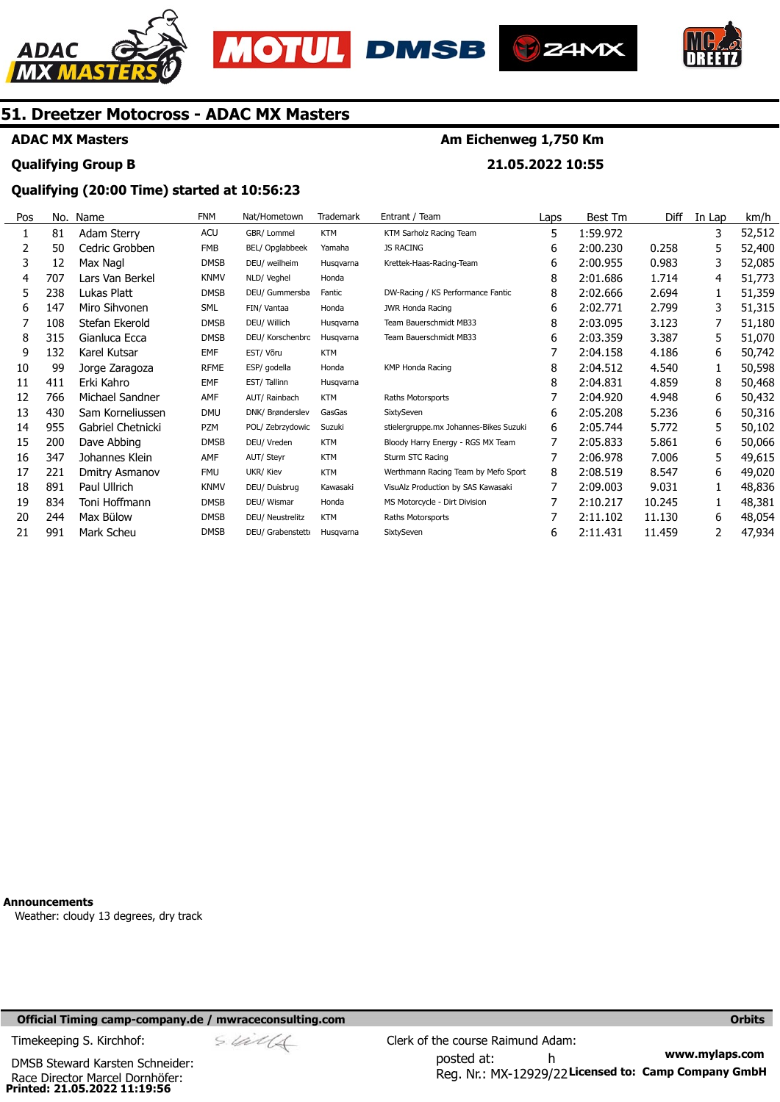





**Am Eichenweg 1,750 Km** 

**21.05.2022 10:55** 



### **51. Dreetzer Motocross - ADAC MX Masters**

#### **ADAC MX Masters**

### **Qualifying Group B**

### **Qualifying (20:00 Time) started at 10:56:23**

| Pos | No. | Name              | <b>FNM</b>  | Nat/Hometown     | Trademark  | Entrant / Team                         | Laps | Best Tm  | Diff   | In Lap | km/h   |
|-----|-----|-------------------|-------------|------------------|------------|----------------------------------------|------|----------|--------|--------|--------|
| 1   | 81  | Adam Sterry       | <b>ACU</b>  | GBR/ Lommel      | <b>KTM</b> | KTM Sarholz Racing Team                | 5    | 1:59.972 |        | 3      | 52,512 |
|     | 50  | Cedric Grobben    | <b>FMB</b>  | BEL/ Opglabbeek  | Yamaha     | <b>JS RACING</b>                       | 6    | 2:00.230 | 0.258  | 5      | 52,400 |
| 3   | 12  | Max Nagl          | <b>DMSB</b> | DEU/ weilheim    | Husgvarna  | Krettek-Haas-Racing-Team               | 6    | 2:00.955 | 0.983  | 3      | 52,085 |
| 4   | 707 | Lars Van Berkel   | <b>KNMV</b> | NLD/ Veghel      | Honda      |                                        | 8    | 2:01.686 | 1.714  | 4      | 51,773 |
| 5   | 238 | Lukas Platt       | <b>DMSB</b> | DEU/ Gummersba   | Fantic     | DW-Racing / KS Performance Fantic      | 8    | 2:02.666 | 2.694  | 1      | 51,359 |
| 6   | 147 | Miro Sihvonen     | <b>SML</b>  | FIN/ Vantaa      | Honda      | <b>JWR Honda Racing</b>                | 6    | 2:02.771 | 2.799  | 3      | 51,315 |
|     | 108 | Stefan Ekerold    | <b>DMSB</b> | DEU/ Willich     | Husqvarna  | Team Bauerschmidt MB33                 | 8    | 2:03.095 | 3.123  |        | 51,180 |
| 8   | 315 | Gianluca Ecca     | <b>DMSB</b> | DEU/ Korschenbrc | Husqvarna  | Team Bauerschmidt MB33                 | 6    | 2:03.359 | 3.387  | 5      | 51,070 |
| 9   | 132 | Karel Kutsar      | <b>EMF</b>  | EST/ Võru        | <b>KTM</b> |                                        |      | 2:04.158 | 4.186  | 6      | 50,742 |
| 10  | 99  | Jorge Zaragoza    | <b>RFME</b> | ESP/ godella     | Honda      | <b>KMP Honda Racing</b>                | 8    | 2:04.512 | 4.540  |        | 50,598 |
| 11  | 411 | Erki Kahro        | <b>EMF</b>  | EST/Tallinn      | Husgvarna  |                                        | 8    | 2:04.831 | 4.859  | 8      | 50,468 |
| 12  | 766 | Michael Sandner   | AMF         | AUT/ Rainbach    | <b>KTM</b> | Raths Motorsports                      |      | 2:04.920 | 4.948  | 6      | 50,432 |
| 13  | 430 | Sam Korneliussen  | <b>DMU</b>  | DNK/ Brønderslev | GasGas     | SixtySeven                             | 6    | 2:05.208 | 5.236  | 6      | 50,316 |
| 14  | 955 | Gabriel Chetnicki | <b>PZM</b>  | POL/ Zebrzydowic | Suzuki     | stielergruppe.mx Johannes-Bikes Suzuki | 6    | 2:05.744 | 5.772  | 5      | 50,102 |
| 15  | 200 | Dave Abbing       | <b>DMSB</b> | DEU/ Vreden      | <b>KTM</b> | Bloody Harry Energy - RGS MX Team      | 7    | 2:05.833 | 5.861  | 6      | 50,066 |
| 16  | 347 | Johannes Klein    | AMF         | AUT/ Steyr       | <b>KTM</b> | Sturm STC Racing                       |      | 2:06.978 | 7.006  | 5      | 49,615 |
| 17  | 221 | Dmitry Asmanov    | <b>FMU</b>  | UKR/ Kiev        | <b>KTM</b> | Werthmann Racing Team by Mefo Sport    | 8    | 2:08.519 | 8.547  | 6      | 49,020 |
| 18  | 891 | Paul Ullrich      | <b>KNMV</b> | DEU/ Duisbrug    | Kawasaki   | VisuAlz Production by SAS Kawasaki     |      | 2:09.003 | 9.031  |        | 48,836 |
| 19  | 834 | Toni Hoffmann     | DMSB        | DEU/ Wismar      | Honda      | MS Motorcycle - Dirt Division          |      | 2:10.217 | 10.245 |        | 48,381 |
| 20  | 244 | Max Bülow         | <b>DMSB</b> | DEU/ Neustrelitz | <b>KTM</b> | Raths Motorsports                      |      | 2:11.102 | 11.130 | 6      | 48,054 |
| 21  | 991 | Mark Scheu        | <b>DMSB</b> | DEU/ Grabenstett | Husgvarna  | SixtySeven                             | 6    | 2:11.431 | 11.459 |        | 47,934 |

**Announcements**  Weather: cloudy 13 degrees, dry track

#### **Official Timing camp-company.de / mwraceconsulting.com <b>Orbits and Company.de Company** orbits **Orbits Orbits**

Race Director Marcel Dornhöfer:<br>**Printed: 21.05.2022 11:19:56** DMSB Steward Karsten Schneider:

**www.mylaps.com**  Reg. Nr.: MX-12929/22 Licensed to: Camp Company GmbH posted at: h Timekeeping S. Kirchhof:  $\le \frac{1}{2}$  Clerk of the course Raimund Adam: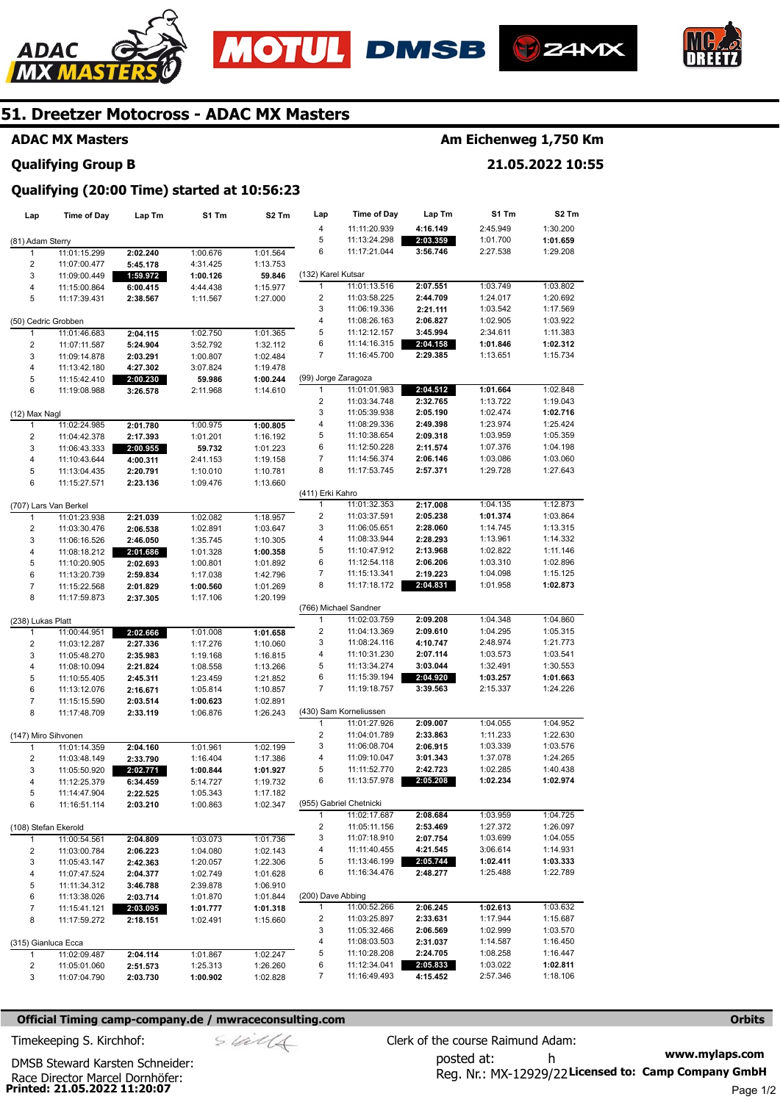







#### **ADAC MX Masters**

#### **Qualifying Group B**

## **Am Eichenweg 1,750 Km**

**21.05.2022 10:55** 

## **Qualifying (20:00 Time) started at 10:56:23**

| Lap                     | Time of Day           | Lap Tm   | S1 Tm    | S2 Tm    | Lap                     | <b>Time of Day</b>      | Lap Tm   | S1 Tm    | S2 Tm    |
|-------------------------|-----------------------|----------|----------|----------|-------------------------|-------------------------|----------|----------|----------|
|                         |                       |          |          |          | 4                       | 11:11:20.939            | 4:16.149 | 2:45.949 | 1:30.200 |
| (81) Adam Sterry        |                       |          |          |          | 5                       | 11:13:24.298            | 2:03.359 | 1:01.700 | 1:01.659 |
| 1                       | 11:01:15.299          | 2:02.240 | 1:00.676 | 1:01.564 | 6                       | 11:17:21.044            | 3:56.746 | 2:27.538 | 1:29.208 |
|                         |                       |          |          |          |                         |                         |          |          |          |
| $\overline{2}$          | 11:07:00.477          | 5:45.178 | 4:31.425 | 1:13.753 |                         |                         |          |          |          |
| 3                       | 11:09:00.449          | 1:59.972 | 1:00.126 | 59.846   | (132) Karel Kutsar      |                         |          |          |          |
| $\overline{\mathbf{4}}$ | 11:15:00.864          | 6:00.415 | 4:44.438 | 1:15.977 | $\mathbf{1}$            | 11:01:13.516            | 2:07.551 | 1:03.749 | 1:03.802 |
| 5                       | 11:17:39.431          | 2:38.567 | 1:11.567 | 1:27.000 | $\overline{\mathbf{c}}$ | 11:03:58.225            | 2:44.709 | 1:24.017 | 1:20.692 |
|                         |                       |          |          |          | 3                       | 11:06:19.336            | 2:21.111 | 1:03.542 | 1:17.569 |
| (50) Cedric Grobben     |                       |          |          |          | 4                       | 11:08:26.163            | 2:06.827 | 1:02.905 | 1:03.922 |
| 1                       | 11:01:46.683          | 2:04.115 | 1:02.750 | 1:01.365 | 5                       | 11:12:12.157            | 3:45.994 | 2:34.611 | 1:11.383 |
| $\overline{2}$          | 11:07:11.587          | 5:24.904 | 3:52.792 | 1:32.112 | 6                       | 11:14:16.315            | 2:04.158 | 1:01.846 | 1:02.312 |
| 3                       | 11:09:14.878          | 2:03.291 | 1:00.807 | 1:02.484 | $\overline{7}$          | 11:16:45.700            | 2:29.385 | 1:13.651 | 1:15.734 |
| $\overline{\mathbf{4}}$ | 11:13:42.180          | 4:27.302 | 3:07.824 | 1:19.478 |                         |                         |          |          |          |
| 5                       | 11:15:42.410          | 2:00.230 | 59.986   | 1:00.244 | (99) Jorge Zaragoza     |                         |          |          |          |
| 6                       | 11:19:08.988          | 3:26.578 | 2:11.968 | 1:14.610 | $\mathbf{1}$            | 11:01:01.983            | 2:04.512 | 1:01.664 | 1:02.848 |
|                         |                       |          |          |          | 2                       | 11:03:34.748            | 2:32.765 | 1:13.722 | 1:19.043 |
| (12) Max Nagl           |                       |          |          |          | 3                       | 11:05:39.938            | 2:05.190 | 1:02.474 | 1:02.716 |
| 1                       | 11:02:24.985          | 2:01.780 | 1:00.975 | 1:00.805 | 4                       | 11:08:29.336            | 2:49.398 | 1:23.974 | 1:25.424 |
| $\overline{2}$          | 11:04:42.378          | 2:17.393 | 1:01.201 | 1:16.192 | 5                       | 11:10:38.654            | 2:09.318 | 1:03.959 | 1:05.359 |
| 3                       | 11:06:43.333          | 2:00.955 | 59.732   | 1:01.223 | 6                       | 11:12:50.228            | 2:11.574 | 1:07.376 | 1:04.198 |
| $\overline{\mathbf{4}}$ | 11:10:43.644          | 4:00.311 | 2:41.153 | 1:19.158 | $\overline{7}$          | 11:14:56.374            | 2:06.146 | 1:03.086 | 1:03.060 |
| 5                       |                       |          |          | 1:10.781 | 8                       | 11:17:53.745            | 2:57.371 | 1:29.728 | 1:27.643 |
| 6                       | 11:13:04.435          | 2:20.791 | 1:10.010 |          |                         |                         |          |          |          |
|                         | 11:15:27.571          | 2:23.136 | 1:09.476 | 1:13.660 | (411) Erki Kahro        |                         |          |          |          |
|                         |                       |          |          |          |                         |                         |          |          |          |
|                         | (707) Lars Van Berkel |          |          |          | $\mathbf{1}$            | 11:01:32.353            | 2:17.008 | 1:04.135 | 1:12.873 |
| 1                       | 11:01:23.938          | 2:21.039 | 1:02.082 | 1:18.957 | $\overline{\mathbf{c}}$ | 11:03:37.591            | 2:05.238 | 1:01.374 | 1:03.864 |
| $\overline{c}$          | 11:03:30.476          | 2:06.538 | 1:02.891 | 1:03.647 | 3                       | 11:06:05.651            | 2:28.060 | 1:14.745 | 1:13.315 |
| 3                       | 11:06:16.526          | 2:46.050 | 1:35.745 | 1:10.305 | 4                       | 11:08:33.944            | 2:28.293 | 1:13.961 | 1:14.332 |
| 4                       | 11:08:18.212          | 2:01.686 | 1:01.328 | 1:00.358 | 5                       | 11:10:47.912            | 2:13.968 | 1:02.822 | 1:11.146 |
| 5                       | 11:10:20.905          | 2:02.693 | 1:00.801 | 1:01.892 | 6                       | 11:12:54.118            | 2:06.206 | 1:03.310 | 1:02.896 |
| 6                       | 11:13:20.739          | 2:59.834 | 1:17.038 | 1:42.796 | 7                       | 11:15:13.341            | 2:19.223 | 1:04.098 | 1:15.125 |
| $\overline{7}$          | 11:15:22.568          | 2:01.829 | 1:00.560 | 1:01.269 | 8                       | 11:17:18.172            | 2:04.831 | 1:01.958 | 1:02.873 |
| 8                       | 11:17:59.873          | 2:37.305 | 1:17.106 | 1:20.199 |                         |                         |          |          |          |
|                         |                       |          |          |          |                         | (766) Michael Sandner   |          |          |          |
| (238) Lukas Platt       |                       |          |          |          | 1                       | 11:02:03.759            | 2:09.208 | 1:04.348 | 1:04.860 |
| 1                       | 11:00:44.951          | 2:02.666 | 1:01.008 | 1:01.658 | $\overline{2}$          | 11:04:13.369            | 2:09.610 | 1:04.295 | 1:05.315 |
| $\overline{\mathbf{c}}$ | 11:03:12.287          | 2:27.336 | 1:17.276 | 1:10.060 | 3                       | 11:08:24.116            | 4:10.747 | 2:48.974 | 1:21.773 |
| 3                       | 11:05:48.270          | 2:35.983 | 1:19.168 | 1:16.815 | 4                       | 11:10:31.230            | 2:07.114 | 1:03.573 | 1:03.541 |
| 4                       | 11:08:10.094          | 2:21.824 | 1:08.558 | 1:13.266 | 5                       | 11:13:34.274            | 3:03.044 | 1:32.491 | 1:30.553 |
| 5                       | 11:10:55.405          | 2:45.311 | 1:23.459 | 1:21.852 | 6                       | 11:15:39.194            | 2:04.920 | 1:03.257 | 1:01.663 |
| 6                       | 11:13:12.076          | 2:16.671 | 1:05.814 | 1:10.857 | $\overline{7}$          | 11:19:18.757            | 3:39.563 | 2:15.337 | 1:24.226 |
| $\overline{7}$          | 11:15:15.590          | 2:03.514 | 1:00.623 | 1:02.891 |                         |                         |          |          |          |
| 8                       | 11:17:48.709          | 2:33.119 | 1:06.876 | 1:26.243 |                         | (430) Sam Korneliussen  |          |          |          |
|                         |                       |          |          |          | $\mathbf{1}$            | 11:01:27.926            | 2:09.007 | 1:04.055 | 1:04.952 |
|                         |                       |          |          |          | $\overline{\mathbf{c}}$ | 11:04:01.789            | 2:33.863 | 1:11.233 | 1:22.630 |
| (147) Miro Sihvonen     |                       |          |          |          |                         |                         |          |          |          |
| 1                       | 11:01:14.359          | 2:04.160 | 1:01.961 | 1:02.199 | 3                       | 11:06:08.704            | 2:06.915 | 1:03.339 | 1:03.576 |
| $\overline{2}$          | 11:03:48.149          | 2:33.790 | 1:16.404 | 1:17.386 | 4                       | 11:09:10.047            | 3:01.343 | 1:37.078 | 1:24.265 |
| 3                       | 11:05:50.920          | 2:02.771 | 1:00.844 | 1:01.927 | 5                       | 11:11:52.770            | 2:42.723 | 1:02.285 | 1:40.438 |
| 4                       | 11:12:25.379          | 6:34.459 | 5:14.727 | 1:19.732 | 6                       | 11:13:57.978            | 2:05.208 | 1:02.234 | 1:02.974 |
| 5                       | 11:14:47.904          | 2:22.525 | 1:05.343 | 1:17.182 |                         |                         |          |          |          |
| 6                       | 11:16:51.114          | 2:03.210 | 1:00.863 | 1:02.347 |                         | (955) Gabriel Chetnicki |          |          |          |
|                         |                       |          |          |          | $\mathbf{1}$            | 11:02:17.687            | 2:08.684 | 1:03.959 | 1:04.725 |
| (108) Stefan Ekerold    |                       |          |          |          | 2                       | 11:05:11.156            | 2:53.469 | 1:27.372 | 1:26.097 |
| 1                       | 11:00:54.561          | 2:04.809 | 1:03.073 | 1:01.736 | 3                       | 11:07:18.910            | 2:07.754 | 1:03.699 | 1:04.055 |
| 2                       | 11:03:00.784          | 2:06.223 | 1:04.080 | 1:02.143 | 4                       | 11:11:40.455            | 4:21.545 | 3:06.614 | 1:14.931 |
| 3                       | 11:05:43.147          | 2:42.363 | 1:20.057 | 1:22.306 | 5                       | 11:13:46.199            | 2:05.744 | 1:02.411 | 1:03.333 |
| 4                       | 11:07:47.524          | 2:04.377 | 1:02.749 | 1:01.628 | 6                       | 11:16:34.476            | 2:48.277 | 1:25.488 | 1:22.789 |
| 5                       | 11:11:34.312          | 3:46.788 | 2:39.878 | 1:06.910 |                         |                         |          |          |          |
| 6                       | 11:13:38.026          | 2:03.714 | 1:01.870 | 1:01.844 | (200) Dave Abbing       |                         |          |          |          |
| $\overline{7}$          | 11:15:41.121          | 2:03.095 | 1:01.777 | 1:01.318 | 1                       | 11:00:52.266            | 2:06.245 | 1:02.613 | 1:03.632 |
| 8                       | 11:17:59.272          | 2:18.151 | 1:02.491 | 1:15.660 | 2                       | 11:03:25.897            | 2:33.631 | 1:17.944 | 1:15.687 |
|                         |                       |          |          |          | 3                       | 11:05:32.466            | 2:06.569 | 1:02.999 | 1:03.570 |
| (315) Gianluca Ecca     |                       |          |          |          | 4                       | 11:08:03.503            | 2:31.037 | 1:14.587 | 1:16.450 |
| $\mathbf{1}$            |                       |          |          |          | 5                       | 11:10:28.208            | 2:24.705 | 1:08.258 | 1:16.447 |
|                         | 11:02:09.487          | 2:04.114 | 1:01.867 | 1:02.247 |                         | 11:12:34.041            |          |          |          |
| 2                       | 11:05:01.060          | 2:51.573 | 1:25.313 | 1:26.260 | 6                       |                         | 2:05.833 | 1:03.022 | 1:02.811 |
| 3                       | 11:07:04.790          | 2:03.730 | 1:00.902 | 1:02.828 | 7                       | 11:16:49.493            | 4:15.452 | 2:57.346 | 1:18.106 |

#### **Official Timing camp-company.de / mwraceconsulting.com <b>Orbits Orbits Orbits Orbits**

Race Director Marcel Dornhöfer:<br>**Printed: 21.05.2022 11:20:07** 

DMSB Steward Karsten Schneider:

$$
\mathcal{S}. \mathcal{U} \mathcal{U} \mathcal{U}
$$

**www.mylaps.com**  Reg. Nr.: MX-12929/22 Licensed to: Camp Company GmbH posted at: h Timekeeping S. Kirchhof:  $\frac{1}{2}$  Clerk of the course Raimund Adam: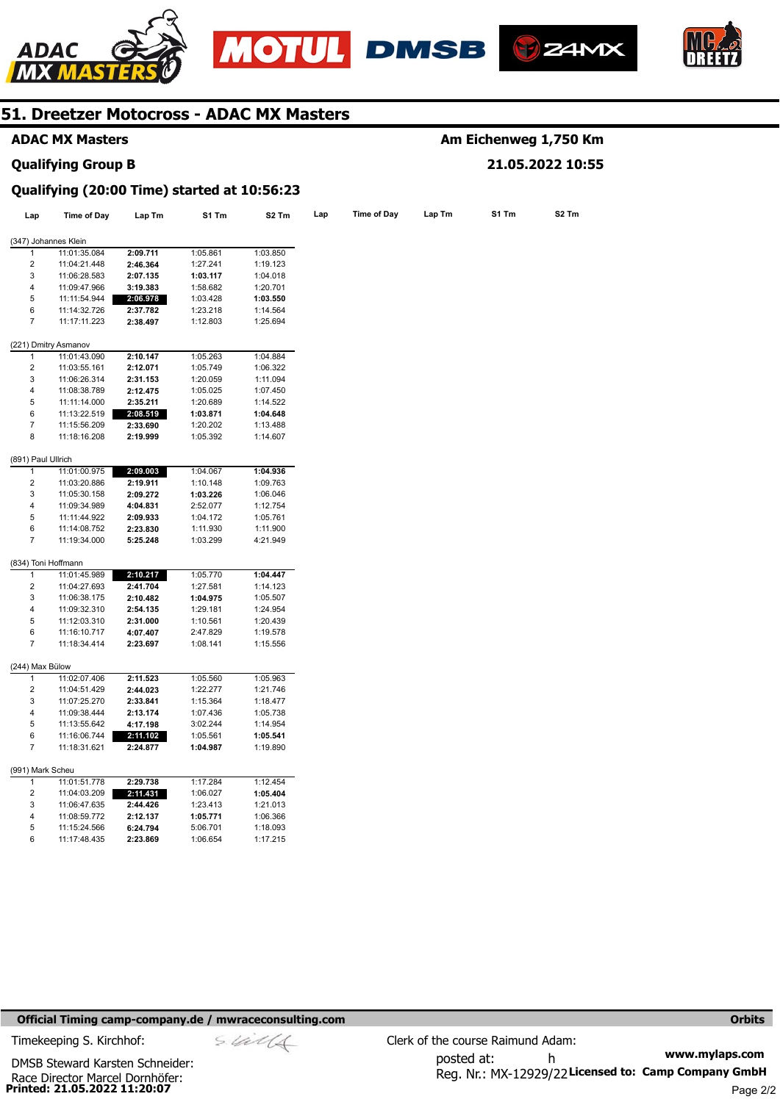







### **ADAC MX Masters**

#### **Qualifying Group B**

### **Am Eichenweg 1,750 Km 21.05.2022 10:55**

#### **Qualifying (20:00 Time) started at 10:56:23**

| Lap                     | Time of Day                  | Lap Tm               | S1 Tm                | S <sub>2</sub> Tm    | Lap | Time of Day | Lap Tm | S1 Tm | S2 Tm |
|-------------------------|------------------------------|----------------------|----------------------|----------------------|-----|-------------|--------|-------|-------|
|                         | (347) Johannes Klein         |                      |                      |                      |     |             |        |       |       |
| 1                       | 11:01:35.084                 | 2:09.711             | 1:05.861             | 1:03.850             |     |             |        |       |       |
| 2                       | 11:04:21.448                 | 2:46.364             | 1:27.241             | 1:19.123             |     |             |        |       |       |
| 3                       | 11:06:28.583                 | 2:07.135             | 1:03.117             | 1:04.018             |     |             |        |       |       |
| 4                       | 11:09:47.966                 | 3:19.383             | 1:58.682             | 1:20.701             |     |             |        |       |       |
| 5                       | 11:11:54.944                 | 2:06.978             | 1:03.428             | 1:03.550             |     |             |        |       |       |
| 6                       | 11:14:32.726                 | 2:37.782             | 1:23.218             | 1:14.564             |     |             |        |       |       |
| $\overline{\mathbf{7}}$ | 11:17:11.223                 | 2:38.497             | 1:12.803             | 1:25.694             |     |             |        |       |       |
|                         | (221) Dmitry Asmanov         |                      |                      |                      |     |             |        |       |       |
| 1                       | 11:01:43.090                 | 2:10.147             | 1:05.263             | 1:04.884             |     |             |        |       |       |
| 2                       | 11:03:55.161                 | 2:12.071             | 1:05.749             | 1:06.322             |     |             |        |       |       |
| 3                       | 11:06:26.314                 | 2:31.153             | 1:20.059             | 1:11.094             |     |             |        |       |       |
| 4                       | 11:08:38.789                 | 2:12.475             | 1:05.025             | 1:07.450             |     |             |        |       |       |
| 5                       | 11:11:14.000                 | 2:35.211             | 1:20.689             | 1:14.522             |     |             |        |       |       |
| 6                       | 11:13:22.519                 | 2:08.519             | 1:03.871             | 1:04.648             |     |             |        |       |       |
| 7                       | 11:15:56.209                 | 2:33.690             | 1:20.202             | 1:13.488             |     |             |        |       |       |
| 8                       | 11:18:16.208                 | 2:19.999             | 1:05.392             | 1:14.607             |     |             |        |       |       |
| (891) Paul Ullrich      |                              |                      |                      |                      |     |             |        |       |       |
| 1                       | 11:01:00.975                 | 2:09.003             | 1:04.067             | 1:04.936             |     |             |        |       |       |
| 2                       | 11:03:20.886                 | 2:19.911             | 1:10.148             | 1:09.763             |     |             |        |       |       |
| 3                       | 11:05:30.158                 | 2:09.272             | 1:03.226             | 1:06.046             |     |             |        |       |       |
| 4                       | 11:09:34.989                 | 4:04.831             | 2:52.077             | 1:12.754             |     |             |        |       |       |
| 5                       | 11:11:44.922                 | 2:09.933             | 1:04.172             | 1:05.761             |     |             |        |       |       |
| 6                       | 11:14:08.752                 | 2:23.830             | 1:11.930             | 1:11.900             |     |             |        |       |       |
| 7                       | 11:19:34.000                 | 5:25.248             | 1:03.299             | 4:21.949             |     |             |        |       |       |
|                         | (834) Toni Hoffmann          |                      |                      |                      |     |             |        |       |       |
| 1                       | 11:01:45.989                 | 2:10.217             | 1:05.770             | 1:04.447             |     |             |        |       |       |
| 2                       | 11:04:27.693                 | 2:41.704             | 1:27.581             | 1:14.123             |     |             |        |       |       |
| 3                       | 11:06:38.175                 | 2:10.482             | 1:04.975             | 1:05.507             |     |             |        |       |       |
| 4                       | 11:09:32.310                 | 2:54.135             | 1:29.181             | 1:24.954             |     |             |        |       |       |
| 5                       | 11:12:03.310                 | 2:31.000             | 1:10.561             | 1:20.439             |     |             |        |       |       |
| 6                       | 11:16:10.717                 | 4:07.407             | 2:47.829             | 1:19.578             |     |             |        |       |       |
| $\overline{7}$          | 11:18:34.414                 | 2:23.697             | 1:08.141             | 1:15.556             |     |             |        |       |       |
| (244) Max Bülow         |                              |                      |                      |                      |     |             |        |       |       |
| 1                       | 11:02:07.406                 | 2:11.523             | 1:05.560             | 1:05.963             |     |             |        |       |       |
| $\overline{2}$          | 11:04:51.429                 | 2:44.023             | 1:22.277             | 1:21.746             |     |             |        |       |       |
| 3                       | 11:07:25.270                 | 2:33.841             | 1:15.364             | 1:18.477             |     |             |        |       |       |
| 4                       | 11:09:38.444                 | 2:13.174             | 1:07.436             | 1:05.738             |     |             |        |       |       |
| 5                       | 11:13:55.642                 | 4:17.198             | 3:02.244             | 1:14.954             |     |             |        |       |       |
| 6                       | 11:16:06.744                 | 2:11.102             | 1:05.561             | 1:05.541             |     |             |        |       |       |
| $\overline{7}$          | 11:18:31.621                 | 2:24.877             | 1:04.987             | 1:19.890             |     |             |        |       |       |
| (991) Mark Scheu        |                              |                      |                      |                      |     |             |        |       |       |
|                         | 11:01:51.778                 | 2:29.738             | 1:17.284             | 1:12.454             |     |             |        |       |       |
| $\mathbf{1}$            |                              | 2:11.431             | 1:06.027             | 1:05.404             |     |             |        |       |       |
| 2                       | 11:04:03.209                 |                      |                      |                      |     |             |        |       |       |
| 3                       | 11:06:47.635                 | 2:44.426             | 1:23.413             | 1:21.013             |     |             |        |       |       |
| 4                       | 11:08:59.772                 | 2:12.137             | 1:05.771             | 1:06.366             |     |             |        |       |       |
| 5<br>6                  | 11:15:24.566<br>11:17:48.435 | 6:24.794<br>2:23.869 | 5:06.701<br>1:06.654 | 1:18.093<br>1:17.215 |     |             |        |       |       |

#### **Official Timing camp-company.de / mwraceconsulting.com <b>Orbits and Company.de Company** orbits **Orbits Orbits**

Race Director Marcel Dornhöfer:<br>**Printed: 21.05.2022 11:20:07** DMSB Steward Karsten Schneider: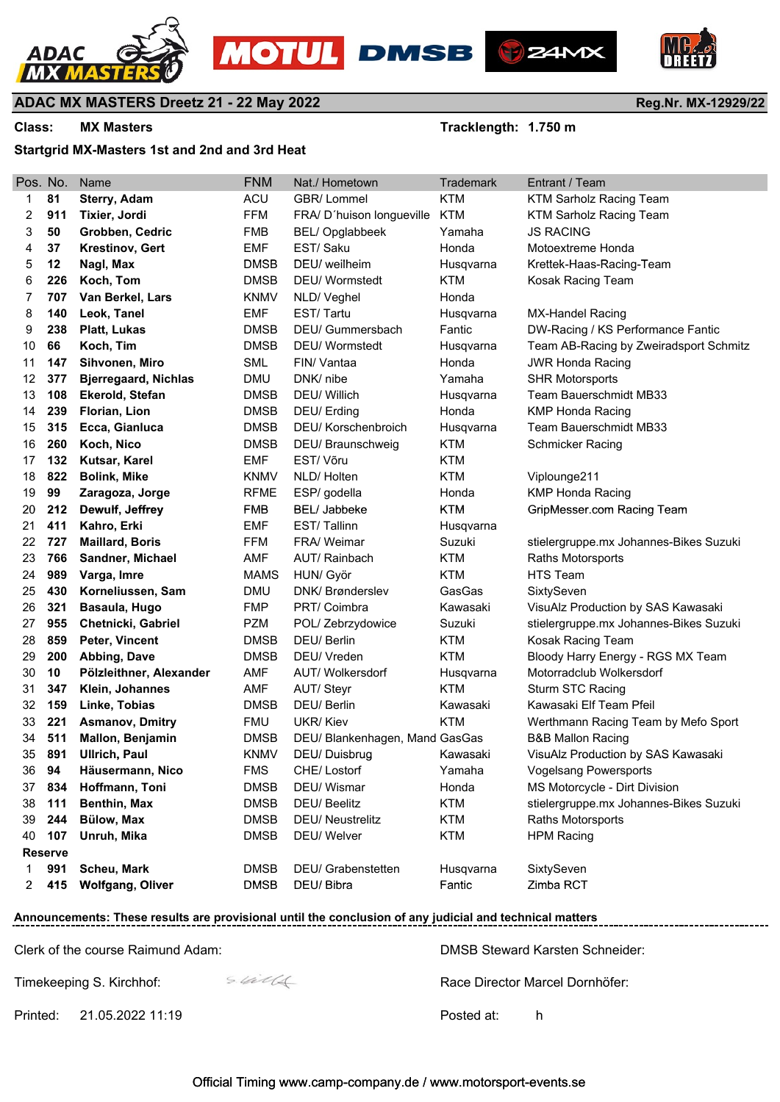







**Reg.Nr. MX-12929/22**

#### **ADAC MX MASTERS Dreetz 21 - 22 May 2022**

Class: MX Masters **Tracklength: 1.750 m** 

#### **Startgrid MX-Masters 1st and 2nd and 3rd Heat**

| Pos. No. |                | Name                        | <b>FNM</b>  | Nat./ Hometown                 | <b>Trademark</b> | Entrant / Team                         |
|----------|----------------|-----------------------------|-------------|--------------------------------|------------------|----------------------------------------|
| 1        | 81             | <b>Sterry, Adam</b>         | <b>ACU</b>  | GBR/Lommel                     | <b>KTM</b>       | <b>KTM Sarholz Racing Team</b>         |
| 2        | 911            | Tixier, Jordi               | <b>FFM</b>  | FRA/ D'huison longueville      | KTM              | <b>KTM Sarholz Racing Team</b>         |
| 3        | 50             | Grobben, Cedric             | <b>FMB</b>  | <b>BEL/Opglabbeek</b>          | Yamaha           | <b>JS RACING</b>                       |
| 4        | 37             | <b>Krestinov, Gert</b>      | <b>EMF</b>  | EST/Saku                       | Honda            | Motoextreme Honda                      |
| 5        | 12             | Nagl, Max                   | <b>DMSB</b> | DEU/ weilheim                  | Husqvarna        | Krettek-Haas-Racing-Team               |
| 6        | 226            | Koch, Tom                   | <b>DMSB</b> | <b>DEU/</b> Wormstedt          | <b>KTM</b>       | Kosak Racing Team                      |
| 7        | 707            | Van Berkel, Lars            | <b>KNMV</b> | NLD/Veghel                     | Honda            |                                        |
| 8        | 140            | Leok, Tanel                 | <b>EMF</b>  | EST/Tartu                      | Husqvarna        | MX-Handel Racing                       |
| 9        | 238            | Platt, Lukas                | <b>DMSB</b> | DEU/ Gummersbach               | Fantic           | DW-Racing / KS Performance Fantic      |
| 10       | 66             | Koch, Tim                   | <b>DMSB</b> | <b>DEU/</b> Wormstedt          | Husqvarna        | Team AB-Racing by Zweiradsport Schmitz |
| 11       | 147            | Sihvonen, Miro              | SML         | FIN/ Vantaa                    | Honda            | <b>JWR Honda Racing</b>                |
| 12       | 377            | <b>Bjerregaard, Nichlas</b> | <b>DMU</b>  | DNK/ nibe                      | Yamaha           | <b>SHR Motorsports</b>                 |
| 13       | 108            | <b>Ekerold, Stefan</b>      | <b>DMSB</b> | DEU/ Willich                   | Husqvarna        | Team Bauerschmidt MB33                 |
| 14       | 239            | Florian, Lion               | <b>DMSB</b> | DEU/ Erding                    | Honda            | <b>KMP Honda Racing</b>                |
| 15       | 315            | Ecca, Gianluca              | <b>DMSB</b> | DEU/ Korschenbroich            | Husqvarna        | Team Bauerschmidt MB33                 |
| 16       | 260            | Koch, Nico                  | <b>DMSB</b> | DEU/ Braunschweig              | <b>KTM</b>       | <b>Schmicker Racing</b>                |
| 17       | 132            | Kutsar, Karel               | <b>EMF</b>  | EST/Võru                       | <b>KTM</b>       |                                        |
| 18       | 822            | <b>Bolink, Mike</b>         | <b>KNMV</b> | NLD/Holten                     | <b>KTM</b>       | Viplounge211                           |
| 19       | 99             | Zaragoza, Jorge             | <b>RFME</b> | ESP/ godella                   | Honda            | <b>KMP Honda Racing</b>                |
| 20       | 212            | Dewulf, Jeffrey             | <b>FMB</b>  | BEL/ Jabbeke                   | <b>KTM</b>       | GripMesser.com Racing Team             |
| 21       | 411            | Kahro, Erki                 | <b>EMF</b>  | EST/Tallinn                    | Husqvarna        |                                        |
| 22       | 727            | <b>Maillard, Boris</b>      | FFM         | FRA/ Weimar                    | Suzuki           | stielergruppe.mx Johannes-Bikes Suzuki |
| 23       | 766            | Sandner, Michael            | AMF         | AUT/ Rainbach                  | <b>KTM</b>       | Raths Motorsports                      |
| 24       | 989            | Varga, Imre                 | <b>MAMS</b> | HUN/ Györ                      | <b>KTM</b>       | <b>HTS Team</b>                        |
| 25       | 430            | Korneliussen, Sam           | <b>DMU</b>  | DNK/ Brønderslev               | GasGas           | SixtySeven                             |
| 26       | 321            | Basaula, Hugo               | <b>FMP</b>  | PRT/ Coimbra                   | Kawasaki         | VisuAlz Production by SAS Kawasaki     |
| 27       | 955            | Chetnicki, Gabriel          | <b>PZM</b>  | POL/ Zebrzydowice              | Suzuki           | stielergruppe.mx Johannes-Bikes Suzuki |
| 28       | 859            | Peter, Vincent              | <b>DMSB</b> | DEU/Berlin                     | <b>KTM</b>       | Kosak Racing Team                      |
| 29       | 200            | Abbing, Dave                | <b>DMSB</b> | DEU/ Vreden                    | <b>KTM</b>       | Bloody Harry Energy - RGS MX Team      |
| 30       | 10             | Pölzleithner, Alexander     | AMF         | AUT/ Wolkersdorf               | Husqvarna        | Motorradclub Wolkersdorf               |
| 31       | 347            | Klein, Johannes             | AMF         | AUT/Steyr                      | <b>KTM</b>       | Sturm STC Racing                       |
| 32       | 159            | Linke, Tobias               | <b>DMSB</b> | DEU/Berlin                     | Kawasaki         | Kawasaki Elf Team Pfeil                |
| 33       | 221            | <b>Asmanov, Dmitry</b>      | <b>FMU</b>  | UKR/Kiev                       | <b>KTM</b>       | Werthmann Racing Team by Mefo Sport    |
| 34       | 511            | Mallon, Benjamin            | <b>DMSB</b> | DEU/ Blankenhagen, Mand GasGas |                  | <b>B&amp;B Mallon Racing</b>           |
| 35       | 891            | <b>Ullrich, Paul</b>        | <b>KNMV</b> | DEU/Duisbrug                   | Kawasaki         | VisuAlz Production by SAS Kawasaki     |
| 36       | 94             | Häusermann, Nico            | <b>FMS</b>  | CHE/Lostorf                    | Yamaha           | <b>Vogelsang Powersports</b>           |
| 37       | 834            | Hoffmann, Toni              | <b>DMSB</b> | DEU/ Wismar                    | Honda            | MS Motorcycle - Dirt Division          |
| 38       | 111            | Benthin, Max                | <b>DMSB</b> | DEU/ Beelitz                   | <b>KTM</b>       | stielergruppe.mx Johannes-Bikes Suzuki |
| 39       | 244            | <b>Bülow, Max</b>           | <b>DMSB</b> | <b>DEU/ Neustrelitz</b>        | <b>KTM</b>       | Raths Motorsports                      |
| 40       | 107            | Unruh, Mika                 | <b>DMSB</b> | DEU/ Welver                    | <b>KTM</b>       | <b>HPM Racing</b>                      |
|          | <b>Reserve</b> |                             |             |                                |                  |                                        |
| 1        | 991            | Scheu, Mark                 | <b>DMSB</b> | DEU/ Grabenstetten             | Husqvarna        | SixtySeven                             |
| 2        | 415            | <b>Wolfgang, Oliver</b>     | <b>DMSB</b> | DEU/ Bibra                     | Fantic           | Zimba RCT                              |
|          |                |                             |             |                                |                  |                                        |

### **Announcements: These results are provisional until the conclusion of any judicial and technical matters**

Clerk of the course Raimund Adam: DMSB Steward Karsten Schneider:

-----------------------------

Timekeeping S. Kirchhof:  $\frac{C}{2}$  Race Director Marcel Dornhöfer:

Printed: 21.05.2022 11:19 Posted at: h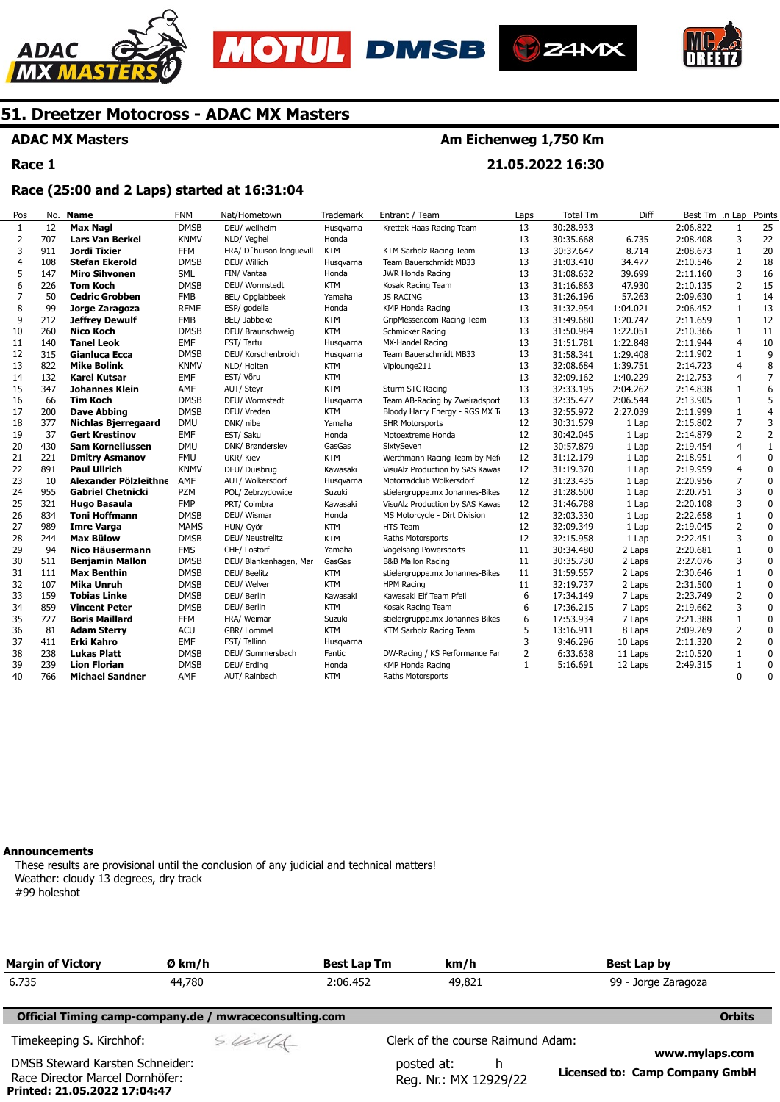







**ADAC MX Masters** 

**Race 1** 

### **Am Eichenweg 1,750 Km**

**21.05.2022 16:30** 

### **Race (25:00 and 2 Laps) started at 16:31:04**

| Pos | No. | Name                       | <b>FNM</b>  | Nat/Hometown             | Trademark  | Entrant / Team                  | Laps | <b>Total Tm</b> | Diff     | Best Tm In Lap |                | Points         |
|-----|-----|----------------------------|-------------|--------------------------|------------|---------------------------------|------|-----------------|----------|----------------|----------------|----------------|
| 1   | 12  | <b>Max Nagl</b>            | <b>DMSB</b> | DEU/ weilheim            | Husqvarna  | Krettek-Haas-Racing-Team        | 13   | 30:28.933       |          | 2:06.822       | 1              | 25             |
| 2   | 707 | <b>Lars Van Berkel</b>     | <b>KNMV</b> | NLD/ Veghel              | Honda      |                                 | 13   | 30:35.668       | 6.735    | 2:08.408       | 3              | 22             |
| 3   | 911 | Jordi Tixier               | <b>FFM</b>  | FRA/ D'huison longuevill | <b>KTM</b> | KTM Sarholz Racing Team         | 13   | 30:37.647       | 8.714    | 2:08.673       | $\mathbf{1}$   | 20             |
| 4   | 108 | <b>Stefan Ekerold</b>      | <b>DMSB</b> | DEU/ Willich             | Husgvarna  | Team Bauerschmidt MB33          | 13   | 31:03.410       | 34.477   | 2:10.546       | 2              | 18             |
| 5   | 147 | <b>Miro Sihvonen</b>       | <b>SML</b>  | FIN/ Vantaa              | Honda      | JWR Honda Racing                | 13   | 31:08.632       | 39.699   | 2:11.160       | 3              | 16             |
| 6   | 226 | Tom Koch                   | <b>DMSB</b> | DEU/ Wormstedt           | <b>KTM</b> | Kosak Racing Team               | 13   | 31:16.863       | 47.930   | 2:10.135       | $\overline{2}$ | 15             |
| 7   | 50  | <b>Cedric Grobben</b>      | <b>FMB</b>  | BEL/ Opglabbeek          | Yamaha     | <b>JS RACING</b>                | 13   | 31:26.196       | 57.263   | 2:09.630       | 1              | 14             |
| 8   | 99  | Jorge Zaragoza             | <b>RFME</b> | ESP/ godella             | Honda      | KMP Honda Racing                | 13   | 31:32.954       | 1:04.021 | 2:06.452       | 1              | 13             |
| 9   | 212 | <b>Jeffrey Dewulf</b>      | <b>FMB</b>  | BEL/ Jabbeke             | <b>KTM</b> | GripMesser.com Racing Team      | 13   | 31:49.680       | 1:20.747 | 2:11.659       | $\mathbf{1}$   | 12             |
| 10  | 260 | <b>Nico Koch</b>           | <b>DMSB</b> | DEU/ Braunschweig        | <b>KTM</b> | Schmicker Racing                | 13   | 31:50.984       | 1:22.051 | 2:10.366       | 1              | 11             |
| 11  | 140 | <b>Tanel Leok</b>          | <b>EMF</b>  | EST/Tartu                | Husqvarna  | MX-Handel Racing                | 13   | 31:51.781       | 1:22.848 | 2:11.944       | $\overline{4}$ | 10             |
| 12  | 315 | <b>Gianluca Ecca</b>       | <b>DMSB</b> | DEU/ Korschenbroich      | Husqvarna  | Team Bauerschmidt MB33          | 13   | 31:58.341       | 1:29.408 | 2:11.902       | 1              | 9              |
| 13  | 822 | <b>Mike Bolink</b>         | <b>KNMV</b> | NLD/ Holten              | <b>KTM</b> | Viplounge211                    | 13   | 32:08.684       | 1:39.751 | 2:14.723       | $\overline{4}$ | 8              |
| 14  | 132 | <b>Karel Kutsar</b>        | <b>EMF</b>  | EST/Võru                 | <b>KTM</b> |                                 | 13   | 32:09.162       | 1:40.229 | 2:12.753       | 4              | $\overline{7}$ |
| 15  | 347 | Johannes Klein             | AMF         | AUT/ Steyr               | <b>KTM</b> | Sturm STC Racing                | 13   | 32:33.195       | 2:04.262 | 2:14.838       | $\mathbf{1}$   | 6              |
| 16  | 66  | <b>Tim Koch</b>            | <b>DMSB</b> | DEU/ Wormstedt           | Husgvarna  | Team AB-Racing by Zweiradsport  | 13   | 32:35.477       | 2:06.544 | 2:13.905       | 1              | 5              |
| 17  | 200 | <b>Dave Abbing</b>         | <b>DMSB</b> | DEU/ Vreden              | <b>KTM</b> | Bloody Harry Energy - RGS MX Ti | 13   | 32:55.972       | 2:27.039 | 2:11.999       | $\mathbf{1}$   | $\overline{4}$ |
| 18  | 377 | <b>Nichlas Bjerregaard</b> | <b>DMU</b>  | DNK/ nibe                | Yamaha     | <b>SHR Motorsports</b>          | 12   | 30:31.579       | 1 Lap    | 2:15.802       | $\overline{7}$ | 3              |
| 19  | 37  | <b>Gert Krestinov</b>      | <b>EMF</b>  | EST/ Saku                | Honda      | Motoextreme Honda               | 12   | 30:42.045       | 1 Lap    | 2:14.879       | 2              | $\overline{2}$ |
| 20  | 430 | Sam Korneliussen           | <b>DMU</b>  | DNK/ Brønderslev         | GasGas     | SixtySeven                      | 12   | 30:57.879       | 1 Lap    | 2:19.454       | $\overline{a}$ | $\mathbf 1$    |
| 21  | 221 | <b>Dmitry Asmanov</b>      | <b>FMU</b>  | UKR/ Kiev                | <b>KTM</b> | Werthmann Racing Team by Mefi   | 12   | 31:12.179       | 1 Lap    | 2:18.951       | $\overline{4}$ | $\Omega$       |
| 22  | 891 | <b>Paul Ullrich</b>        | <b>KNMV</b> | DEU/ Duisbrug            | Kawasaki   | VisuAlz Production by SAS Kawas | 12   | 31:19.370       | 1 Lap    | 2:19.959       | $\overline{4}$ | $\mathbf 0$    |
| 23  | 10  | Alexander Pölzleithne      | AMF         | AUT/ Wolkersdorf         | Husgvarna  | Motorradclub Wolkersdorf        | 12   | 31:23.435       | 1 Lap    | 2:20.956       | $\overline{7}$ | $\mathbf 0$    |
| 24  | 955 | <b>Gabriel Chetnicki</b>   | <b>PZM</b>  | POL/ Zebrzydowice        | Suzuki     | stielergruppe.mx Johannes-Bikes | 12   | 31:28.500       | 1 Lap    | 2:20.751       | 3              | $\mathbf 0$    |
| 25  | 321 | Hugo Basaula               | <b>FMP</b>  | PRT/ Coimbra             | Kawasaki   | VisuAlz Production by SAS Kawas | 12   | 31:46.788       | 1 Lap    | 2:20.108       | 3              | $\mathbf 0$    |
| 26  | 834 | <b>Toni Hoffmann</b>       | <b>DMSB</b> | DEU/ Wismar              | Honda      | MS Motorcycle - Dirt Division   | 12   | 32:03.330       | 1 Lap    | 2:22.658       | $\mathbf{1}$   | $\pmb{0}$      |
| 27  | 989 | <b>Imre Varga</b>          | <b>MAMS</b> | HUN/ Györ                | <b>KTM</b> | HTS Team                        | 12   | 32:09.349       | 1 Lap    | 2:19.045       | 2              | 0              |
| 28  | 244 | <b>Max Bülow</b>           | <b>DMSB</b> | DEU/ Neustrelitz         | <b>KTM</b> | Raths Motorsports               | 12   | 32:15.958       | 1 Lap    | 2:22.451       | 3              | $\mathbf 0$    |
| 29  | 94  | Nico Häusermann            | <b>FMS</b>  | CHE/ Lostorf             | Yamaha     | Vogelsang Powersports           | 11   | 30:34.480       | 2 Laps   | 2:20.681       | $\mathbf{1}$   | $\mathbf 0$    |
| 30  | 511 | <b>Benjamin Mallon</b>     | <b>DMSB</b> | DEU/ Blankenhagen, Mar   | GasGas     | <b>B&amp;B Mallon Racing</b>    | 11   | 30:35.730       | 2 Laps   | 2:27.076       | 3              | $\mathbf 0$    |
| 31  | 111 | <b>Max Benthin</b>         | <b>DMSB</b> | DEU/ Beelitz             | <b>KTM</b> | stielergruppe.mx Johannes-Bikes | 11   | 31:59.557       | 2 Laps   | 2:30.646       | 1              | $\pmb{0}$      |
| 32  | 107 | <b>Mika Unruh</b>          | <b>DMSB</b> | DEU/ Welver              | <b>KTM</b> | <b>HPM Racing</b>               | 11   | 32:19.737       | 2 Laps   | 2:31.500       | $\mathbf{1}$   | $\mathbf 0$    |
| 33  | 159 | Tobias Linke               | <b>DMSB</b> | DEU/ Berlin              | Kawasaki   | Kawasaki Elf Team Pfeil         | 6    | 17:34.149       | 7 Laps   | 2:23.749       | $\overline{2}$ | $\Omega$       |
| 34  | 859 | <b>Vincent Peter</b>       | <b>DMSB</b> | DEU/ Berlin              | <b>KTM</b> | Kosak Racing Team               | 6    | 17:36.215       | 7 Laps   | 2:19.662       | 3              | $\mathbf 0$    |
| 35  | 727 | <b>Boris Maillard</b>      | <b>FFM</b>  | FRA/ Weimar              | Suzuki     | stielergruppe.mx Johannes-Bikes | 6    | 17:53.934       | 7 Laps   | 2:21.388       | 1              | $\pmb{0}$      |
| 36  | 81  | <b>Adam Sterry</b>         | <b>ACU</b>  | GBR/ Lommel              | <b>KTM</b> | KTM Sarholz Racing Team         | 5    | 13:16.911       | 8 Laps   | 2:09.269       | $\overline{2}$ | $\pmb{0}$      |
| 37  | 411 | Erki Kahro                 | <b>EMF</b>  | EST/Tallinn              | Husqvarna  |                                 | 3    | 9:46.296        | 10 Laps  | 2:11.320       | 2              | $\pmb{0}$      |
| 38  | 238 | <b>Lukas Platt</b>         | <b>DMSB</b> | DEU/ Gummersbach         | Fantic     | DW-Racing / KS Performance Far  | 2    | 6:33.638        | 11 Laps  | 2:10.520       | 1              | 0              |
| 39  | 239 | <b>Lion Florian</b>        | <b>DMSB</b> | DEU/ Erding              | Honda      | KMP Honda Racing                | 1    | 5:16.691        | 12 Laps  | 2:49.315       | $\mathbf{1}$   | $\mathbf 0$    |
| 40  | 766 | <b>Michael Sandner</b>     | AMF         | AUT/ Rainbach            | KTM        | Raths Motorsports               |      |                 |          |                | $\Omega$       | $\Omega$       |

#### **Announcements**

**Printed: 21.05.2022 17:04:47** 

These results are provisional until the conclusion of any judicial and technical matters! Weather: cloudy 13 degrees, dry track #99 holeshot

| <b>Margin of Victory</b>                                           | Ø km/h                                                 | <b>Best Lap Tm</b> | km/h                                     | Best Lap by                                      |
|--------------------------------------------------------------------|--------------------------------------------------------|--------------------|------------------------------------------|--------------------------------------------------|
| 6.735                                                              | 44,780                                                 | 2:06.452           | 49,821                                   | 99 - Jorge Zaragoza                              |
|                                                                    | Official Timing camp-company.de / mwraceconsulting.com |                    |                                          | <b>Orbits</b>                                    |
| Timekeeping S. Kirchhof:                                           | sulls                                                  |                    | Clerk of the course Raimund Adam:        |                                                  |
| DMSB Steward Karsten Schneider:<br>Race Director Marcel Dornhöfer: |                                                        |                    | posted at:<br>h<br>Reg. Nr.: MX 12929/22 | www.mylaps.com<br>Licensed to: Camp Company GmbH |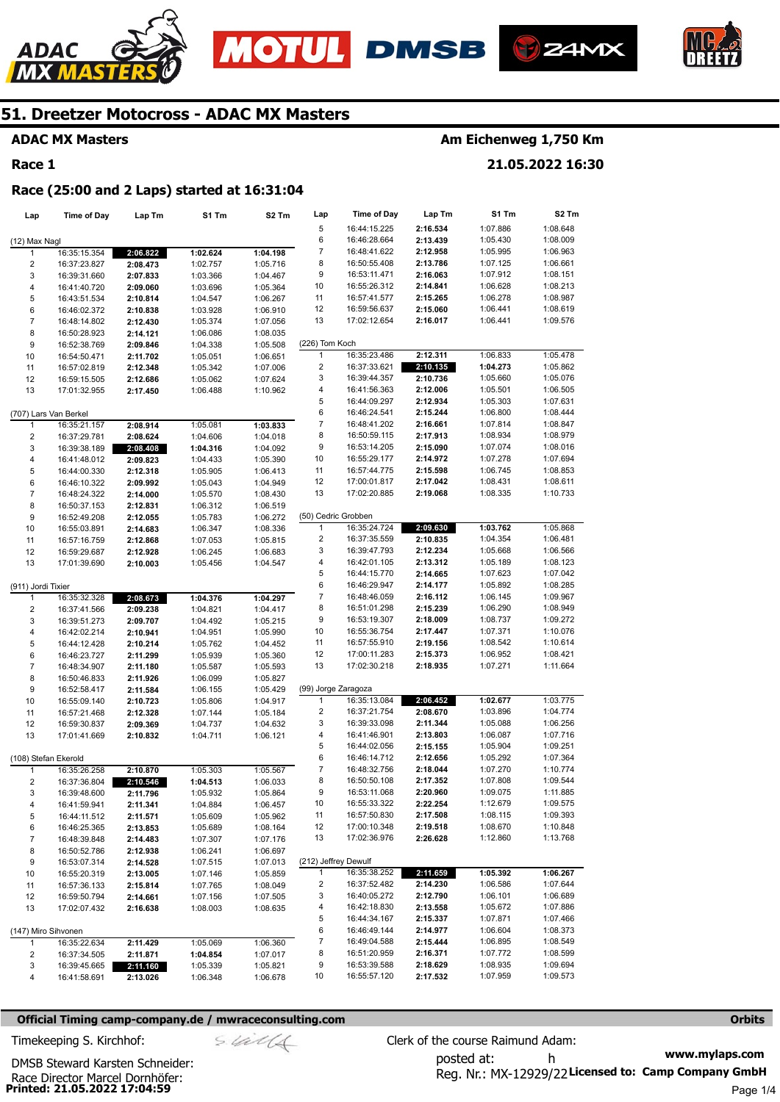







### **ADAC MX Masters**

### **Race 1**

### **Am Eichenweg 1,750 Km**

**21.05.2022 16:30** 

#### **Race (25:00 and 2 Laps) started at 16:31:04**

| Lap                     | <b>Time of Day</b>    | Lap Tm   | S1 Tm    | S2 Tm    | Lap                     | Time of Day  | Lap Tm   | S1 Tm    | S2 Tm    |
|-------------------------|-----------------------|----------|----------|----------|-------------------------|--------------|----------|----------|----------|
|                         |                       |          |          |          | 5                       | 16:44:15.225 | 2:16.534 | 1:07.886 | 1:08.648 |
| (12) Max Nagl           |                       |          |          |          | 6                       | 16:46:28.664 | 2:13.439 | 1:05.430 | 1:08.009 |
| 1                       | 16:35:15.354          | 2:06.822 | 1:02.624 | 1:04.198 | 7                       | 16:48:41.622 | 2:12.958 | 1:05.995 | 1:06.963 |
| $\overline{\mathbf{c}}$ | 16:37:23.827          | 2:08.473 | 1:02.757 | 1:05.716 | 8                       | 16:50:55.408 | 2:13.786 | 1:07.125 | 1:06.661 |
| 3                       | 16:39:31.660          | 2:07.833 | 1:03.366 | 1:04.467 | 9                       | 16:53:11.471 | 2:16.063 | 1:07.912 | 1:08.151 |
| 4                       | 16:41:40.720          | 2:09.060 | 1:03.696 | 1:05.364 | 10                      | 16:55:26.312 | 2:14.841 | 1:06.628 | 1:08.213 |
| 5                       | 16:43:51.534          | 2:10.814 | 1:04.547 | 1:06.267 | 11                      | 16:57:41.577 | 2:15.265 | 1:06.278 | 1:08.987 |
| 6                       | 16:46:02.372          | 2:10.838 | 1:03.928 | 1:06.910 | 12                      | 16:59:56.637 | 2:15.060 | 1:06.441 | 1:08.619 |
| $\overline{7}$          | 16:48:14.802          | 2:12.430 | 1:05.374 | 1:07.056 | 13                      | 17:02:12.654 | 2:16.017 | 1:06.441 | 1:09.576 |
| 8                       | 16:50:28.923          | 2:14.121 | 1:06.086 | 1:08.035 |                         |              |          |          |          |
| 9                       | 16:52:38.769          | 2:09.846 | 1:04.338 | 1:05.508 | (226) Tom Koch          |              |          |          |          |
| 10                      | 16:54:50.471          | 2:11.702 | 1:05.051 | 1:06.651 | 1                       | 16:35:23.486 | 2:12.311 | 1:06.833 | 1:05.478 |
| 11                      | 16:57:02.819          | 2:12.348 | 1:05.342 | 1:07.006 | 2                       | 16:37:33.621 | 2:10.135 | 1:04.273 | 1:05.862 |
| 12                      | 16:59:15.505          | 2:12.686 | 1:05.062 | 1:07.624 | 3                       | 16:39:44.357 | 2:10.736 | 1:05.660 | 1:05.076 |
| 13                      | 17:01:32.955          | 2:17.450 | 1:06.488 | 1:10.962 | 4                       | 16:41:56.363 | 2:12.006 | 1:05.501 | 1:06.505 |
|                         |                       |          |          |          | 5                       | 16:44:09.297 | 2:12.934 | 1:05.303 | 1:07.631 |
|                         | (707) Lars Van Berkel |          |          |          | 6                       | 16:46:24.541 | 2:15.244 | 1:06.800 | 1:08.444 |
| 1                       | 16:35:21.157          | 2:08.914 | 1:05.081 | 1:03.833 | 7                       | 16:48:41.202 | 2:16.661 | 1:07.814 | 1:08.847 |
| $\overline{c}$          | 16:37:29.781          | 2:08.624 | 1:04.606 | 1:04.018 | 8                       | 16:50:59.115 | 2:17.913 | 1:08.934 | 1:08.979 |
| 3                       | 16:39:38.189          | 2:08.408 | 1:04.316 | 1:04.092 | 9                       | 16:53:14.205 | 2:15.090 | 1:07.074 | 1:08.016 |
| 4                       | 16:41:48.012          | 2:09.823 | 1:04.433 | 1:05.390 | 10                      | 16:55:29.177 | 2:14.972 | 1:07.278 | 1:07.694 |
| 5                       | 16:44:00.330          | 2:12.318 | 1:05.905 | 1:06.413 | 11                      | 16:57:44.775 | 2:15.598 | 1:06.745 | 1:08.853 |
| 6                       | 16:46:10.322          | 2:09.992 | 1:05.043 | 1:04.949 | 12                      | 17:00:01.817 | 2:17.042 | 1:08.431 | 1:08.611 |
| $\overline{7}$          | 16:48:24.322          | 2:14.000 | 1:05.570 | 1:08.430 | 13                      | 17:02:20.885 | 2:19.068 | 1:08.335 | 1:10.733 |
| 8                       | 16:50:37.153          | 2:12.831 | 1:06.312 | 1:06.519 |                         |              |          |          |          |
| 9                       | 16:52:49.208          | 2:12.055 | 1:05.783 | 1:06.272 | (50) Cedric Grobben     |              |          |          |          |
| 10                      | 16:55:03.891          | 2:14.683 | 1:06.347 | 1:08.336 | 1                       | 16:35:24.724 | 2:09.630 | 1:03.762 | 1:05.868 |
| 11                      | 16:57:16.759          | 2:12.868 | 1:07.053 | 1:05.815 | 2                       | 16:37:35.559 | 2:10.835 | 1:04.354 | 1:06.481 |
| 12                      | 16:59:29.687          | 2:12.928 | 1:06.245 | 1:06.683 | 3                       | 16:39:47.793 | 2:12.234 | 1:05.668 | 1:06.566 |
| 13                      | 17:01:39.690          | 2:10.003 | 1:05.456 | 1:04.547 | 4                       | 16:42:01.105 | 2:13.312 | 1:05.189 | 1:08.123 |
|                         |                       |          |          |          | 5                       | 16:44:15.770 | 2:14.665 | 1:07.623 | 1:07.042 |
| (911) Jordi Tixier      |                       |          |          |          | 6                       | 16:46:29.947 | 2:14.177 | 1:05.892 | 1:08.285 |
| 1                       | 16:35:32.328          | 2:08.673 | 1:04.376 | 1:04.297 | 7                       | 16:48:46.059 | 2:16.112 | 1:06.145 | 1:09.967 |
| $\overline{c}$          | 16:37:41.566          | 2:09.238 | 1:04.821 | 1:04.417 | 8                       | 16:51:01.298 | 2:15.239 | 1:06.290 | 1:08.949 |
| 3                       | 16:39:51.273          | 2:09.707 | 1:04.492 | 1:05.215 | 9                       | 16:53:19.307 | 2:18.009 | 1:08.737 | 1:09.272 |
| 4                       | 16:42:02.214          | 2:10.941 | 1:04.951 | 1:05.990 | 10                      | 16:55:36.754 | 2:17.447 | 1:07.371 | 1:10.076 |
| 5                       | 16:44:12.428          | 2:10.214 | 1:05.762 | 1:04.452 | 11                      | 16:57:55.910 | 2:19.156 | 1:08.542 | 1:10.614 |
| 6                       | 16:46:23.727          | 2:11.299 | 1:05.939 | 1:05.360 | 12                      | 17:00:11.283 | 2:15.373 | 1:06.952 | 1:08.421 |
| $\overline{7}$          | 16:48:34.907          | 2:11.180 | 1:05.587 | 1:05.593 | 13                      | 17:02:30.218 | 2:18.935 | 1:07.271 | 1:11.664 |
| 8                       | 16:50:46.833          | 2:11.926 | 1:06.099 | 1:05.827 |                         |              |          |          |          |
| 9                       | 16:52:58.417          | 2:11.584 | 1:06.155 | 1:05.429 | (99) Jorge Zaragoza     |              |          |          |          |
| 10                      | 16:55:09.140          | 2:10.723 | 1:05.806 | 1:04.917 | 1                       | 16:35:13.084 | 2:06.452 | 1:02.677 | 1:03.775 |
| 11                      | 16:57:21.468          | 2:12.328 | 1:07.144 | 1:05.184 | $\overline{\mathbf{c}}$ | 16:37:21.754 | 2:08.670 | 1:03.896 | 1:04.774 |
| 12                      | 16:59:30.837          | 2:09.369 | 1:04.737 | 1:04.632 | 3                       | 16:39:33.098 | 2:11.344 | 1:05.088 | 1:06.256 |
| 13                      | 17:01:41.669          | 2:10.832 | 1:04.711 | 1:06.121 | 4                       | 16:41:46.901 | 2:13.803 | 1:06.087 | 1:07.716 |
|                         |                       |          |          |          | 5                       | 16:44:02.056 | 2:15.155 | 1:05.904 | 1:09.251 |
|                         | (108) Stefan Ekerold  |          |          |          | 6                       | 16:46:14.712 | 2:12.656 | 1:05.292 | 1:07.364 |
| 1                       | 16:35:26.258          | 2:10.870 | 1:05.303 | 1:05.567 | 7                       | 16:48:32.756 | 2:18.044 | 1:07.270 | 1:10.774 |
| $\boldsymbol{2}$        | 16:37:36.804          | 2:10.546 | 1:04.513 | 1:06.033 | 8                       | 16:50:50.108 | 2:17.352 | 1:07.808 | 1:09.544 |
| 3                       | 16:39:48.600          | 2:11.796 | 1:05.932 | 1:05.864 | 9                       | 16:53:11.068 | 2:20.960 | 1:09.075 | 1:11.885 |
| 4                       | 16:41:59.941          | 2:11.341 | 1:04.884 | 1:06.457 | 10                      | 16:55:33.322 | 2:22.254 | 1:12.679 | 1:09.575 |
| 5                       | 16:44:11.512          | 2:11.571 | 1:05.609 | 1:05.962 | 11                      | 16:57:50.830 | 2:17.508 | 1:08.115 | 1:09.393 |
| 6                       | 16:46:25.365          | 2:13.853 | 1:05.689 | 1:08.164 | 12                      | 17:00:10.348 | 2:19.518 | 1:08.670 | 1:10.848 |
| 7                       | 16:48:39.848          | 2:14.483 | 1:07.307 | 1:07.176 | 13                      | 17:02:36.976 | 2:26.628 | 1:12.860 | 1:13.768 |
| 8                       | 16:50:52.786          | 2:12.938 | 1:06.241 | 1:06.697 |                         |              |          |          |          |
| 9                       | 16:53:07.314          | 2:14.528 | 1:07.515 | 1:07.013 | (212) Jeffrey Dewulf    |              |          |          |          |
| 10                      | 16:55:20.319          | 2:13.005 | 1:07.146 | 1:05.859 | 1                       | 16:35:38.252 | 2:11.659 | 1:05.392 | 1:06.267 |
| 11                      | 16:57:36.133          | 2:15.814 | 1:07.765 | 1:08.049 | 2                       | 16:37:52.482 | 2:14.230 | 1:06.586 | 1:07.644 |
| 12                      | 16:59:50.794          | 2:14.661 | 1:07.156 | 1:07.505 | 3                       | 16:40:05.272 | 2:12.790 | 1:06.101 | 1:06.689 |
| 13                      | 17:02:07.432          | 2:16.638 | 1:08.003 | 1:08.635 | 4                       | 16:42:18.830 | 2:13.558 | 1:05.672 | 1:07.886 |
|                         |                       |          |          |          | 5                       | 16:44:34.167 | 2:15.337 | 1:07.871 | 1:07.466 |
|                         | (147) Miro Sihvonen   |          |          |          | 6                       | 16:46:49.144 | 2:14.977 | 1:06.604 | 1:08.373 |
| 1                       | 16:35:22.634          | 2:11.429 | 1:05.069 | 1:06.360 | 7                       | 16:49:04.588 | 2:15.444 | 1:06.895 | 1:08.549 |
| 2                       | 16:37:34.505          | 2:11.871 | 1:04.854 | 1:07.017 | 8                       | 16:51:20.959 | 2:16.371 | 1:07.772 | 1:08.599 |
| 3                       |                       |          |          |          | 9                       | 16:53:39.588 | 2:18.629 | 1:08.935 | 1:09.694 |
| 4                       | 16:39:45.665          | 2:11.160 | 1:05.339 | 1:05.821 | 10                      | 16:55:57.120 | 2:17.532 | 1:07.959 | 1:09.573 |
|                         | 16:41:58.691          | 2:13.026 | 1:06.348 | 1:06.678 |                         |              |          |          |          |

#### **Official Timing camp-company.de / mwraceconsulting.com <b>Orbits and Company.de Company** orbits **Orbits Orbits**

**www.mylaps.com**  Reg. Nr.: MX-12929/22 Licensed to: Camp Company GmbH posted at: h Timekeeping S. Kirchhof:  $\le \frac{1}{2}$  Clerk of the course Raimund Adam:

**Printed: 21.05.2022 17:04:59**  Race Director Marcel Dornhöfer: DMSB Steward Karsten Schneider: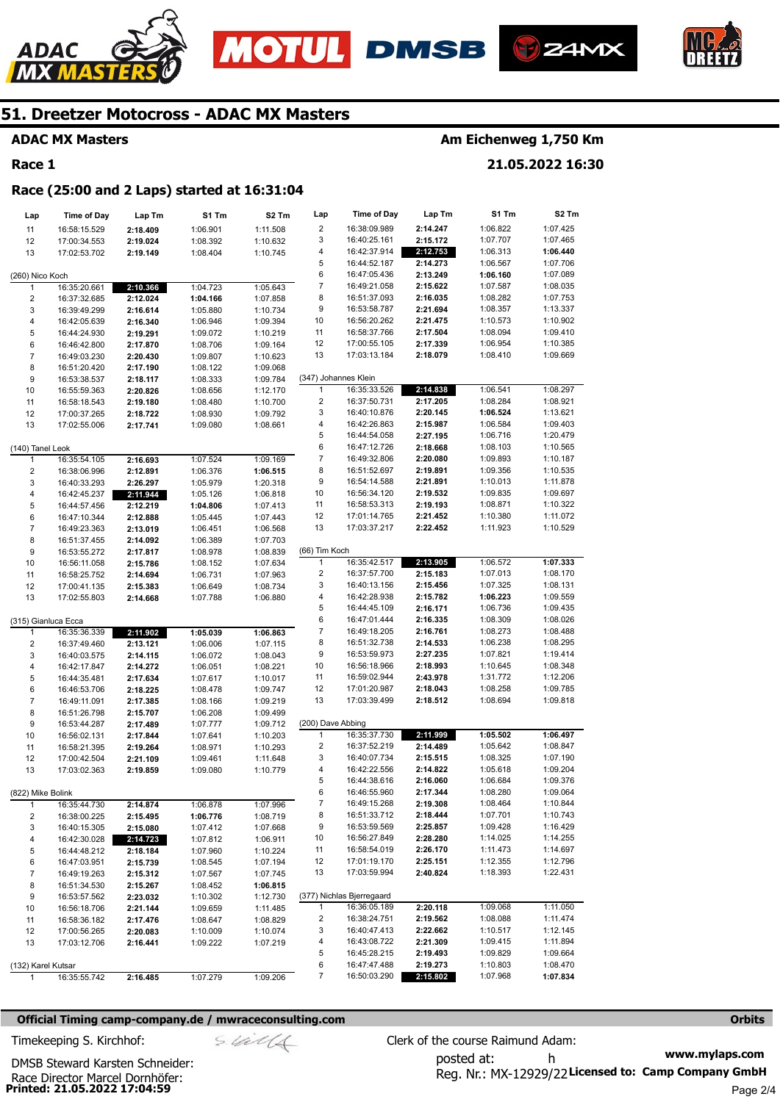







### **ADAC MX Masters**

#### **Race 1**

## **Am Eichenweg 1,750 Km**

**21.05.2022 16:30** 

#### **Race (25:00 and 2 Laps) started at 16:31:04**

| Lap                 | <b>Time of Day</b> | Lap Tm   | S1 Tm    | S2 Tm    | Lap                     | Time of Day               | Lap Tm   | S1 Tm    | S2 Tm    |
|---------------------|--------------------|----------|----------|----------|-------------------------|---------------------------|----------|----------|----------|
| 11                  | 16:58:15.529       | 2:18.409 | 1:06.901 | 1:11.508 | 2                       | 16:38:09.989              | 2:14.247 | 1:06.822 | 1:07.425 |
| 12                  | 17:00:34.553       | 2:19.024 | 1:08.392 | 1:10.632 | 3                       | 16:40:25.161              | 2:15.172 | 1:07.707 | 1:07.465 |
| 13                  | 17:02:53.702       | 2:19.149 | 1:08.404 | 1:10.745 | 4                       | 16:42:37.914              | 2:12.753 | 1:06.313 | 1:06.440 |
|                     |                    |          |          |          | 5                       | 16:44:52.187              | 2:14.273 | 1:06.567 | 1:07.706 |
| (260) Nico Koch     |                    |          |          |          | 6                       | 16:47:05.436              | 2:13.249 | 1:06.160 | 1:07.089 |
| $\mathbf{1}$        | 16:35:20.661       | 2:10.366 | 1:04.723 | 1:05.643 | $\boldsymbol{7}$        | 16:49:21.058              | 2:15.622 | 1:07.587 | 1:08.035 |
| 2                   | 16:37:32.685       | 2:12.024 | 1:04.166 | 1:07.858 | 8                       | 16:51:37.093              | 2:16.035 | 1:08.282 | 1:07.753 |
| 3                   | 16:39:49.299       | 2:16.614 | 1:05.880 | 1:10.734 | 9                       | 16:53:58.787              | 2:21.694 | 1:08.357 | 1:13.337 |
| 4                   | 16:42:05.639       | 2:16.340 | 1:06.946 | 1:09.394 | 10                      | 16:56:20.262              | 2:21.475 | 1:10.573 | 1:10.902 |
| 5                   | 16:44:24.930       | 2:19.291 | 1:09.072 | 1:10.219 | 11                      | 16:58:37.766              | 2:17.504 | 1:08.094 | 1:09.410 |
| 6                   | 16:46:42.800       | 2:17.870 | 1:08.706 | 1:09.164 | 12                      | 17:00:55.105              | 2:17.339 | 1:06.954 | 1:10.385 |
| $\overline{7}$      | 16:49:03.230       | 2:20.430 | 1:09.807 | 1:10.623 | 13                      | 17:03:13.184              | 2:18.079 | 1:08.410 | 1:09.669 |
| 8                   | 16:51:20.420       | 2:17.190 | 1:08.122 | 1:09.068 |                         |                           |          |          |          |
| 9                   | 16:53:38.537       | 2:18.117 | 1:08.333 | 1:09.784 |                         | (347) Johannes Klein      |          |          |          |
| 10                  | 16:55:59.363       | 2:20.826 | 1:08.656 | 1:12.170 | 1                       | 16:35:33.526              | 2:14.838 | 1:06.541 | 1:08.297 |
| 11                  | 16:58:18.543       | 2:19.180 | 1:08.480 | 1:10.700 | 2                       | 16:37:50.731              | 2:17.205 | 1:08.284 | 1:08.921 |
| 12                  | 17:00:37.265       | 2:18.722 | 1:08.930 | 1:09.792 | 3                       | 16:40:10.876              | 2:20.145 | 1:06.524 | 1:13.621 |
| 13                  | 17:02:55.006       | 2:17.741 | 1:09.080 | 1:08.661 | 4                       | 16:42:26.863              | 2:15.987 | 1:06.584 | 1:09.403 |
|                     |                    |          |          |          | 5                       | 16:44:54.058              | 2:27.195 | 1:06.716 | 1:20.479 |
| (140) Tanel Leok    |                    |          |          |          | 6                       | 16:47:12.726              | 2:18.668 | 1:08.103 | 1:10.565 |
| 1                   | 16:35:54.105       | 2:16.693 | 1:07.524 | 1:09.169 | $\boldsymbol{7}$        | 16:49:32.806              | 2:20.080 | 1:09.893 | 1:10.187 |
| 2                   | 16:38:06.996       | 2:12.891 | 1:06.376 | 1:06.515 | 8                       | 16:51:52.697              | 2:19.891 | 1:09.356 | 1:10.535 |
| 3                   | 16:40:33.293       | 2:26.297 | 1:05.979 | 1:20.318 | 9                       | 16:54:14.588              | 2:21.891 | 1:10.013 | 1:11.878 |
| 4                   | 16:42:45.237       | 2:11.944 | 1:05.126 | 1:06.818 | 10                      | 16:56:34.120              | 2:19.532 | 1:09.835 | 1:09.697 |
| 5                   | 16:44:57.456       | 2:12.219 | 1:04.806 | 1:07.413 | 11                      | 16:58:53.313              | 2:19.193 | 1:08.871 | 1:10.322 |
| 6                   | 16:47:10.344       | 2:12.888 | 1:05.445 | 1:07.443 | 12                      | 17:01:14.765              | 2:21.452 | 1:10.380 | 1:11.072 |
| $\overline{7}$      | 16:49:23.363       | 2:13.019 | 1:06.451 | 1:06.568 | 13                      | 17:03:37.217              | 2:22.452 | 1:11.923 | 1:10.529 |
| 8                   | 16:51:37.455       | 2:14.092 | 1:06.389 | 1:07.703 |                         |                           |          |          |          |
| 9                   | 16:53:55.272       | 2:17.817 | 1:08.978 | 1:08.839 | (66) Tim Koch           |                           |          |          |          |
| 10                  | 16:56:11.058       | 2:15.786 | 1:08.152 | 1:07.634 | $\mathbf{1}$            | 16:35:42.517              | 2:13.905 | 1:06.572 | 1:07.333 |
| 11                  | 16:58:25.752       | 2:14.694 | 1:06.731 | 1:07.963 | $\overline{\mathbf{c}}$ | 16:37:57.700              | 2:15.183 | 1:07.013 | 1:08.170 |
| 12                  | 17:00:41.135       | 2:15.383 | 1:06.649 | 1:08.734 | 3                       | 16:40:13.156              | 2:15.456 | 1:07.325 | 1:08.131 |
| 13                  | 17:02:55.803       | 2:14.668 | 1:07.788 | 1:06.880 | 4                       | 16:42:28.938              | 2:15.782 | 1:06.223 | 1:09.559 |
|                     |                    |          |          |          | 5                       | 16:44:45.109              | 2:16.171 | 1:06.736 | 1:09.435 |
| (315) Gianluca Ecca |                    |          |          |          | 6                       | 16:47:01.444              | 2:16.335 | 1:08.309 | 1:08.026 |
| $\mathbf{1}$        | 16:35:36.339       | 2:11.902 | 1:05.039 | 1:06.863 | 7                       | 16:49:18.205              | 2:16.761 | 1:08.273 | 1:08.488 |
| 2                   | 16:37:49.460       | 2:13.121 | 1:06.006 | 1:07.115 | 8                       | 16:51:32.738              | 2:14.533 | 1:06.238 | 1:08.295 |
| 3                   | 16:40:03.575       | 2:14.115 | 1:06.072 | 1:08.043 | 9                       | 16:53:59.973              | 2:27.235 | 1:07.821 | 1:19.414 |
| 4                   | 16:42:17.847       | 2:14.272 | 1:06.051 | 1:08.221 | 10                      | 16:56:18.966              | 2:18.993 | 1:10.645 | 1:08.348 |
| 5                   | 16:44:35.481       | 2:17.634 | 1:07.617 | 1:10.017 | 11                      | 16:59:02.944              | 2:43.978 | 1:31.772 | 1:12.206 |
| 6                   | 16:46:53.706       | 2:18.225 | 1:08.478 | 1:09.747 | 12                      | 17:01:20.987              | 2:18.043 | 1:08.258 | 1:09.785 |
| $\boldsymbol{7}$    | 16:49:11.091       | 2:17.385 | 1:08.166 | 1:09.219 | 13                      | 17:03:39.499              | 2:18.512 | 1:08.694 | 1:09.818 |
| 8                   | 16:51:26.798       | 2:15.707 | 1:06.208 | 1:09.499 |                         |                           |          |          |          |
| 9                   | 16:53:44.287       | 2:17.489 | 1:07.777 | 1:09.712 | (200) Dave Abbing       |                           |          |          |          |
| 10                  | 16:56:02.131       | 2:17.844 | 1:07.641 | 1:10.203 | 1                       | 16:35:37.730              | 2:11.999 | 1:05.502 | 1:06.497 |
| 11                  | 16:58:21.395       | 2:19.264 | 1:08.971 | 1:10.293 | 2                       | 16:37:52.219              | 2:14.489 | 1:05.642 | 1:08.847 |
| 12                  | 17:00:42.504       | 2:21.109 | 1:09.461 | 1:11.648 | 3                       | 16:40:07.734              | 2:15.515 | 1:08.325 | 1:07.190 |
| 13                  | 17:03:02.363       | 2:19.859 | 1:09.080 | 1:10.779 | 4                       | 16:42:22.556              | 2:14.822 | 1:05.618 | 1:09.204 |
|                     |                    |          |          |          | 5                       | 16:44:38.616              | 2:16.060 | 1:06.684 | 1:09.376 |
| (822) Mike Bolink   |                    |          |          |          | 6                       | 16:46:55.960              | 2:17.344 | 1:08.280 | 1:09.064 |
| 1                   | 16:35:44.730       | 2:14.874 | 1:06.878 | 1:07.996 | 7                       | 16:49:15.268              | 2:19.308 | 1:08.464 | 1:10.844 |
| 2                   | 16:38:00.225       | 2:15.495 | 1:06.776 | 1:08.719 | 8                       | 16:51:33.712              | 2:18.444 | 1:07.701 | 1:10.743 |
| 3                   | 16:40:15.305       | 2:15.080 | 1:07.412 | 1:07.668 | 9                       | 16:53:59.569              | 2:25.857 | 1:09.428 | 1:16.429 |
| 4                   | 16:42:30.028       | 2:14.723 | 1:07.812 | 1:06.911 | 10                      | 16:56:27.849              | 2:28.280 | 1:14.025 | 1:14.255 |
| 5                   | 16:44:48.212       | 2:18.184 | 1:07.960 | 1:10.224 | 11                      | 16:58:54.019              | 2:26.170 | 1:11.473 | 1:14.697 |
| 6                   | 16:47:03.951       | 2:15.739 | 1:08.545 | 1:07.194 | 12                      | 17:01:19.170              | 2:25.151 | 1:12.355 | 1:12.796 |
| 7                   | 16:49:19.263       | 2:15.312 | 1:07.567 | 1:07.745 | 13                      | 17:03:59.994              | 2:40.824 | 1:18.393 | 1:22.431 |
| 8                   | 16:51:34.530       | 2:15.267 | 1:08.452 | 1:06.815 |                         |                           |          |          |          |
| 9                   | 16:53:57.562       | 2:23.032 | 1:10.302 | 1:12.730 |                         | (377) Nichlas Bjerregaard |          |          |          |
| 10                  | 16:56:18.706       | 2:21.144 | 1:09.659 | 1:11.485 | $\mathbf{1}$            | 16:36:05.189              | 2:20.118 | 1:09.068 | 1:11.050 |
| 11                  | 16:58:36.182       | 2:17.476 | 1:08.647 | 1:08.829 | 2                       | 16:38:24.751              | 2:19.562 | 1:08.088 | 1:11.474 |
| 12                  | 17:00:56.265       | 2:20.083 | 1:10.009 | 1:10.074 | 3                       | 16:40:47.413              | 2:22.662 | 1:10.517 | 1:12.145 |
| 13                  | 17:03:12.706       | 2:16.441 | 1:09.222 | 1:07.219 | 4                       | 16:43:08.722              | 2:21.309 | 1:09.415 | 1:11.894 |
|                     |                    |          |          |          | 5                       | 16:45:28.215              | 2:19.493 | 1:09.829 | 1:09.664 |
| (132) Karel Kutsar  |                    |          |          |          | 6                       | 16:47:47.488              | 2:19.273 | 1:10.803 | 1:08.470 |
| 1                   | 16:35:55.742       | 2:16.485 | 1:07.279 | 1:09.206 | 7                       | 16:50:03.290              | 2:15.802 | 1:07.968 | 1:07.834 |

#### **Official Timing camp-company.de / mwraceconsulting.com <b>Orbits Orbits Orbits Orbits**

**Printed: 21.05.2022 17:04:59**  Race Director Marcel Dornhöfer:

DMSB Steward Karsten Schneider:

$$
\mathcal{S}.\mathcal{U}\mathcal{U}\mathcal{U}
$$

**www.mylaps.com**  Reg. Nr.: MX-12929/22 Licensed to: Camp Company GmbH posted at: h Timekeeping S. Kirchhof:  $\le \frac{1}{2}$  Clerk of the course Raimund Adam: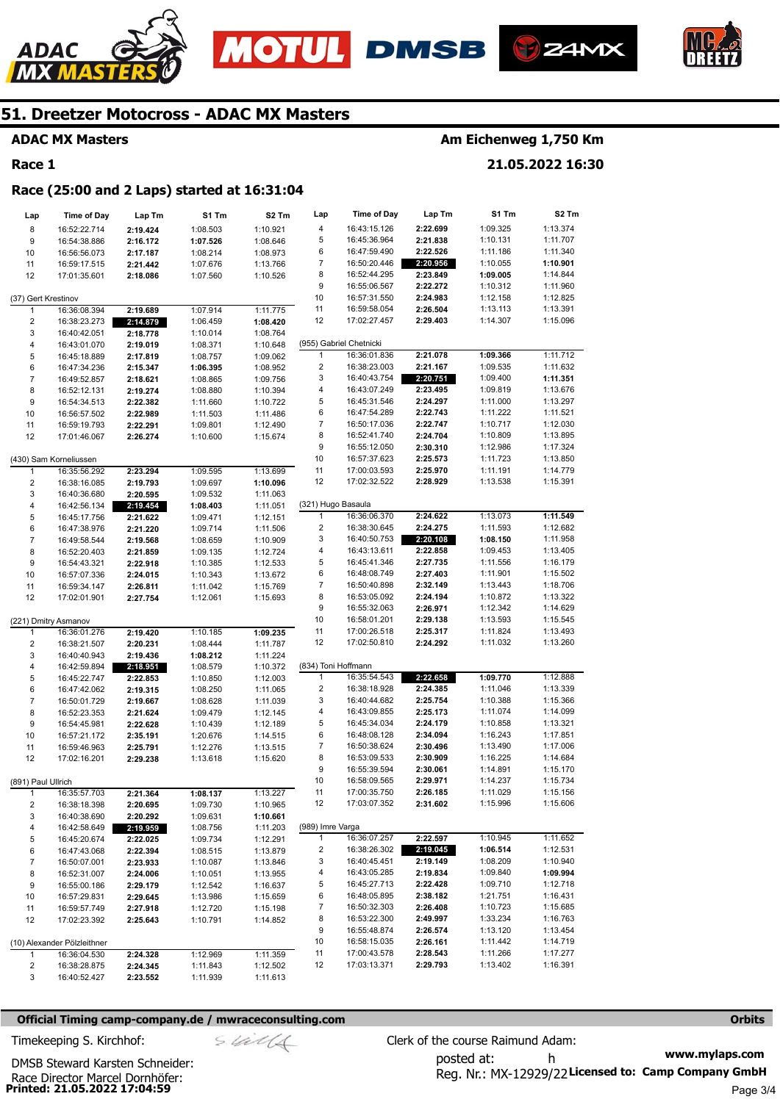







### **ADAC MX Masters**

### **Race 1**

### **Am Eichenweg 1,750 Km**

**21.05.2022 16:30** 

### **Race (25:00 and 2 Laps) started at 16:31:04**

| Lap                 | <b>Time of Day</b>           | Lap Tm               | S1 Tm                | S2 Tm                | Lap                     | Time of Day                  | Lap Tm   | S1 Tm                | S2 Tm                |
|---------------------|------------------------------|----------------------|----------------------|----------------------|-------------------------|------------------------------|----------|----------------------|----------------------|
| 8                   | 16:52:22.714                 | 2:19.424             | 1:08.503             | 1:10.921             | 4                       | 16:43:15.126                 | 2:22.699 | 1:09.325             | 1:13.374             |
| 9                   | 16:54:38.886                 | 2:16.172             | 1:07.526             | 1:08.646             | 5                       | 16:45:36.964                 | 2:21.838 | 1:10.131             | 1:11.707             |
| 10                  | 16:56:56.073                 | 2:17.187             | 1:08.214             | 1:08.973             | 6                       | 16:47:59.490                 | 2:22.526 | 1:11.186             | 1:11.340             |
| 11                  | 16:59:17.515                 | 2:21.442             | 1:07.676             | 1:13.766             | 7                       | 16:50:20.446                 | 2:20.956 | 1:10.055             | 1:10.901             |
| 12                  | 17:01:35.601                 | 2:18.086             | 1:07.560             | 1:10.526             | 8                       | 16:52:44.295                 | 2:23.849 | 1:09.005             | 1:14.844             |
|                     |                              |                      |                      |                      | 9                       | 16:55:06.567                 | 2:22.272 | 1:10.312             | 1:11.960             |
| (37) Gert Krestinov |                              |                      |                      |                      | 10                      | 16:57:31.550                 | 2:24.983 | 1:12.158             | 1:12.825             |
| 1                   | 16:36:08.394                 | 2:19.689             | 1:07.914             | 1:11.775             | 11                      | 16:59:58.054                 | 2:26.504 | 1:13.113             | 1:13.391             |
| 2                   | 16:38:23.273                 | 2:14.879             | 1:06.459             | 1:08.420             | 12                      | 17:02:27.457                 | 2:29.403 | 1:14.307             | 1:15.096             |
| 3                   | 16:40:42.051                 | 2:18.778             | 1:10.014             | 1:08.764             |                         |                              |          |                      |                      |
| 4                   | 16:43:01.070                 | 2:19.019             | 1:08.371             | 1:10.648             |                         | (955) Gabriel Chetnicki      |          |                      |                      |
| 5                   | 16:45:18.889                 | 2:17.819             | 1:08.757             | 1:09.062             | 1                       | 16:36:01.836                 | 2:21.078 | 1:09.366             | 1:11.712             |
| 6                   | 16:47:34.236                 | 2:15.347             | 1:06.395             | 1:08.952             | $\overline{c}$          | 16:38:23.003                 | 2:21.167 | 1:09.535             | 1:11.632             |
| $\overline{7}$      | 16:49:52.857                 | 2:18.621             | 1:08.865             | 1:09.756             | 3                       | 16:40:43.754                 | 2:20.751 | 1:09.400             | 1:11.351             |
| 8                   | 16:52:12.131                 | 2:19.274             | 1:08.880             | 1:10.394             | 4                       | 16:43:07.249                 | 2:23.495 | 1:09.819             | 1:13.676             |
| 9                   | 16:54:34.513                 | 2:22.382             | 1:11.660             | 1:10.722             | 5                       | 16:45:31.546                 | 2:24.297 | 1:11.000             | 1:13.297             |
| 10                  | 16:56:57.502                 | 2:22.989             | 1:11.503             | 1:11.486             | 6                       | 16:47:54.289                 | 2:22.743 | 1:11.222             | 1:11.521             |
| 11                  | 16:59:19.793                 | 2:22.291             | 1:09.801             | 1:12.490             | 7                       | 16:50:17.036                 | 2:22.747 | 1:10.717             | 1:12.030             |
| 12                  | 17:01:46.067                 | 2:26.274             | 1:10.600             | 1:15.674             | 8                       | 16:52:41.740                 | 2:24.704 | 1:10.809             | 1:13.895             |
|                     |                              |                      |                      |                      | 9                       | 16:55:12.050                 | 2:30.310 | 1:12.986             | 1:17.324             |
|                     | (430) Sam Korneliussen       |                      |                      |                      | 10                      | 16:57:37.623                 | 2:25.573 | 1:11.723             | 1:13.850             |
| 1                   | 16:35:56.292                 | 2:23.294             | 1:09.595             | 1:13.699             | 11                      | 17:00:03.593                 | 2:25.970 | 1:11.191             | 1:14.779             |
| 2                   | 16:38:16.085                 | 2:19.793             | 1:09.697             | 1:10.096             | 12                      | 17:02:32.522                 | 2:28.929 | 1:13.538             | 1:15.391             |
| 3                   | 16:40:36.680                 | 2:20.595             | 1:09.532             | 1:11.063             |                         |                              |          |                      |                      |
| 4                   | 16:42:56.134                 | 2:19.454             | 1:08.403             | 1:11.051             | (321) Hugo Basaula<br>1 | 16:36:06.370                 | 2:24.622 | 1:13.073             | 1:11.549             |
| 5                   | 16:45:17.756                 | 2:21.622             | 1:09.471             | 1:12.151             | $\overline{\mathbf{c}}$ | 16:38:30.645                 | 2:24.275 | 1:11.593             | 1:12.682             |
| 6                   | 16:47:38.976                 | 2:21.220             | 1:09.714             | 1:11.506             | 3                       | 16:40:50.753                 | 2:20.108 | 1:08.150             | 1:11.958             |
| $\overline{7}$      | 16:49:58.544                 | 2:19.568             | 1:08.659             | 1:10.909             | 4                       | 16:43:13.611                 | 2:22.858 | 1:09.453             | 1:13.405             |
| 8<br>9              | 16:52:20.403                 | 2:21.859<br>2:22.918 | 1:09.135<br>1:10.385 | 1:12.724<br>1:12.533 | 5                       | 16:45:41.346                 | 2:27.735 | 1:11.556             | 1:16.179             |
| 10                  | 16:54:43.321<br>16:57:07.336 | 2:24.015             | 1:10.343             | 1:13.672             | 6                       | 16:48:08.749                 | 2:27.403 | 1:11.901             | 1:15.502             |
| 11                  | 16:59:34.147                 | 2:26.811             | 1:11.042             | 1:15.769             | 7                       | 16:50:40.898                 | 2:32.149 | 1:13.443             | 1:18.706             |
| 12                  | 17:02:01.901                 | 2:27.754             | 1:12.061             | 1:15.693             | 8                       | 16:53:05.092                 | 2:24.194 | 1:10.872             | 1:13.322             |
|                     |                              |                      |                      |                      | 9                       | 16:55:32.063                 | 2:26.971 | 1:12.342             | 1:14.629             |
|                     | (221) Dmitry Asmanov         |                      |                      |                      | 10                      | 16:58:01.201                 | 2:29.138 | 1:13.593             | 1:15.545             |
| 1                   | 16:36:01.276                 | 2:19.420             | 1:10.185             | 1:09.235             | 11                      | 17:00:26.518                 | 2:25.317 | 1:11.824             | 1:13.493             |
| $\overline{c}$      | 16:38:21.507                 | 2:20.231             | 1:08.444             | 1:11.787             | 12                      | 17:02:50.810                 | 2:24.292 | 1:11.032             | 1:13.260             |
| 3                   | 16:40:40.943                 | 2:19.436             | 1:08.212             | 1:11.224             |                         |                              |          |                      |                      |
| 4                   | 16:42:59.894                 | 2:18.951             | 1:08.579             | 1:10.372             | (834) Toni Hoffmann     |                              |          |                      |                      |
| 5                   | 16:45:22.747                 | 2:22.853             | 1:10.850             | 1:12.003             | 1                       | 16:35:54.543                 | 2:22.658 | 1:09.770             | 1:12.888             |
| 6                   | 16:47:42.062                 | 2:19.315             | 1:08.250             | 1:11.065             | 2                       | 16:38:18.928                 | 2:24.385 | 1:11.046             | 1:13.339             |
| $\overline{7}$      | 16:50:01.729                 | 2:19.667             | 1:08.628             | 1:11.039             | 3                       | 16:40:44.682                 | 2:25.754 | 1:10.388             | 1:15.366             |
| 8                   | 16:52:23.353                 | 2:21.624             | 1:09.479             | 1:12.145             | 4                       | 16:43:09.855                 | 2:25.173 | 1:11.074             | 1:14.099             |
| 9                   | 16:54:45.981                 | 2:22.628             | 1:10.439             | 1:12.189             | 5                       | 16:45:34.034                 | 2:24.179 | 1:10.858             | 1:13.321             |
| 10                  | 16:57:21.172                 | 2:35.191             | 1:20.676             | 1:14.515             | 6                       | 16:48:08.128                 | 2:34.094 | 1:16.243             | 1:17.851             |
| 11                  | 16:59:46.963                 | 2:25.791             | 1:12.276             | 1:13.515             | $\overline{7}$          | 16:50:38.624                 | 2:30.496 | 1:13.490             | 1:17.006             |
| 12                  | 17:02:16.201                 | 2:29.238             | 1:13.618             | 1:15.620             | 8                       | 16:53:09.533                 | 2:30.909 | 1:16.225             | 1:14.684             |
|                     |                              |                      |                      |                      | 9                       | 16:55:39.594                 | 2:30.061 | 1:14.891             | 1:15.170             |
| (891) Paul Ullrich  |                              |                      |                      |                      | 10                      | 16:58:09.565                 | 2:29.971 | 1:14.237             | 1:15.734             |
|                     | 16:35:57.703                 | 2:21.364             | 1:08.137             | 1:13.227             | 11                      | 17:00:35.750                 | 2:26.185 | 1:11.029             | 1:15.156             |
| 2                   | 16:38:18.398                 | 2:20.695             | 1:09.730             | 1:10.965             | 12                      | 17:03:07.352                 | 2:31.602 | 1:15.996             | 1:15.606             |
| 3                   | 16:40:38.690                 | 2:20.292             | 1:09.631             | 1:10.661             |                         |                              |          |                      |                      |
| 4                   | 16:42:58.649                 | 2:19.959             | 1:08.756             | 1:11.203             | (989) Imre Varga        |                              |          |                      |                      |
| 5                   | 16:45:20.674                 | 2:22.025             | 1:09.734             | 1:12.291             | $\mathbf{1}$            | 16:36:07.257                 | 2:22.597 | 1:10.945             | 1:11.652             |
| 6                   | 16:47:43.068                 | 2:22.394             | 1:08.515             | 1:13.879             | 2                       | 16:38:26.302                 | 2:19.045 | 1:06.514             | 1:12.531             |
| $\overline{7}$      | 16:50:07.001                 | 2:23.933             | 1:10.087             | 1:13.846             | 3                       | 16:40:45.451                 | 2:19.149 | 1:08.209             | 1:10.940             |
| 8                   | 16:52:31.007                 | 2:24.006             | 1:10.051             | 1:13.955             | 4                       | 16:43:05.285                 | 2:19.834 | 1:09.840             | 1:09.994             |
| 9                   | 16:55:00.186                 | 2:29.179             | 1:12.542             | 1:16.637             | 5                       | 16:45:27.713                 | 2:22.428 | 1:09.710             | 1:12.718             |
| 10                  | 16:57:29.831                 | 2:29.645             | 1:13.986             | 1:15.659             | 6                       | 16:48:05.895                 | 2:38.182 | 1:21.751             | 1:16.431             |
| 11                  | 16:59:57.749                 | 2:27.918             | 1:12.720             | 1:15.198             | 7                       | 16:50:32.303                 | 2:26.408 | 1:10.723             | 1:15.685             |
| 12                  | 17:02:23.392                 | 2:25.643             | 1:10.791             | 1:14.852             | 8                       | 16:53:22.300                 | 2:49.997 | 1:33.234             | 1:16.763             |
|                     |                              |                      |                      |                      | 9                       | 16:55:48.874                 | 2:26.574 | 1:13.120             | 1:13.454             |
|                     | (10) Alexander Pölzleithner  |                      |                      |                      | 10                      | 16:58:15.035                 | 2:26.161 | 1:11.442             | 1:14.719             |
| 1                   | 16:36:04.530                 | 2:24.328             | 1:12.969             | 1:11.359             | 11<br>12                | 17:00:43.578<br>17:03:13.371 | 2:28.543 | 1:11.266<br>1:13.402 | 1:17.277<br>1:16.391 |
| 2                   | 16:38:28.875                 | 2:24.345             | 1:11.843             | 1:12.502             |                         |                              | 2:29.793 |                      |                      |
| 3                   | 16:40:52.427                 | 2:23.552             | 1:11.939             | 1:11.613             |                         |                              |          |                      |                      |

#### **Official Timing camp-company.de / mwraceconsulting.com <b>Orbits and Company.defect in the Company** orbits **Orbits**

**Printed: 21.05.2022 17:04:59**  Race Director Marcel Dornhöfer:

DMSB Steward Karsten Schneider:

**www.mylaps.com**  Reg. Nr.: MX-12929/22 Licensed to: Camp Company GmbH posted at: h Timekeeping S. Kirchhof:  $\frac{1}{2}$  Clerk of the course Raimund Adam: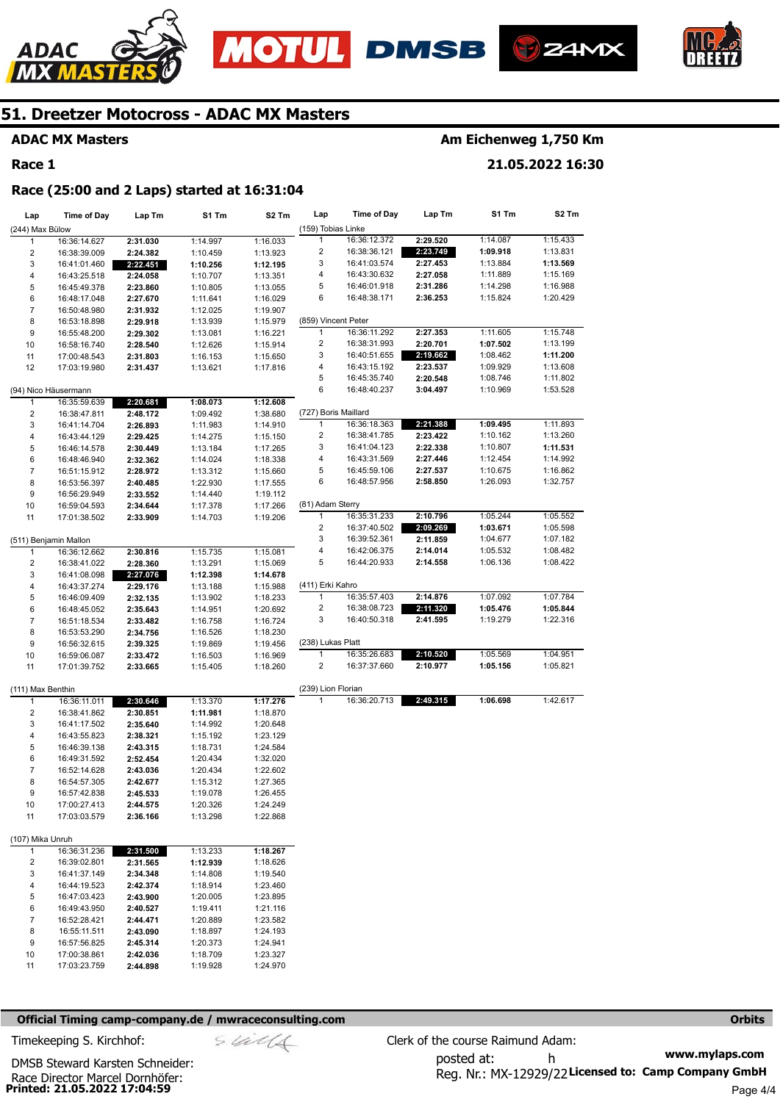







**ADAC MX Masters** 

**Race 1** 

### **Am Eichenweg 1,750 Km**

**21.05.2022 16:30** 

#### **Race (25:00 and 2 Laps) started at 16:31:04**

| Lap               | <b>Time of Day</b>    | Lap Tm   | S1 Tm    | S <sub>2</sub> Tm | Lap                       | <b>Time of Day</b>           | Lap Tm               | S1 Tm    | S2 Tm                |
|-------------------|-----------------------|----------|----------|-------------------|---------------------------|------------------------------|----------------------|----------|----------------------|
| (244) Max Bülow   |                       |          |          |                   | (159) Tobias Linke        |                              |                      |          |                      |
| $\mathbf{1}$      | 16:36:14.627          | 2:31.030 | 1:14.997 | 1:16.033          | $\mathbf{1}$              | 16:36:12.372                 | 2:29.520             | 1:14.087 | 1:15.433             |
| 2                 | 16:38:39.009          | 2:24.382 | 1:10.459 | 1:13.923          | $\overline{c}$            | 16:38:36.121                 | 2:23.749             | 1:09.918 | 1:13.831             |
| 3                 | 16:41:01.460          | 2:22.451 | 1:10.256 | 1:12.195          | 3                         | 16:41:03.574                 | 2:27.453             | 1:13.884 | 1:13.569             |
| 4                 | 16:43:25.518          | 2:24.058 | 1:10.707 | 1:13.351          | 4                         | 16:43:30.632                 | 2:27.058             | 1:11.889 | 1:15.169             |
| 5                 | 16:45:49.378          | 2:23.860 | 1:10.805 | 1:13.055          | 5                         | 16:46:01.918                 | 2:31.286             | 1:14.298 | 1:16.988             |
| 6                 | 16:48:17.048          | 2:27.670 | 1:11.641 | 1:16.029          | 6                         | 16:48:38.171                 | 2:36.253             | 1:15.824 | 1:20.429             |
| 7                 | 16:50:48.980          | 2:31.932 | 1:12.025 | 1:19.907          |                           |                              |                      |          |                      |
| 8                 | 16:53:18.898          | 2:29.918 | 1:13.939 | 1:15.979          | (859) Vincent Peter       |                              |                      |          |                      |
| 9                 | 16:55:48.200          | 2:29.302 | 1:13.081 | 1:16.221          | 1                         | 16:36:11.292<br>16:38:31.993 | 2:27.353<br>2:20.701 | 1:11.605 | 1:15.748<br>1:13.199 |
| 10                | 16:58:16.740          | 2:28.540 | 1:12.626 | 1:15.914          | $\overline{\mathbf{c}}$   |                              |                      | 1:07.502 |                      |
| 11                | 17:00:48.543          | 2:31.803 | 1:16.153 | 1:15.650          | 3                         | 16:40:51.655<br>16:43:15.192 | 2:19.662             | 1:08.462 | 1:11.200             |
| 12                | 17:03:19.980          | 2:31.437 | 1:13.621 | 1:17.816          | 4                         |                              | 2:23.537             | 1:09.929 | 1:13.608<br>1:11.802 |
|                   |                       |          |          |                   | 5<br>6                    | 16:45:35.740                 | 2:20.548             | 1:08.746 | 1:53.528             |
|                   | (94) Nico Häusermann  |          |          |                   |                           | 16:48:40.237                 | 3:04.497             | 1:10.969 |                      |
| 1                 | 16:35:59.639          | 2:20.681 | 1:08.073 | 1:12.608          |                           |                              |                      |          |                      |
| 2                 | 16:38:47.811          | 2:48.172 | 1:09.492 | 1:38.680          | (727) Boris Maillard<br>1 |                              |                      |          | 1:11.893             |
| 3                 | 16:41:14.704          | 2:26.893 | 1:11.983 | 1:14.910          |                           | 16:36:18.363                 | 2:21.388             | 1:09.495 |                      |
| 4                 | 16:43:44.129          | 2:29.425 | 1:14.275 | 1:15.150          | 2                         | 16:38:41.785                 | 2:23.422             | 1:10.162 | 1:13.260             |
| 5                 | 16:46:14.578          | 2:30.449 | 1:13.184 | 1:17.265          | 3                         | 16:41:04.123                 | 2:22.338             | 1:10.807 | 1:11.531             |
| 6                 | 16:48:46.940          | 2:32.362 | 1:14.024 | 1:18.338          | 4                         | 16:43:31.569                 | 2:27.446             | 1:12.454 | 1:14.992             |
| $\overline{7}$    | 16:51:15.912          | 2:28.972 | 1:13.312 | 1:15.660          | 5                         | 16:45:59.106                 | 2:27.537             | 1:10.675 | 1:16.862             |
| 8                 | 16:53:56.397          | 2:40.485 | 1:22.930 | 1:17.555          | 6                         | 16:48:57.956                 | 2:58.850             | 1:26.093 | 1:32.757             |
| 9                 | 16:56:29.949          | 2:33.552 | 1:14.440 | 1:19.112          |                           |                              |                      |          |                      |
| 10                | 16:59:04.593          | 2:34.644 | 1:17.378 | 1:17.266          | (81) Adam Sterry          |                              |                      |          |                      |
| 11                | 17:01:38.502          | 2:33.909 | 1:14.703 | 1:19.206          | 1                         | 16:35:31.233                 | 2:10.796             | 1:05.244 | 1:05.552             |
|                   |                       |          |          |                   | 2                         | 16:37:40.502                 | 2:09.269             | 1:03.671 | 1:05.598             |
|                   | (511) Benjamin Mallon |          |          |                   | 3                         | 16:39:52.361                 | 2:11.859             | 1:04.677 | 1:07.182             |
| 1                 | 16:36:12.662          | 2:30.816 | 1:15.735 | 1:15.081          | 4                         | 16:42:06.375                 | 2:14.014             | 1:05.532 | 1:08.482             |
| 2                 | 16:38:41.022          | 2:28.360 | 1:13.291 | 1:15.069          | 5                         | 16:44:20.933                 | 2:14.558             | 1:06.136 | 1:08.422             |
| 3                 | 16:41:08.098          | 2:27.076 | 1:12.398 | 1:14.678          |                           |                              |                      |          |                      |
| 4                 | 16:43:37.274          | 2:29.176 | 1:13.188 | 1:15.988          | (411) Erki Kahro          |                              |                      |          |                      |
| 5                 | 16:46:09.409          | 2:32.135 | 1:13.902 | 1:18.233          | 1                         | 16:35:57.403                 | 2:14.876             | 1:07.092 | 1:07.784             |
| 6                 | 16:48:45.052          | 2:35.643 | 1:14.951 | 1:20.692          | 2                         | 16:38:08.723                 | 2:11.320             | 1:05.476 | 1:05.844             |
| $\overline{7}$    | 16:51:18.534          | 2:33.482 | 1:16.758 | 1:16.724          | 3                         | 16:40:50.318                 | 2:41.595             | 1:19.279 | 1:22.316             |
| 8                 | 16:53:53.290          | 2:34.756 | 1:16.526 | 1:18.230          |                           |                              |                      |          |                      |
| 9                 | 16:56:32.615          | 2:39.325 | 1:19.869 | 1:19.456          | (238) Lukas Platt         |                              |                      |          |                      |
| 10                | 16:59:06.087          | 2:33.472 | 1:16.503 | 1:16.969          | 1                         | 16:35:26.683                 | 2:10.520             | 1:05.569 | 1:04.951             |
| 11                | 17:01:39.752          | 2:33.665 | 1:15.405 | 1:18.260          | $\overline{2}$            | 16:37:37.660                 | 2:10.977             | 1:05.156 | 1:05.821             |
|                   |                       |          |          |                   |                           |                              |                      |          |                      |
| (111) Max Benthin |                       |          |          |                   | (239) Lion Florian<br>1   | 16:36:20.713                 |                      |          | 1:42.617             |
| 1                 | 16:36:11.011          | 2:30.646 | 1:13.370 | 1:17.276          |                           |                              | 2:49.315             | 1:06.698 |                      |
| 2                 | 16:38:41.862          | 2:30.851 | 1:11.981 | 1:18.870          |                           |                              |                      |          |                      |
| 3                 | 16:41:17.502          | 2:35.640 | 1:14.992 | 1:20.648          |                           |                              |                      |          |                      |
| 4                 | 16:43:55.823          | 2:38.321 | 1:15.192 | 1:23.129          |                           |                              |                      |          |                      |
| 5                 | 16:46:39.138          | 2:43.315 | 1:18.731 | 1:24.584          |                           |                              |                      |          |                      |
| 6                 | 16:49:31.592          | 2:52.454 | 1:20.434 | 1:32.020          |                           |                              |                      |          |                      |
| $\overline{7}$    | 16:52:14.628          | 2:43.036 | 1:20.434 | 1:22.602          |                           |                              |                      |          |                      |
| 8                 | 16:54:57.305          | 2:42.677 | 1:15.312 | 1:27.365          |                           |                              |                      |          |                      |
| 9                 | 16:57:42.838          | 2:45.533 | 1:19.078 | 1:26.455          |                           |                              |                      |          |                      |
| 10                | 17:00:27.413          | 2:44.575 | 1:20.326 | 1:24.249          |                           |                              |                      |          |                      |
| 11                | 17:03:03.579          | 2:36.166 | 1:13.298 | 1:22.868          |                           |                              |                      |          |                      |
|                   |                       |          |          |                   |                           |                              |                      |          |                      |
| (107) Mika Unruh  |                       |          |          |                   |                           |                              |                      |          |                      |
| 1                 | 16:36:31.236          | 2:31.500 | 1:13.233 | 1:18.267          |                           |                              |                      |          |                      |
| 2                 | 16:39:02.801          | 2:31.565 | 1:12.939 | 1:18.626          |                           |                              |                      |          |                      |
| 3                 | 16:41:37.149          | 2:34.348 | 1:14.808 | 1:19.540          |                           |                              |                      |          |                      |
| 4                 | 16:44:19.523          | 2:42.374 | 1:18.914 | 1:23.460          |                           |                              |                      |          |                      |
| 5                 | 16:47:03.423          | 2:43.900 | 1:20.005 | 1:23.895          |                           |                              |                      |          |                      |
| 6                 | 16:49:43.950          | 2:40.527 | 1:19.411 | 1:21.116          |                           |                              |                      |          |                      |
| 7                 | 16:52:28.421          | 2:44.471 | 1:20.889 | 1:23.582          |                           |                              |                      |          |                      |
| 8                 | 16:55:11.511          | 2:43.090 | 1:18.897 | 1:24.193          |                           |                              |                      |          |                      |
| 9                 | 16:57:56.825          | 2:45.314 | 1:20.373 | 1:24.941          |                           |                              |                      |          |                      |
| 10                | 17:00:38.861          | 2:42.036 | 1:18.709 | 1:23.327          |                           |                              |                      |          |                      |
| 11                | 17:03:23.759          | 2:44.898 | 1:19.928 | 1:24.970          |                           |                              |                      |          |                      |
|                   |                       |          |          |                   |                           |                              |                      |          |                      |

#### **Official Timing camp-company.de / mwraceconsulting.com <b>Orbits Orbits Orbits Orbits**

**Printed: 21.05.2022 17:04:59**  Race Director Marcel Dornhöfer: DMSB Steward Karsten Schneider: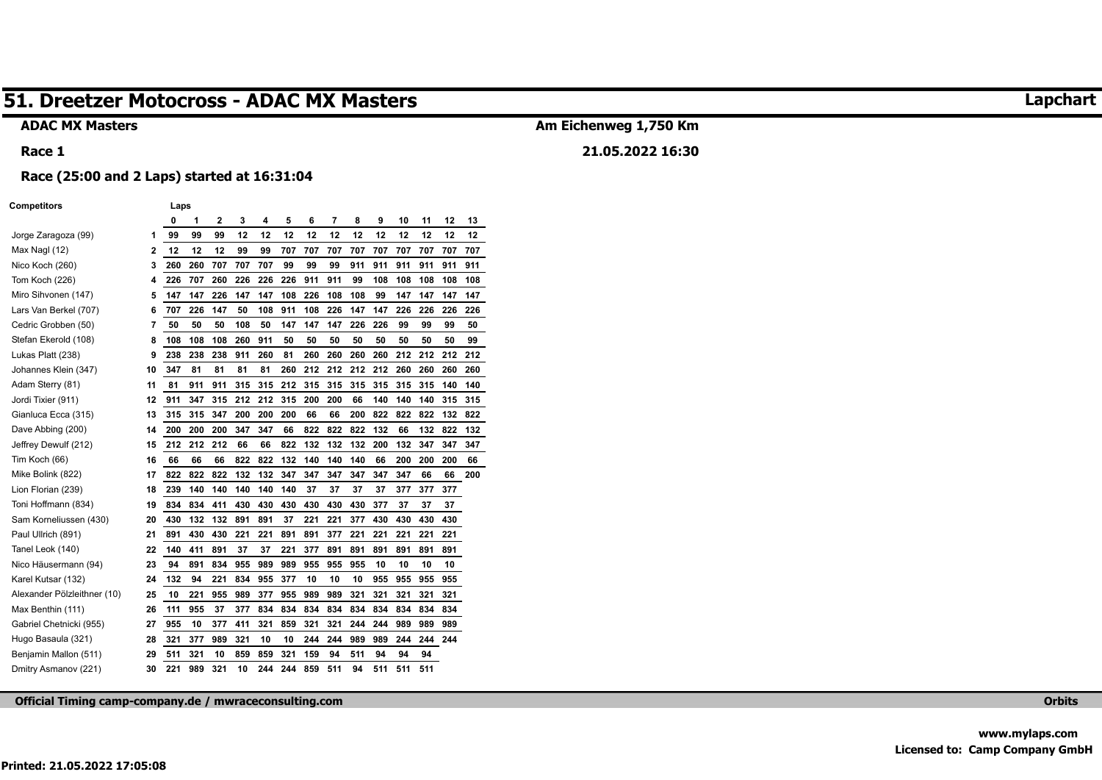#### **ADAC MX Masters**

#### **Race 1**

## **Am Eichenweg 1,750 Km**

**21.05.2022 16:30** 

# **Race (25:00 and 2 Laps) started at 16:31:04**

**Competitors** Laps

| compeniors                  |    | ∟аµэ |     |     |     |     |     |     |     |     |     |     |     |     |     |
|-----------------------------|----|------|-----|-----|-----|-----|-----|-----|-----|-----|-----|-----|-----|-----|-----|
|                             |    | 0    | 1   | 2   | 3   | 4   | 5   | 6   | 7   | 8   | 9   | 10  | 11  | 12  | 13  |
| Jorge Zaragoza (99)         | 1  | 99   | 99  | 99  | 12  | 12  | 12  | 12  | 12  | 12  | 12  | 12  | 12  | 12  | 12  |
| Max Nagl (12)               | 2  | 12   | 12  | 12  | 99  | 99  | 707 | 707 | 707 | 707 | 707 | 707 | 707 | 707 | 707 |
| Nico Koch (260)             | 3  | 260  | 260 | 707 | 707 | 707 | 99  | 99  | 99  | 911 | 911 | 911 | 911 | 911 | 911 |
| Tom Koch (226)              | 4  | 226  | 707 | 260 | 226 | 226 | 226 | 911 | 911 | 99  | 108 | 108 | 108 | 108 | 108 |
| Miro Sihvonen (147)         | 5  | 147  | 147 | 226 | 147 | 147 | 108 | 226 | 108 | 108 | 99  | 147 | 147 | 147 | 147 |
| Lars Van Berkel (707)       | 6  | 707  | 226 | 147 | 50  | 108 | 911 | 108 | 226 | 147 | 147 | 226 | 226 | 226 | 226 |
| Cedric Grobben (50)         | 7  | 50   | 50  | 50  | 108 | 50  | 147 | 147 | 147 | 226 | 226 | 99  | 99  | 99  | 50  |
| Stefan Ekerold (108)        | 8  | 108  | 108 | 108 | 260 | 911 | 50  | 50  | 50  | 50  | 50  | 50  | 50  | 50  | 99  |
| Lukas Platt (238)           | 9  | 238  | 238 | 238 | 911 | 260 | 81  | 260 | 260 | 260 | 260 | 212 | 212 | 212 | 212 |
| Johannes Klein (347)        | 10 | 347  | 81  | 81  | 81  | 81  | 260 | 212 | 212 | 212 | 212 | 260 | 260 | 260 | 260 |
| Adam Sterry (81)            | 11 | 81   | 911 | 911 | 315 | 315 | 212 | 315 | 315 | 315 | 315 | 315 | 315 | 140 | 140 |
| Jordi Tixier (911)          | 12 | 911  | 347 | 315 | 212 | 212 | 315 | 200 | 200 | 66  | 140 | 140 | 140 | 315 | 315 |
| Gianluca Ecca (315)         | 13 | 315  | 315 | 347 | 200 | 200 | 200 | 66  | 66  | 200 | 822 | 822 | 822 | 132 | 822 |
| Dave Abbing (200)           | 14 | 200  | 200 | 200 | 347 | 347 | 66  | 822 | 822 | 822 | 132 | 66  | 132 | 822 | 132 |
| Jeffrey Dewulf (212)        | 15 | 212  | 212 | 212 | 66  | 66  | 822 | 132 | 132 | 132 | 200 | 132 | 347 | 347 | 347 |
| Tim Koch (66)               | 16 | 66   | 66  | 66  | 822 | 822 | 132 | 140 | 140 | 140 | 66  | 200 | 200 | 200 | 66  |
| Mike Bolink (822)           | 17 | 822  | 822 | 822 | 132 | 132 | 347 | 347 | 347 | 347 | 347 | 347 | 66  | 66  | 200 |
| Lion Florian (239)          | 18 | 239  | 140 | 140 | 140 | 140 | 140 | 37  | 37  | 37  | 37  | 377 | 377 | 377 |     |
| Toni Hoffmann (834)         | 19 | 834  | 834 | 411 | 430 | 430 | 430 | 430 | 430 | 430 | 377 | 37  | 37  | 37  |     |
| Sam Korneliussen (430)      | 20 | 430  | 132 | 132 | 891 | 891 | 37  | 221 | 221 | 377 | 430 | 430 | 430 | 430 |     |
| Paul Ullrich (891)          | 21 | 891  | 430 | 430 | 221 | 221 | 891 | 891 | 377 | 221 | 221 | 221 | 221 | 221 |     |
| Tanel Leok (140)            | 22 | 140  | 411 | 891 | 37  | 37  | 221 | 377 | 891 | 891 | 891 | 891 | 891 | 891 |     |
| Nico Häusermann (94)        | 23 | 94   | 891 | 834 | 955 | 989 | 989 | 955 | 955 | 955 | 10  | 10  | 10  | 10  |     |
| Karel Kutsar (132)          | 24 | 132  | 94  | 221 | 834 | 955 | 377 | 10  | 10  | 10  | 955 | 955 | 955 | 955 |     |
| Alexander Pölzleithner (10) | 25 | 10   | 221 | 955 | 989 | 377 | 955 | 989 | 989 | 321 | 321 | 321 | 321 | 321 |     |
| Max Benthin (111)           | 26 | 111  | 955 | 37  | 377 | 834 | 834 | 834 | 834 | 834 | 834 | 834 | 834 | 834 |     |
| Gabriel Chetnicki (955)     | 27 | 955  | 10  | 377 | 411 | 321 | 859 | 321 | 321 | 244 | 244 | 989 | 989 | 989 |     |
| Hugo Basaula (321)          | 28 | 321  | 377 | 989 | 321 | 10  | 10  | 244 | 244 | 989 | 989 | 244 | 244 | 244 |     |
| Benjamin Mallon (511)       | 29 | 511  | 321 | 10  | 859 | 859 | 321 | 159 | 94  | 511 | 94  | 94  | 94  |     |     |
| Dmitry Asmanov (221)        | 30 | 221  | 989 | 321 | 10  | 244 | 244 | 859 | 511 | 94  | 511 | 511 | 511 |     |     |

**Official Timing camp-company.de / mwraceconsulting.com Orbits** 

**Lapchart**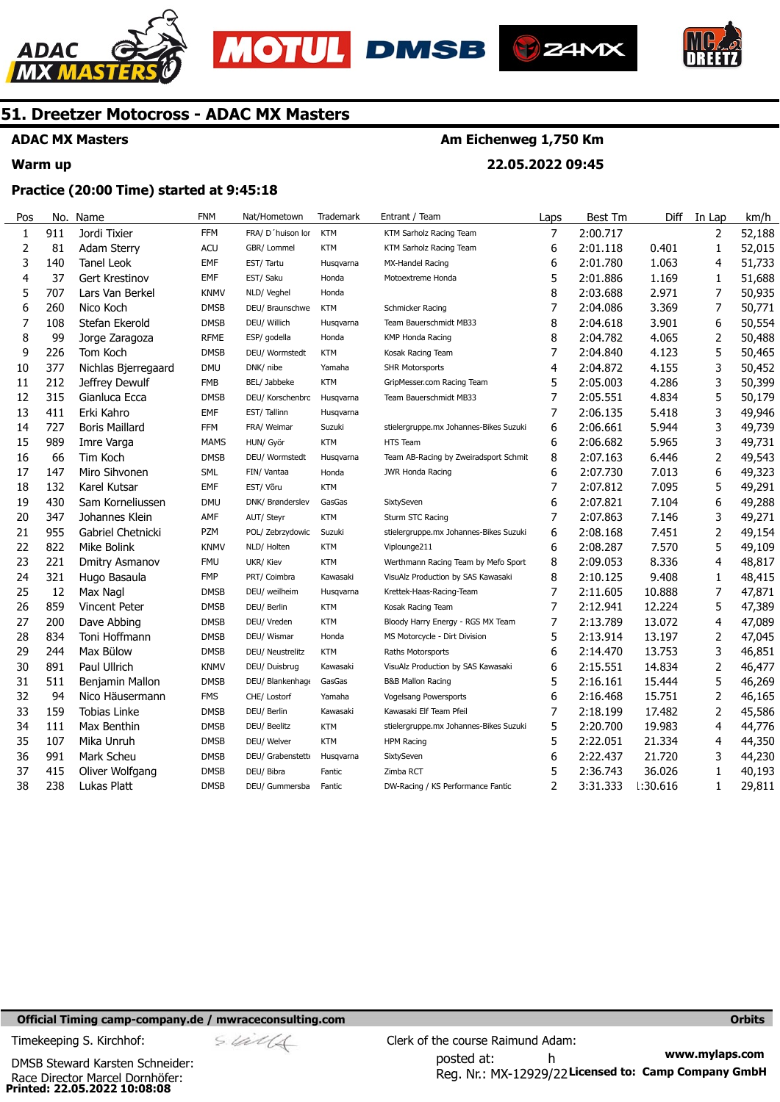





**Am Eichenweg 1,750 Km** 

**22.05.2022 09:45** 



### **51. Dreetzer Motocross - ADAC MX Masters**

### **ADAC MX Masters**

#### **Warm up**

#### **Practice (20:00 Time) started at 9:45:18**

| Pos            | No. | Name                  | <b>FNM</b>  | Nat/Hometown      | Trademark  | Entrant / Team                         | Laps           | <b>Best Tm</b> | Diff            | In Lap         | km/h   |
|----------------|-----|-----------------------|-------------|-------------------|------------|----------------------------------------|----------------|----------------|-----------------|----------------|--------|
| $\mathbf{1}$   | 911 | Jordi Tixier          | <b>FFM</b>  | FRA/ D'huison lor | <b>KTM</b> | KTM Sarholz Racing Team                | $\overline{7}$ | 2:00.717       |                 | $\overline{2}$ | 52,188 |
| $\overline{2}$ | 81  | Adam Sterry           | <b>ACU</b>  | GBR/ Lommel       | <b>KTM</b> | KTM Sarholz Racing Team                | 6              | 2:01.118       | 0.401           | 1              | 52,015 |
| 3              | 140 | <b>Tanel Leok</b>     | EMF         | EST/ Tartu        | Husqvarna  | MX-Handel Racing                       | 6              | 2:01.780       | 1.063           | 4              | 51,733 |
| 4              | 37  | <b>Gert Krestinov</b> | <b>EMF</b>  | EST/ Saku         | Honda      | Motoextreme Honda                      | 5              | 2:01.886       | 1.169           | 1              | 51,688 |
| 5              | 707 | Lars Van Berkel       | <b>KNMV</b> | NLD/ Veghel       | Honda      |                                        | 8              | 2:03.688       | 2.971           | 7              | 50,935 |
| 6              | 260 | Nico Koch             | <b>DMSB</b> | DEU/ Braunschwe   | <b>KTM</b> | Schmicker Racing                       | $\overline{7}$ | 2:04.086       | 3.369           | 7              | 50,771 |
| 7              | 108 | Stefan Ekerold        | <b>DMSB</b> | DEU/ Willich      | Husqvarna  | Team Bauerschmidt MB33                 | 8              | 2:04.618       | 3.901           | 6              | 50,554 |
| 8              | 99  | Jorge Zaragoza        | <b>RFME</b> | ESP/ godella      | Honda      | <b>KMP Honda Racing</b>                | 8              | 2:04.782       | 4.065           | 2              | 50,488 |
| 9              | 226 | Tom Koch              | <b>DMSB</b> | DEU/ Wormstedt    | <b>KTM</b> | Kosak Racing Team                      | 7              | 2:04.840       | 4.123           | 5              | 50,465 |
| 10             | 377 | Nichlas Bjerregaard   | <b>DMU</b>  | DNK/ nibe         | Yamaha     | <b>SHR Motorsports</b>                 | $\overline{4}$ | 2:04.872       | 4.155           | 3              | 50,452 |
| 11             | 212 | Jeffrey Dewulf        | <b>FMB</b>  | BEL/ Jabbeke      | <b>KTM</b> | GripMesser.com Racing Team             | 5              | 2:05.003       | 4.286           | 3              | 50,399 |
| 12             | 315 | Gianluca Ecca         | <b>DMSB</b> | DEU/ Korschenbrc  | Husqvarna  | Team Bauerschmidt MB33                 | 7              | 2:05.551       | 4.834           | 5              | 50,179 |
| 13             | 411 | Erki Kahro            | EMF         | EST/Tallinn       | Husqvarna  |                                        | 7              | 2:06.135       | 5.418           | 3              | 49,946 |
| 14             | 727 | <b>Boris Maillard</b> | <b>FFM</b>  | FRA/ Weimar       | Suzuki     | stielergruppe.mx Johannes-Bikes Suzuki | 6              | 2:06.661       | 5.944           | 3              | 49,739 |
| 15             | 989 | Imre Varga            | <b>MAMS</b> | HUN/ Györ         | <b>KTM</b> | <b>HTS Team</b>                        | 6              | 2:06.682       | 5.965           | 3              | 49,731 |
| 16             | 66  | Tim Koch              | <b>DMSB</b> | DEU/ Wormstedt    | Husqvarna  | Team AB-Racing by Zweiradsport Schmit  | 8              | 2:07.163       | 6.446           | 2              | 49,543 |
| 17             | 147 | Miro Sihvonen         | SML         | FIN/ Vantaa       | Honda      | <b>JWR Honda Racing</b>                | 6              | 2:07.730       | 7.013           | 6              | 49,323 |
| 18             | 132 | Karel Kutsar          | <b>EMF</b>  | EST/ Võru         | <b>KTM</b> |                                        | $\overline{7}$ | 2:07.812       | 7.095           | 5              | 49,291 |
| 19             | 430 | Sam Korneliussen      | <b>DMU</b>  | DNK/ Brønderslev  | GasGas     | SixtySeven                             | 6              | 2:07.821       | 7.104           | 6              | 49,288 |
| 20             | 347 | Johannes Klein        | AMF         | AUT/ Steyr        | <b>KTM</b> | Sturm STC Racing                       | 7              | 2:07.863       | 7.146           | 3              | 49,271 |
| 21             | 955 | Gabriel Chetnicki     | <b>PZM</b>  | POL/ Zebrzydowic  | Suzuki     | stielergruppe.mx Johannes-Bikes Suzuki | 6              | 2:08.168       | 7.451           | 2              | 49,154 |
| 22             | 822 | Mike Bolink           | <b>KNMV</b> | NLD/ Holten       | <b>KTM</b> | Viplounge211                           | 6              | 2:08.287       | 7.570           | 5              | 49,109 |
| 23             | 221 | Dmitry Asmanov        | <b>FMU</b>  | UKR/ Kiev         | <b>KTM</b> | Werthmann Racing Team by Mefo Sport    | 8              | 2:09.053       | 8.336           | 4              | 48,817 |
| 24             | 321 | Hugo Basaula          | <b>FMP</b>  | PRT/ Coimbra      | Kawasaki   | VisuAlz Production by SAS Kawasaki     | 8              | 2:10.125       | 9.408           | 1              | 48,415 |
| 25             | 12  | Max Nagl              | <b>DMSB</b> | DEU/ weilheim     | Husqvarna  | Krettek-Haas-Racing-Team               | 7              | 2:11.605       | 10.888          | 7              | 47,871 |
| 26             | 859 | Vincent Peter         | <b>DMSB</b> | DEU/ Berlin       | <b>KTM</b> | Kosak Racing Team                      | 7              | 2:12.941       | 12.224          | 5              | 47,389 |
| 27             | 200 | Dave Abbing           | <b>DMSB</b> | DEU/ Vreden       | <b>KTM</b> | Bloody Harry Energy - RGS MX Team      | 7              | 2:13.789       | 13.072          | 4              | 47,089 |
| 28             | 834 | Toni Hoffmann         | <b>DMSB</b> | DEU/ Wismar       | Honda      | MS Motorcycle - Dirt Division          | 5              | 2:13.914       | 13.197          | 2              | 47,045 |
| 29             | 244 | Max Bülow             | <b>DMSB</b> | DEU/ Neustrelitz  | <b>KTM</b> | Raths Motorsports                      | 6              | 2:14.470       | 13.753          | 3              | 46,851 |
| 30             | 891 | Paul Ullrich          | <b>KNMV</b> | DEU/ Duisbrug     | Kawasaki   | VisuAlz Production by SAS Kawasaki     | 6              | 2:15.551       | 14.834          | 2              | 46,477 |
| 31             | 511 | Benjamin Mallon       | <b>DMSB</b> | DEU/ Blankenhage  | GasGas     | <b>B&amp;B Mallon Racing</b>           | 5              | 2:16.161       | 15.444          | 5              | 46,269 |
| 32             | 94  | Nico Häusermann       | <b>FMS</b>  | CHE/ Lostorf      | Yamaha     | <b>Vogelsang Powersports</b>           | 6              | 2:16.468       | 15.751          | $\overline{2}$ | 46,165 |
| 33             | 159 | <b>Tobias Linke</b>   | <b>DMSB</b> | DEU/ Berlin       | Kawasaki   | Kawasaki Elf Team Pfeil                | $\overline{7}$ | 2:18.199       | 17.482          | 2              | 45,586 |
| 34             | 111 | Max Benthin           | <b>DMSB</b> | DEU/ Beelitz      | KTM        | stielergruppe.mx Johannes-Bikes Suzuki | 5              | 2:20.700       | 19.983          | 4              | 44,776 |
| 35             | 107 | Mika Unruh            | <b>DMSB</b> | DEU/ Welver       | <b>KTM</b> | HPM Racing                             | 5              | 2:22.051       | 21.334          | 4              | 44,350 |
| 36             | 991 | Mark Scheu            | <b>DMSB</b> | DEU/ Grabenstett  | Husqvarna  | SixtySeven                             | 6              | 2:22.437       | 21.720          | 3              | 44,230 |
| 37             | 415 | Oliver Wolfgang       | <b>DMSB</b> | DEU/ Bibra        | Fantic     | Zimba RCT                              | 5              | 2:36.743       | 36.026          | 1              | 40,193 |
| 38             | 238 | Lukas Platt           | <b>DMSB</b> | DEU/ Gummersba    | Fantic     | DW-Racing / KS Performance Fantic      | $\overline{2}$ | 3:31.333       | <b>1:30.616</b> | 1              | 29,811 |
|                |     |                       |             |                   |            |                                        |                |                |                 |                |        |

#### **Official Timing camp-company.de / mwraceconsulting.com <b>Orbits and Company.de Company** orbits **Orbits Orbits**

**Printed: 22.05.2022 10:08:08**  Race Director Marcel Dornhöfer: DMSB Steward Karsten Schneider:

**www.mylaps.com**  Reg. Nr.: MX-12929/22 Licensed to: Camp Company GmbH posted at: h Timekeeping S. Kirchhof:  $\frac{1}{2}$  Clerk of the course Raimund Adam: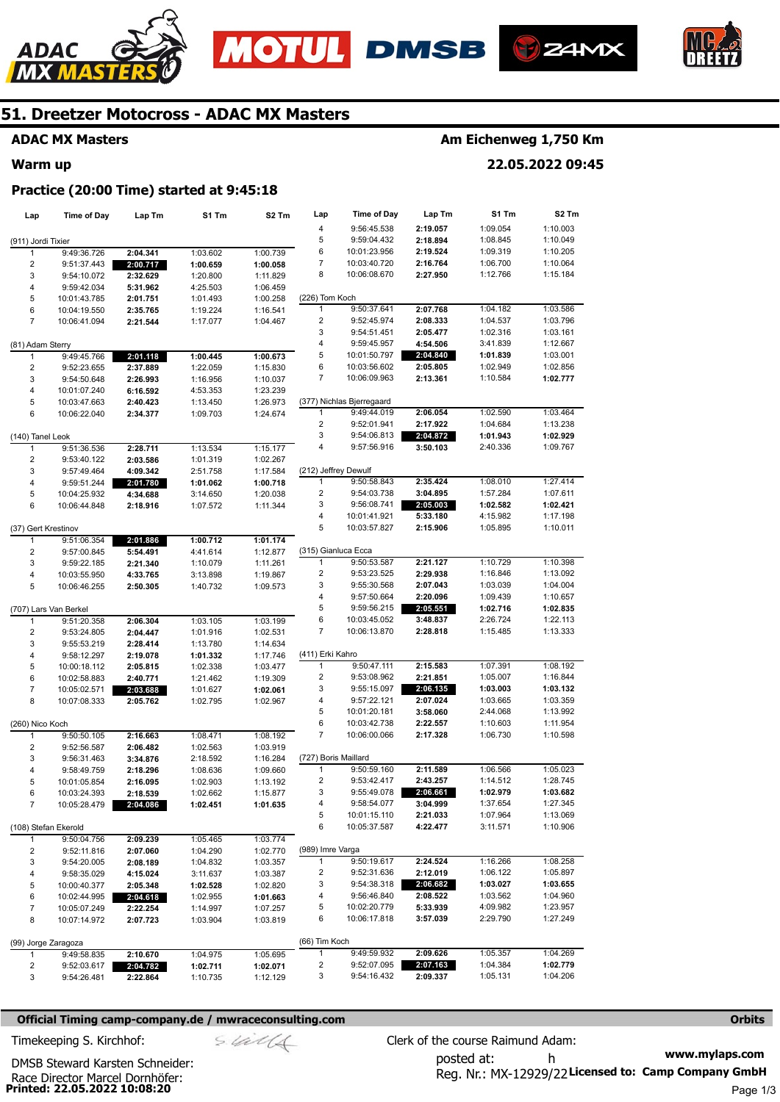







#### **ADAC MX Masters**

**Warm up** 

### **Am Eichenweg 1,750 Km**

**22.05.2022 09:45** 

#### **Practice (20:00 Time) started at 9:45:18**

| Lap                      | <b>Time of Day</b>    | Lap Tm               | S1 Tm                | S <sub>2</sub> Tm    | Lap                     | <b>Time of Day</b>           | Lap Tm               | S1 Tm                | S <sub>2</sub> Tm    |
|--------------------------|-----------------------|----------------------|----------------------|----------------------|-------------------------|------------------------------|----------------------|----------------------|----------------------|
|                          |                       |                      |                      |                      | 4                       | 9:56:45.538                  | 2:19.057             | 1:09.054             | 1:10.003             |
| (911) Jordi Tixier       |                       |                      |                      |                      | 5                       | 9:59:04.432                  | 2:18.894             | 1:08.845             | 1:10.049             |
| $\mathbf{1}$             | 9:49:36.726           | 2:04.341             | 1:03.602             | 1:00.739             | 6                       | 10:01:23.956                 | 2:19.524             | 1:09.319             | 1:10.205             |
| 2                        | 9:51:37.443           | 2:00.717             | 1:00.659             | 1:00.058             | 7                       | 10:03:40.720                 | 2:16.764             | 1:06.700             | 1:10.064             |
| 3                        | 9:54:10.072           | 2:32.629             | 1:20.800             | 1:11.829             | 8                       | 10:06:08.670                 | 2:27.950             | 1:12.766             | 1:15.184             |
| 4                        | 9:59:42.034           | 5:31.962             | 4:25.503             | 1:06.459             |                         |                              |                      |                      |                      |
| 5                        | 10:01:43.785          | 2:01.751             | 1:01.493             | 1:00.258             | (226) Tom Koch<br>1     | 9:50:37.641                  | 2:07.768             | 1:04.182             | 1:03.586             |
| 6<br>$\overline{7}$      | 10:04:19.550          | 2:35.765             | 1:19.224             | 1:16.541             | $\overline{\mathbf{c}}$ | 9:52:45.974                  | 2:08.333             | 1:04.537             | 1:03.796             |
|                          | 10:06:41.094          | 2:21.544             | 1:17.077             | 1:04.467             | 3                       | 9:54:51.451                  | 2:05.477             | 1:02.316             | 1:03.161             |
| (81) Adam Sterry         |                       |                      |                      |                      | 4                       | 9:59:45.957                  | 4:54.506             | 3:41.839             | 1:12.667             |
| 1                        | 9:49:45.766           | 2:01.118             | 1:00.445             | 1:00.673             | 5                       | 10:01:50.797                 | 2:04.840             | 1:01.839             | 1:03.001             |
| $\overline{c}$           | 9:52:23.655           | 2:37.889             | 1:22.059             | 1:15.830             | 6                       | 10:03:56.602                 | 2:05.805             | 1:02.949             | 1:02.856             |
| 3                        | 9:54:50.648           | 2:26.993             | 1:16.956             | 1:10.037             | 7                       | 10:06:09.963                 | 2:13.361             | 1:10.584             | 1:02.777             |
| 4                        | 10:01:07.240          | 6:16.592             | 4:53.353             | 1:23.239             |                         |                              |                      |                      |                      |
| 5                        | 10:03:47.663          | 2:40.423             | 1:13.450             | 1:26.973             |                         | (377) Nichlas Bjerregaard    |                      |                      |                      |
| 6                        | 10:06:22.040          | 2:34.377             | 1:09.703             | 1:24.674             | 1                       | 9:49:44.019                  | 2:06.054             | 1:02.590             | 1:03.464             |
|                          |                       |                      |                      |                      | 2                       | 9:52:01.941                  | 2:17.922             | 1:04.684             | 1:13.238             |
| (140) Tanel Leok         |                       |                      |                      |                      | 3                       | 9:54:06.813                  | 2:04.872             | 1:01.943             | 1:02.929             |
| 1                        | 9:51:36.536           | 2:28.711             | 1:13.534             | 1:15.177             | 4                       | 9:57:56.916                  | 3:50.103             | 2:40.336             | 1:09.767             |
| 2                        | 9:53:40.122           | 2:03.586             | 1:01.319             | 1:02.267             |                         |                              |                      |                      |                      |
| 3                        | 9:57:49.464           | 4:09.342             | 2:51.758             | 1:17.584             | (212) Jeffrey Dewulf    |                              |                      |                      |                      |
| 4                        | 9:59:51.244           | 2:01.780             | 1:01.062             | 1:00.718             | 1                       | 9:50:58.843                  | 2:35.424             | 1:08.010             | 1:27.414             |
| 5                        | 10:04:25.932          | 4:34.688             | 3:14.650             | 1:20.038             | 2                       | 9:54:03.738                  | 3:04.895             | 1:57.284             | 1:07.611             |
| 6                        | 10:06:44.848          | 2:18.916             | 1:07.572             | 1:11.344             | 3                       | 9:56:08.741<br>10:01:41.921  | 2:05.003             | 1:02.582             | 1:02.421             |
|                          |                       |                      |                      |                      | 4<br>5                  | 10:03:57.827                 | 5:33.180<br>2:15.906 | 4:15.982<br>1:05.895 | 1:17.198<br>1:10.011 |
| (37) Gert Krestinov<br>1 | 9:51:06.354           |                      | 1:00.712             | 1:01.174             |                         |                              |                      |                      |                      |
| $\overline{c}$           | 9:57:00.845           | 2:01.886<br>5:54.491 | 4:41.614             | 1:12.877             | (315) Gianluca Ecca     |                              |                      |                      |                      |
| 3                        | 9:59:22.185           | 2:21.340             | 1:10.079             | 1:11.261             | 1                       | 9:50:53.587                  | 2:21.127             | 1:10.729             | 1:10.398             |
| 4                        | 10:03:55.950          | 4:33.765             | 3:13.898             | 1:19.867             | 2                       | 9:53:23.525                  | 2:29.938             | 1:16.846             | 1:13.092             |
| 5                        | 10:06:46.255          | 2:50.305             | 1:40.732             | 1:09.573             | 3                       | 9:55:30.568                  | 2:07.043             | 1:03.039             | 1:04.004             |
|                          |                       |                      |                      |                      | 4                       | 9:57:50.664                  | 2:20.096             | 1:09.439             | 1:10.657             |
|                          | (707) Lars Van Berkel |                      |                      |                      | 5                       | 9:59:56.215                  | 2:05.551             | 1:02.716             | 1:02.835             |
| 1                        | 9:51:20.358           | 2:06.304             | 1:03.105             | 1:03.199             | 6                       | 10:03:45.052                 | 3:48.837             | 2:26.724             | 1:22.113             |
| $\overline{c}$           | 9:53:24.805           | 2:04.447             | 1:01.916             | 1:02.531             | 7                       | 10:06:13.870                 | 2:28.818             | 1:15.485             | 1:13.333             |
| 3                        | 9:55:53.219           | 2:28.414             | 1:13.780             | 1:14.634             |                         |                              |                      |                      |                      |
| 4                        | 9:58:12.297           | 2:19.078             | 1:01.332             | 1:17.746             | (411) Erki Kahro        |                              |                      |                      |                      |
| 5                        | 10:00:18.112          | 2:05.815             | 1:02.338             | 1:03.477             | 1                       | 9:50:47.111                  | 2:15.583             | 1:07.391             | 1:08.192             |
| 6                        | 10:02:58.883          | 2:40.771             | 1:21.462             | 1:19.309             | 2                       | 9:53:08.962                  | 2:21.851             | 1:05.007             | 1:16.844             |
| $\overline{7}$           | 10:05:02.571          | 2:03.688             | 1:01.627             | 1:02.061             | 3                       | 9:55:15.097                  | 2:06.135             | 1:03.003             | 1:03.132             |
| 8                        | 10:07:08.333          | 2:05.762             | 1:02.795             | 1:02.967             | 4<br>5                  | 9:57:22.121                  | 2:07.024             | 1:03.665             | 1:03.359             |
|                          |                       |                      |                      |                      | 6                       | 10:01:20.181<br>10:03:42.738 | 3:58.060<br>2:22.557 | 2:44.068<br>1:10.603 | 1:13.992<br>1:11.954 |
| (260) Nico Koch          | 9:50:50.105           |                      |                      |                      | 7                       | 10:06:00.066                 | 2:17.328             | 1:06.730             | 1:10.598             |
| 1<br>$\overline{c}$      | 9:52:56.587           | 2:16.663             | 1:08.471<br>1:02.563 | 1:08.192<br>1:03.919 |                         |                              |                      |                      |                      |
| 3                        | 9:56:31.463           | 2:06.482<br>3:34.876 | 2:18.592             | 1:16.284             | (727) Boris Maillard    |                              |                      |                      |                      |
| 4                        | 9:58:49.759           | 2:18.296             | 1:08.636             | 1:09.660             | 1                       | 9:50:59.160                  | 2:11.589             | 1:06.566             | 1:05.023             |
| 5                        | 10:01:05.854          | 2:16.095             | 1:02.903             | 1:13.192             | $\overline{\mathbf{c}}$ | 9:53:42.417                  | 2:43.257             | 1:14.512             | 1:28.745             |
| 6                        | 10:03:24.393          | 2:18.539             | 1:02.662             | 1:15.877             | 3                       | 9:55:49.078                  | 2:06.661             | 1:02.979             | 1:03.682             |
| $\overline{7}$           | 10:05:28.479          | 2:04.086             | 1:02.451             | 1:01.635             | 4                       | 9:58:54.077                  | 3:04.999             | 1:37.654             | 1:27.345             |
|                          |                       |                      |                      |                      | 5                       | 10:01:15.110                 | 2:21.033             | 1:07.964             | 1:13.069             |
|                          | (108) Stefan Ekerold  |                      |                      |                      | 6                       | 10:05:37.587                 | 4:22.477             | 3:11.571             | 1:10.906             |
| 1                        | 9:50:04.756           | 2:09.239             | 1:05.465             | 1:03.774             |                         |                              |                      |                      |                      |
| 2                        | 9:52:11.816           | 2:07.060             | 1:04.290             | 1:02.770             | (989) Imre Varga        |                              |                      |                      |                      |
| 3                        | 9:54:20.005           | 2:08.189             | 1:04.832             | 1:03.357             | 1                       | 9:50:19.617                  | 2:24.524             | 1:16.266             | 1:08.258             |
| 4                        | 9:58:35.029           | 4:15.024             | 3:11.637             | 1:03.387             | 2                       | 9:52:31.636                  | 2:12.019             | 1:06.122             | 1:05.897             |
| 5                        | 10:00:40.377          | 2:05.348             | 1:02.528             | 1:02.820             | 3                       | 9:54:38.318                  | 2:06.682             | 1:03.027             | 1:03.655             |
| 6                        | 10:02:44.995          | 2:04.618             | 1:02.955             | 1:01.663             | 4                       | 9:56:46.840                  | 2:08.522             | 1:03.562             | 1:04.960             |
| 7                        | 10:05:07.249          | 2:22.254             | 1:14.997             | 1:07.257             | 5                       | 10:02:20.779                 | 5:33.939             | 4:09.982             | 1:23.957             |
| 8                        | 10:07:14.972          | 2:07.723             | 1:03.904             | 1:03.819             | 6                       | 10:06:17.818                 | 3:57.039             | 2:29.790             | 1:27.249             |
|                          | (99) Jorge Zaragoza   |                      |                      |                      | (66) Tim Koch           |                              |                      |                      |                      |
| 1                        | 9:49:58.835           | 2:10.670             | 1:04.975             | 1:05.695             | $\mathbf{1}$            | 9:49:59.932                  | 2:09.626             | 1:05.357             | 1:04.269             |
| 2                        | 9:52:03.617           | 2:04.782             | 1:02.711             | 1:02.071             | 2                       | 9:52:07.095                  | 2:07.163             | 1:04.384             | 1:02.779             |
| 3                        | 9:54:26.481           | 2:22.864             | 1:10.735             | 1:12.129             | 3                       | 9:54:16.432                  | 2:09.337             | 1:05.131             | 1:04.206             |

#### **Official Timing camp-company.de / mwraceconsulting.com <b>Orbits and Company.de Company** orbits **Orbits Orbits**

**www.mylaps.com**  Reg. Nr.: MX-12929/22 Licensed to: Camp Company GmbH posted at: h Timekeeping S. Kirchhof:  $\le \frac{1}{2}$  Clerk of the course Raimund Adam:

**Printed: 22.05.2022 10:08:20**  Race Director Marcel Dornhöfer: DMSB Steward Karsten Schneider: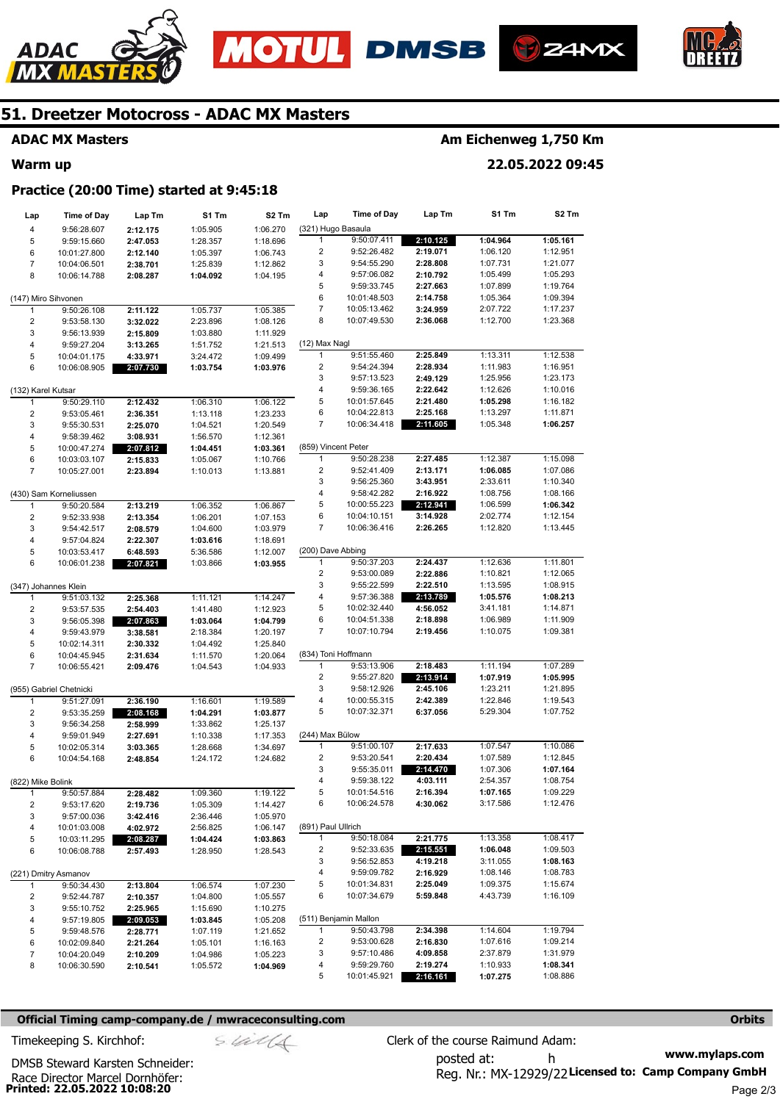







### **ADAC MX Masters**

#### **Warm up**

### **Am Eichenweg 1,750 Km**

**22.05.2022 09:45** 

#### **Practice (20:00 Time) started at 9:45:18**

| Lap                | <b>Time of Day</b>      | Lap Tm   | S1 Tm    | S <sub>2</sub> Tm | Lap                     | <b>Time of Day</b>    | Lap Tm   | S1 Tm    | S <sub>2</sub> Tm |
|--------------------|-------------------------|----------|----------|-------------------|-------------------------|-----------------------|----------|----------|-------------------|
| 4                  | 9:56:28.607             | 2:12.175 | 1:05.905 | 1:06.270          | (321) Hugo Basaula      |                       |          |          |                   |
| 5                  | 9:59:15.660             | 2:47.053 | 1:28.357 | 1:18.696          | 1                       | 9:50:07.411           | 2:10.125 | 1:04.964 | 1:05.161          |
| 6                  | 10:01:27.800            | 2:12.140 | 1:05.397 | 1:06.743          | 2                       | 9:52:26.482           | 2:19.071 | 1:06.120 | 1:12.951          |
| $\overline{7}$     | 10:04:06.501            | 2:38.701 | 1:25.839 | 1:12.862          | 3                       | 9:54:55.290           | 2:28.808 | 1:07.731 | 1:21.077          |
| 8                  | 10:06:14.788            | 2:08.287 | 1:04.092 | 1:04.195          | 4                       | 9:57:06.082           | 2:10.792 | 1:05.499 | 1:05.293          |
|                    |                         |          |          |                   | 5                       | 9:59:33.745           | 2:27.663 | 1:07.899 | 1:19.764          |
|                    | (147) Miro Sihvonen     |          |          |                   | 6                       | 10:01:48.503          | 2:14.758 | 1:05.364 | 1:09.394          |
| 1                  | 9:50:26.108             | 2:11.122 | 1:05.737 | 1:05.385          | 7                       | 10:05:13.462          | 3:24.959 | 2:07.722 | 1:17.237          |
| 2                  | 9:53:58.130             | 3:32.022 | 2:23.896 | 1:08.126          | 8                       | 10:07:49.530          | 2:36.068 | 1:12.700 | 1:23.368          |
| 3                  | 9:56:13.939             | 2:15.809 | 1:03.880 | 1:11.929          |                         |                       |          |          |                   |
| 4                  | 9:59:27.204             | 3:13.265 | 1:51.752 | 1:21.513          | (12) Max Nagl           |                       |          |          |                   |
| 5                  | 10:04:01.175            | 4:33.971 | 3:24.472 | 1:09.499          | 1                       | 9:51:55.460           | 2:25.849 | 1:13.311 | 1:12.538          |
| 6                  | 10:06:08.905            | 2:07.730 | 1:03.754 | 1:03.976          | $\overline{\mathbf{c}}$ | 9:54:24.394           | 2:28.934 | 1:11.983 | 1:16.951          |
|                    |                         |          |          |                   | 3                       | 9:57:13.523           | 2:49.129 | 1:25.956 | 1:23.173          |
| (132) Karel Kutsar |                         |          |          |                   | 4                       | 9:59:36.165           | 2:22.642 | 1:12.626 | 1:10.016          |
| 1                  | 9:50:29.110             | 2:12.432 | 1:06.310 | 1:06.122          | 5                       | 10:01:57.645          | 2:21.480 | 1:05.298 | 1:16.182          |
| 2                  | 9:53:05.461             | 2:36.351 | 1:13.118 | 1:23.233          | 6                       | 10:04:22.813          | 2:25.168 | 1:13.297 | 1:11.871          |
| 3                  | 9:55:30.531             | 2:25.070 | 1:04.521 | 1:20.549          | 7                       | 10:06:34.418          | 2:11.605 | 1:05.348 | 1:06.257          |
| 4                  | 9:58:39.462             | 3:08.931 | 1:56.570 | 1:12.361          |                         |                       |          |          |                   |
| 5                  | 10:00:47.274            | 2:07.812 | 1:04.451 | 1:03.361          | (859) Vincent Peter     |                       |          |          |                   |
| 6                  | 10:03:03.107            | 2:15.833 | 1:05.067 | 1:10.766          | $\mathbf{1}$            | 9:50:28.238           | 2:27.485 | 1:12.387 | 1:15.098          |
| $\overline{7}$     | 10:05:27.001            | 2:23.894 | 1:10.013 | 1:13.881          | 2                       | 9:52:41.409           | 2:13.171 | 1:06.085 | 1:07.086          |
|                    |                         |          |          |                   | 3                       | 9:56:25.360           | 3:43.951 | 2:33.611 | 1:10.340          |
|                    | (430) Sam Korneliussen  |          |          |                   | 4                       | 9:58:42.282           | 2:16.922 | 1:08.756 | 1:08.166          |
| 1                  | 9:50:20.584             | 2:13.219 | 1:06.352 | 1:06.867          | 5                       | 10:00:55.223          | 2:12.941 | 1:06.599 | 1:06.342          |
| 2                  | 9:52:33.938             | 2:13.354 | 1:06.201 | 1:07.153          | 6                       | 10:04:10.151          | 3:14.928 | 2:02.774 | 1:12.154          |
| 3                  | 9:54:42.517             | 2:08.579 | 1:04.600 | 1:03.979          | 7                       | 10:06:36.416          | 2:26.265 | 1:12.820 | 1:13.445          |
| 4                  | 9:57:04.824             | 2:22.307 | 1:03.616 | 1:18.691          |                         |                       |          |          |                   |
| 5                  | 10:03:53.417            | 6:48.593 | 5:36.586 | 1:12.007          | (200) Dave Abbing       |                       |          |          |                   |
| 6                  | 10:06:01.238            | 2:07.821 | 1:03.866 | 1:03.955          | 1                       | 9:50:37.203           | 2:24.437 | 1:12.636 | 1:11.801          |
|                    |                         |          |          |                   | $\overline{c}$          | 9:53:00.089           | 2:22.886 | 1:10.821 | 1:12.065          |
|                    | (347) Johannes Klein    |          |          |                   | 3                       | 9:55:22.599           | 2:22.510 | 1:13.595 | 1:08.915          |
| 1                  | 9:51:03.132             | 2:25.368 | 1:11.121 | 1:14.247          | 4                       | 9:57:36.388           | 2:13.789 | 1:05.576 | 1:08.213          |
| 2                  | 9:53:57.535             | 2:54.403 | 1:41.480 | 1:12.923          | 5                       | 10:02:32.440          | 4:56.052 | 3:41.181 | 1:14.871          |
| 3                  | 9:56:05.398             | 2:07.863 | 1:03.064 | 1:04.799          | 6                       | 10:04:51.338          | 2:18.898 | 1:06.989 | 1:11.909          |
| 4                  | 9:59:43.979             | 3:38.581 | 2:18.384 | 1:20.197          | 7                       | 10:07:10.794          | 2:19.456 | 1:10.075 | 1:09.381          |
| 5                  | 10:02:14.311            | 2:30.332 | 1:04.492 | 1:25.840          |                         |                       |          |          |                   |
| 6                  | 10:04:45.945            | 2:31.634 | 1:11.570 | 1:20.064          |                         | (834) Toni Hoffmann   |          |          |                   |
| $\overline{7}$     | 10:06:55.421            | 2:09.476 | 1:04.543 | 1:04.933          | 1                       | 9:53:13.906           | 2:18.483 | 1:11.194 | 1:07.289          |
|                    |                         |          |          |                   | $\overline{2}$          | 9:55:27.820           | 2:13.914 | 1:07.919 | 1:05.995          |
|                    | (955) Gabriel Chetnicki |          |          |                   | 3                       | 9:58:12.926           | 2:45.106 | 1:23.211 | 1:21.895          |
| 1                  | 9:51:27.091             | 2:36.190 | 1:16.601 | 1:19.589          | 4                       | 10:00:55.315          | 2:42.389 | 1:22.846 | 1:19.543          |
| 2                  | 9:53:35.259             | 2:08.168 | 1:04.291 | 1:03.877          | 5                       | 10:07:32.371          | 6:37.056 | 5:29.304 | 1:07.752          |
| 3                  | 9:56:34.258             | 2:58.999 | 1:33.862 | 1:25.137          |                         |                       |          |          |                   |
| 4                  | 9:59:01.949             | 2:27.691 | 1:10.338 | 1:17.353          | (244) Max Bülow         |                       |          |          |                   |
| 5                  | 10:02:05.314            | 3:03.365 | 1:28.668 | 1:34.697          | 1                       | 9:51:00.107           | 2:17.633 | 1:07.547 | 1:10.086          |
| 6                  | 10:04:54.168            | 2:48.854 | 1:24.172 | 1:24.682          | 2                       | 9:53:20.541           | 2:20.434 | 1:07.589 | 1:12.845          |
|                    |                         |          |          |                   | 3                       | 9:55:35.011           | 2:14.470 | 1:07.306 | 1:07.164          |
| (822) Mike Bolink  |                         |          |          |                   | 4                       | 9:59:38.122           | 4:03.111 | 2:54.357 | 1:08.754          |
|                    | 9:50:57.884             | 2:28.482 | 1:09.360 | 1:19.122          | 5                       | 10:01:54.516          | 2:16.394 | 1:07.165 | 1:09.229          |
| 2                  | 9:53:17.620             | 2:19.736 | 1:05.309 | 1:14.427          | 6                       | 10:06:24.578          | 4:30.062 | 3:17.586 | 1:12.476          |
| 3                  | 9:57:00.036             | 3:42.416 | 2:36.446 | 1:05.970          |                         |                       |          |          |                   |
| 4                  | 10:01:03.008            | 4:02.972 | 2:56.825 | 1:06.147          | (891) Paul Ullrich      |                       |          |          |                   |
| 5                  | 10:03:11.295            | 2:08.287 | 1:04.424 | 1:03.863          | 1                       | 9:50:18.084           | 2:21.775 | 1:13.358 | 1:08.417          |
| 6                  | 10:06:08.788            | 2:57.493 | 1:28.950 | 1:28.543          | $\overline{2}$          | 9:52:33.635           | 2:15.551 | 1:06.048 | 1:09.503          |
|                    |                         |          |          |                   | 3                       | 9:56:52.853           | 4:19.218 | 3:11.055 | 1:08.163          |
|                    | (221) Dmitry Asmanov    |          |          |                   | 4                       | 9:59:09.782           | 2:16.929 | 1:08.146 | 1:08.783          |
| 1                  | 9:50:34.430             | 2:13.804 | 1:06.574 | 1:07.230          | 5                       | 10:01:34.831          | 2:25.049 | 1:09.375 | 1:15.674          |
| 2                  | 9:52:44.787             | 2:10.357 | 1:04.800 | 1:05.557          | 6                       | 10:07:34.679          | 5:59.848 | 4:43.739 | 1:16.109          |
| 3                  | 9:55:10.752             | 2:25.965 | 1:15.690 | 1:10.275          |                         |                       |          |          |                   |
| 4                  | 9:57:19.805             | 2:09.053 | 1:03.845 | 1:05.208          |                         | (511) Benjamin Mallon |          |          |                   |
| 5                  | 9:59:48.576             | 2:28.771 | 1:07.119 | 1:21.652          | 1                       | 9:50:43.798           | 2:34.398 | 1:14.604 | 1:19.794          |
| 6                  | 10:02:09.840            | 2:21.264 | 1:05.101 | 1:16.163          | 2                       | 9:53:00.628           | 2:16.830 | 1:07.616 | 1:09.214          |
| 7                  | 10:04:20.049            | 2:10.209 | 1:04.986 | 1:05.223          | 3                       | 9:57:10.486           | 4:09.858 | 2:37.879 | 1:31.979          |
| 8                  | 10:06:30.590            | 2:10.541 | 1:05.572 | 1:04.969          | 4                       | 9:59:29.760           | 2:19.274 | 1:10.933 | 1:08.341          |
|                    |                         |          |          |                   | 5                       | 10:01:45.921          | 2:16.161 | 1:07.275 | 1:08.886          |

#### **Official Timing camp-company.de / mwraceconsulting.com <b>Orbits Orbits Orbits Orbits**

**Printed: 22.05.2022 10:08:20**  Race Director Marcel Dornhöfer:

DMSB Steward Karsten Schneider:

**www.mylaps.com**  Reg. Nr.: MX-12929/22 Licensed to: Camp Company GmbH posted at: h Timekeeping S. Kirchhof:  $\frac{1}{2}$  Clerk of the course Raimund Adam: Page 2/3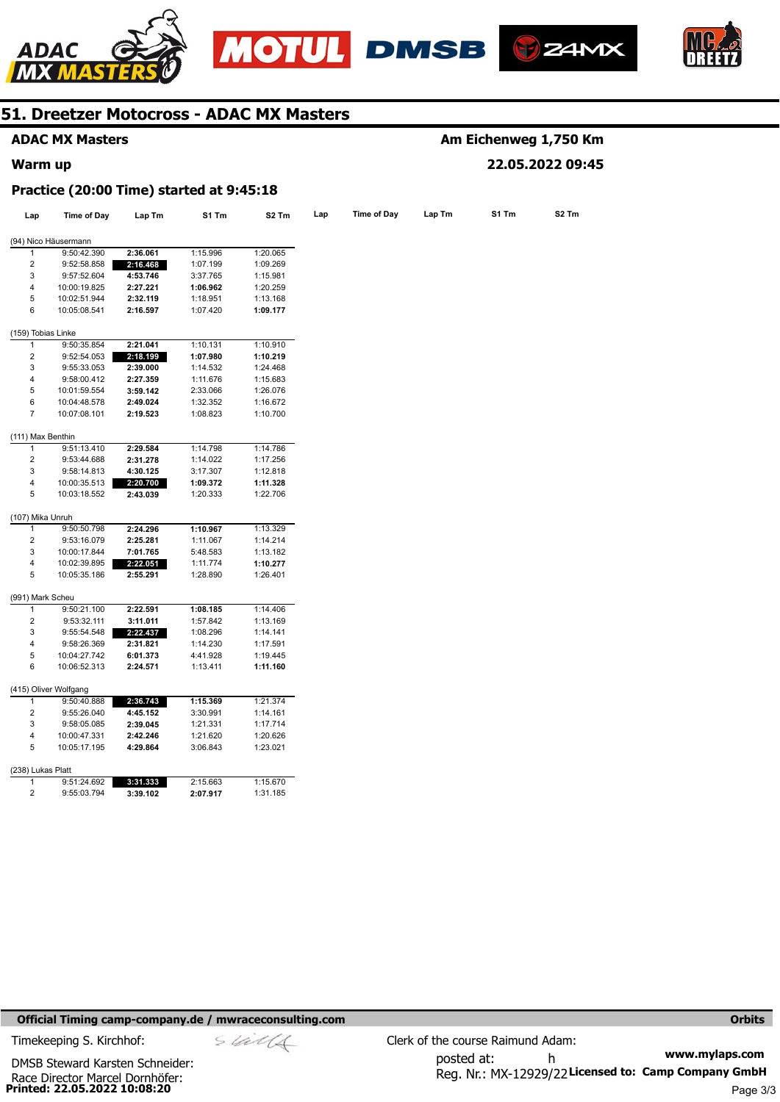







|                         | <b>ADAC MX Masters</b>                   |          |          |                   |     | Am Eichenweg 1,750 Km |        |       |                   |  |  |
|-------------------------|------------------------------------------|----------|----------|-------------------|-----|-----------------------|--------|-------|-------------------|--|--|
| Warm up                 |                                          |          |          |                   |     |                       |        |       | 22.05.2022 09:45  |  |  |
|                         | Practice (20:00 Time) started at 9:45:18 |          |          |                   |     |                       |        |       |                   |  |  |
| Lap                     | Time of Day                              | Lap Tm   | S1 Tm    | S <sub>2</sub> Tm | Lap | <b>Time of Day</b>    | Lap Tm | S1 Tm | S <sub>2</sub> Tm |  |  |
|                         | (94) Nico Häusermann                     |          |          |                   |     |                       |        |       |                   |  |  |
| 1                       | 9:50:42.390                              | 2:36.061 | 1:15.996 | 1:20.065          |     |                       |        |       |                   |  |  |
| 2                       | 9:52:58.858                              | 2:16.468 | 1:07.199 | 1:09.269          |     |                       |        |       |                   |  |  |
| 3                       | 9:57:52.604                              | 4:53.746 | 3:37.765 | 1:15.981          |     |                       |        |       |                   |  |  |
| 4                       | 10:00:19.825                             | 2:27.221 | 1:06.962 | 1:20.259          |     |                       |        |       |                   |  |  |
| 5                       | 10:02:51.944                             | 2:32.119 | 1:18.951 | 1:13.168          |     |                       |        |       |                   |  |  |
| 6                       | 10:05:08.541                             | 2:16.597 | 1:07.420 | 1:09.177          |     |                       |        |       |                   |  |  |
| (159) Tobias Linke      |                                          |          |          |                   |     |                       |        |       |                   |  |  |
| 1                       | 9:50:35.854                              | 2:21.041 | 1:10.131 | 1:10.910          |     |                       |        |       |                   |  |  |
| 2                       | 9:52:54.053                              | 2:18.199 | 1:07.980 | 1:10.219          |     |                       |        |       |                   |  |  |
| 3                       | 9:55:33.053                              | 2:39.000 | 1:14.532 | 1:24.468          |     |                       |        |       |                   |  |  |
| 4                       | 9:58:00.412                              | 2:27.359 | 1:11.676 | 1:15.683          |     |                       |        |       |                   |  |  |
| 5                       | 10:01:59.554                             | 3:59.142 | 2:33.066 | 1:26.076          |     |                       |        |       |                   |  |  |
| 6                       | 10:04:48.578                             | 2:49.024 | 1:32.352 | 1:16.672          |     |                       |        |       |                   |  |  |
| 7                       | 10:07:08.101                             | 2:19.523 | 1:08.823 | 1:10.700          |     |                       |        |       |                   |  |  |
| (111) Max Benthin       |                                          |          |          |                   |     |                       |        |       |                   |  |  |
| 1                       | 9:51:13.410                              | 2:29.584 | 1:14.798 | 1:14.786          |     |                       |        |       |                   |  |  |
| $\overline{2}$          | 9:53:44.688                              | 2:31.278 | 1:14.022 | 1:17.256          |     |                       |        |       |                   |  |  |
| 3                       | 9:58:14.813                              | 4:30.125 | 3:17.307 | 1:12.818          |     |                       |        |       |                   |  |  |
| 4                       | 10:00:35.513                             | 2:20.700 | 1:09.372 | 1:11.328          |     |                       |        |       |                   |  |  |
| 5                       | 10:03:18.552                             | 2:43.039 | 1:20.333 | 1:22.706          |     |                       |        |       |                   |  |  |
| (107) Mika Unruh        |                                          |          |          |                   |     |                       |        |       |                   |  |  |
| 1                       | 9:50:50.798                              | 2:24.296 | 1:10.967 | 1:13.329          |     |                       |        |       |                   |  |  |
| $\overline{c}$          | 9:53:16.079                              | 2:25.281 | 1:11.067 | 1:14.214          |     |                       |        |       |                   |  |  |
| 3                       | 10:00:17.844                             | 7:01.765 | 5:48.583 | 1:13.182          |     |                       |        |       |                   |  |  |
| 4                       | 10:02:39.895                             | 2:22.051 | 1:11.774 | 1:10.277          |     |                       |        |       |                   |  |  |
| 5                       | 10:05:35.186                             | 2:55.291 | 1:28.890 | 1:26.401          |     |                       |        |       |                   |  |  |
| (991) Mark Scheu        |                                          |          |          |                   |     |                       |        |       |                   |  |  |
| 1                       | 9:50:21.100                              | 2:22.591 | 1:08.185 | 1:14.406          |     |                       |        |       |                   |  |  |
| $\overline{c}$          | 9:53:32.111                              | 3:11.011 | 1:57.842 | 1:13.169          |     |                       |        |       |                   |  |  |
| 3                       | 9:55:54.548                              | 2:22.437 | 1:08.296 | 1:14.141          |     |                       |        |       |                   |  |  |
| 4                       | 9:58:26.369                              | 2:31.821 | 1:14.230 | 1:17.591          |     |                       |        |       |                   |  |  |
| 5                       | 10:04:27.742                             | 6:01.373 | 4:41.928 | 1:19.445          |     |                       |        |       |                   |  |  |
| 6                       | 10:06:52.313                             | 2:24.571 | 1:13.411 | 1:11.160          |     |                       |        |       |                   |  |  |
|                         | (415) Oliver Wolfgang                    |          |          |                   |     |                       |        |       |                   |  |  |
| 1                       | 9:50:40.888                              | 2:36.743 | 1:15.369 | 1:21.374          |     |                       |        |       |                   |  |  |
| $\overline{\mathbf{c}}$ | 9:55:26.040                              | 4:45.152 | 3:30.991 | 1:14.161          |     |                       |        |       |                   |  |  |
| 3                       | 9:58:05.085                              | 2:39.045 | 1:21.331 | 1:17.714          |     |                       |        |       |                   |  |  |
| 4                       | 10:00:47.331                             | 2:42.246 | 1:21.620 | 1:20.626          |     |                       |        |       |                   |  |  |
| 5                       | 10:05:17.195                             | 4:29.864 | 3:06.843 | 1:23.021          |     |                       |        |       |                   |  |  |
| (238) Lukas Platt       |                                          |          |          |                   |     |                       |        |       |                   |  |  |
| 1                       | 9:51:24.692                              | 3:31.333 | 2:15.663 | 1:15.670          |     |                       |        |       |                   |  |  |
| $\overline{2}$          | 9:55:03.794                              | 3:39.102 | 2:07.917 | 1:31.185          |     |                       |        |       |                   |  |  |

#### **Official Timing camp-company.de / mwraceconsulting.com <b>Orbits Orbits Orbits Orbits**

**Printed: 22.05.2022 10:08:20**  Race Director Marcel Dornhöfer: DMSB Steward Karsten Schneider:

**www.mylaps.com**  Reg. Nr.: MX-12929/22 Licensed to: Camp Company GmbH posted at: h Timekeeping S. Kirchhof:  $\le \frac{1}{2}$  Clerk of the course Raimund Adam: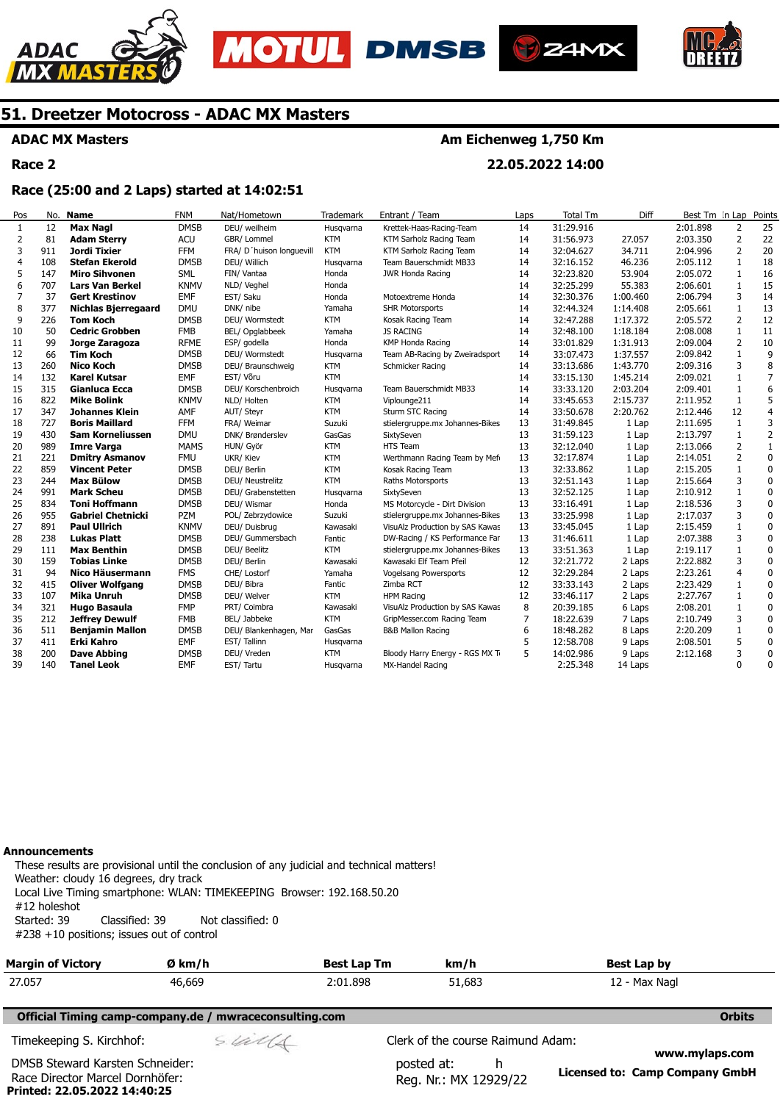







**ADAC MX Masters** 

**Race 2** 

### **Am Eichenweg 1,750 Km**

**22.05.2022 14:00** 

### **Race (25:00 and 2 Laps) started at 14:02:51**

| Pos            | No. | <b>Name</b>                | <b>FNM</b>  | Nat/Hometown             | <b>Trademark</b> | Entrant / Team                  | Laps | <b>Total Tm</b> | Diff     | Best Tm In Lap |                | Points         |
|----------------|-----|----------------------------|-------------|--------------------------|------------------|---------------------------------|------|-----------------|----------|----------------|----------------|----------------|
| 1              | 12  | <b>Max Nagl</b>            | <b>DMSB</b> | DEU/ weilheim            | Husgvarna        | Krettek-Haas-Racing-Team        | 14   | 31:29.916       |          | 2:01.898       | $\overline{2}$ | 25             |
| 2              | 81  | <b>Adam Sterry</b>         | <b>ACU</b>  | GBR/ Lommel              | <b>KTM</b>       | KTM Sarholz Racing Team         | 14   | 31:56.973       | 27.057   | 2:03.350       | 2              | 22             |
| 3              | 911 | Jordi Tixier               | <b>FFM</b>  | FRA/ D'huison longuevill | <b>KTM</b>       | KTM Sarholz Racing Team         | 14   | 32:04.627       | 34.711   | 2:04.996       | $\overline{2}$ | 20             |
| $\overline{4}$ | 108 | <b>Stefan Ekerold</b>      | <b>DMSB</b> | DEU/ Willich             | Husqvarna        | Team Bauerschmidt MB33          | 14   | 32:16.152       | 46.236   | 2:05.112       | $\mathbf{1}$   | 18             |
| 5              | 147 | <b>Miro Sihvonen</b>       | <b>SML</b>  | FIN/ Vantaa              | Honda            | JWR Honda Racing                | 14   | 32:23.820       | 53.904   | 2:05.072       | 1              | 16             |
| 6              | 707 | <b>Lars Van Berkel</b>     | <b>KNMV</b> | NLD/ Veghel              | Honda            |                                 | 14   | 32:25.299       | 55.383   | 2:06.601       | 1              | 15             |
| 7              | 37  | <b>Gert Krestinov</b>      | <b>EMF</b>  | EST/ Saku                | Honda            | Motoextreme Honda               | 14   | 32:30.376       | 1:00.460 | 2:06.794       | 3              | 14             |
| 8              | 377 | <b>Nichlas Bjerregaard</b> | <b>DMU</b>  | DNK/ nibe                | Yamaha           | <b>SHR Motorsports</b>          | 14   | 32:44.324       | 1:14.408 | 2:05.661       | 1              | 13             |
| 9              | 226 | Tom Koch                   | <b>DMSB</b> | DEU/ Wormstedt           | <b>KTM</b>       | Kosak Racing Team               | 14   | 32:47.288       | 1:17.372 | 2:05.572       | $\overline{2}$ | 12             |
| 10             | 50  | <b>Cedric Grobben</b>      | <b>FMB</b>  | BEL/ Opglabbeek          | Yamaha           | <b>JS RACING</b>                | 14   | 32:48.100       | 1:18.184 | 2:08.008       | $\mathbf{1}$   | 11             |
| 11             | 99  | Jorge Zaragoza             | <b>RFME</b> | ESP/ godella             | Honda            | KMP Honda Racing                | 14   | 33:01.829       | 1:31.913 | 2:09.004       | $\overline{2}$ | 10             |
| 12             | 66  | <b>Tim Koch</b>            | <b>DMSB</b> | DEU/ Wormstedt           | Husqvarna        | Team AB-Racing by Zweiradsport  | 14   | 33:07.473       | 1:37.557 | 2:09.842       | $\mathbf{1}$   | 9              |
| 13             | 260 | <b>Nico Koch</b>           | <b>DMSB</b> | DEU/ Braunschweig        | <b>KTM</b>       | Schmicker Racing                | 14   | 33:13.686       | 1:43.770 | 2:09.316       | 3              | 8              |
| 14             | 132 | <b>Karel Kutsar</b>        | <b>EMF</b>  | EST/ Võru                | <b>KTM</b>       |                                 | 14   | 33:15.130       | 1:45.214 | 2:09.021       | $\mathbf{1}$   | $\overline{7}$ |
| 15             | 315 | Gianluca Ecca              | <b>DMSB</b> | DEU/ Korschenbroich      | Husqvarna        | Team Bauerschmidt MB33          | 14   | 33:33.120       | 2:03.204 | 2:09.401       | $\mathbf{1}$   | 6              |
| 16             | 822 | <b>Mike Bolink</b>         | <b>KNMV</b> | NLD/ Holten              | <b>KTM</b>       | Viplounge211                    | 14   | 33:45.653       | 2:15.737 | 2:11.952       | 1              | 5              |
| 17             | 347 | <b>Johannes Klein</b>      | AMF         | AUT/ Steyr               | <b>KTM</b>       | Sturm STC Racing                | 14   | 33:50.678       | 2:20.762 | 2:12.446       | 12             | $\overline{4}$ |
| 18             | 727 | <b>Boris Maillard</b>      | <b>FFM</b>  | FRA/ Weimar              | Suzuki           | stielergruppe.mx Johannes-Bikes | 13   | 31:49.845       | 1 Lap    | 2:11.695       | 1              | 3              |
| 19             | 430 | Sam Korneliussen           | <b>DMU</b>  | DNK/ Brønderslev         | GasGas           | SixtySeven                      | 13   | 31:59.123       | 1 Lap    | 2:13.797       | $\mathbf{1}$   | $\overline{2}$ |
| 20             | 989 | <b>Imre Varga</b>          | <b>MAMS</b> | HUN/ Györ                | <b>KTM</b>       | <b>HTS Team</b>                 | 13   | 32:12.040       | 1 Lap    | 2:13.066       | 2              | $\mathbf{1}$   |
| 21             | 221 | <b>Dmitry Asmanov</b>      | <b>FMU</b>  | UKR/ Kiev                | <b>KTM</b>       | Werthmann Racing Team by Mefi   | 13   | 32:17.874       | 1 Lap    | 2:14.051       | $\overline{2}$ | $\mathbf 0$    |
| 22             | 859 | <b>Vincent Peter</b>       | <b>DMSB</b> | DEU/ Berlin              | <b>KTM</b>       | Kosak Racing Team               | 13   | 32:33.862       | 1 Lap    | 2:15.205       | $\mathbf{1}$   | $\mathbf 0$    |
| 23             | 244 | <b>Max Bülow</b>           | <b>DMSB</b> | DEU/ Neustrelitz         | <b>KTM</b>       | Raths Motorsports               | 13   | 32:51.143       | 1 Lap    | 2:15.664       | 3              | $\mathbf 0$    |
| 24             | 991 | <b>Mark Scheu</b>          | <b>DMSB</b> | DEU/ Grabenstetten       | Husgvarna        | SixtySeven                      | 13   | 32:52.125       | 1 Lap    | 2:10.912       | 1              | $\mathbf 0$    |
| 25             | 834 | <b>Toni Hoffmann</b>       | <b>DMSB</b> | DEU/ Wismar              | Honda            | MS Motorcycle - Dirt Division   | 13   | 33:16.491       | 1 Lap    | 2:18.536       | 3              | 0              |
| 26             | 955 | <b>Gabriel Chetnicki</b>   | <b>PZM</b>  | POL/ Zebrzydowice        | Suzuki           | stielergruppe.mx Johannes-Bikes | 13   | 33:25.998       | 1 Lap    | 2:17.037       | 3              | $\mathbf 0$    |
| 27             | 891 | <b>Paul Ullrich</b>        | <b>KNMV</b> | DEU/ Duisbrug            | Kawasaki         | VisuAlz Production by SAS Kawas | 13   | 33:45.045       | 1 Lap    | 2:15.459       | $\mathbf{1}$   | 0              |
| 28             | 238 | <b>Lukas Platt</b>         | <b>DMSB</b> | DEU/ Gummersbach         | Fantic           | DW-Racing / KS Performance Far  | 13   | 31:46.611       | 1 Lap    | 2:07.388       | 3              | 0              |
| 29             | 111 | <b>Max Benthin</b>         | <b>DMSB</b> | DEU/ Beelitz             | <b>KTM</b>       | stielergruppe.mx Johannes-Bikes | 13   | 33:51.363       | 1 Lap    | 2:19.117       | $\mathbf{1}$   | $\pmb{0}$      |
| 30             | 159 | Tobias Linke               | <b>DMSB</b> | DEU/ Berlin              | Kawasaki         | Kawasaki Elf Team Pfeil         | 12   | 32:21.772       | 2 Laps   | 2:22.882       | 3              | $\mathbf 0$    |
| 31             | 94  | Nico Häusermann            | <b>FMS</b>  | CHE/ Lostorf             | Yamaha           | Vogelsang Powersports           | 12   | 32:29.284       | 2 Laps   | 2:23.261       | $\overline{4}$ | $\mathbf 0$    |
| 32             | 415 | <b>Oliver Wolfgang</b>     | <b>DMSB</b> | DEU/ Bibra               | Fantic           | Zimba RCT                       | 12   | 33:33.143       | 2 Laps   | 2:23.429       | 1              | $\pmb{0}$      |
| 33             | 107 | <b>Mika Unruh</b>          | <b>DMSB</b> | DEU/ Welver              | <b>KTM</b>       | <b>HPM Racing</b>               | 12   | 33:46.117       | 2 Laps   | 2:27.767       | 1              | $\pmb{0}$      |
| 34             | 321 | <b>Hugo Basaula</b>        | <b>FMP</b>  | PRT/ Coimbra             | Kawasaki         | VisuAlz Production by SAS Kawas | 8    | 20:39.185       | 6 Laps   | 2:08.201       | $\mathbf{1}$   | $\mathbf 0$    |
| 35             | 212 | <b>Jeffrey Dewulf</b>      | <b>FMB</b>  | BEL/ Jabbeke             | <b>KTM</b>       | GripMesser.com Racing Team      | 7    | 18:22.639       | 7 Laps   | 2:10.749       | 3              | 0              |
| 36             | 511 | <b>Benjamin Mallon</b>     | <b>DMSB</b> | DEU/ Blankenhagen, Mar   | GasGas           | <b>B&amp;B Mallon Racing</b>    | 6    | 18:48.282       | 8 Laps   | 2:20.209       | $\mathbf{1}$   | $\pmb{0}$      |
| 37             | 411 | Erki Kahro                 | <b>EMF</b>  | EST/Tallinn              | Husqvarna        |                                 | 5    | 12:58.708       | 9 Laps   | 2:08.501       | 5              | $\pmb{0}$      |
| 38             | 200 | <b>Dave Abbing</b>         | <b>DMSB</b> | DEU/ Vreden              | <b>KTM</b>       | Bloody Harry Energy - RGS MX Ti | 5    | 14:02.986       | 9 Laps   | 2:12.168       | 3              | $\pmb{0}$      |
| 39             | 140 | <b>Tanel Leok</b>          | <b>EMF</b>  | EST/Tartu                | Husqvarna        | MX-Handel Racing                |      | 2:25.348        | 14 Laps  |                | 0              | 0              |

#### **Announcements**

These results are provisional until the conclusion of any judicial and technical matters! Weather: cloudy 16 degrees, dry track Local Live Timing smartphone: WLAN: TIMEKEEPING Browser: 192.168.50.20 #12 holeshot Started: 39 Classified: 39 Not classified: 0 #238 +10 positions; issues out of control

| <b>Margin of Victory</b>        | Ø km/h                                                 | <b>Best Lap Tm</b> | km/h                              |     | Best Lap by             |
|---------------------------------|--------------------------------------------------------|--------------------|-----------------------------------|-----|-------------------------|
| 27.057                          | 46,669                                                 | 2:01.898           | 51,683                            |     | 12 - Max Nagl           |
|                                 | Official Timing camp-company.de / mwraceconsulting.com |                    |                                   |     | <b>Orbits</b>           |
| Timekeeping S. Kirchhof:        | sulls                                                  |                    | Clerk of the course Raimund Adam: |     |                         |
| DMSB Steward Karsten Schneider: |                                                        |                    | posted at:                        | . . | www.mylaps.com<br>- - - |

**Printed: 22.05.2022 14:40:25**  Race Director Marcel Dornhöfer:

Reg. Nr.: MX 12929/22

**Licensed to: Camp Company GmbH**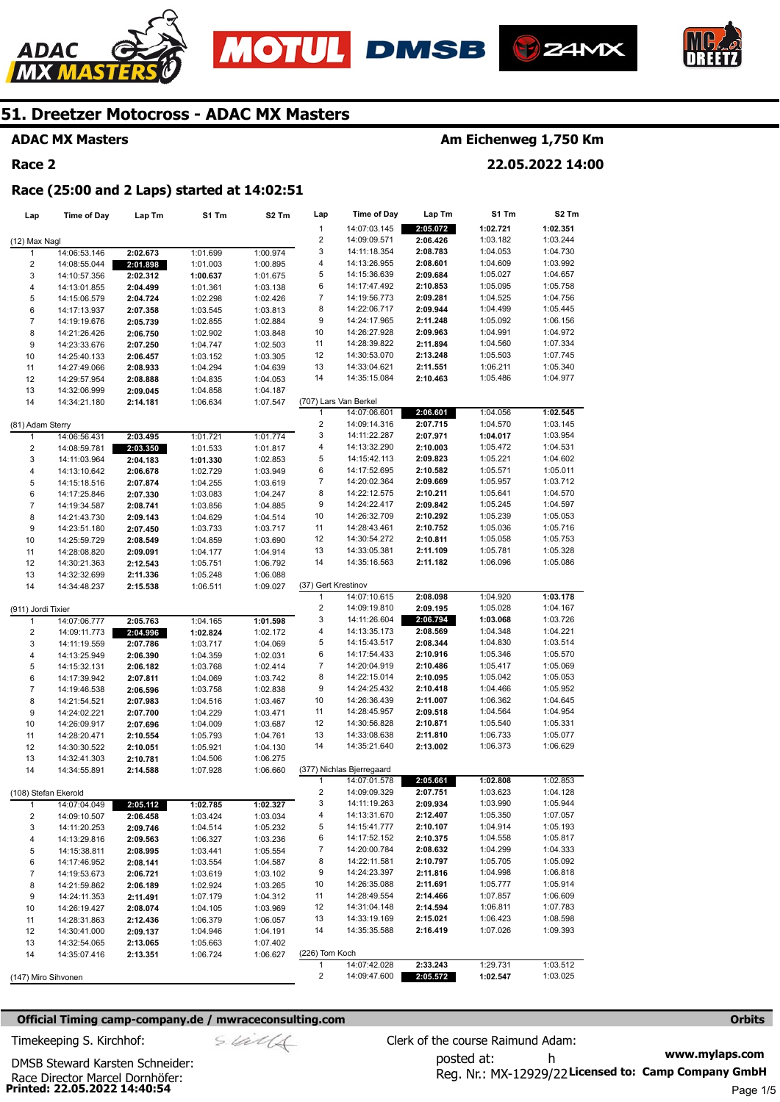







### **ADAC MX Masters**

### **Race 2**

### **Am Eichenweg 1,750 Km**

**22.05.2022 14:00** 

#### **Race (25:00 and 2 Laps) started at 14:02:51**

| Lap                     | <b>Time of Day</b> | Lap Tm   | S1 Tm    | S2 Tm    | Lap                     | Time of Day               | Lap Tm   | S1 Tm    | S2 Tm    |
|-------------------------|--------------------|----------|----------|----------|-------------------------|---------------------------|----------|----------|----------|
|                         |                    |          |          |          | $\mathbf{1}$            | 14:07:03.145              | 2:05.072 | 1:02.721 | 1:02.351 |
|                         |                    |          |          |          | $\overline{\mathbf{c}}$ | 14:09:09.571              | 2:06.426 | 1:03.182 | 1:03.244 |
| (12) Max Nagl           |                    |          |          |          |                         |                           |          |          |          |
| 1                       | 14:06:53.146       | 2:02.673 | 1:01.699 | 1:00.974 | 3                       | 14:11:18.354              | 2:08.783 | 1:04.053 | 1:04.730 |
| $\overline{2}$          | 14:08:55.044       | 2:01.898 | 1:01.003 | 1:00.895 | 4                       | 14:13:26.955              | 2:08.601 | 1:04.609 | 1:03.992 |
| 3                       | 14:10:57.356       | 2:02.312 | 1:00.637 | 1:01.675 | 5                       | 14:15:36.639              | 2:09.684 | 1:05.027 | 1:04.657 |
| $\pmb{4}$               | 14:13:01.855       | 2:04.499 | 1:01.361 | 1:03.138 | 6                       | 14:17:47.492              | 2:10.853 | 1:05.095 | 1:05.758 |
| 5                       | 14:15:06.579       | 2:04.724 | 1:02.298 | 1:02.426 | 7                       | 14:19:56.773              | 2:09.281 | 1:04.525 | 1:04.756 |
| 6                       | 14:17:13.937       | 2:07.358 | 1:03.545 | 1:03.813 | 8                       | 14:22:06.717              | 2:09.944 | 1:04.499 | 1:05.445 |
|                         |                    |          |          |          |                         |                           |          |          |          |
| $\overline{7}$          | 14:19:19.676       | 2:05.739 | 1:02.855 | 1:02.884 | 9                       | 14:24:17.965              | 2:11.248 | 1:05.092 | 1:06.156 |
| 8                       | 14:21:26.426       | 2:06.750 | 1:02.902 | 1:03.848 | 10                      | 14:26:27.928              | 2:09.963 | 1:04.991 | 1:04.972 |
| 9                       | 14:23:33.676       | 2:07.250 | 1:04.747 | 1:02.503 | 11                      | 14:28:39.822              | 2:11.894 | 1:04.560 | 1:07.334 |
| 10                      | 14:25:40.133       | 2:06.457 | 1:03.152 | 1:03.305 | 12                      | 14:30:53.070              | 2:13.248 | 1:05.503 | 1:07.745 |
| 11                      | 14:27:49.066       | 2:08.933 | 1:04.294 | 1:04.639 | 13                      | 14:33:04.621              | 2:11.551 | 1:06.211 | 1:05.340 |
| 12                      | 14:29:57.954       | 2:08.888 | 1:04.835 | 1:04.053 | 14                      | 14:35:15.084              | 2:10.463 | 1:05.486 | 1:04.977 |
|                         |                    |          |          |          |                         |                           |          |          |          |
| 13                      | 14:32:06.999       | 2:09.045 | 1:04.858 | 1:04.187 |                         |                           |          |          |          |
| 14                      | 14:34:21.180       | 2:14.181 | 1:06.634 | 1:07.547 |                         | (707) Lars Van Berkel     |          |          |          |
|                         |                    |          |          |          | 1                       | 14:07:06.601              | 2:06.601 | 1:04.056 | 1:02.545 |
| (81) Adam Sterry        |                    |          |          |          | 2                       | 14:09:14.316              | 2:07.715 | 1:04.570 | 1:03.145 |
| $\mathbf{1}$            | 14:06:56.431       | 2:03.495 | 1:01.721 | 1:01.774 | 3                       | 14:11:22.287              | 2:07.971 | 1:04.017 | 1:03.954 |
| $\overline{\mathbf{c}}$ | 14:08:59.781       | 2:03.350 | 1:01.533 | 1:01.817 | 4                       | 14:13:32.290              | 2:10.003 | 1:05.472 | 1:04.531 |
|                         |                    |          |          |          |                         |                           |          |          |          |
| 3                       | 14:11:03.964       | 2:04.183 | 1:01.330 | 1:02.853 | 5                       | 14:15:42.113              | 2:09.823 | 1:05.221 | 1:04.602 |
| 4                       | 14:13:10.642       | 2:06.678 | 1:02.729 | 1:03.949 | 6                       | 14:17:52.695              | 2:10.582 | 1:05.571 | 1:05.011 |
| 5                       | 14:15:18.516       | 2:07.874 | 1:04.255 | 1:03.619 | 7                       | 14:20:02.364              | 2:09.669 | 1:05.957 | 1:03.712 |
| 6                       | 14:17:25.846       | 2:07.330 | 1:03.083 | 1:04.247 | 8                       | 14:22:12.575              | 2:10.211 | 1:05.641 | 1:04.570 |
| $\overline{7}$          | 14:19:34.587       | 2:08.741 | 1:03.856 | 1:04.885 | 9                       | 14:24:22.417              | 2:09.842 | 1:05.245 | 1:04.597 |
| 8                       | 14:21:43.730       |          | 1:04.629 | 1:04.514 | 10                      | 14:26:32.709              | 2:10.292 | 1:05.239 | 1:05.053 |
|                         |                    | 2:09.143 |          |          |                         |                           |          |          |          |
| 9                       | 14:23:51.180       | 2:07.450 | 1:03.733 | 1:03.717 | 11                      | 14:28:43.461              | 2:10.752 | 1:05.036 | 1:05.716 |
| 10                      | 14:25:59.729       | 2:08.549 | 1:04.859 | 1:03.690 | 12                      | 14:30:54.272              | 2:10.811 | 1:05.058 | 1:05.753 |
| 11                      | 14:28:08.820       | 2:09.091 | 1:04.177 | 1:04.914 | 13                      | 14:33:05.381              | 2:11.109 | 1:05.781 | 1:05.328 |
| 12                      | 14:30:21.363       | 2:12.543 | 1:05.751 | 1:06.792 | 14                      | 14:35:16.563              | 2:11.182 | 1:06.096 | 1:05.086 |
| 13                      | 14:32:32.699       | 2:11.336 | 1:05.248 | 1:06.088 |                         |                           |          |          |          |
| 14                      |                    |          |          | 1:09.027 | (37) Gert Krestinov     |                           |          |          |          |
|                         | 14:34:48.237       | 2:15.538 | 1:06.511 |          |                         |                           |          |          |          |
|                         |                    |          |          |          | 1                       | 14:07:10.615              | 2:08.098 | 1:04.920 | 1:03.178 |
| (911) Jordi Tixier      |                    |          |          |          | $\overline{c}$          | 14:09:19.810              | 2:09.195 | 1:05.028 | 1:04.167 |
| 1                       | 14:07:06.777       | 2:05.763 | 1:04.165 | 1:01.598 | 3                       | 14:11:26.604              | 2:06.794 | 1:03.068 | 1:03.726 |
| $\overline{\mathbf{c}}$ | 14:09:11.773       | 2:04.996 | 1:02.824 | 1:02.172 | 4                       | 14:13:35.173              | 2:08.569 | 1:04.348 | 1:04.221 |
| 3                       | 14:11:19.559       | 2:07.786 | 1:03.717 | 1:04.069 | 5                       | 14:15:43.517              | 2:08.344 | 1:04.830 | 1:03.514 |
| 4                       | 14:13:25.949       | 2:06.390 | 1:04.359 | 1:02.031 | 6                       | 14:17:54.433              | 2:10.916 | 1:05.346 | 1:05.570 |
|                         |                    |          |          |          |                         |                           |          |          |          |
| 5                       | 14:15:32.131       | 2:06.182 | 1:03.768 | 1:02.414 | 7                       | 14:20:04.919              | 2:10.486 | 1:05.417 | 1:05.069 |
| 6                       | 14:17:39.942       | 2:07.811 | 1:04.069 | 1:03.742 | 8                       | 14:22:15.014              | 2:10.095 | 1:05.042 | 1:05.053 |
| $\boldsymbol{7}$        | 14:19:46.538       | 2:06.596 | 1:03.758 | 1:02.838 | 9                       | 14:24:25.432              | 2:10.418 | 1:04.466 | 1:05.952 |
| 8                       | 14:21:54.521       | 2:07.983 | 1:04.516 | 1:03.467 | 10                      | 14:26:36.439              | 2:11.007 | 1:06.362 | 1:04.645 |
| 9                       | 14:24:02.221       | 2:07.700 | 1:04.229 | 1:03.471 | 11                      | 14:28:45.957              | 2:09.518 | 1:04.564 | 1:04.954 |
| 10                      | 14:26:09.917       |          | 1:04.009 | 1:03.687 | 12                      | 14:30:56.828              | 2:10.871 | 1:05.540 | 1:05.331 |
|                         |                    | 2:07.696 |          |          |                         |                           |          |          |          |
| 11                      | 14:28:20.471       | 2:10.554 | 1:05.793 | 1:04.761 | 13                      | 14:33:08.638              | 2:11.810 | 1:06.733 | 1:05.077 |
| 12                      | 14:30:30.522       | 2:10.051 | 1:05.921 | 1:04.130 | 14                      | 14:35:21.640              | 2:13.002 | 1:06.373 | 1:06.629 |
| 13                      | 14:32:41.303       | 2:10.781 | 1:04.506 | 1:06.275 |                         |                           |          |          |          |
| 14                      | 14:34:55.891       | 2:14.588 | 1:07.928 | 1:06.660 |                         | (377) Nichlas Bjerregaard |          |          |          |
|                         |                    |          |          |          | 1                       | 14:07:01.578              | 2:05.661 | 1:02.808 | 1:02.853 |
| (108) Stefan Ekerold    |                    |          |          |          | $\overline{c}$          | 14:09:09.329              | 2:07.751 | 1:03.623 | 1:04.128 |
|                         |                    |          |          |          |                         |                           | 2:09.934 |          |          |
| $\mathbf{1}$            | 14:07:04.049       | 2:05.112 | 1:02.785 | 1:02.327 | 3                       | 14:11:19.263              |          | 1:03.990 | 1:05.944 |
| $\sqrt{2}$              | 14:09:10.507       | 2:06.458 | 1:03.424 | 1:03.034 | 4                       | 14:13:31.670              | 2:12.407 | 1:05.350 | 1:07.057 |
| 3                       | 14:11:20.253       | 2:09.746 | 1:04.514 | 1:05.232 | 5                       | 14:15:41.777              | 2:10.107 | 1:04.914 | 1:05.193 |
| 4                       | 14:13:29.816       | 2:09.563 | 1:06.327 | 1:03.236 | 6                       | 14:17:52.152              | 2:10.375 | 1:04.558 | 1:05.817 |
| 5                       | 14:15:38.811       | 2:08.995 | 1:03.441 | 1:05.554 | 7                       | 14:20:00.784              | 2:08.632 | 1:04.299 | 1:04.333 |
|                         |                    |          |          |          | 8                       | 14:22:11.581              | 2:10.797 | 1:05.705 | 1:05.092 |
| 6                       | 14:17:46.952       | 2:08.141 | 1:03.554 | 1:04.587 |                         |                           |          |          |          |
| $\boldsymbol{7}$        | 14:19:53.673       | 2:06.721 | 1:03.619 | 1:03.102 | 9                       | 14:24:23.397              | 2:11.816 | 1:04.998 | 1:06.818 |
| 8                       | 14:21:59.862       | 2:06.189 | 1:02.924 | 1:03.265 | 10                      | 14:26:35.088              | 2:11.691 | 1:05.777 | 1:05.914 |
| 9                       | 14:24:11.353       | 2:11.491 | 1:07.179 | 1:04.312 | 11                      | 14:28:49.554              | 2:14.466 | 1:07.857 | 1:06.609 |
| 10                      | 14:26:19.427       | 2:08.074 | 1:04.105 | 1:03.969 | 12                      | 14:31:04.148              | 2:14.594 | 1:06.811 | 1:07.783 |
| 11                      |                    | 2:12.436 | 1:06.379 | 1:06.057 | 13                      | 14:33:19.169              | 2:15.021 | 1:06.423 | 1:08.598 |
|                         | 14:28:31.863       |          |          |          |                         |                           |          |          |          |
| 12                      | 14:30:41.000       | 2:09.137 | 1:04.946 | 1:04.191 | 14                      | 14:35:35.588              | 2:16.419 | 1:07.026 | 1:09.393 |
| 13                      | 14:32:54.065       | 2:13.065 | 1:05.663 | 1:07.402 |                         |                           |          |          |          |
| 14                      | 14:35:07.416       | 2:13.351 | 1:06.724 | 1:06.627 | (226) Tom Koch          |                           |          |          |          |
|                         |                    |          |          |          | 1                       | 14:07:42.028              | 2:33.243 | 1:29.731 | 1:03.512 |
| (147) Miro Sihvonen     |                    |          |          |          | 2                       | 14:09:47.600              | 2:05.572 | 1:02.547 | 1:03.025 |
|                         |                    |          |          |          |                         |                           |          |          |          |

#### **Official Timing camp-company.de / mwraceconsulting.com <b>Orbits and Company.de Company** orbits **Orbits Orbits**

**www.mylaps.com**  Reg. Nr.: MX-12929/22 Licensed to: Camp Company GmbH posted at: h Timekeeping S. Kirchhof:  $\le \frac{1}{2}$  Clerk of the course Raimund Adam:

**Printed: 22.05.2022 14:40:54**  Race Director Marcel Dornhöfer: DMSB Steward Karsten Schneider: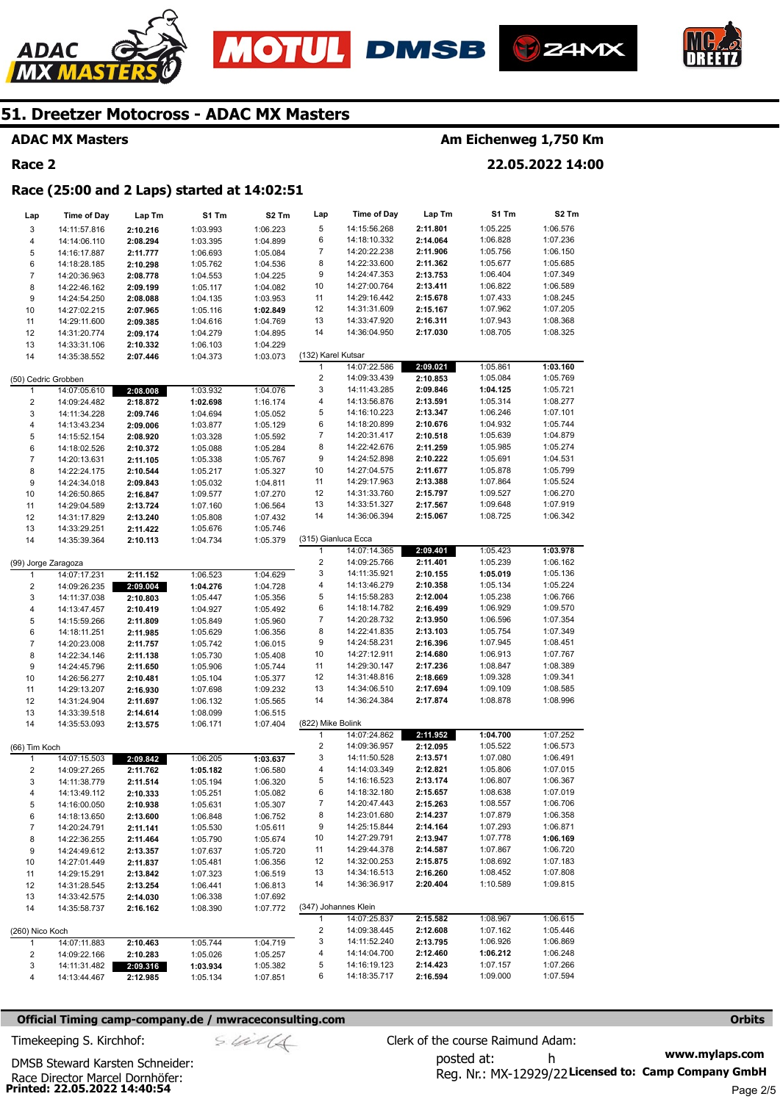







### **ADAC MX Masters**

### **Race 2**

### **Am Eichenweg 1,750 Km**

**22.05.2022 14:00** 

### **Race (25:00 and 2 Laps) started at 14:02:51**

| Lap                     | <b>Time of Day</b>           | Lap Tm               | S1 Tm                | S2 Tm                | Lap                     | <b>Time of Day</b>           | Lap Tm               | S1 Tm                | S2 Tm                |
|-------------------------|------------------------------|----------------------|----------------------|----------------------|-------------------------|------------------------------|----------------------|----------------------|----------------------|
| 3                       | 14:11:57.816                 | 2:10.216             | 1:03.993             | 1:06.223             | 5                       | 14:15:56.268                 | 2:11.801             | 1:05.225             | 1:06.576             |
| 4                       | 14:14:06.110                 | 2:08.294             | 1:03.395             | 1:04.899             | 6                       | 14:18:10.332                 | 2:14.064             | 1:06.828             | 1:07.236             |
| 5                       | 14:16:17.887                 | 2:11.777             | 1:06.693             | 1:05.084             | 7                       | 14:20:22.238                 | 2:11.906             | 1:05.756             | 1:06.150             |
| 6                       | 14:18:28.185                 | 2:10.298             | 1:05.762             | 1:04.536             | 8                       | 14:22:33.600                 | 2:11.362             | 1:05.677             | 1:05.685             |
| $\overline{7}$          | 14:20:36.963                 | 2:08.778             | 1:04.553             | 1:04.225             | 9                       | 14:24:47.353                 | 2:13.753             | 1:06.404             | 1:07.349             |
| 8                       | 14:22:46.162                 | 2:09.199             | 1:05.117             | 1:04.082             | 10                      | 14:27:00.764                 | 2:13.411             | 1:06.822             | 1:06.589             |
| 9                       | 14:24:54.250                 | 2:08.088             | 1:04.135             | 1:03.953             | 11                      | 14:29:16.442                 | 2:15.678             | 1:07.433             | 1:08.245             |
| 10                      | 14:27:02.215                 | 2:07.965             | 1:05.116             | 1:02.849             | 12                      | 14:31:31.609                 | 2:15.167             | 1:07.962             | 1:07.205             |
| 11                      | 14:29:11.600                 | 2:09.385             | 1:04.616             | 1:04.769             | 13                      | 14:33:47.920                 | 2:16.311             | 1:07.943             | 1:08.368             |
| 12                      | 14:31:20.774                 | 2:09.174             | 1:04.279             | 1:04.895             | 14                      | 14:36:04.950                 | 2:17.030             | 1:08.705             | 1:08.325             |
| 13                      | 14:33:31.106                 | 2:10.332             | 1:06.103             | 1:04.229             |                         |                              |                      |                      |                      |
| 14                      | 14:35:38.552                 | 2:07.446             | 1:04.373             | 1:03.073             | (132) Karel Kutsar      |                              |                      |                      |                      |
|                         |                              |                      |                      |                      | $\mathbf{1}$            | 14:07:22.586                 | 2:09.021             | 1:05.861             | 1:03.160             |
|                         | (50) Cedric Grobben          |                      |                      |                      | $\overline{c}$          | 14:09:33.439                 | 2:10.853             | 1:05.084             | 1:05.769             |
| 1                       | 14:07:05.610                 | 2:08.008             | 1:03.932             | 1:04.076             | 3                       | 14:11:43.285                 | 2:09.846             | 1:04.125             | 1:05.721             |
| 2                       | 14:09:24.482                 | 2:18.872             | 1:02.698             | 1:16.174             | 4                       | 14:13:56.876                 | 2:13.591             | 1:05.314             | 1:08.277             |
| 3                       | 14:11:34.228                 | 2:09.746             | 1:04.694             | 1:05.052             | 5                       | 14:16:10.223                 | 2:13.347             | 1:06.246             | 1:07.101             |
| 4                       | 14:13:43.234                 | 2:09.006             | 1:03.877             | 1:05.129             | 6                       | 14:18:20.899                 | 2:10.676             | 1:04.932             | 1:05.744             |
| 5                       | 14:15:52.154                 | 2:08.920             | 1:03.328             | 1:05.592             | 7                       | 14:20:31.417                 | 2:10.518             | 1:05.639             | 1:04.879             |
| 6                       | 14:18:02.526                 | 2:10.372             | 1:05.088             | 1:05.284             | 8                       | 14:22:42.676                 | 2:11.259             | 1:05.985             | 1:05.274             |
| 7                       | 14:20:13.631                 | 2:11.105             | 1:05.338             | 1:05.767             | 9                       | 14:24:52.898                 | 2:10.222             | 1:05.691             | 1:04.531             |
| 8                       | 14:22:24.175                 | 2:10.544             | 1:05.217             | 1:05.327             | 10                      | 14:27:04.575                 | 2:11.677             | 1:05.878             | 1:05.799             |
| 9                       | 14:24:34.018                 | 2:09.843             | 1:05.032             | 1:04.811             | 11                      | 14:29:17.963                 | 2:13.388             | 1:07.864             | 1:05.524             |
| 10                      | 14:26:50.865                 | 2:16.847             | 1:09.577             | 1:07.270             | 12                      | 14:31:33.760                 | 2:15.797             | 1:09.527             | 1:06.270             |
| 11                      | 14:29:04.589                 | 2:13.724             | 1:07.160             | 1:06.564             | 13                      | 14:33:51.327                 | 2:17.567             | 1:09.648             | 1:07.919             |
| 12                      | 14:31:17.829                 | 2:13.240             | 1:05.808             | 1:07.432             | 14                      | 14:36:06.394                 | 2:15.067             | 1:08.725             | 1:06.342             |
| 13                      | 14:33:29.251                 | 2:11.422             | 1:05.676             | 1:05.746             |                         |                              |                      |                      |                      |
| 14                      | 14:35:39.364                 | 2:10.113             | 1:04.734             | 1:05.379             | (315) Gianluca Ecca     |                              |                      |                      |                      |
|                         |                              |                      |                      |                      | $\mathbf{1}$            | 14:07:14.365                 | 2:09.401             | 1:05.423             | 1:03.978             |
| (99) Jorge Zaragoza     |                              |                      |                      |                      | $\overline{\mathbf{c}}$ | 14:09:25.766                 | 2:11.401             | 1:05.239             | 1:06.162             |
| 1                       | 14:07:17.231                 | 2:11.152             | 1:06.523             | 1:04.629             | 3                       | 14:11:35.921                 | 2:10.155             | 1:05.019             | 1:05.136             |
| 2                       | 14:09:26.235                 | 2:09.004             | 1:04.276             | 1:04.728             | 4                       | 14:13:46.279                 | 2:10.358             | 1:05.134             | 1:05.224             |
| 3                       | 14:11:37.038                 | 2:10.803             | 1:05.447             | 1:05.356             | 5                       | 14:15:58.283                 | 2:12.004             | 1:05.238             | 1:06.766             |
| 4                       | 14:13:47.457                 | 2:10.419             | 1:04.927             | 1:05.492             | 6                       | 14:18:14.782                 | 2:16.499             | 1:06.929             | 1:09.570             |
| 5                       | 14:15:59.266                 | 2:11.809             | 1:05.849             | 1:05.960             | 7                       | 14:20:28.732                 | 2:13.950             | 1:06.596             | 1:07.354             |
| 6                       | 14:18:11.251                 | 2:11.985             | 1:05.629             | 1:06.356             | 8                       | 14:22:41.835                 | 2:13.103             | 1:05.754             | 1:07.349             |
| $\overline{7}$          | 14:20:23.008                 | 2:11.757             | 1:05.742             | 1:06.015             | 9<br>10                 | 14:24:58.231<br>14:27:12.911 | 2:16.396             | 1:07.945<br>1:06.913 | 1:08.451<br>1:07.767 |
| 8                       | 14:22:34.146                 | 2:11.138             | 1:05.730             | 1:05.408             | 11                      | 14:29:30.147                 | 2:14.680<br>2:17.236 | 1:08.847             | 1:08.389             |
| 9                       | 14:24:45.796                 | 2:11.650             | 1:05.906             | 1:05.744             | 12                      | 14:31:48.816                 | 2:18.669             | 1:09.328             | 1:09.341             |
| 10                      | 14:26:56.277                 | 2:10.481             | 1:05.104             | 1:05.377             | 13                      | 14:34:06.510                 | 2:17.694             | 1:09.109             | 1:08.585             |
| 11<br>12                | 14:29:13.207<br>14:31:24.904 | 2:16.930             | 1:07.698<br>1:06.132 | 1:09.232<br>1:05.565 | 14                      | 14:36:24.384                 | 2:17.874             | 1:08.878             | 1:08.996             |
| 13                      | 14:33:39.518                 | 2:11.697<br>2:14.614 | 1:08.099             | 1:06.515             |                         |                              |                      |                      |                      |
| 14                      | 14:35:53.093                 | 2:13.575             | 1:06.171             | 1:07.404             | (822) Mike Bolink       |                              |                      |                      |                      |
|                         |                              |                      |                      |                      | 1                       | 14:07:24.862                 | 2:11.952             | 1:04.700             | 1:07.252             |
| (66) Tim Koch           |                              |                      |                      |                      | $\overline{c}$          | 14:09:36.957                 | 2:12.095             | 1:05.522             | 1:06.573             |
| $\mathbf{1}$            | 14:07:15.503                 | 2:09.842             | 1:06.205             | 1:03.637             | 3                       | 14:11:50.528                 | 2:13.571             | 1:07.080             | 1:06.491             |
| $\overline{\mathbf{c}}$ | 14:09:27.265                 | 2:11.762             | 1:05.182             | 1:06.580             | 4                       | 14:14:03.349                 | 2:12.821             | 1:05.806             | 1:07.015             |
| 3                       | 14:11:38.779                 | 2:11.514             | 1:05.194             | 1:06.320             | 5                       | 14:16:16.523                 | 2:13.174             | 1:06.807             | 1:06.367             |
| 4                       | 14:13:49.112                 | 2:10.333             | 1:05.251             | 1:05.082             | 6                       | 14:18:32.180                 | 2:15.657             | 1:08.638             | 1:07.019             |
| 5                       | 14:16:00.050                 | 2:10.938             | 1:05.631             | 1:05.307             | $\overline{7}$          | 14:20:47.443                 | 2:15.263             | 1:08.557             | 1:06.706             |
| 6                       | 14:18:13.650                 | 2:13.600             | 1:06.848             | 1:06.752             | 8                       | 14:23:01.680                 | 2:14.237             | 1:07.879             | 1:06.358             |
| 7                       | 14:20:24.791                 | 2:11.141             | 1:05.530             | 1:05.611             | 9                       | 14:25:15.844                 | 2:14.164             | 1:07.293             | 1:06.871             |
| 8                       | 14:22:36.255                 | 2:11.464             | 1:05.790             | 1:05.674             | 10                      | 14:27:29.791                 | 2:13.947             | 1:07.778             | 1:06.169             |
| 9                       | 14:24:49.612                 | 2:13.357             | 1:07.637             | 1:05.720             | 11                      | 14:29:44.378                 | 2:14.587             | 1:07.867             | 1:06.720             |
| 10                      | 14:27:01.449                 | 2:11.837             | 1:05.481             | 1:06.356             | 12                      | 14:32:00.253                 | 2:15.875             | 1:08.692             | 1:07.183             |
| 11                      | 14:29:15.291                 | 2:13.842             | 1:07.323             | 1:06.519             | 13                      | 14:34:16.513                 | 2:16.260             | 1:08.452             | 1:07.808             |
| 12                      | 14:31:28.545                 | 2:13.254             | 1:06.441             | 1:06.813             | 14                      | 14:36:36.917                 | 2:20.404             | 1:10.589             | 1:09.815             |
| 13                      | 14:33:42.575                 | 2:14.030             | 1:06.338             | 1:07.692             |                         |                              |                      |                      |                      |
| 14                      | 14:35:58.737                 | 2:16.162             | 1:08.390             | 1:07.772             | (347) Johannes Klein    |                              |                      |                      |                      |
|                         |                              |                      |                      |                      | 1                       | 14:07:25.837                 | 2:15.582             | 1:08.967             | 1:06.615             |
| (260) Nico Koch         |                              |                      |                      |                      | 2                       | 14:09:38.445                 | 2:12.608             | 1:07.162             | 1:05.446             |
| $\mathbf{1}$            | 14:07:11.883                 | 2:10.463             | 1:05.744             | 1:04.719             | 3                       | 14:11:52.240                 | 2:13.795             | 1:06.926             | 1:06.869             |
| 2                       | 14:09:22.166                 | 2:10.283             | 1:05.026             | 1:05.257             | 4                       | 14:14:04.700                 | 2:12.460             | 1:06.212             | 1:06.248             |
| 3                       | 14:11:31.482                 | 2:09.316             | 1:03.934             | 1:05.382             | 5                       | 14:16:19.123                 | 2:14.423             | 1:07.157             | 1:07.266             |
| 4                       | 14:13:44.467                 | 2:12.985             | 1:05.134             | 1:07.851             | 6                       | 14:18:35.717                 | 2:16.594             | 1:09.000             | 1:07.594             |

### **Official Timing camp-company.de / mwraceconsulting.com <b>Orbits Orbits Orbits Orbits**

**www.mylaps.com**  Reg. Nr.: MX-12929/22 Licensed to: Camp Company GmbH posted at: h Timekeeping S. Kirchhof:  $\le \frac{1}{2}$  Clerk of the course Raimund Adam: Page 2/5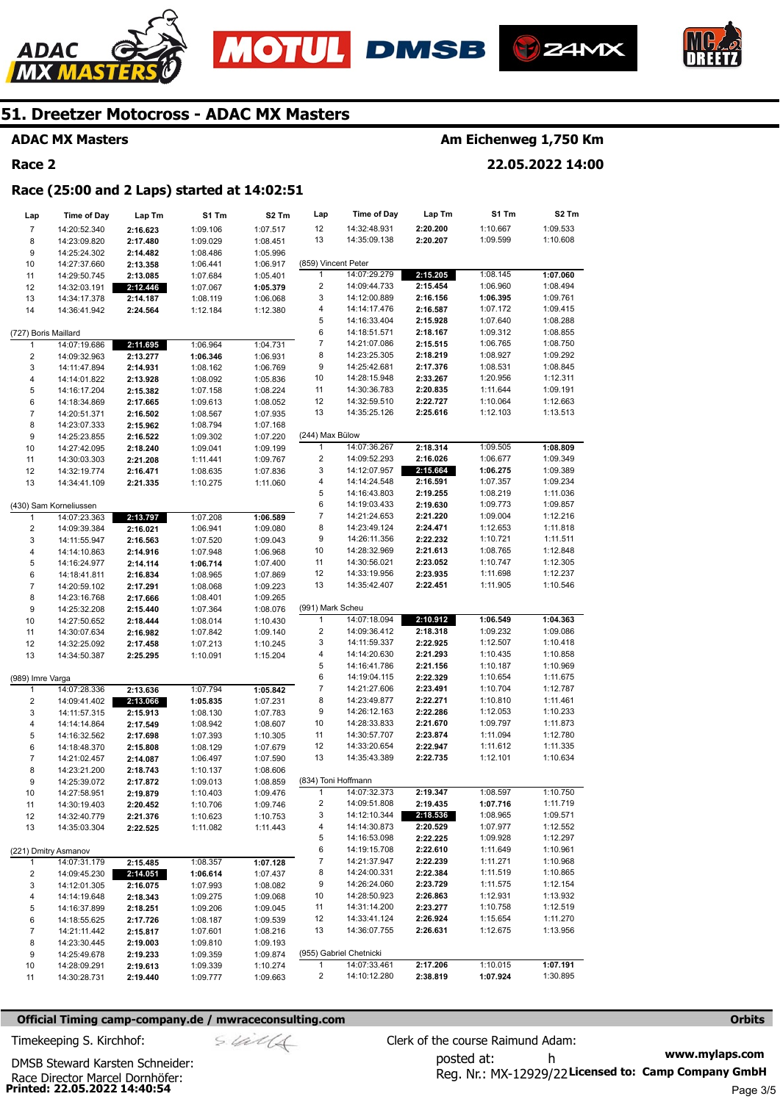







**ADAC MX Masters** 

**Race 2** 

### **Am Eichenweg 1,750 Km**

#### **22.05.2022 14:00**

#### **Race (25:00 and 2 Laps) started at 14:02:51**

| Lap                     | Time of Day            | Lap Tm   | S1 Tm    | S2 Tm    | Lap                 | Time of Day             | Lap Tm   | S1 Tm    | S2 Tm    |
|-------------------------|------------------------|----------|----------|----------|---------------------|-------------------------|----------|----------|----------|
| $\overline{7}$          | 14:20:52.340           | 2:16.623 | 1:09.106 | 1:07.517 | 12                  | 14:32:48.931            | 2:20.200 | 1:10.667 | 1:09.533 |
| 8                       | 14:23:09.820           | 2:17.480 | 1:09.029 | 1:08.451 | 13                  | 14:35:09.138            | 2:20.207 | 1:09.599 | 1:10.608 |
| 9                       | 14:25:24.302           | 2:14.482 | 1:08.486 | 1:05.996 |                     |                         |          |          |          |
| 10                      | 14:27:37.660           | 2:13.358 | 1:06.441 | 1:06.917 | (859) Vincent Peter |                         |          |          |          |
| 11                      | 14:29:50.745           | 2:13.085 | 1:07.684 | 1:05.401 | 1                   | 14:07:29.279            | 2:15.205 | 1:08.145 | 1:07.060 |
| 12                      | 14:32:03.191           | 2:12.446 | 1:07.067 | 1:05.379 | 2                   | 14:09:44.733            | 2:15.454 | 1:06.960 | 1:08.494 |
| 13                      | 14:34:17.378           | 2:14.187 | 1:08.119 | 1:06.068 | 3                   | 14:12:00.889            | 2:16.156 | 1:06.395 | 1:09.761 |
| 14                      | 14:36:41.942           | 2:24.564 | 1:12.184 | 1:12.380 | 4                   | 14:14:17.476            | 2:16.587 | 1:07.172 | 1:09.415 |
|                         |                        |          |          |          | 5                   | 14:16:33.404            | 2:15.928 | 1:07.640 | 1:08.288 |
| (727) Boris Maillard    |                        |          |          |          | 6                   | 14:18:51.571            | 2:18.167 | 1:09.312 | 1:08.855 |
| 1                       | 14:07:19.686           | 2:11.695 | 1:06.964 | 1:04.731 | 7                   | 14:21:07.086            | 2:15.515 | 1:06.765 | 1:08.750 |
| $\overline{\mathbf{c}}$ | 14:09:32.963           | 2:13.277 | 1:06.346 | 1:06.931 | 8                   | 14:23:25.305            | 2:18.219 | 1:08.927 | 1:09.292 |
| 3                       | 14:11:47.894           | 2:14.931 | 1:08.162 | 1:06.769 | 9                   | 14:25:42.681            | 2:17.376 | 1:08.531 | 1:08.845 |
| 4                       | 14:14:01.822           | 2:13.928 | 1:08.092 | 1:05.836 | 10                  | 14:28:15.948            | 2:33.267 | 1:20.956 | 1:12.311 |
| 5                       | 14:16:17.204           | 2:15.382 | 1:07.158 | 1:08.224 | 11                  | 14:30:36.783            | 2:20.835 | 1:11.644 | 1:09.191 |
| 6                       | 14:18:34.869           | 2:17.665 | 1:09.613 | 1:08.052 | 12                  | 14:32:59.510            | 2:22.727 | 1:10.064 | 1:12.663 |
| $\boldsymbol{7}$        | 14:20:51.371           | 2:16.502 | 1:08.567 | 1:07.935 | 13                  | 14:35:25.126            | 2:25.616 | 1:12.103 | 1:13.513 |
| 8                       | 14:23:07.333           | 2:15.962 | 1:08.794 | 1:07.168 |                     |                         |          |          |          |
| 9                       | 14:25:23.855           | 2:16.522 | 1:09.302 | 1:07.220 | (244) Max Bülow     |                         |          |          |          |
| 10                      | 14:27:42.095           | 2:18.240 | 1:09.041 | 1:09.199 | 1                   | 14:07:36.267            | 2:18.314 | 1:09.505 | 1:08.809 |
| 11                      | 14:30:03.303           | 2:21.208 | 1:11.441 | 1:09.767 | 2                   | 14:09:52.293            | 2:16.026 | 1:06.677 | 1:09.349 |
| 12                      | 14:32:19.774           | 2:16.471 | 1:08.635 | 1:07.836 | 3                   | 14:12:07.957            | 2:15.664 | 1:06.275 | 1:09.389 |
| 13                      | 14:34:41.109           |          |          |          | 4                   | 14:14:24.548            | 2:16.591 | 1:07.357 | 1:09.234 |
|                         |                        | 2:21.335 | 1:10.275 | 1:11.060 | 5                   | 14:16:43.803            | 2:19.255 | 1:08.219 | 1:11.036 |
|                         |                        |          |          |          | 6                   | 14:19:03.433            | 2:19.630 | 1:09.773 | 1:09.857 |
| 1                       | (430) Sam Korneliussen |          |          |          | 7                   | 14:21:24.653            | 2:21.220 | 1:09.004 | 1:12.216 |
|                         | 14:07:23.363           | 2:13.797 | 1:07.208 | 1:06.589 | 8                   | 14:23:49.124            | 2:24.471 | 1:12.653 | 1:11.818 |
| $\overline{\mathbf{c}}$ | 14:09:39.384           | 2:16.021 | 1:06.941 | 1:09.080 | 9                   | 14:26:11.356            | 2:22.232 | 1:10.721 | 1:11.511 |
| 3                       | 14:11:55.947           | 2:16.563 | 1:07.520 | 1:09.043 | 10                  | 14:28:32.969            |          | 1:08.765 | 1:12.848 |
| 4                       | 14:14:10.863           | 2:14.916 | 1:07.948 | 1:06.968 |                     |                         | 2:21.613 | 1:10.747 | 1:12.305 |
| 5                       | 14:16:24.977           | 2:14.114 | 1:06.714 | 1:07.400 | 11                  | 14:30:56.021            | 2:23.052 |          |          |
| 6                       | 14:18:41.811           | 2:16.834 | 1:08.965 | 1:07.869 | 12                  | 14:33:19.956            | 2:23.935 | 1:11.698 | 1:12.237 |
| $\boldsymbol{7}$        | 14:20:59.102           | 2:17.291 | 1:08.068 | 1:09.223 | 13                  | 14:35:42.407            | 2:22.451 | 1:11.905 | 1:10.546 |
| 8                       | 14:23:16.768           | 2:17.666 | 1:08.401 | 1:09.265 |                     |                         |          |          |          |
| 9                       | 14:25:32.208           | 2:15.440 | 1:07.364 | 1:08.076 | (991) Mark Scheu    |                         |          |          |          |
| 10                      | 14:27:50.652           | 2:18.444 | 1:08.014 | 1:10.430 | 1                   | 14:07:18.094            | 2:10.912 | 1:06.549 | 1:04.363 |
| 11                      | 14:30:07.634           | 2:16.982 | 1:07.842 | 1:09.140 | 2                   | 14:09:36.412            | 2:18.318 | 1:09.232 | 1:09.086 |
| 12                      | 14:32:25.092           | 2:17.458 | 1:07.213 | 1:10.245 | 3                   | 14:11:59.337            | 2:22.925 | 1:12.507 | 1:10.418 |
| 13                      | 14:34:50.387           | 2:25.295 | 1:10.091 | 1:15.204 | 4                   | 14:14:20.630            | 2:21.293 | 1:10.435 | 1:10.858 |
|                         |                        |          |          |          | 5                   | 14:16:41.786            | 2:21.156 | 1:10.187 | 1:10.969 |
| (989) Imre Varga        |                        |          |          |          | 6                   | 14:19:04.115            | 2:22.329 | 1:10.654 | 1:11.675 |
| $\mathbf{1}$            | 14:07:28.336           | 2:13.636 | 1:07.794 | 1:05.842 | 7                   | 14:21:27.606            | 2:23.491 | 1:10.704 | 1:12.787 |
| $\overline{\mathbf{c}}$ | 14:09:41.402           | 2:13.066 | 1:05.835 | 1:07.231 | 8                   | 14:23:49.877            | 2:22.271 | 1:10.810 | 1:11.461 |
| 3                       | 14:11:57.315           | 2:15.913 | 1:08.130 | 1:07.783 | 9                   | 14:26:12.163            | 2:22.286 | 1:12.053 | 1:10.233 |
| 4                       | 14:14:14.864           | 2:17.549 | 1:08.942 | 1:08.607 | 10                  | 14:28:33.833            | 2:21.670 | 1:09.797 | 1:11.873 |
| 5                       | 14:16:32.562           | 2:17.698 | 1:07.393 | 1:10.305 | 11                  | 14:30:57.707            | 2:23.874 | 1:11.094 | 1:12.780 |
| 6                       | 14:18:48.370           | 2:15.808 | 1:08.129 | 1:07.679 | 12                  | 14:33:20.654            | 2:22.947 | 1:11.612 | 1:11.335 |
| $\boldsymbol{7}$        | 14:21:02.457           | 2:14.087 | 1:06.497 | 1:07.590 | 13                  | 14:35:43.389            | 2:22.735 | 1:12.101 | 1:10.634 |
| 8                       | 14:23:21.200           | 2:18.743 | 1:10.137 | 1:08.606 |                     |                         |          |          |          |
| 9                       | 14:25:39.072           | 2:17.872 | 1:09.013 | 1:08.859 | (834) Toni Hoffmann |                         |          |          |          |
| 10                      | 14:27:58.951           | 2:19.879 | 1:10.403 | 1:09.476 | 1                   | 14:07:32.373            | 2:19.347 | 1:08.597 | 1:10.750 |
| 11                      | 14:30:19.403           | 2:20.452 | 1:10.706 | 1:09.746 | 2                   | 14:09:51.808            | 2:19.435 | 1:07.716 | 1:11.719 |
| 12                      | 14:32:40.779           | 2:21.376 | 1:10.623 | 1:10.753 | 3                   | 14:12:10.344            | 2:18.536 | 1:08.965 | 1:09.571 |
| 13                      | 14:35:03.304           | 2:22.525 | 1:11.082 | 1:11.443 | 4                   | 14:14:30.873            | 2:20.529 | 1:07.977 | 1:12.552 |
|                         |                        |          |          |          | 5                   | 14:16:53.098            | 2:22.225 | 1:09.928 | 1:12.297 |
|                         | (221) Dmitry Asmanov   |          |          |          | 6                   | 14:19:15.708            | 2:22.610 | 1:11.649 | 1:10.961 |
| $\mathbf{1}$            | 14:07:31.179           | 2:15.485 | 1:08.357 | 1:07.128 | 7                   | 14:21:37.947            | 2:22.239 | 1:11.271 | 1:10.968 |
| 2                       | 14:09:45.230           | 2:14.051 | 1:06.614 | 1:07.437 | 8                   | 14:24:00.331            | 2:22.384 | 1:11.519 | 1:10.865 |
| 3                       | 14:12:01.305           | 2:16.075 | 1:07.993 | 1:08.082 | 9                   | 14:26:24.060            | 2:23.729 | 1:11.575 | 1:12.154 |
| 4                       | 14:14:19.648           | 2:18.343 | 1:09.275 | 1:09.068 | 10                  | 14:28:50.923            | 2:26.863 | 1:12.931 | 1:13.932 |
| 5                       | 14:16:37.899           | 2:18.251 | 1:09.206 | 1:09.045 | 11                  | 14:31:14.200            | 2:23.277 | 1:10.758 | 1:12.519 |
| 6                       | 14:18:55.625           | 2:17.726 | 1:08.187 | 1:09.539 | 12                  | 14:33:41.124            | 2:26.924 | 1:15.654 | 1:11.270 |
| $\overline{7}$          | 14:21:11.442           | 2:15.817 | 1:07.601 | 1:08.216 | 13                  | 14:36:07.755            | 2:26.631 | 1:12.675 | 1:13.956 |
| 8                       | 14:23:30.445           | 2:19.003 | 1:09.810 | 1:09.193 |                     |                         |          |          |          |
| 9                       | 14:25:49.678           | 2:19.233 | 1:09.359 | 1:09.874 |                     | (955) Gabriel Chetnicki |          |          |          |
| 10                      | 14:28:09.291           | 2:19.613 | 1:09.339 | 1:10.274 | 1                   | 14:07:33.461            | 2:17.206 | 1:10.015 | 1:07.191 |
| 11                      | 14:30:28.731           | 2:19.440 | 1:09.777 | 1:09.663 | 2                   | 14:10:12.280            | 2:38.819 | 1:07.924 | 1:30.895 |

#### **Official Timing camp-company.de / mwraceconsulting.com <b>Orbits Orbits Orbits Orbits**

**www.mylaps.com**  Reg. Nr.: MX-12929/22 Licensed to: Camp Company GmbH posted at: h Timekeeping S. Kirchhof:  $\le \frac{1}{2}$  Clerk of the course Raimund Adam: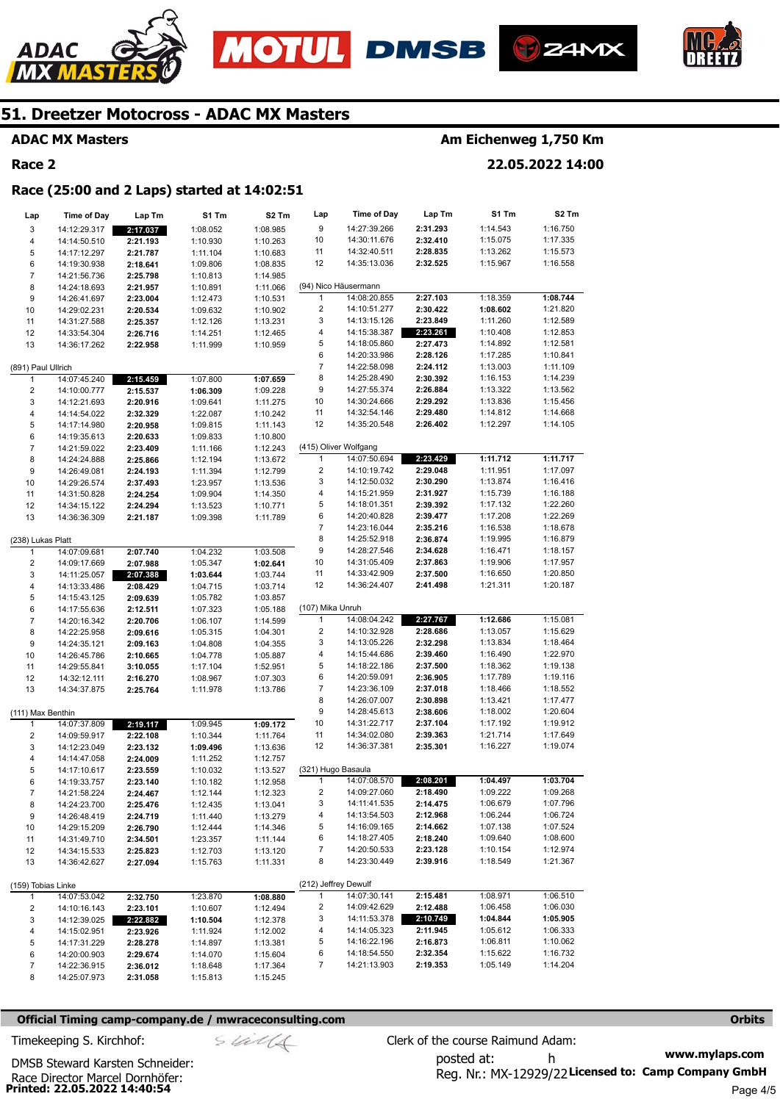







**ADAC MX Masters** 

**Race 2** 

### **Am Eichenweg 1,750 Km**

**22.05.2022 14:00** 

#### **Race (25:00 and 2 Laps) started at 14:02:51**

| Lap                     | <b>Time of Day</b> | Lap Tm   | S1 Tm    | S2 Tm    | Lap                   | <b>Time of Day</b>   | Lap Tm   | S1 Tm    | S2 Tm    |
|-------------------------|--------------------|----------|----------|----------|-----------------------|----------------------|----------|----------|----------|
| 3                       | 14:12:29.317       | 2:17.037 | 1:08.052 | 1:08.985 | 9                     | 14:27:39.266         | 2:31.293 | 1:14.543 | 1:16.750 |
| 4                       | 14:14:50.510       | 2:21.193 | 1:10.930 | 1:10.263 | 10                    | 14:30:11.676         | 2:32.410 | 1:15.075 | 1:17.335 |
| 5                       | 14:17:12.297       | 2:21.787 | 1:11.104 | 1:10.683 | 11                    | 14:32:40.511         | 2:28.835 | 1:13.262 | 1:15.573 |
| 6                       | 14:19:30.938       | 2:18.641 | 1:09.806 | 1:08.835 | 12                    | 14:35:13.036         | 2:32.525 | 1:15.967 | 1:16.558 |
| $\overline{7}$          | 14:21:56.736       | 2:25.798 | 1:10.813 | 1:14.985 |                       |                      |          |          |          |
| 8                       | 14:24:18.693       | 2:21.957 | 1:10.891 | 1:11.066 |                       | (94) Nico Häusermann |          |          |          |
| 9                       | 14:26:41.697       | 2:23.004 | 1:12.473 | 1:10.531 | $\mathbf{1}$          | 14:08:20.855         | 2:27.103 | 1:18.359 | 1:08.744 |
| 10                      | 14:29:02.231       | 2:20.534 | 1:09.632 | 1:10.902 | 2                     | 14:10:51.277         | 2:30.422 | 1:08.602 | 1:21.820 |
| 11                      | 14:31:27.588       | 2:25.357 | 1:12.126 | 1:13.231 | 3                     | 14:13:15.126         | 2:23.849 | 1:11.260 | 1:12.589 |
| 12                      | 14:33:54.304       | 2:26.716 | 1:14.251 | 1:12.465 | 4                     | 14:15:38.387         | 2:23.261 | 1:10.408 | 1:12.853 |
| 13                      | 14:36:17.262       | 2:22.958 | 1:11.999 | 1:10.959 | 5                     | 14:18:05.860         | 2:27.473 | 1:14.892 | 1:12.581 |
|                         |                    |          |          |          | 6                     | 14:20:33.986         | 2:28.126 | 1:17.285 | 1:10.841 |
| (891) Paul Ullrich      |                    |          |          |          | $\overline{7}$        | 14:22:58.098         | 2:24.112 | 1:13.003 | 1:11.109 |
| 1                       | 14:07:45.240       | 2:15.459 | 1:07.800 | 1:07.659 | 8                     | 14:25:28.490         | 2:30.392 | 1:16.153 | 1:14.239 |
| $\overline{\mathbf{c}}$ | 14:10:00.777       | 2:15.537 | 1:06.309 | 1:09.228 | 9                     | 14:27:55.374         | 2:26.884 | 1:13.322 | 1:13.562 |
| 3                       | 14:12:21.693       | 2:20.916 | 1:09.641 | 1:11.275 | 10                    | 14:30:24.666         | 2:29.292 | 1:13.836 | 1:15.456 |
| 4                       | 14:14:54.022       | 2:32.329 | 1:22.087 | 1:10.242 | 11                    | 14:32:54.146         | 2:29.480 | 1:14.812 | 1:14.668 |
| 5                       | 14:17:14.980       | 2:20.958 | 1:09.815 | 1:11.143 | 12                    | 14:35:20.548         | 2:26.402 | 1:12.297 | 1:14.105 |
| 6                       | 14:19:35.613       | 2:20.633 | 1:09.833 | 1:10.800 |                       |                      |          |          |          |
| $\overline{7}$          | 14:21:59.022       | 2:23.409 | 1:11.166 | 1:12.243 | (415) Oliver Wolfgang |                      |          |          |          |
| 8                       | 14:24:24.888       | 2:25.866 | 1:12.194 | 1:13.672 | 1                     | 14:07:50.694         | 2:23.429 | 1:11.712 | 1:11.717 |
| 9                       | 14:26:49.081       | 2:24.193 | 1:11.394 | 1:12.799 | 2                     | 14:10:19.742         | 2:29.048 | 1:11.951 | 1:17.097 |
| 10                      | 14:29:26.574       | 2:37.493 | 1:23.957 | 1:13.536 | 3                     | 14:12:50.032         | 2:30.290 | 1:13.874 | 1:16.416 |
| 11                      | 14:31:50.828       | 2:24.254 | 1:09.904 | 1:14.350 | 4                     | 14:15:21.959         | 2:31.927 | 1:15.739 | 1:16.188 |
| 12                      | 14:34:15.122       | 2:24.294 | 1:13.523 | 1:10.771 | 5                     | 14:18:01.351         | 2:39.392 | 1:17.132 | 1:22.260 |
| 13                      | 14:36:36.309       | 2:21.187 | 1:09.398 | 1:11.789 | 6                     | 14:20:40.828         | 2:39.477 | 1:17.208 | 1:22.269 |
|                         |                    |          |          |          | 7                     | 14:23:16.044         | 2:35.216 | 1:16.538 | 1:18.678 |
| (238) Lukas Platt       |                    |          |          |          | 8                     | 14:25:52.918         | 2:36.874 | 1:19.995 | 1:16.879 |
| 1                       | 14:07:09.681       | 2:07.740 | 1:04.232 | 1:03.508 | 9                     | 14:28:27.546         | 2:34.628 | 1:16.471 | 1:18.157 |
| $\overline{\mathbf{c}}$ | 14:09:17.669       | 2:07.988 | 1:05.347 | 1:02.641 | 10                    | 14:31:05.409         | 2:37.863 | 1:19.906 | 1:17.957 |
| 3                       | 14:11:25.057       | 2:07.388 | 1:03.644 | 1:03.744 | 11                    | 14:33:42.909         | 2:37.500 | 1:16.650 | 1:20.850 |
| 4                       | 14:13:33.486       | 2:08.429 | 1:04.715 | 1:03.714 | 12                    | 14:36:24.407         | 2:41.498 | 1:21.311 | 1:20.187 |
| 5                       | 14:15:43.125       | 2:09.639 | 1:05.782 | 1:03.857 |                       |                      |          |          |          |
| 6                       | 14:17:55.636       | 2:12.511 | 1:07.323 | 1:05.188 | (107) Mika Unruh      |                      |          |          |          |
| $\overline{7}$          | 14:20:16.342       | 2:20.706 | 1:06.107 | 1:14.599 | $\mathbf{1}$          | 14:08:04.242         | 2:27.767 | 1:12.686 | 1:15.081 |
| 8                       | 14:22:25.958       | 2:09.616 | 1:05.315 | 1:04.301 | 2                     | 14:10:32.928         | 2:28.686 | 1:13.057 | 1:15.629 |
| 9                       | 14:24:35.121       | 2:09.163 | 1:04.808 | 1:04.355 | 3                     | 14:13:05.226         | 2:32.298 | 1:13.834 | 1:18.464 |
| 10                      | 14:26:45.786       | 2:10.665 | 1:04.778 | 1:05.887 | 4                     | 14:15:44.686         | 2:39.460 | 1:16.490 | 1:22.970 |
| 11                      | 14:29:55.841       | 3:10.055 | 1:17.104 | 1:52.951 | 5                     | 14:18:22.186         | 2:37.500 | 1:18.362 | 1:19.138 |
| 12                      | 14:32:12.111       | 2:16.270 | 1:08.967 | 1:07.303 | 6                     | 14:20:59.091         | 2:36.905 | 1:17.789 | 1:19.116 |
| 13                      | 14:34:37.875       | 2:25.764 | 1:11.978 | 1:13.786 | $\boldsymbol{7}$      | 14:23:36.109         | 2:37.018 | 1:18.466 | 1:18.552 |
|                         |                    |          |          |          | 8                     | 14:26:07.007         | 2:30.898 | 1:13.421 | 1:17.477 |
| (111) Max Benthin       |                    |          |          |          | 9                     | 14:28:45.613         | 2:38.606 | 1:18.002 | 1:20.604 |
| 1                       | 14:07:37.809       | 2:19.117 | 1:09.945 | 1:09.172 | 10                    | 14:31:22.717         | 2:37.104 | 1:17.192 | 1:19.912 |
| $\overline{\mathbf{c}}$ | 14:09:59.917       | 2:22.108 | 1:10.344 | 1:11.764 | 11                    | 14:34:02.080         | 2:39.363 | 1:21.714 | 1:17.649 |
| 3                       | 14:12:23.049       | 2:23.132 | 1:09.496 | 1:13.636 | 12                    | 14:36:37.381         | 2:35.301 | 1:16.227 | 1:19.074 |
| 4                       | 14:14:47.058       | 2:24.009 | 1:11.252 | 1:12.757 |                       |                      |          |          |          |
| 5                       | 14:17:10.617       | 2:23.559 | 1:10.032 | 1:13.527 | (321) Hugo Basaula    |                      |          |          |          |
| 6                       | 14:19:33.757       | 2:23.140 | 1:10.182 | 1:12.958 | 1                     | 14:07:08.570         | 2:08.201 | 1:04.497 | 1:03.704 |
| 7                       | 14:21:58.224       | 2:24.467 | 1:12.144 | 1:12.323 | 2                     | 14:09:27.060         | 2:18.490 | 1:09.222 | 1:09.268 |
| 8                       | 14:24:23.700       | 2:25.476 | 1:12.435 | 1:13.041 | 3                     | 14:11:41.535         | 2:14.475 | 1:06.679 | 1:07.796 |
| 9                       | 14:26:48.419       | 2:24.719 | 1:11.440 | 1:13.279 | 4                     | 14:13:54.503         | 2:12.968 | 1:06.244 | 1:06.724 |
| 10                      | 14:29:15.209       | 2:26.790 | 1:12.444 | 1:14.346 | 5                     | 14:16:09.165         | 2:14.662 | 1:07.138 | 1:07.524 |
| 11                      | 14:31:49.710       | 2:34.501 | 1:23.357 | 1:11.144 | 6                     | 14:18:27.405         | 2:18.240 | 1:09.640 | 1:08.600 |
| 12                      | 14:34:15.533       | 2:25.823 | 1:12.703 | 1:13.120 | 7                     | 14:20:50.533         | 2:23.128 | 1:10.154 | 1:12.974 |
| 13                      | 14:36:42.627       | 2:27.094 | 1:15.763 | 1:11.331 | 8                     | 14:23:30.449         | 2:39.916 | 1:18.549 | 1:21.367 |
|                         |                    |          |          |          |                       |                      |          |          |          |
| (159) Tobias Linke      |                    |          |          |          | (212) Jeffrey Dewulf  |                      |          |          |          |
| 1                       | 14:07:53.042       | 2:32.750 | 1:23.870 | 1:08.880 | $\mathbf{1}$          | 14:07:30.141         | 2:15.481 | 1:08.971 | 1:06.510 |
| 2                       | 14:10:16.143       | 2:23.101 | 1:10.607 | 1:12.494 | 2                     | 14:09:42.629         | 2:12.488 | 1:06.458 | 1:06.030 |
| 3                       | 14:12:39.025       | 2:22.882 | 1:10.504 | 1:12.378 | 3                     | 14:11:53.378         | 2:10.749 | 1:04.844 | 1:05.905 |
| 4                       | 14:15:02.951       | 2:23.926 | 1:11.924 | 1:12.002 | 4                     | 14:14:05.323         | 2:11.945 | 1:05.612 | 1:06.333 |
| 5                       | 14:17:31.229       | 2:28.278 | 1:14.897 | 1:13.381 | 5                     | 14:16:22.196         | 2:16.873 | 1:06.811 | 1:10.062 |
| 6                       | 14:20:00.903       | 2:29.674 | 1:14.070 | 1:15.604 | 6                     | 14:18:54.550         | 2:32.354 | 1:15.622 | 1:16.732 |
| $\overline{7}$          | 14:22:36.915       | 2:36.012 | 1:18.648 | 1:17.364 | 7                     | 14:21:13.903         | 2:19.353 | 1:05.149 | 1:14.204 |
| 8                       | 14:25:07.973       | 2:31.058 | 1:15.813 | 1:15.245 |                       |                      |          |          |          |

#### **Official Timing camp-company.de / mwraceconsulting.com <b>Orbits Orbits Orbits Orbits**

$$
= 4i\ell/4
$$

**www.mylaps.com**  Reg. Nr.: MX-12929/22 Licensed to: Camp Company GmbH posted at: h Timekeeping S. Kirchhof:  $\frac{1}{2}$  Clerk of the course Raimund Adam: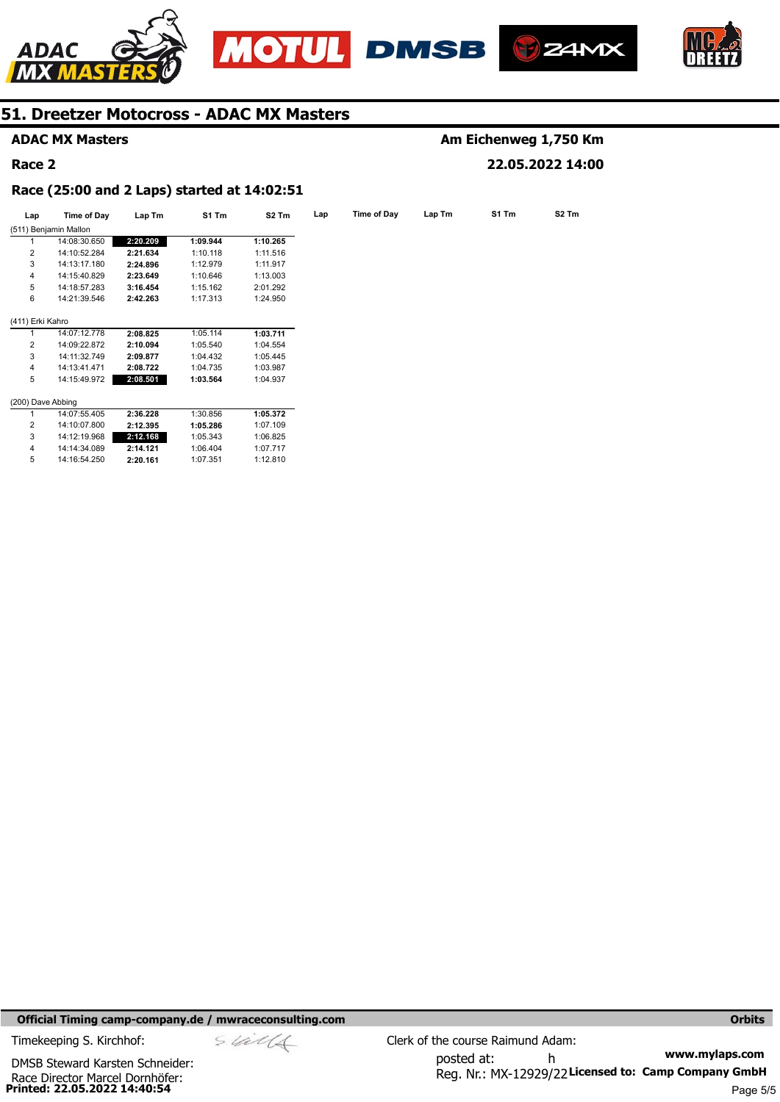







### **ADAC MX Masters**

#### **Race 2**

### **Am Eichenweg 1,750 Km 22.05.2022 14:00**

#### **Race (25:00 and 2 Laps) started at 14:02:51**

| Lap               | Time of Day           | Lap Tm   | S1 Tm    | S <sub>2</sub> Tm | Lap | Time of Day | Lap Tm | S1 Tm | S <sub>2</sub> Tm |
|-------------------|-----------------------|----------|----------|-------------------|-----|-------------|--------|-------|-------------------|
|                   | (511) Benjamin Mallon |          |          |                   |     |             |        |       |                   |
|                   | 14:08:30.650          | 2:20.209 | 1:09.944 | 1:10.265          |     |             |        |       |                   |
| $\overline{2}$    | 14:10:52.284          | 2:21.634 | 1:10.118 | 1:11.516          |     |             |        |       |                   |
| 3                 | 14:13:17.180          | 2:24.896 | 1:12.979 | 1:11.917          |     |             |        |       |                   |
| 4                 | 14:15:40.829          | 2:23.649 | 1:10.646 | 1:13.003          |     |             |        |       |                   |
| 5                 | 14:18:57.283          | 3:16.454 | 1:15.162 | 2:01.292          |     |             |        |       |                   |
| 6                 | 14:21:39.546          | 2:42.263 | 1:17.313 | 1:24.950          |     |             |        |       |                   |
| (411) Erki Kahro  |                       |          |          |                   |     |             |        |       |                   |
|                   | 14:07:12.778          | 2:08.825 | 1:05.114 | 1:03.711          |     |             |        |       |                   |
| $\overline{2}$    | 14:09:22.872          | 2:10.094 | 1:05.540 | 1:04.554          |     |             |        |       |                   |
| 3                 | 14:11:32.749          | 2:09.877 | 1:04.432 | 1:05.445          |     |             |        |       |                   |
| 4                 | 14:13:41.471          | 2:08.722 | 1:04.735 | 1:03.987          |     |             |        |       |                   |
| 5                 | 14:15:49.972          | 2:08.501 | 1:03.564 | 1:04.937          |     |             |        |       |                   |
| (200) Dave Abbing |                       |          |          |                   |     |             |        |       |                   |
|                   | 14:07:55.405          | 2:36.228 | 1:30.856 | 1:05.372          |     |             |        |       |                   |
| 2                 | 14:10:07.800          | 2:12.395 | 1:05.286 | 1:07.109          |     |             |        |       |                   |
| 3                 | 14:12:19.968          | 2:12.168 | 1:05.343 | 1:06.825          |     |             |        |       |                   |
| 4                 | 14:14:34.089          | 2:14.121 | 1:06.404 | 1:07.717          |     |             |        |       |                   |
| 5                 | 14:16:54.250          | 2:20.161 | 1:07.351 | 1:12.810          |     |             |        |       |                   |

**Official Timing camp-company.de / mwraceconsulting.com <b>Orbits and Company.de Company** orbits **Orbits Orbits** 

**Printed: 22.05.2022 14:40:54**  Race Director Marcel Dornhöfer: DMSB Steward Karsten Schneider: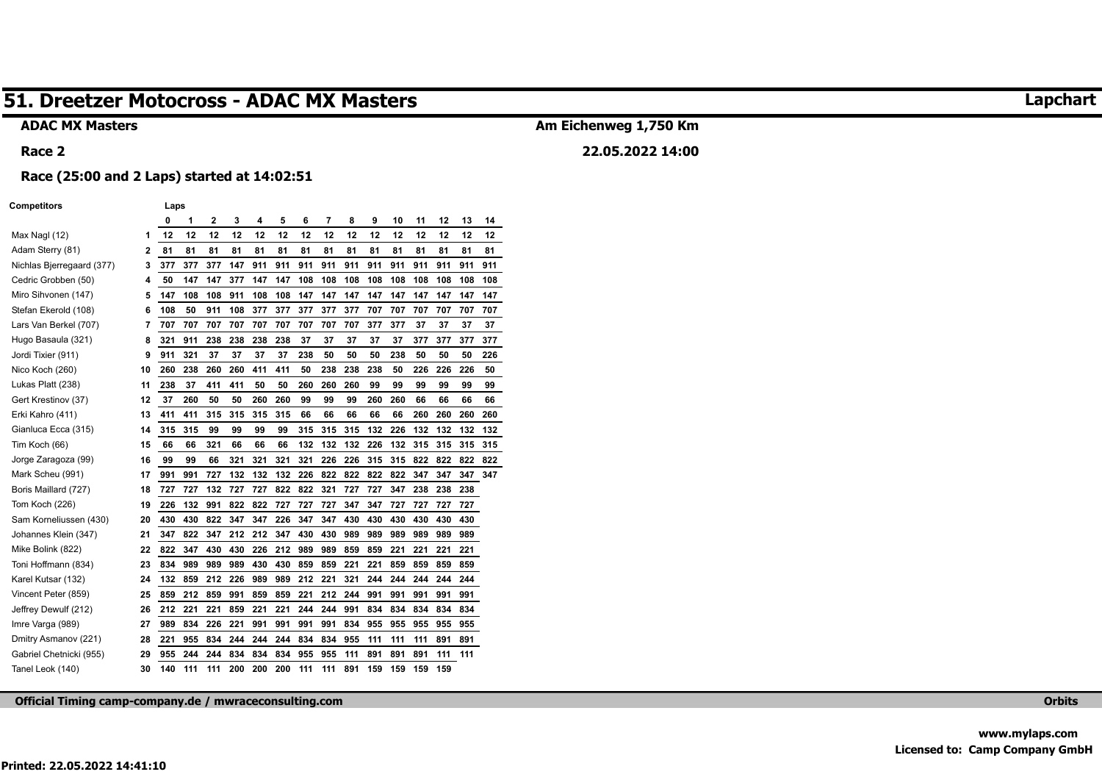#### **ADAC MX Masters**

## **Am Eichenweg 1,750 Km**

**22.05.2022 14:00** 

#### **Race 2**

**Race (25:00 and 2 Laps) started at 14:02:51** 

#### **Competitors Laps**

|                           |    | 0   | 1   | $\overline{2}$ | 3   | 4   | 5   | 6   | 7   | 8   | 9   | 10  | 11  | 12  | 13  | 14  |
|---------------------------|----|-----|-----|----------------|-----|-----|-----|-----|-----|-----|-----|-----|-----|-----|-----|-----|
| Max Nagl (12)             | 1  | 12  | 12  | 12             | 12  | 12  | 12  | 12  | 12  | 12  | 12  | 12  | 12  | 12  | 12  | 12  |
| Adam Sterry (81)          | 2  | 81  | 81  | 81             | 81  | 81  | 81  | 81  | 81  | 81  | 81  | 81  | 81  | 81  | 81  | 81  |
| Nichlas Bjerregaard (377) | 3  | 377 | 377 | 377            | 147 | 911 | 911 | 911 | 911 | 911 | 911 | 911 | 911 | 911 | 911 | 911 |
| Cedric Grobben (50)       | 4  | 50  | 147 | 147            | 377 | 147 | 147 | 108 | 108 | 108 | 108 | 108 | 108 | 108 | 108 | 108 |
| Miro Sihvonen (147)       | 5  | 147 | 108 | 108            | 911 | 108 | 108 | 147 | 147 | 147 | 147 | 147 | 147 | 147 | 147 | 147 |
| Stefan Ekerold (108)      | 6  | 108 | 50  | 911            | 108 | 377 | 377 | 377 | 377 | 377 | 707 | 707 | 707 | 707 | 707 | 707 |
| Lars Van Berkel (707)     | 7  | 707 | 707 | 707            | 707 | 707 | 707 | 707 | 707 | 707 | 377 | 377 | 37  | 37  | 37  | 37  |
| Hugo Basaula (321)        | 8  | 321 | 911 | 238            | 238 | 238 | 238 | 37  | 37  | 37  | 37  | 37  | 377 | 377 | 377 | 377 |
| Jordi Tixier (911)        | 9  | 911 | 321 | 37             | 37  | 37  | 37  | 238 | 50  | 50  | 50  | 238 | 50  | 50  | 50  | 226 |
| Nico Koch (260)           | 10 | 260 | 238 | 260            | 260 | 411 | 411 | 50  | 238 | 238 | 238 | 50  | 226 | 226 | 226 | 50  |
| Lukas Platt (238)         | 11 | 238 | 37  | 411            | 411 | 50  | 50  | 260 | 260 | 260 | 99  | 99  | 99  | 99  | 99  | 99  |
| Gert Krestinov (37)       | 12 | 37  | 260 | 50             | 50  | 260 | 260 | 99  | 99  | 99  | 260 | 260 | 66  | 66  | 66  | 66  |
| Erki Kahro (411)          | 13 | 411 | 411 | 315            | 315 | 315 | 315 | 66  | 66  | 66  | 66  | 66  | 260 | 260 | 260 | 260 |
| Gianluca Ecca (315)       | 14 | 315 | 315 | 99             | 99  | 99  | 99  | 315 | 315 | 315 | 132 | 226 | 132 | 132 | 132 | 132 |
| Tim Koch (66)             | 15 | 66  | 66  | 321            | 66  | 66  | 66  | 132 | 132 | 132 | 226 | 132 | 315 | 315 | 315 | 315 |
| Jorge Zaragoza (99)       | 16 | 99  | 99  | 66             | 321 | 321 | 321 | 321 | 226 | 226 | 315 | 315 | 822 | 822 | 822 | 822 |
| Mark Scheu (991)          | 17 | 991 | 991 | 727            | 132 | 132 | 132 | 226 | 822 | 822 | 822 | 822 | 347 | 347 | 347 | 347 |
| Boris Maillard (727)      | 18 | 727 | 727 | 132            | 727 | 727 | 822 | 822 | 321 | 727 | 727 | 347 | 238 | 238 | 238 |     |
| Tom Koch (226)            | 19 | 226 | 132 | 991            | 822 | 822 | 727 | 727 | 727 | 347 | 347 | 727 | 727 | 727 | 727 |     |
| Sam Korneliussen (430)    | 20 | 430 | 430 | 822            | 347 | 347 | 226 | 347 | 347 | 430 | 430 | 430 | 430 | 430 | 430 |     |
| Johannes Klein (347)      | 21 | 347 | 822 | 347            | 212 | 212 | 347 | 430 | 430 | 989 | 989 | 989 | 989 | 989 | 989 |     |
| Mike Bolink (822)         | 22 | 822 | 347 | 430            | 430 | 226 | 212 | 989 | 989 | 859 | 859 | 221 | 221 | 221 | 221 |     |
| Toni Hoffmann (834)       | 23 | 834 | 989 | 989            | 989 | 430 | 430 | 859 | 859 | 221 | 221 | 859 | 859 | 859 | 859 |     |
| Karel Kutsar (132)        | 24 | 132 | 859 | 212            | 226 | 989 | 989 | 212 | 221 | 321 | 244 | 244 | 244 | 244 | 244 |     |
| Vincent Peter (859)       | 25 | 859 | 212 | 859            | 991 | 859 | 859 | 221 | 212 | 244 | 991 | 991 | 991 | 991 | 991 |     |
| Jeffrey Dewulf (212)      | 26 | 212 | 221 | 221            | 859 | 221 | 221 | 244 | 244 | 991 | 834 | 834 | 834 | 834 | 834 |     |
| Imre Varga (989)          | 27 | 989 | 834 | 226            | 221 | 991 | 991 | 991 | 991 | 834 | 955 | 955 | 955 | 955 | 955 |     |
| Dmitry Asmanov (221)      | 28 | 221 | 955 | 834            | 244 | 244 | 244 | 834 | 834 | 955 | 111 | 111 | 111 | 891 | 891 |     |
| Gabriel Chetnicki (955)   | 29 | 955 | 244 | 244            | 834 | 834 | 834 | 955 | 955 | 111 | 891 | 891 | 891 | 111 | 111 |     |
| Tanel Leok (140)          | 30 | 140 | 111 | 111            | 200 | 200 | 200 | 111 | 111 | 891 | 159 | 159 | 159 | 159 |     |     |

**Official Timing camp-company.de / mwraceconsulting.com Orbits** 

### **Lapchart**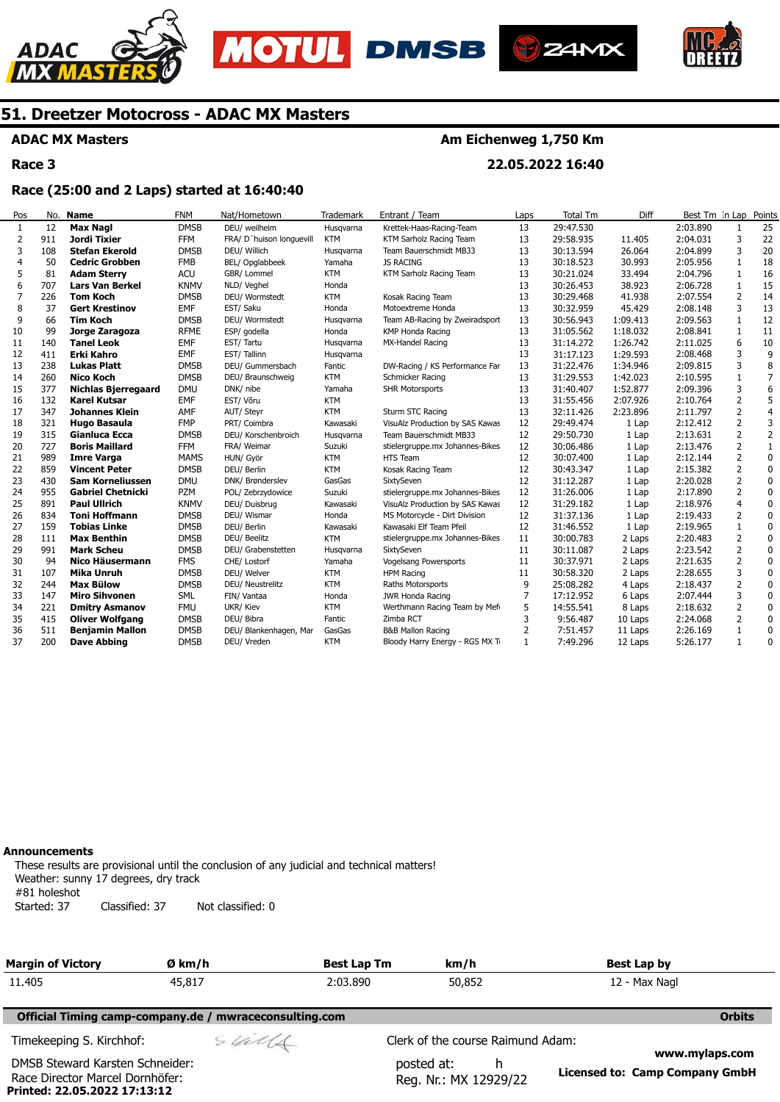







**ADAC MX Masters** 

**Race 3** 

### **Am Eichenweg 1,750 Km**

**22.05.2022 16:40** 

### **Race (25:00 and 2 Laps) started at 16:40:40**

| Pos          | No. | <b>Name</b>                | <b>FNM</b>  | Nat/Hometown             | <b>Trademark</b> | Entrant / Team                  | Laps | <b>Total Tm</b> | Diff     | Best Tm In Lap |                | Points         |
|--------------|-----|----------------------------|-------------|--------------------------|------------------|---------------------------------|------|-----------------|----------|----------------|----------------|----------------|
| $\mathbf{1}$ | 12  | <b>Max Nagl</b>            | <b>DMSB</b> | DEU/ weilheim            | Husqvarna        | Krettek-Haas-Racing-Team        | 13   | 29:47.530       |          | 2:03.890       | 1              | 25             |
| 2            | 911 | Jordi Tixier               | <b>FFM</b>  | FRA/ D'huison longuevill | <b>KTM</b>       | KTM Sarholz Racing Team         | 13   | 29:58.935       | 11.405   | 2:04.031       | 3              | 22             |
| 3            | 108 | <b>Stefan Ekerold</b>      | <b>DMSB</b> | DEU/ Willich             | Husqvarna        | Team Bauerschmidt MB33          | 13   | 30:13.594       | 26.064   | 2:04.899       | 3              | 20             |
|              | 50  | <b>Cedric Grobben</b>      | <b>FMB</b>  | BEL/ Opglabbeek          | Yamaha           | <b>JS RACING</b>                | 13   | 30:18.523       | 30.993   | 2:05.956       | 1              | 18             |
|              | 81  | <b>Adam Sterry</b>         | <b>ACU</b>  | GBR/ Lommel              | <b>KTM</b>       | KTM Sarholz Racing Team         | 13   | 30:21.024       | 33.494   | 2:04.796       | 1              | 16             |
| 6            | 707 | <b>Lars Van Berkel</b>     | <b>KNMV</b> | NLD/ Veghel              | Honda            |                                 | 13   | 30:26.453       | 38.923   | 2:06.728       | 1              | 15             |
| 7            | 226 | <b>Tom Koch</b>            | <b>DMSB</b> | DEU/ Wormstedt           | <b>KTM</b>       | Kosak Racing Team               | 13   | 30:29.468       | 41.938   | 2:07.554       | $\overline{2}$ | 14             |
| 8            | 37  | <b>Gert Krestinov</b>      | <b>EMF</b>  | EST/ Saku                | Honda            | Motoextreme Honda               | 13   | 30:32.959       | 45.429   | 2:08.148       | 3              | 13             |
| 9            | 66  | <b>Tim Koch</b>            | <b>DMSB</b> | DEU/ Wormstedt           | Husqvarna        | Team AB-Racing by Zweiradsport  | 13   | 30:56.943       | 1:09.413 | 2:09.563       | 1              | 12             |
| 10           | 99  | Jorge Zaragoza             | <b>RFME</b> | ESP/ godella             | Honda            | KMP Honda Racing                | 13   | 31:05.562       | 1:18.032 | 2:08.841       | $\mathbf{1}$   | 11             |
| 11           | 140 | <b>Tanel Leok</b>          | EMF         | EST/Tartu                | Husqvarna        | MX-Handel Racing                | 13   | 31:14.272       | 1:26.742 | 2:11.025       | 6              | 10             |
| 12           | 411 | <b>Erki Kahro</b>          | EMF         | EST/Tallinn              | Husqvarna        |                                 | 13   | 31:17.123       | 1:29.593 | 2:08.468       | 3              | 9              |
| 13           | 238 | <b>Lukas Platt</b>         | <b>DMSB</b> | DEU/ Gummersbach         | Fantic           | DW-Racing / KS Performance Far  | 13   | 31:22.476       | 1:34.946 | 2:09.815       | 3              | 8              |
| 14           | 260 | <b>Nico Koch</b>           | <b>DMSB</b> | DEU/ Braunschweig        | <b>KTM</b>       | Schmicker Racing                | 13   | 31:29.553       | 1:42.023 | 2:10.595       | $\mathbf{1}$   | $\overline{7}$ |
| 15           | 377 | <b>Nichlas Bjerregaard</b> | <b>DMU</b>  | DNK/ nibe                | Yamaha           | <b>SHR Motorsports</b>          | 13   | 31:40.407       | 1:52.877 | 2:09.396       | 3              | 6              |
| 16           | 132 | <b>Karel Kutsar</b>        | <b>EMF</b>  | EST/ Võru                | <b>KTM</b>       |                                 | 13   | 31:55.456       | 2:07.926 | 2:10.764       | $\overline{2}$ | 5              |
| 17           | 347 | <b>Johannes Klein</b>      | AMF         | AUT/ Steyr               | <b>KTM</b>       | Sturm STC Racing                | 13   | 32:11.426       | 2:23.896 | 2:11.797       | $\overline{2}$ | $\overline{4}$ |
| 18           | 321 | Hugo Basaula               | <b>FMP</b>  | PRT/ Coimbra             | Kawasaki         | VisuAlz Production by SAS Kawas | 12   | 29:49.474       | 1 Lap    | 2:12.412       | $\overline{2}$ | 3              |
| 19           | 315 | Gianluca Ecca              | <b>DMSB</b> | DEU/ Korschenbroich      | Husqvarna        | Team Bauerschmidt MB33          | 12   | 29:50.730       | 1 Lap    | 2:13.631       | $\overline{2}$ | $\overline{2}$ |
| 20           | 727 | <b>Boris Maillard</b>      | <b>FFM</b>  | FRA/ Weimar              | Suzuki           | stielergruppe.mx Johannes-Bikes | 12   | 30:06.486       | 1 Lap    | 2:13.476       | $\overline{2}$ | $\mathbf{1}$   |
| 21           | 989 | <b>Imre Varga</b>          | <b>MAMS</b> | HUN/ Györ                | <b>KTM</b>       | HTS Team                        | 12   | 30:07.400       | 1 Lap    | 2:12.144       | $\overline{2}$ | $\Omega$       |
| 22           | 859 | <b>Vincent Peter</b>       | <b>DMSB</b> | DEU/ Berlin              | <b>KTM</b>       | Kosak Racing Team               | 12   | 30:43.347       | 1 Lap    | 2:15.382       | 2              | $\mathbf{0}$   |
| 23           | 430 | <b>Sam Korneliussen</b>    | <b>DMU</b>  | DNK/ Brønderslev         | GasGas           | SixtySeven                      | 12   | 31:12.287       | 1 Lap    | 2:20.028       | $\overline{2}$ | $\mathbf 0$    |
| 24           | 955 | <b>Gabriel Chetnicki</b>   | <b>PZM</b>  | POL/ Zebrzydowice        | Suzuki           | stielergruppe.mx Johannes-Bikes | 12   | 31:26.006       | 1 Lap    | 2:17.890       | $\overline{2}$ | 0              |
| 25           | 891 | <b>Paul Ullrich</b>        | <b>KNMV</b> | DEU/ Duisbrug            | Kawasaki         | VisuAlz Production by SAS Kawas | 12   | 31:29.182       | 1 Lap    | 2:18.976       | $\overline{4}$ | $\mathbf 0$    |
| 26           | 834 | <b>Toni Hoffmann</b>       | <b>DMSB</b> | DEU/ Wismar              | Honda            | MS Motorcycle - Dirt Division   | 12   | 31:37.136       | 1 Lap    | 2:19.433       | $\overline{2}$ | $\mathbf 0$    |
| 27           | 159 | <b>Tobias Linke</b>        | <b>DMSB</b> | DEU/ Berlin              | Kawasaki         | Kawasaki Elf Team Pfeil         | 12   | 31:46.552       | 1 Lap    | 2:19.965       | $\mathbf{1}$   | $\mathbf 0$    |
| 28           | 111 | <b>Max Benthin</b>         | <b>DMSB</b> | DEU/ Beelitz             | <b>KTM</b>       | stielergruppe.mx Johannes-Bikes | 11   | 30:00.783       | 2 Laps   | 2:20.483       | $\overline{2}$ | $\mathbf 0$    |
| 29           | 991 | <b>Mark Scheu</b>          | <b>DMSB</b> | DEU/ Grabenstetten       | Husqvarna        | SixtySeven                      | 11   | 30:11.087       | 2 Laps   | 2:23.542       | $\overline{2}$ | 0              |
| 30           | 94  | Nico Häusermann            | <b>FMS</b>  | CHE/ Lostorf             | Yamaha           | Vogelsang Powersports           | 11   | 30:37.971       | 2 Laps   | 2:21.635       | 2              | $\Omega$       |
| 31           | 107 | <b>Mika Unruh</b>          | <b>DMSB</b> | DEU/ Welver              | <b>KTM</b>       | <b>HPM Racing</b>               | 11   | 30:58.320       | 2 Laps   | 2:28.655       | 3              | 0              |
| 32           | 244 | <b>Max Bülow</b>           | <b>DMSB</b> | DEU/ Neustrelitz         | <b>KTM</b>       | Raths Motorsports               | 9    | 25:08.282       | 4 Laps   | 2:18.437       | 2              | $\mathbf{0}$   |
| 33           | 147 | <b>Miro Sihvonen</b>       | <b>SML</b>  | FIN/ Vantaa              | Honda            | JWR Honda Racing                | 7    | 17:12.952       | 6 Laps   | 2:07.444       | 3              | 0              |
| 34           | 221 | <b>Dmitry Asmanov</b>      | <b>FMU</b>  | UKR/ Kiev                | <b>KTM</b>       | Werthmann Racing Team by Mefi   | 5    | 14:55.541       | 8 Laps   | 2:18.632       | $\overline{2}$ | 0              |
| 35           | 415 | <b>Oliver Wolfgang</b>     | <b>DMSB</b> | DEU/ Bibra               | Fantic           | Zimba RCT                       | 3    | 9:56.487        | 10 Laps  | 2:24.068       | $\overline{2}$ | 0              |
| 36           | 511 | <b>Benjamin Mallon</b>     | <b>DMSB</b> | DEU/ Blankenhagen, Mar   | GasGas           | <b>B&amp;B Mallon Racing</b>    | 2    | 7:51.457        | 11 Laps  | 2:26.169       | 1              | 0              |
| 37           | 200 | <b>Dave Abbing</b>         | <b>DMSB</b> | DEU/ Vreden              | <b>KTM</b>       | Bloody Harry Energy - RGS MX Ti |      | 7:49.296        | 12 Laps  | 5:26.177       | $\mathbf{1}$   | 0              |

#### **Announcements**

**Printed: 22.05.2022 17:13:12** 

These results are provisional until the conclusion of any judicial and technical matters! Weather: sunny 17 degrees, dry track #81 holeshot Started: 37 Classified: 37 Not classified: 0

| <b>Margin of Victory</b>                                           | Ø km/h                                                 | <b>Best Lap Tm</b> | km/h                                      | <b>Best Lap by</b>                               |
|--------------------------------------------------------------------|--------------------------------------------------------|--------------------|-------------------------------------------|--------------------------------------------------|
| 11.405                                                             | 45,817                                                 | 2:03.890           | 50,852                                    | 12 - Max Nagl                                    |
|                                                                    | Official Timing camp-company.de / mwraceconsulting.com |                    |                                           | <b>Orbits</b>                                    |
| Timekeeping S. Kirchhof:                                           | sulls                                                  |                    | Clerk of the course Raimund Adam:         |                                                  |
| DMSB Steward Karsten Schneider:<br>Race Director Marcel Dornhöfer: |                                                        |                    | posted at:<br>h.<br>Reg. Nr.: MX 12929/22 | www.mylaps.com<br>Licensed to: Camp Company GmbH |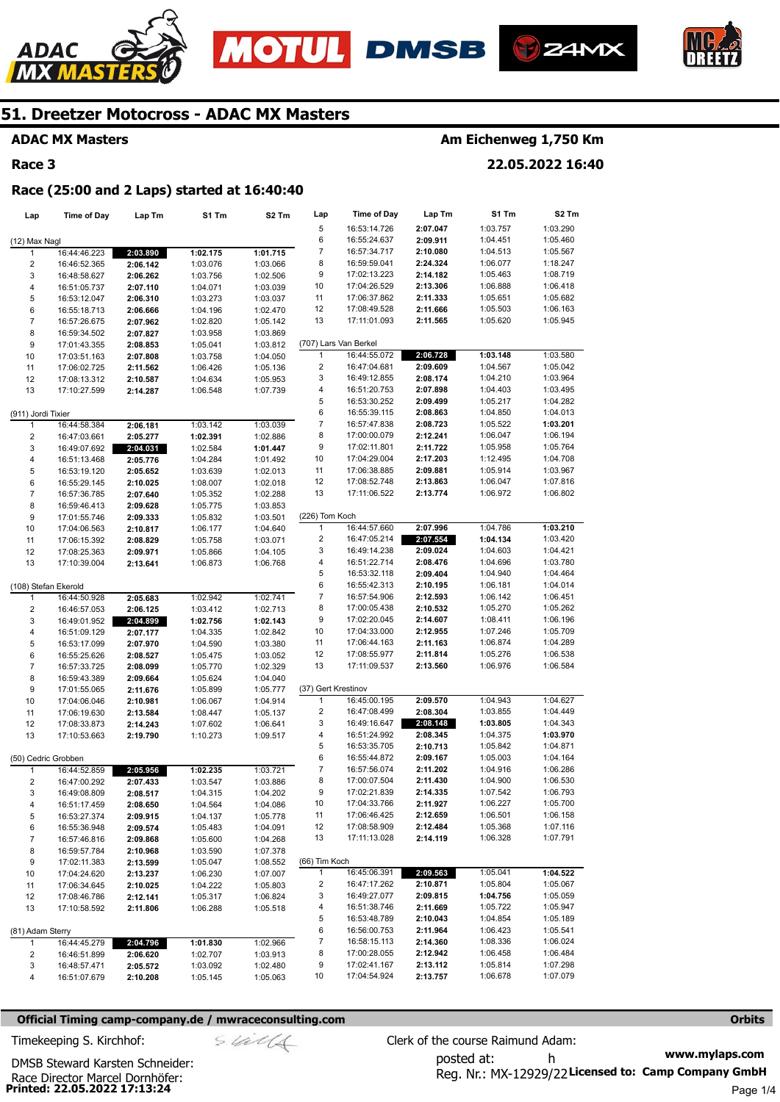







### **ADAC MX Masters**

### **Race 3**

### **Am Eichenweg 1,750 Km**

**22.05.2022 16:40** 

#### **Race (25:00 and 2 Laps) started at 16:40:40**

| Lap                     | Time of Day  | Lap Tm   | S1 Tm    | S <sub>2</sub> Tm | Lap                 | Time of Day           | Lap Tm   | S1 Tm    | S <sub>2</sub> Tm |
|-------------------------|--------------|----------|----------|-------------------|---------------------|-----------------------|----------|----------|-------------------|
|                         |              |          |          |                   | 5                   | 16:53:14.726          | 2:07.047 | 1:03.757 | 1:03.290          |
| (12) Max Nagl           |              |          |          |                   | 6                   | 16:55:24.637          | 2:09.911 | 1:04.451 | 1:05.460          |
| $\mathbf{1}$            | 16:44:46.223 | 2:03.890 | 1:02.175 | 1:01.715          | 7                   | 16:57:34.717          | 2:10.080 | 1:04.513 | 1:05.567          |
| 2                       | 16:46:52.365 | 2:06.142 | 1:03.076 | 1:03.066          | 8                   | 16:59:59.041          | 2:24.324 | 1:06.077 | 1:18.247          |
| 3                       | 16:48:58.627 | 2:06.262 | 1:03.756 | 1:02.506          | 9                   | 17:02:13.223          | 2:14.182 | 1:05.463 | 1:08.719          |
| 4                       | 16:51:05.737 | 2:07.110 | 1:04.071 | 1:03.039          | 10                  | 17:04:26.529          | 2:13.306 | 1:06.888 | 1:06.418          |
| 5                       | 16:53:12.047 | 2:06.310 | 1:03.273 | 1:03.037          | 11                  | 17:06:37.862          | 2:11.333 | 1:05.651 | 1:05.682          |
| 6                       | 16:55:18.713 | 2:06.666 | 1:04.196 | 1:02.470          | 12                  | 17:08:49.528          | 2:11.666 | 1:05.503 | 1:06.163          |
| $\overline{7}$          | 16:57:26.675 | 2:07.962 | 1:02.820 | 1:05.142          | 13                  | 17:11:01.093          | 2:11.565 | 1:05.620 | 1:05.945          |
| 8                       | 16:59:34.502 | 2:07.827 | 1:03.958 | 1:03.869          |                     |                       |          |          |                   |
| 9                       | 17:01:43.355 | 2:08.853 | 1:05.041 | 1:03.812          |                     | (707) Lars Van Berkel |          |          |                   |
| 10                      | 17:03:51.163 | 2:07.808 | 1:03.758 | 1:04.050          | $\mathbf{1}$        | 16:44:55.072          | 2:06.728 | 1:03.148 | 1:03.580          |
| 11                      | 17:06:02.725 | 2:11.562 | 1:06.426 | 1:05.136          | 2                   | 16:47:04.681          | 2:09.609 | 1:04.567 | 1:05.042          |
| 12                      | 17:08:13.312 | 2:10.587 | 1:04.634 | 1:05.953          | 3                   | 16:49:12.855          | 2:08.174 | 1:04.210 | 1:03.964          |
| 13                      | 17:10:27.599 | 2:14.287 | 1:06.548 | 1:07.739          | 4                   | 16:51:20.753          | 2:07.898 | 1:04.403 | 1:03.495          |
|                         |              |          |          |                   | 5                   | 16:53:30.252          | 2:09.499 | 1:05.217 | 1:04.282          |
| (911) Jordi Tixier      |              |          |          |                   | 6                   | 16:55:39.115          | 2:08.863 | 1:04.850 | 1:04.013          |
| $\mathbf{1}$            | 16:44:58.384 | 2:06.181 | 1:03.142 | 1:03.039          | 7                   | 16:57:47.838          | 2:08.723 | 1:05.522 | 1:03.201          |
| $\overline{\mathbf{c}}$ | 16:47:03.661 | 2:05.277 | 1:02.391 | 1:02.886          | 8                   | 17:00:00.079          | 2:12.241 | 1:06.047 | 1:06.194          |
| 3                       | 16:49:07.692 | 2:04.031 | 1:02.584 | 1:01.447          | 9                   | 17:02:11.801          | 2:11.722 | 1:05.958 | 1:05.764          |
| 4                       | 16:51:13.468 | 2:05.776 | 1:04.284 | 1:01.492          | 10                  | 17:04:29.004          | 2:17.203 | 1:12.495 | 1:04.708          |
| 5                       | 16:53:19.120 | 2:05.652 | 1:03.639 | 1:02.013          | 11                  | 17:06:38.885          | 2:09.881 | 1:05.914 | 1:03.967          |
| 6                       | 16:55:29.145 | 2:10.025 | 1:08.007 | 1:02.018          | 12                  | 17:08:52.748          | 2:13.863 | 1:06.047 | 1:07.816          |
| $\overline{7}$          | 16:57:36.785 | 2:07.640 | 1:05.352 | 1:02.288          | 13                  | 17:11:06.522          | 2:13.774 | 1:06.972 | 1:06.802          |
| 8                       | 16:59:46.413 | 2:09.628 | 1:05.775 | 1:03.853          |                     |                       |          |          |                   |
| 9                       | 17:01:55.746 | 2:09.333 | 1:05.832 | 1:03.501          | (226) Tom Koch      |                       |          |          |                   |
| 10                      | 17:04:06.563 | 2:10.817 | 1:06.177 | 1:04.640          | 1                   | 16:44:57.660          | 2:07.996 | 1:04.786 | 1:03.210          |
| 11                      | 17:06:15.392 | 2:08.829 | 1:05.758 | 1:03.071          | 2                   | 16:47:05.214          | 2:07.554 | 1:04.134 | 1:03.420          |
| 12                      | 17:08:25.363 | 2:09.971 | 1:05.866 | 1:04.105          | 3                   | 16:49:14.238          | 2:09.024 | 1:04.603 | 1:04.421          |
| 13                      | 17:10:39.004 | 2:13.641 | 1:06.873 | 1:06.768          | 4                   | 16:51:22.714          | 2:08.476 | 1:04.696 | 1:03.780          |
|                         |              |          |          |                   | 5                   | 16:53:32.118          | 2:09.404 | 1:04.940 | 1:04.464          |
| (108) Stefan Ekerold    |              |          |          |                   | 6                   | 16:55:42.313          | 2:10.195 | 1:06.181 | 1:04.014          |
| $\mathbf{1}$            | 16:44:50.928 | 2:05.683 | 1:02.942 | 1:02.741          | 7                   | 16:57:54.906          | 2:12.593 | 1:06.142 | 1:06.451          |
| $\overline{\mathbf{c}}$ | 16:46:57.053 | 2:06.125 | 1:03.412 | 1:02.713          | 8                   | 17:00:05.438          | 2:10.532 | 1:05.270 | 1:05.262          |
| 3                       | 16:49:01.952 | 2:04.899 | 1:02.756 | 1:02.143          | 9                   | 17:02:20.045          | 2:14.607 | 1:08.411 | 1:06.196          |
| 4                       | 16:51:09.129 | 2:07.177 | 1:04.335 | 1:02.842          | 10                  | 17:04:33.000          | 2:12.955 | 1:07.246 | 1:05.709          |
| 5                       | 16:53:17.099 | 2:07.970 | 1:04.590 | 1:03.380          | 11                  | 17:06:44.163          | 2:11.163 | 1:06.874 | 1:04.289          |
| 6                       | 16:55:25.626 | 2:08.527 | 1:05.475 | 1:03.052          | 12                  | 17:08:55.977          | 2:11.814 | 1:05.276 | 1:06.538          |
| $\overline{7}$          | 16:57:33.725 | 2:08.099 | 1:05.770 | 1:02.329          | 13                  | 17:11:09.537          | 2:13.560 | 1:06.976 | 1:06.584          |
| 8                       | 16:59:43.389 | 2:09.664 | 1:05.624 | 1:04.040          |                     |                       |          |          |                   |
| 9                       | 17:01:55.065 | 2:11.676 | 1:05.899 | 1:05.777          | (37) Gert Krestinov |                       |          |          |                   |
| 10                      | 17:04:06.046 | 2:10.981 | 1:06.067 | 1:04.914          | 1                   | 16:45:00.195          | 2:09.570 | 1:04.943 | 1:04.627          |
| 11                      | 17:06:19.630 | 2:13.584 | 1:08.447 | 1:05.137          | 2                   | 16:47:08.499          | 2:08.304 | 1:03.855 | 1:04.449          |
| 12                      | 17:08:33.873 | 2:14.243 | 1:07.602 | 1:06.641          | 3                   | 16:49:16.647          | 2:08.148 | 1:03.805 | 1:04.343          |
| 13                      | 17:10:53.663 | 2:19.790 | 1:10.273 | 1:09.517          | 4                   | 16:51:24.992          | 2:08.345 | 1:04.375 | 1:03.970          |
|                         |              |          |          |                   | 5                   | 16:53:35.705          | 2:10.713 | 1:05.842 | 1:04.871          |
| (50) Cedric Grobben     |              |          |          |                   | 6                   | 16:55:44.872          | 2:09.167 | 1:05.003 | 1:04.164          |
| 1                       | 16:44:52.859 | 2:05.956 | 1:02.235 | 1:03.721          | 7                   | 16:57:56.074          | 2:11.202 | 1:04.916 | 1:06.286          |
| $\overline{\mathbf{c}}$ | 16:47:00.292 | 2:07.433 | 1:03.547 | 1:03.886          | 8                   | 17:00:07.504          | 2:11.430 | 1:04.900 | 1:06.530          |
| 3                       | 16:49:08.809 | 2:08.517 | 1:04.315 | 1:04.202          | 9                   | 17:02:21.839          | 2:14.335 | 1:07.542 | 1:06.793          |
| 4                       | 16:51:17.459 | 2:08.650 | 1:04.564 | 1:04.086          | 10                  | 17:04:33.766          | 2:11.927 | 1:06.227 | 1:05.700          |
| 5                       | 16:53:27.374 | 2:09.915 | 1:04.137 | 1:05.778          | 11                  | 17:06:46.425          | 2:12.659 | 1:06.501 | 1:06.158          |
| 6                       | 16:55:36.948 | 2:09.574 | 1:05.483 | 1:04.091          | 12                  | 17:08:58.909          | 2:12.484 | 1:05.368 | 1:07.116          |
| 7                       | 16:57:46.816 | 2:09.868 | 1:05.600 | 1:04.268          | 13                  | 17:11:13.028          | 2:14.119 | 1:06.328 | 1:07.791          |
| 8                       | 16:59:57.784 | 2:10.968 | 1:03.590 | 1:07.378          |                     |                       |          |          |                   |
| 9                       | 17:02:11.383 | 2:13.599 | 1:05.047 | 1:08.552          | (66) Tim Koch       |                       |          |          |                   |
| 10                      | 17:04:24.620 | 2:13.237 | 1:06.230 | 1:07.007          | $\mathbf{1}$        | 16:45:06.391          | 2:09.563 | 1:05.041 | 1:04.522          |
| 11                      | 17:06:34.645 | 2:10.025 | 1:04.222 | 1:05.803          | 2                   | 16:47:17.262          | 2:10.871 | 1:05.804 | 1:05.067          |
| 12                      | 17:08:46.786 | 2:12.141 | 1:05.317 | 1:06.824          | 3                   | 16:49:27.077          | 2:09.815 | 1:04.756 | 1:05.059          |
| 13                      | 17:10:58.592 | 2:11.806 | 1:06.288 | 1:05.518          | 4                   | 16:51:38.746          | 2:11.669 | 1:05.722 | 1:05.947          |
|                         |              |          |          |                   | 5                   | 16:53:48.789          | 2:10.043 | 1:04.854 | 1:05.189          |
| (81) Adam Sterry        |              |          |          |                   | 6                   | 16:56:00.753          | 2:11.964 | 1:06.423 | 1:05.541          |
| 1                       | 16:44:45.279 | 2:04.796 | 1:01.830 | 1:02.966          | 7                   | 16:58:15.113          | 2:14.360 | 1:08.336 | 1:06.024          |
| 2                       | 16:46:51.899 | 2:06.620 | 1:02.707 | 1:03.913          | 8                   | 17:00:28.055          | 2:12.942 | 1:06.458 | 1:06.484          |
| 3                       | 16:48:57.471 | 2:05.572 | 1:03.092 | 1:02.480          | 9                   | 17:02:41.167          | 2:13.112 | 1:05.814 | 1:07.298          |
| 4                       | 16:51:07.679 | 2:10.208 | 1:05.145 | 1:05.063          | 10                  | 17:04:54.924          | 2:13.757 | 1:06.678 | 1:07.079          |

#### **Official Timing camp-company.de / mwraceconsulting.com <b>Orbits Orbits Orbits Orbits**

**Printed: 22.05.2022 17:13:24**  Race Director Marcel Dornhöfer:

DMSB Steward Karsten Schneider:

**www.mylaps.com**  Reg. Nr.: MX-12929/22 Licensed to: Camp Company GmbH posted at: h Timekeeping S. Kirchhof:  $\frac{1}{2}$  Clerk of the course Raimund Adam: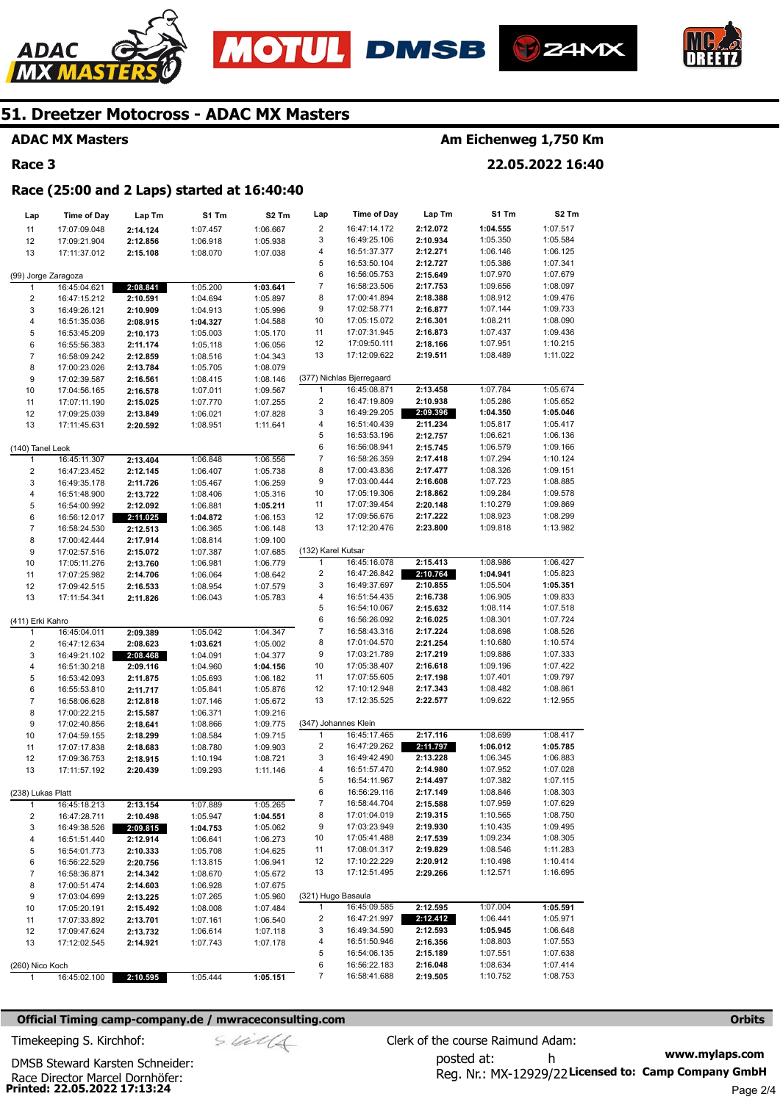







### **ADAC MX Masters**

### **Race 3**

### **Am Eichenweg 1,750 Km**

**22.05.2022 16:40** 

#### **Race (25:00 and 2 Laps) started at 16:40:40**

| Lap                     | Time of Day                  | Lap Tm               | S1 Tm                | S2 Tm                | Lap                          | <b>Time of Day</b>           | Lap Tm               | S1 Tm                | S2 Tm                |
|-------------------------|------------------------------|----------------------|----------------------|----------------------|------------------------------|------------------------------|----------------------|----------------------|----------------------|
| 11                      | 17:07:09.048                 | 2:14.124             | 1:07.457             | 1:06.667             | $\overline{\mathbf{c}}$      | 16:47:14.172                 | 2:12.072             | 1:04.555             | 1:07.517             |
| 12                      | 17:09:21.904                 | 2:12.856             | 1:06.918             | 1:05.938             | 3                            | 16:49:25.106                 | 2:10.934             | 1:05.350             | 1:05.584             |
| 13                      | 17:11:37.012                 | 2:15.108             | 1:08.070             | 1:07.038             | 4                            | 16:51:37.377                 | 2:12.271             | 1:06.146             | 1:06.125             |
|                         |                              |                      |                      |                      | 5                            | 16:53:50.104                 | 2:12.727             | 1:05.386             | 1:07.341             |
| (99) Jorge Zaragoza     |                              |                      |                      |                      | 6                            | 16:56:05.753                 | 2:15.649             | 1:07.970             | 1:07.679             |
| 1                       | 16:45:04.621                 | 2:08.841             | 1:05.200             | 1:03.641             | 7                            | 16:58:23.506                 | 2:17.753             | 1:09.656             | 1:08.097             |
| $\overline{\mathbf{c}}$ | 16:47:15.212                 | 2:10.591             | 1:04.694             | 1:05.897             | 8                            | 17:00:41.894                 | 2:18.388             | 1:08.912             | 1:09.476             |
| 3                       | 16:49:26.121                 | 2:10.909             | 1:04.913             | 1:05.996             | 9                            | 17:02:58.771                 | 2:16.877             | 1:07.144             | 1:09.733             |
| 4                       | 16:51:35.036                 | 2:08.915             | 1:04.327             | 1:04.588             | 10                           | 17:05:15.072                 | 2:16.301             | 1:08.211             | 1:08.090             |
| 5                       | 16:53:45.209                 | 2:10.173             | 1:05.003             | 1:05.170             | 11                           | 17:07:31.945                 | 2:16.873             | 1:07.437             | 1:09.436             |
| 6                       | 16:55:56.383                 | 2:11.174             | 1:05.118             | 1:06.056             | 12                           | 17:09:50.111                 | 2:18.166             | 1:07.951             | 1:10.215             |
| $\boldsymbol{7}$        | 16:58:09.242                 | 2:12.859             | 1:08.516             | 1:04.343             | 13                           | 17:12:09.622                 | 2:19.511             | 1:08.489             | 1:11.022             |
| 8                       | 17:00:23.026                 | 2:13.784             | 1:05.705             | 1:08.079             |                              |                              |                      |                      |                      |
| 9                       | 17:02:39.587                 | 2:16.561             | 1:08.415             | 1:08.146             |                              | (377) Nichlas Bjerregaard    |                      |                      |                      |
| 10                      | 17:04:56.165                 | 2:16.578             | 1:07.011             | 1:09.567             | 1<br>$\overline{\mathbf{c}}$ | 16:45:08.871<br>16:47:19.809 | 2:13.458<br>2:10.938 | 1:07.784<br>1:05.286 | 1:05.674<br>1:05.652 |
| 11                      | 17:07:11.190                 | 2:15.025             | 1:07.770             | 1:07.255             | 3                            | 16:49:29.205                 | 2:09.396             | 1:04.350             | 1:05.046             |
| 12                      | 17:09:25.039                 | 2:13.849             | 1:06.021             | 1:07.828             | 4                            | 16:51:40.439                 | 2:11.234             | 1:05.817             | 1:05.417             |
| 13                      | 17:11:45.631                 | 2:20.592             | 1:08.951             | 1:11.641             | 5                            | 16:53:53.196                 | 2:12.757             | 1:06.621             | 1:06.136             |
| (140) Tanel Leok        |                              |                      |                      |                      | 6                            | 16:56:08.941                 | 2:15.745             | 1:06.579             | 1:09.166             |
| 1                       | 16:45:11.307                 | 2:13.404             | 1:06.848             | 1:06.556             | $\boldsymbol{7}$             | 16:58:26.359                 | 2:17.418             | 1:07.294             | 1:10.124             |
| $\overline{\mathbf{c}}$ | 16:47:23.452                 | 2:12.145             | 1:06.407             | 1:05.738             | 8                            | 17:00:43.836                 | 2:17.477             | 1:08.326             | 1:09.151             |
| 3                       | 16:49:35.178                 | 2:11.726             | 1:05.467             | 1:06.259             | 9                            | 17:03:00.444                 | 2:16.608             | 1:07.723             | 1:08.885             |
| 4                       | 16:51:48.900                 | 2:13.722             | 1:08.406             | 1:05.316             | 10                           | 17:05:19.306                 | 2:18.862             | 1:09.284             | 1:09.578             |
| 5                       | 16:54:00.992                 | 2:12.092             | 1:06.881             | 1:05.211             | 11                           | 17:07:39.454                 | 2:20.148             | 1:10.279             | 1:09.869             |
| 6                       | 16:56:12.017                 | 2:11.025             | 1:04.872             | 1:06.153             | 12                           | 17:09:56.676                 | 2:17.222             | 1:08.923             | 1:08.299             |
| $\boldsymbol{7}$        | 16:58:24.530                 | 2:12.513             | 1:06.365             | 1:06.148             | 13                           | 17:12:20.476                 | 2:23.800             | 1:09.818             | 1:13.982             |
| 8                       | 17:00:42.444                 | 2:17.914             | 1:08.814             | 1:09.100             |                              |                              |                      |                      |                      |
| 9                       | 17:02:57.516                 | 2:15.072             | 1:07.387             | 1:07.685             | (132) Karel Kutsar           |                              |                      |                      |                      |
| 10                      | 17:05:11.276                 | 2:13.760             | 1:06.981             | 1:06.779             | 1                            | 16:45:16.078                 | 2:15.413             | 1:08.986             | 1:06.427             |
| 11                      | 17:07:25.982                 | 2:14.706             | 1:06.064             | 1:08.642             | $\overline{\mathbf{c}}$      | 16:47:26.842                 | 2:10.764             | 1:04.941             | 1:05.823             |
| 12                      | 17:09:42.515                 | 2:16.533             | 1:08.954             | 1:07.579             | 3                            | 16:49:37.697                 | 2:10.855             | 1:05.504             | 1:05.351             |
| 13                      | 17:11:54.341                 | 2:11.826             | 1:06.043             | 1:05.783             | 4                            | 16:51:54.435                 | 2:16.738             | 1:06.905             | 1:09.833             |
|                         |                              |                      |                      |                      | 5                            | 16:54:10.067                 | 2:15.632             | 1:08.114             | 1:07.518             |
| (411) Erki Kahro        |                              |                      |                      |                      | 6                            | 16:56:26.092                 | 2:16.025             | 1:08.301             | 1:07.724             |
| $\mathbf{1}$            | 16:45:04.011                 | 2:09.389             | 1:05.042             | 1:04.347             | 7                            | 16:58:43.316                 | 2:17.224             | 1:08.698             | 1:08.526             |
| $\overline{\mathbf{c}}$ | 16:47:12.634                 | 2:08.623             | 1:03.621             | 1:05.002             | 8                            | 17:01:04.570                 | 2:21.254             | 1:10.680             | 1:10.574             |
| 3                       | 16:49:21.102                 | 2:08.468             | 1:04.091             | 1:04.377             | 9                            | 17:03:21.789                 | 2:17.219             | 1:09.886             | 1:07.333             |
| 4                       | 16:51:30.218                 | 2:09.116             | 1:04.960             | 1:04.156             | 10<br>11                     | 17:05:38.407<br>17:07:55.605 | 2:16.618             | 1:09.196<br>1:07.401 | 1:07.422<br>1:09.797 |
| 5<br>6                  | 16:53:42.093                 | 2:11.875             | 1:05.693             | 1:06.182             | 12                           | 17:10:12.948                 | 2:17.198<br>2:17.343 | 1:08.482             | 1:08.861             |
| $\overline{7}$          | 16:55:53.810<br>16:58:06.628 | 2:11.717<br>2:12.818 | 1:05.841<br>1:07.146 | 1:05.876<br>1:05.672 | 13                           | 17:12:35.525                 | 2:22.577             | 1:09.622             | 1:12.955             |
| 8                       | 17:00:22.215                 | 2:15.587             | 1:06.371             | 1:09.216             |                              |                              |                      |                      |                      |
| 9                       | 17:02:40.856                 | 2:18.641             | 1:08.866             | 1:09.775             | (347) Johannes Klein         |                              |                      |                      |                      |
| $10$                    | 17:04:59.155                 | 2:18.299             | 1:08.584             | 1:09.715             | 1                            | 16:45:17.465                 | 2:17.116             | 1:08.699             | 1:08.417             |
| 11                      | 17:07:17.838                 | 2:18.683             | 1:08.780             | 1:09.903             | $\overline{\mathbf{c}}$      | 16:47:29.262                 | 2:11.797             | 1:06.012             | 1:05.785             |
| 12                      | 17:09:36.753                 | 2:18.915             | 1:10.194             | 1:08.721             | 3                            | 16:49:42.490                 | 2:13.228             | 1:06.345             | 1:06.883             |
| 13                      | 17:11:57.192                 | 2:20.439             | 1:09.293             | 1:11.146             | 4                            | 16:51:57.470                 | 2:14.980             | 1:07.952             | 1:07.028             |
|                         |                              |                      |                      |                      | 5                            | 16:54:11.967                 | 2:14.497             | 1:07.382             | 1:07.115             |
| (238) Lukas Platt       |                              |                      |                      |                      | 6                            | 16:56:29.116                 | 2:17.149             | 1:08.846             | 1:08.303             |
| 1                       | 16:45:18.213                 | 2:13.154             | 1:07.889             | 1:05.265             | $\overline{7}$               | 16:58:44.704                 | 2:15.588             | 1:07.959             | 1:07.629             |
| 2                       | 16:47:28.711                 | 2:10.498             | 1:05.947             | 1:04.551             | 8                            | 17:01:04.019                 | 2:19.315             | 1:10.565             | 1:08.750             |
| 3                       | 16:49:38.526                 | 2:09.815             | 1:04.753             | 1:05.062             | 9                            | 17:03:23.949                 | 2:19.930             | 1:10.435             | 1:09.495             |
| 4                       | 16:51:51.440                 | 2:12.914             | 1:06.641             | 1:06.273             | 10                           | 17:05:41.488                 | 2:17.539             | 1:09.234             | 1:08.305             |
| 5                       | 16:54:01.773                 | 2:10.333             | 1:05.708             | 1:04.625             | 11                           | 17:08:01.317                 | 2:19.829             | 1:08.546             | 1:11.283             |
| 6                       | 16:56:22.529                 | 2:20.756             | 1:13.815             | 1:06.941             | 12                           | 17:10:22.229                 | 2:20.912             | 1:10.498             | 1:10.414             |
| 7                       | 16:58:36.871                 | 2:14.342             | 1:08.670             | 1:05.672             | 13                           | 17:12:51.495                 | 2:29.266             | 1:12.571             | 1:16.695             |
| 8                       | 17:00:51.474                 | 2:14.603             | 1:06.928             | 1:07.675             |                              |                              |                      |                      |                      |
| 9                       | 17:03:04.699                 | 2:13.225             | 1:07.265             | 1:05.960             | (321) Hugo Basaula           |                              |                      |                      |                      |
| 10                      | 17:05:20.191                 | 2:15.492             | 1:08.008             | 1:07.484             | 1                            | 16:45:09.585                 | 2:12.595             | 1:07.004             | 1:05.591             |
| 11                      | 17:07:33.892                 | 2:13.701             | 1:07.161             | 1:06.540             | $\overline{a}$<br>3          | 16:47:21.997<br>16:49:34.590 | 2:12.412<br>2:12.593 | 1:06.441             | 1:05.971             |
| 12                      | 17:09:47.624                 | 2:13.732             | 1:06.614             | 1:07.118             | 4                            | 16:51:50.946                 | 2:16.356             | 1:05.945<br>1:08.803 | 1:06.648<br>1:07.553 |
| 13                      | 17:12:02.545                 | 2:14.921             | 1:07.743             | 1:07.178             | 5                            | 16:54:06.135                 | 2:15.189             | 1:07.551             | 1:07.638             |
| (260) Nico Koch         |                              |                      |                      |                      | 6                            | 16:56:22.183                 | 2:16.048             | 1:08.634             | 1:07.414             |
| 1                       | 16:45:02.100                 | 2:10.595             | 1:05.444             | 1:05.151             | 7                            | 16:58:41.688                 | 2:19.505             | 1:10.752             | 1:08.753             |
|                         |                              |                      |                      |                      |                              |                              |                      |                      |                      |

#### **Official Timing camp-company.de / mwraceconsulting.com <b>Orbits Orbits Orbits Orbits**

$$
\mathcal{S}\ \mathcal{U}\ \mathcal{U}
$$

**www.mylaps.com**  Reg. Nr.: MX-12929/22 Licensed to: Camp Company GmbH posted at: h Timekeeping S. Kirchhof:  $\le \frac{1}{2}$  Clerk of the course Raimund Adam: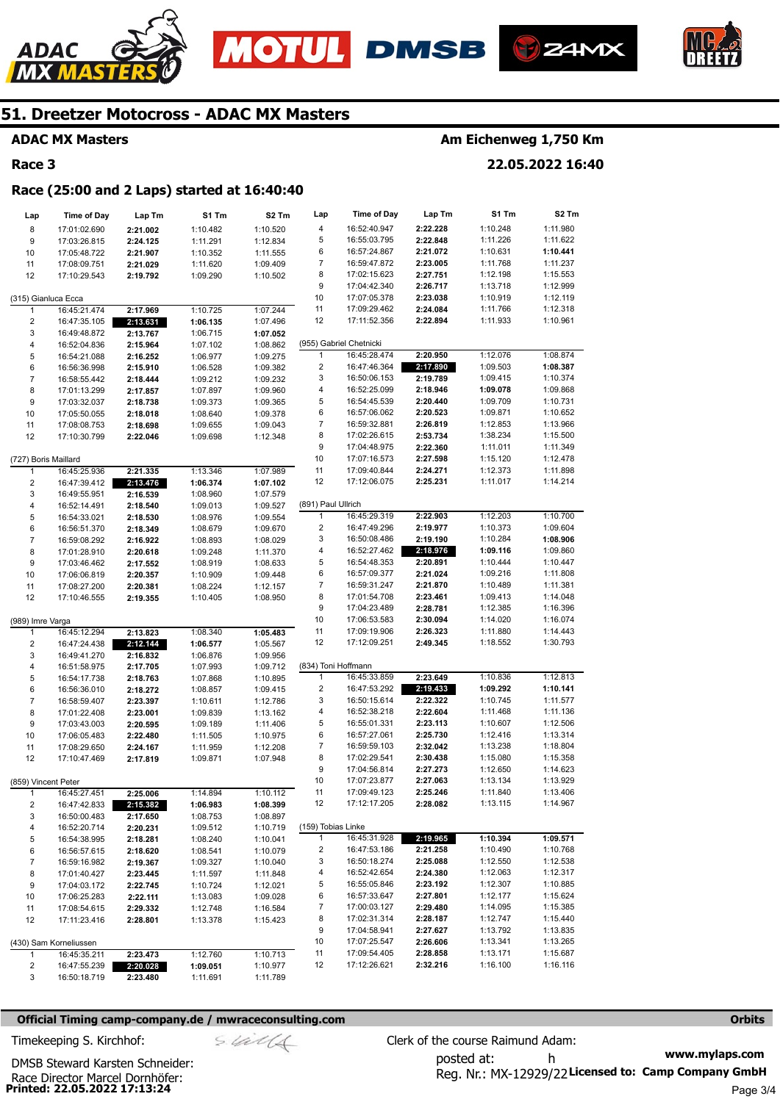







#### **ADAC MX Masters**

### **Race 3**

### **Am Eichenweg 1,750 Km**

**22.05.2022 16:40** 

#### **Race (25:00 and 2 Laps) started at 16:40:40**

| Lap                     | <b>Time of Day</b>           | Lap Tm               | S1 Tm                | S2 Tm                | Lap                     | Time of Day                  | Lap Tm               | S1 Tm                | S2 Tm                |
|-------------------------|------------------------------|----------------------|----------------------|----------------------|-------------------------|------------------------------|----------------------|----------------------|----------------------|
| 8                       | 17:01:02.690                 | 2:21.002             | 1:10.482             | 1:10.520             | 4                       | 16:52:40.947                 | 2:22.228             | 1:10.248             | 1:11.980             |
| 9                       | 17:03:26.815                 | 2:24.125             | 1:11.291             | 1:12.834             | 5                       | 16:55:03.795                 | 2:22.848             | 1:11.226             | 1:11.622             |
| 10                      | 17:05:48.722                 | 2:21.907             | 1:10.352             | 1:11.555             | 6                       | 16:57:24.867                 | 2:21.072             | 1:10.631             | 1:10.441             |
| 11                      | 17:08:09.751                 | 2:21.029             | 1:11.620             | 1:09.409             | 7                       | 16:59:47.872                 | 2:23.005             | 1:11.768             | 1:11.237             |
| 12                      | 17:10:29.543                 | 2:19.792             | 1:09.290             | 1:10.502             | 8                       | 17:02:15.623                 | 2:27.751             | 1:12.198             | 1:15.553             |
|                         |                              |                      |                      |                      | 9                       | 17:04:42.340                 | 2:26.717             | 1:13.718             | 1:12.999             |
|                         | (315) Gianluca Ecca          |                      |                      |                      | 10                      | 17:07:05.378                 | 2:23.038             | 1:10.919             | 1:12.119             |
| 1                       | 16:45:21.474                 | 2:17.969             | 1:10.725             | 1:07.244             | 11                      | 17:09:29.462                 | 2:24.084             | 1:11.766             | 1:12.318             |
| 2                       | 16:47:35.105                 | 2:13.631             | 1:06.135             | 1:07.496             | 12                      | 17:11:52.356                 | 2:22.894             | 1:11.933             | 1:10.961             |
| 3                       | 16:49:48.872                 | 2:13.767             | 1:06.715             | 1:07.052             |                         |                              |                      |                      |                      |
| 4                       | 16:52:04.836                 | 2:15.964             | 1:07.102             | 1:08.862             |                         | (955) Gabriel Chetnicki      |                      |                      |                      |
| 5                       | 16:54:21.088                 | 2:16.252             | 1:06.977             | 1:09.275             | 1                       | 16:45:28.474                 | 2:20.950             | 1:12.076             | 1:08.874             |
| 6                       | 16:56:36.998                 | 2:15.910             | 1:06.528             | 1:09.382             | 2                       | 16:47:46.364                 | 2:17.890             | 1:09.503             | 1:08.387             |
| 7                       | 16:58:55.442                 | 2:18.444             | 1:09.212             | 1:09.232             | 3                       | 16:50:06.153                 | 2:19.789             | 1:09.415             | 1:10.374             |
| 8                       | 17:01:13.299                 | 2:17.857             | 1:07.897             | 1:09.960             | 4                       | 16:52:25.099                 | 2:18.946             | 1:09.078             | 1:09.868             |
| 9                       | 17:03:32.037                 | 2:18.738             | 1:09.373             | 1:09.365             | 5                       | 16:54:45.539                 | 2:20.440             | 1:09.709             | 1:10.731             |
| 10                      | 17:05:50.055                 | 2:18.018             | 1:08.640             | 1:09.378             | 6                       | 16:57:06.062                 | 2:20.523             | 1:09.871             | 1:10.652             |
| 11                      | 17:08:08.753                 | 2:18.698             | 1:09.655             | 1:09.043             | 7                       | 16:59:32.881                 | 2:26.819             | 1:12.853             | 1:13.966             |
| 12                      | 17:10:30.799                 | 2:22.046             | 1:09.698             | 1:12.348             | 8                       | 17:02:26.615                 | 2:53.734             | 1:38.234             | 1:15.500             |
|                         |                              |                      |                      |                      | 9                       | 17:04:48.975                 | 2:22.360             | 1:11.011             | 1:11.349             |
| (727) Boris Maillard    |                              |                      |                      |                      | 10<br>11                | 17:07:16.573<br>17:09:40.844 | 2:27.598             | 1:15.120<br>1:12.373 | 1:12.478<br>1:11.898 |
| 1                       | 16:45:25.936                 | 2:21.335             | 1:13.346             | 1:07.989             | 12                      | 17:12:06.075                 | 2:24.271<br>2:25.231 | 1:11.017             |                      |
| 2                       | 16:47:39.412                 | 2:13.476             | 1:06.374             | 1:07.102             |                         |                              |                      |                      | 1:14.214             |
| 3<br>4                  | 16:49:55.951<br>16:52:14.491 | 2:16.539<br>2:18.540 | 1:08.960             | 1:07.579<br>1:09.527 | (891) Paul Ullrich      |                              |                      |                      |                      |
| 5                       | 16:54:33.021                 | 2:18.530             | 1:09.013<br>1:08.976 | 1:09.554             | $\mathbf{1}$            | 16:45:29.319                 | 2:22.903             | 1:12.203             | 1:10.700             |
| 6                       | 16:56:51.370                 | 2:18.349             | 1:08.679             | 1:09.670             | $\overline{\mathbf{c}}$ | 16:47:49.296                 | 2:19.977             | 1:10.373             | 1:09.604             |
| 7                       | 16:59:08.292                 | 2:16.922             | 1:08.893             | 1:08.029             | 3                       | 16:50:08.486                 | 2:19.190             | 1:10.284             | 1:08.906             |
| 8                       | 17:01:28.910                 | 2:20.618             | 1:09.248             | 1:11.370             | 4                       | 16:52:27.462                 | 2:18.976             | 1:09.116             | 1:09.860             |
| 9                       | 17:03:46.462                 | 2:17.552             | 1:08.919             | 1:08.633             | 5                       | 16:54:48.353                 | 2:20.891             | 1:10.444             | 1:10.447             |
| 10                      | 17:06:06.819                 | 2:20.357             | 1:10.909             | 1:09.448             | 6                       | 16:57:09.377                 | 2:21.024             | 1:09.216             | 1:11.808             |
| 11                      | 17:08:27.200                 | 2:20.381             | 1:08.224             | 1:12.157             | 7                       | 16:59:31.247                 | 2:21.870             | 1:10.489             | 1:11.381             |
| 12                      | 17:10:46.555                 | 2:19.355             | 1:10.405             | 1:08.950             | 8                       | 17:01:54.708                 | 2:23.461             | 1:09.413             | 1:14.048             |
|                         |                              |                      |                      |                      | 9                       | 17:04:23.489                 | 2:28.781             | 1:12.385             | 1:16.396             |
| (989) Imre Varga        |                              |                      |                      |                      | 10                      | 17:06:53.583                 | 2:30.094             | 1:14.020             | 1:16.074             |
| 1                       | 16:45:12.294                 | 2:13.823             | 1:08.340             | 1:05.483             | 11                      | 17:09:19.906                 | 2:26.323             | 1:11.880             | 1:14.443             |
| $\overline{\mathbf{c}}$ | 16:47:24.438                 | 2:12.144             | 1:06.577             | 1:05.567             | 12                      | 17:12:09.251                 | 2:49.345             | 1:18.552             | 1:30.793             |
| 3                       | 16:49:41.270                 | 2:16.832             | 1:06.876             | 1:09.956             |                         |                              |                      |                      |                      |
| 4                       | 16:51:58.975                 | 2:17.705             | 1:07.993             | 1:09.712             | (834) Toni Hoffmann     |                              |                      |                      |                      |
| 5                       | 16:54:17.738                 | 2:18.763             | 1:07.868             | 1:10.895             | 1                       | 16:45:33.859                 | 2:23.649             | 1:10.836             | 1:12.813             |
| 6                       | 16:56:36.010                 | 2:18.272             | 1:08.857             | 1:09.415             | 2                       | 16:47:53.292                 | 2:19.433             | 1:09.292             | 1:10.141             |
| 7                       | 16:58:59.407                 | 2:23.397             | 1:10.611             | 1:12.786             | 3                       | 16:50:15.614                 | 2:22.322             | 1:10.745             | 1:11.577             |
| 8                       | 17:01:22.408                 | 2:23.001             | 1:09.839             | 1:13.162             | 4                       | 16:52:38.218                 | 2:22.604             | 1:11.468             | 1:11.136             |
| 9                       | 17:03:43.003                 | 2:20.595             | 1:09.189             | 1:11.406             | 5                       | 16:55:01.331                 | 2:23.113             | 1:10.607             | 1:12.506             |
| 10                      | 17:06:05.483                 | 2:22.480             | 1:11.505             | 1:10.975             | 6                       | 16:57:27.061                 | 2:25.730             | 1:12.416             | 1:13.314             |
| 11                      | 17:08:29.650                 | 2:24.167             | 1:11.959             | 1:12.208             | $\overline{7}$          | 16:59:59.103<br>17:02:29.541 | 2:32.042             | 1:13.238             | 1:18.804             |
| 12                      | 17:10:47.469                 | 2:17.819             | 1:09.871             | 1:07.948             | 8<br>9                  | 17:04:56.814                 | 2:30.438<br>2:27.273 | 1:15.080<br>1:12.650 | 1:15.358<br>1:14.623 |
|                         |                              |                      |                      |                      | 10                      | 17:07:23.877                 | 2:27.063             | 1:13.134             | 1:13.929             |
| (859) Vincent Peter     |                              | 2:25.006             |                      |                      | 11                      | 17:09:49.123                 | 2:25.246             | 1:11.840             | 1:13.406             |
| 2                       | 16:45:27.451<br>16:47:42.833 | 2:15.382             | 1:14.894<br>1:06.983 | 1:10.112<br>1:08.399 | 12                      | 17:12:17.205                 | 2:28.082             | 1:13.115             | 1:14.967             |
| 3                       | 16:50:00.483                 | 2:17.650             | 1:08.753             | 1:08.897             |                         |                              |                      |                      |                      |
| 4                       | 16:52:20.714                 | 2:20.231             | 1:09.512             | 1:10.719             | (159) Tobias Linke      |                              |                      |                      |                      |
| 5                       | 16:54:38.995                 | 2:18.281             | 1:08.240             | 1:10.041             | $\mathbf{1}$            | 16:45:31.928                 | 2:19.965             | 1:10.394             | 1:09.571             |
| 6                       | 16:56:57.615                 | 2:18.620             | 1:08.541             | 1:10.079             | $\overline{c}$          | 16:47:53.186                 | 2:21.258             | 1:10.490             | 1:10.768             |
| $\overline{7}$          | 16:59:16.982                 | 2:19.367             | 1:09.327             | 1:10.040             | 3                       | 16:50:18.274                 | 2:25.088             | 1:12.550             | 1:12.538             |
| 8                       | 17:01:40.427                 | 2:23.445             | 1:11.597             | 1:11.848             | 4                       | 16:52:42.654                 | 2:24.380             | 1:12.063             | 1:12.317             |
| 9                       | 17:04:03.172                 | 2:22.745             | 1:10.724             | 1:12.021             | 5                       | 16:55:05.846                 | 2:23.192             | 1:12.307             | 1:10.885             |
| 10                      | 17:06:25.283                 | 2:22.111             | 1:13.083             | 1:09.028             | 6                       | 16:57:33.647                 | 2:27.801             | 1:12.177             | 1:15.624             |
| 11                      | 17:08:54.615                 | 2:29.332             | 1:12.748             | 1:16.584             | 7                       | 17:00:03.127                 | 2:29.480             | 1:14.095             | 1:15.385             |
| 12                      | 17:11:23.416                 | 2:28.801             | 1:13.378             | 1:15.423             | 8                       | 17:02:31.314                 | 2:28.187             | 1:12.747             | 1:15.440             |
|                         |                              |                      |                      |                      | 9                       | 17:04:58.941                 | 2:27.627             | 1:13.792             | 1:13.835             |
|                         | (430) Sam Korneliussen       |                      |                      |                      | 10                      | 17:07:25.547                 | 2:26.606             | 1:13.341             | 1:13.265             |
| 1                       | 16:45:35.211                 | 2:23.473             | 1:12.760             | 1:10.713             | 11                      | 17:09:54.405                 | 2:28.858             | 1:13.171             | 1:15.687             |
| 2                       | 16:47:55.239                 | 2:20.028             | 1:09.051             | 1:10.977             | 12                      | 17:12:26.621                 | 2:32.216             | 1:16.100             | 1:16.116             |
| 3                       | 16:50:18.719                 | 2:23.480             | 1:11.691             | 1:11.789             |                         |                              |                      |                      |                      |

#### **Official Timing camp-company.de / mwraceconsulting.com <b>Orbits and Company.de Company** orbits **Orbits Orbits**

$$
\mathop{S\mathscr{A}\mathscr{U}}\mathscr{A}\mathscr{A}
$$

**www.mylaps.com**  Reg. Nr.: MX-12929/22 Licensed to: Camp Company GmbH posted at: h Timekeeping S. Kirchhof:  $\frac{1}{2}$  Clerk of the course Raimund Adam: Page 3/4

**Printed: 22.05.2022 17:13:24**  Race Director Marcel Dornhöfer: DMSB Steward Karsten Schneider: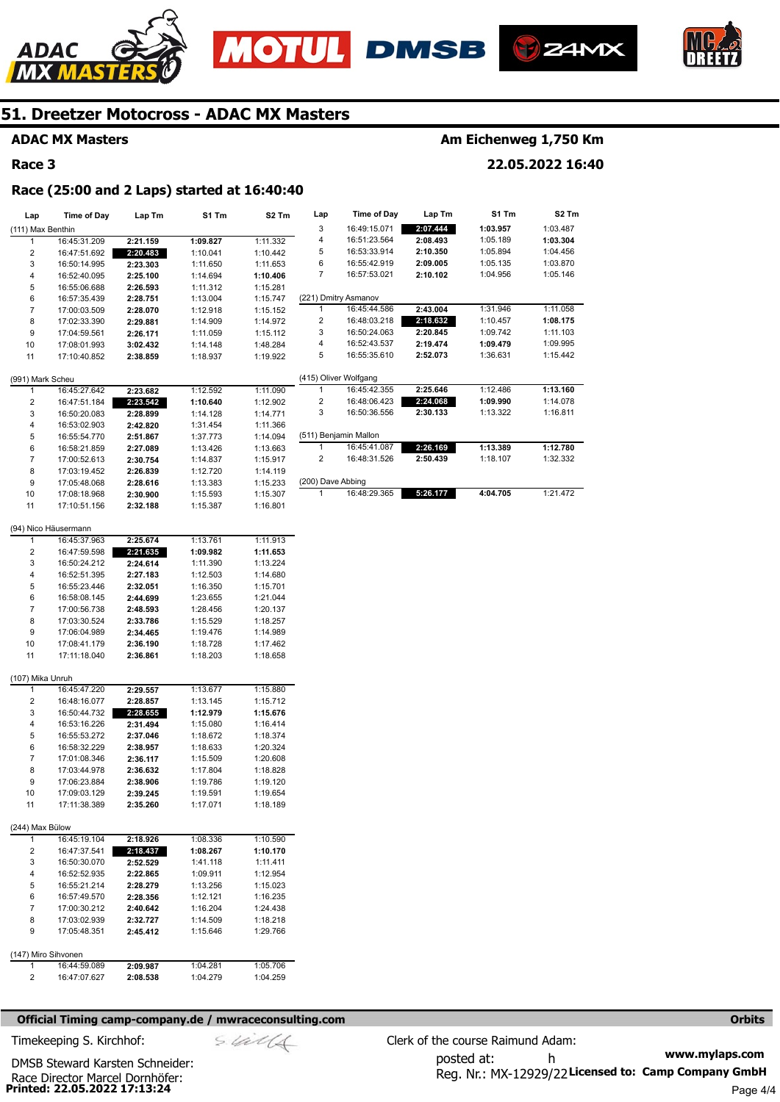





**Am Eichenweg 1,750 Km** 

**22.05.2022 16:40** 



### **51. Dreetzer Motocross - ADAC MX Masters**

### **ADAC MX Masters**

#### **Race 3**

## **Race (25:00 and 2 Laps) started at 16:40:40**

| Lap                     | <b>Time of Day</b>   | Lap Tm   | S1 Tm    | S2 Tm    | Lap               | Time of Day           | Lap Tm   | S1 Tm    | S2 Tm    |
|-------------------------|----------------------|----------|----------|----------|-------------------|-----------------------|----------|----------|----------|
| (111) Max Benthin       |                      |          |          |          | 3                 | 16:49:15.071          | 2:07.444 | 1:03.957 | 1:03.487 |
| 1                       | 16:45:31.209         | 2:21.159 | 1:09.827 | 1:11.332 | 4                 | 16:51:23.564          | 2:08.493 | 1:05.189 | 1:03.304 |
| 2                       | 16:47:51.692         | 2:20.483 | 1:10.041 | 1:10.442 | 5                 | 16:53:33.914          | 2:10.350 | 1:05.894 | 1:04.456 |
| 3                       | 16:50:14.995         | 2:23.303 | 1:11.650 | 1:11.653 | 6                 | 16:55:42.919          | 2:09.005 | 1:05.135 | 1:03.870 |
| 4                       | 16:52:40.095         | 2:25.100 | 1:14.694 | 1:10.406 | 7                 | 16:57:53.021          | 2:10.102 | 1:04.956 | 1:05.146 |
| 5                       | 16:55:06.688         | 2:26.593 | 1:11.312 | 1:15.281 |                   |                       |          |          |          |
| 6                       | 16:57:35.439         | 2:28.751 | 1:13.004 | 1:15.747 |                   | (221) Dmitry Asmanov  |          |          |          |
| $\overline{7}$          | 17:00:03.509         | 2:28.070 | 1:12.918 | 1:15.152 | 1                 | 16:45:44.586          | 2:43.004 | 1:31.946 | 1:11.058 |
| 8                       | 17:02:33.390         | 2:29.881 | 1:14.909 | 1:14.972 | 2                 | 16:48:03.218          | 2:18.632 | 1:10.457 | 1:08.175 |
| 9                       | 17:04:59.561         | 2:26.171 | 1:11.059 | 1:15.112 | 3                 | 16:50:24.063          | 2:20.845 | 1:09.742 | 1:11.103 |
| 10                      | 17:08:01.993         | 3:02.432 | 1:14.148 | 1:48.284 | 4                 | 16:52:43.537          | 2:19.474 | 1:09.479 | 1:09.995 |
| 11                      | 17:10:40.852         | 2:38.859 | 1:18.937 | 1:19.922 | 5                 | 16:55:35.610          | 2:52.073 | 1:36.631 | 1:15.442 |
|                         |                      |          |          |          |                   |                       |          |          |          |
| (991) Mark Scheu        |                      |          |          |          |                   | (415) Oliver Wolfgang |          |          |          |
| 1                       | 16:45:27.642         | 2:23.682 | 1:12.592 | 1:11.090 | 1                 | 16:45:42.355          | 2:25.646 | 1:12.486 | 1:13.160 |
| 2                       | 16:47:51.184         | 2:23.542 | 1:10.640 | 1:12.902 | 2                 | 16:48:06.423          | 2:24.068 | 1:09.990 | 1:14.078 |
| 3                       | 16:50:20.083         | 2:28.899 | 1:14.128 | 1:14.771 | 3                 | 16:50:36.556          | 2:30.133 | 1:13.322 | 1:16.811 |
| 4                       | 16:53:02.903         | 2:42.820 | 1:31.454 | 1:11.366 |                   |                       |          |          |          |
| 5                       | 16:55:54.770         | 2:51.867 | 1:37.773 | 1:14.094 |                   | (511) Benjamin Mallon |          |          |          |
| 6                       | 16:58:21.859         | 2:27.089 | 1:13.426 | 1:13.663 | 1                 | 16:45:41.087          | 2:26.169 | 1:13.389 | 1:12.780 |
| $\overline{7}$          | 17:00:52.613         | 2:30.754 | 1:14.837 | 1:15.917 | 2                 | 16:48:31.526          | 2:50.439 | 1:18.107 | 1:32.332 |
| 8                       | 17:03:19.452         | 2:26.839 | 1:12.720 | 1:14.119 |                   |                       |          |          |          |
| 9                       | 17:05:48.068         | 2:28.616 | 1:13.383 | 1:15.233 | (200) Dave Abbing |                       |          |          |          |
| 10                      | 17:08:18.968         | 2:30.900 | 1:15.593 | 1:15.307 | 1                 | 16:48:29.365          | 5:26.177 | 4:04.705 | 1:21.472 |
| 11                      | 17:10:51.156         | 2:32.188 | 1:15.387 | 1:16.801 |                   |                       |          |          |          |
|                         |                      |          |          |          |                   |                       |          |          |          |
|                         | (94) Nico Häusermann |          |          |          |                   |                       |          |          |          |
| 1                       | 16:45:37.963         | 2:25.674 | 1:13.761 | 1:11.913 |                   |                       |          |          |          |
| $\overline{\mathbf{c}}$ | 16:47:59.598         | 2:21.635 | 1:09.982 | 1:11.653 |                   |                       |          |          |          |
| 3                       | 16:50:24.212         | 2:24.614 | 1:11.390 | 1:13.224 |                   |                       |          |          |          |
| 4                       | 16:52:51.395         | 2:27.183 | 1:12.503 | 1:14.680 |                   |                       |          |          |          |
| 5                       | 16:55:23.446         | 2:32.051 | 1:16.350 | 1:15.701 |                   |                       |          |          |          |
| 6                       | 16:58:08.145         | 2:44.699 | 1:23.655 | 1:21.044 |                   |                       |          |          |          |
| $\overline{7}$          | 17:00:56.738         | 2:48.593 | 1:28.456 | 1:20.137 |                   |                       |          |          |          |
| 8                       | 17:03:30.524         | 2:33.786 | 1:15.529 | 1:18.257 |                   |                       |          |          |          |
| 9                       | 17:06:04.989         | 2:34.465 | 1:19.476 | 1:14.989 |                   |                       |          |          |          |
| 10                      | 17:08:41.179         | 2:36.190 | 1:18.728 | 1:17.462 |                   |                       |          |          |          |
| 11                      | 17:11:18.040         | 2:36.861 | 1:18.203 | 1:18.658 |                   |                       |          |          |          |
|                         |                      |          |          |          |                   |                       |          |          |          |
| (107) Mika Unruh        |                      |          |          |          |                   |                       |          |          |          |
| 1                       | 16:45:47.220         | 2:29.557 | 1:13.677 | 1:15.880 |                   |                       |          |          |          |
| $\overline{\mathbf{c}}$ | 16:48:16.077         | 2:28.857 | 1:13.145 | 1:15.712 |                   |                       |          |          |          |
| 3                       | 16:50:44.732         | 2:28.655 | 1:12.979 | 1:15.676 |                   |                       |          |          |          |
| 4                       | 16:53:16.226         | 2:31.494 | 1:15.080 | 1:16.414 |                   |                       |          |          |          |
| 5                       | 16:55:53.272         | 2:37.046 | 1:18.672 | 1:18.374 |                   |                       |          |          |          |
| 6                       | 16:58:32.229         | 2:38.957 | 1:18.633 | 1:20.324 |                   |                       |          |          |          |
| $\overline{7}$          | 17:01:08.346         | 2:36.117 | 1:15.509 | 1:20.608 |                   |                       |          |          |          |
| 8                       | 17:03:44.978         | 2:36.632 | 1:17.804 | 1:18.828 |                   |                       |          |          |          |
| 9                       | 17:06:23.884         | 2:38.906 | 1:19.786 | 1:19.120 |                   |                       |          |          |          |
| 10                      | 17:09:03.129         | 2:39.245 | 1:19.591 | 1:19.654 |                   |                       |          |          |          |
| 11                      | 17:11:38.389         | 2:35.260 | 1:17.071 | 1:18.189 |                   |                       |          |          |          |
|                         |                      |          |          |          |                   |                       |          |          |          |
| (244) Max Bülow         |                      |          |          |          |                   |                       |          |          |          |
| 1                       | 16:45:19.104         | 2:18.926 | 1:08.336 | 1:10.590 |                   |                       |          |          |          |
| 2                       | 16:47:37.541         | 2:18.437 | 1:08.267 | 1:10.170 |                   |                       |          |          |          |
| 3                       | 16:50:30.070         | 2:52.529 | 1:41.118 | 1:11.411 |                   |                       |          |          |          |
| 4                       | 16:52:52.935         | 2:22.865 | 1:09.911 | 1:12.954 |                   |                       |          |          |          |
| 5                       | 16:55:21.214         | 2:28.279 | 1:13.256 | 1:15.023 |                   |                       |          |          |          |
| 6                       | 16:57:49.570         | 2:28.356 | 1:12.121 | 1:16.235 |                   |                       |          |          |          |
| 7                       | 17:00:30.212         | 2:40.642 | 1:16.204 | 1:24.438 |                   |                       |          |          |          |
| 8                       | 17:03:02.939         | 2:32.727 | 1:14.509 | 1:18.218 |                   |                       |          |          |          |
| 9                       | 17:05:48.351         | 2:45.412 | 1:15.646 | 1:29.766 |                   |                       |          |          |          |
|                         |                      |          |          |          |                   |                       |          |          |          |
| (147) Miro Sihvonen     |                      |          |          |          |                   |                       |          |          |          |
| 1                       | 16:44:59.089         | 2:09.987 | 1:04.281 | 1:05.706 |                   |                       |          |          |          |
| 2                       | 16:47:07.627         | 2:08.538 | 1:04.279 | 1:04.259 |                   |                       |          |          |          |
|                         |                      |          |          |          |                   |                       |          |          |          |

#### **Official Timing camp-company.de / mwraceconsulting.com <b>Orbits and Company.de Company** orbits **Orbits Orbits**

Timekeeping S. Kirchhof:  $\le \frac{1}{2}$  Clerk of the course Raimund Adam:

**Printed: 22.05.2022 17:13:24**  Race Director Marcel Dornhöfer: DMSB Steward Karsten Schneider: **www.mylaps.com**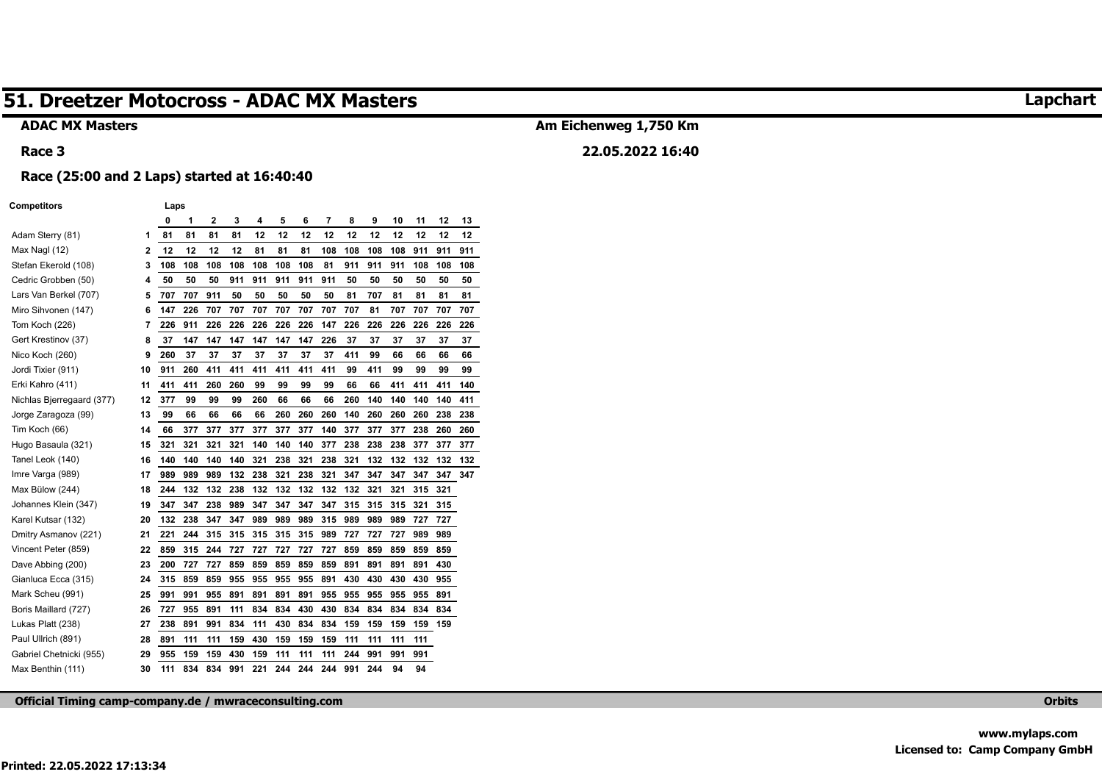#### **ADAC MX Masters**

#### **Race 3**

## **Am Eichenweg 1,750 Km**

### **22.05.2022 16:40**

#### **Race (25:00 and 2 Laps) started at 16:40:40**

#### **Competitors Laps**

|                           |    | 0   | 1   | $\overline{2}$ | 3   | 4   | 5   | 6   | 7   | 8   | 9   | 10  | 11  | 12  | 13  |
|---------------------------|----|-----|-----|----------------|-----|-----|-----|-----|-----|-----|-----|-----|-----|-----|-----|
| Adam Sterry (81)          | 1  | 81  | 81  | 81             | 81  | 12  | 12  | 12  | 12  | 12  | 12  | 12  | 12  | 12  | 12  |
| Max Nagl (12)             | 2  | 12  | 12  | 12             | 12  | 81  | 81  | 81  | 108 | 108 | 108 | 108 | 911 | 911 | 911 |
| Stefan Ekerold (108)      | 3  | 108 | 108 | 108            | 108 | 108 | 108 | 108 | 81  | 911 | 911 | 911 | 108 | 108 | 108 |
| Cedric Grobben (50)       | 4  | 50  | 50  | 50             | 911 | 911 | 911 | 911 | 911 | 50  | 50  | 50  | 50  | 50  | 50  |
| Lars Van Berkel (707)     | 5  | 707 | 707 | 911            | 50  | 50  | 50  | 50  | 50  | 81  | 707 | 81  | 81  | 81  | 81  |
| Miro Sihvonen (147)       | 6  | 147 | 226 | 707            | 707 | 707 | 707 | 707 | 707 | 707 | 81  | 707 | 707 | 707 | 707 |
| Tom Koch (226)            | 7  | 226 | 911 | 226            | 226 | 226 | 226 | 226 | 147 | 226 | 226 | 226 | 226 | 226 | 226 |
| Gert Krestinov (37)       | 8  | 37  | 147 | 147            | 147 | 147 | 147 | 147 | 226 | 37  | 37  | 37  | 37  | 37  | 37  |
| Nico Koch (260)           | 9  | 260 | 37  | 37             | 37  | 37  | 37  | 37  | 37  | 411 | 99  | 66  | 66  | 66  | 66  |
| Jordi Tixier (911)        | 10 | 911 | 260 | 411            | 411 | 411 | 411 | 411 | 411 | 99  | 411 | 99  | 99  | 99  | 99  |
| Erki Kahro (411)          | 11 | 411 | 411 | 260            | 260 | 99  | 99  | 99  | 99  | 66  | 66  | 411 | 411 | 411 | 140 |
| Nichlas Bjerregaard (377) | 12 | 377 | 99  | 99             | 99  | 260 | 66  | 66  | 66  | 260 | 140 | 140 | 140 | 140 | 411 |
| Jorge Zaragoza (99)       | 13 | 99  | 66  | 66             | 66  | 66  | 260 | 260 | 260 | 140 | 260 | 260 | 260 | 238 | 238 |
| Tim Koch (66)             | 14 | 66  | 377 | 377            | 377 | 377 | 377 | 377 | 140 | 377 | 377 | 377 | 238 | 260 | 260 |
| Hugo Basaula (321)        | 15 | 321 | 321 | 321            | 321 | 140 | 140 | 140 | 377 | 238 | 238 | 238 | 377 | 377 | 377 |
| Tanel Leok (140)          | 16 | 140 | 140 | 140            | 140 | 321 | 238 | 321 | 238 | 321 | 132 | 132 | 132 | 132 | 132 |
| Imre Varga (989)          | 17 | 989 | 989 | 989            | 132 | 238 | 321 | 238 | 321 | 347 | 347 | 347 | 347 | 347 | 347 |
| Max Bülow (244)           | 18 | 244 | 132 | 132            | 238 | 132 | 132 | 132 | 132 | 132 | 321 | 321 | 315 | 321 |     |
| Johannes Klein (347)      | 19 | 347 | 347 | 238            | 989 | 347 | 347 | 347 | 347 | 315 | 315 | 315 | 321 | 315 |     |
| Karel Kutsar (132)        | 20 | 132 | 238 | 347            | 347 | 989 | 989 | 989 | 315 | 989 | 989 | 989 | 727 | 727 |     |
| Dmitry Asmanov (221)      | 21 | 221 | 244 | 315            | 315 | 315 | 315 | 315 | 989 | 727 | 727 | 727 | 989 | 989 |     |
| Vincent Peter (859)       | 22 | 859 | 315 | 244            | 727 | 727 | 727 | 727 | 727 | 859 | 859 | 859 | 859 | 859 |     |
| Dave Abbing (200)         | 23 | 200 | 727 | 727            | 859 | 859 | 859 | 859 | 859 | 891 | 891 | 891 | 891 | 430 |     |
| Gianluca Ecca (315)       | 24 | 315 | 859 | 859            | 955 | 955 | 955 | 955 | 891 | 430 | 430 | 430 | 430 | 955 |     |
| Mark Scheu (991)          | 25 | 991 | 991 | 955            | 891 | 891 | 891 | 891 | 955 | 955 | 955 | 955 | 955 | 891 |     |
| Boris Maillard (727)      | 26 | 727 | 955 | 891            | 111 | 834 | 834 | 430 | 430 | 834 | 834 | 834 | 834 | 834 |     |
| Lukas Platt (238)         | 27 | 238 | 891 | 991            | 834 | 111 | 430 | 834 | 834 | 159 | 159 | 159 | 159 | 159 |     |
| Paul Ullrich (891)        | 28 | 891 | 111 | 111            | 159 | 430 | 159 | 159 | 159 | 111 | 111 | 111 | 111 |     |     |
| Gabriel Chetnicki (955)   | 29 | 955 | 159 | 159            | 430 | 159 | 111 | 111 | 111 | 244 | 991 | 991 | 991 |     |     |
| Max Benthin (111)         | 30 | 111 | 834 | 834            | 991 | 221 | 244 | 244 | 244 | 991 | 244 | 94  | 94  |     |     |

**Official Timing camp-company.de / mwraceconsulting.com Orbits** 

### **Lapchart**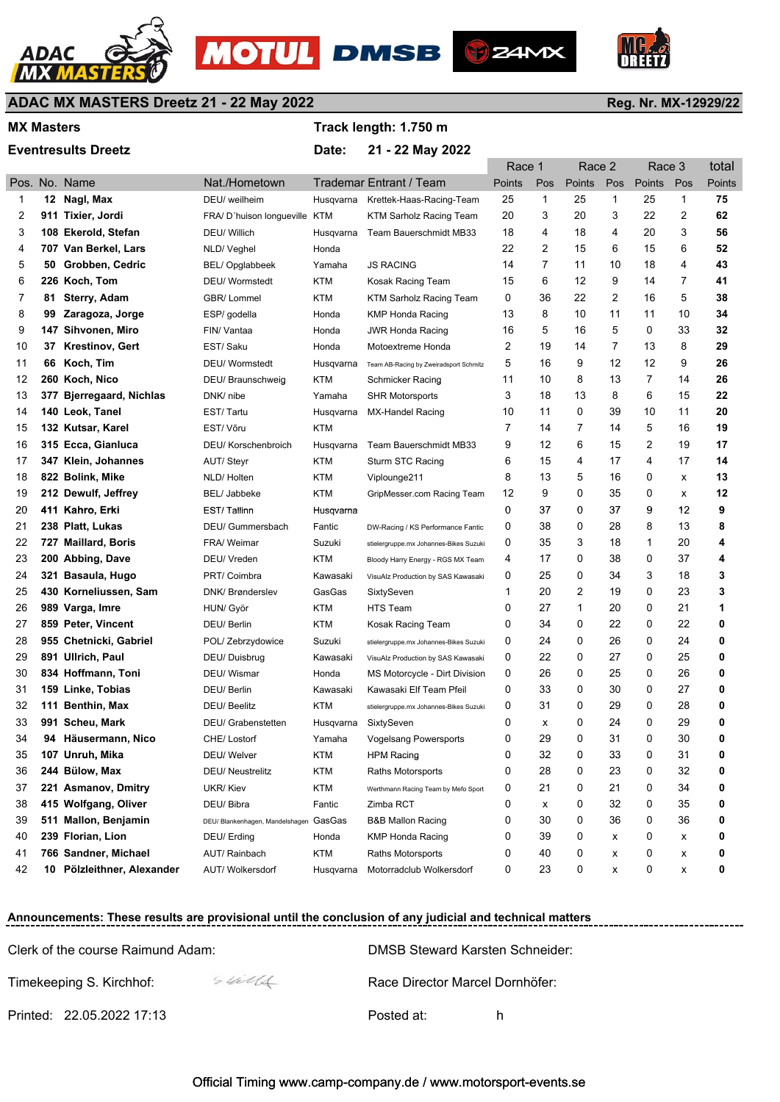





**D** Z4MX

## **ADAC MX MASTERS Dreetz 21 - 22 May 2022**

#### MX Masters **MX Masters MX** Masters **MX** Masters **MX** Masters **MX** Masters **MX** Masters **MX** Masters **MX** Masters **MX** Masters **MX** Masters **MX** Masters **MX** Masters **MX** Masters **MX** Masters **MX** Masters **MX** Masters **MX**

#### Eventresults Dreetz **Date: 21 - 22 May 2022**

|    |    |                            |                                        |            |                                        | Race 1 |     | Race 2        |                | Race 3       |     | total  |
|----|----|----------------------------|----------------------------------------|------------|----------------------------------------|--------|-----|---------------|----------------|--------------|-----|--------|
|    |    | Pos. No. Name              | Nat./Hometown                          |            | <b>Trademar Entrant / Team</b>         | Points | Pos | <b>Points</b> | Pos            | Points       | Pos | Points |
| 1  |    | 12 Nagl, Max               | DEU/ weilheim                          | Husqvarna  | Krettek-Haas-Racing-Team               | 25     | 1   | 25            | $\mathbf 1$    | 25           | 1   | 75     |
| 2  |    | 911 Tixier, Jordi          | FRA/ D'huison longueville KTM          |            | KTM Sarholz Racing Team                | 20     | 3   | 20            | 3              | 22           | 2   | 62     |
| 3  |    | 108 Ekerold, Stefan        | DEU/ Willich                           | Husqvarna  | Team Bauerschmidt MB33                 | 18     | 4   | 18            | 4              | 20           | 3   | 56     |
| 4  |    | 707 Van Berkel, Lars       | NLD/Veghel                             | Honda      |                                        | 22     | 2   | 15            | 6              | 15           | 6   | 52     |
| 5  | 50 | Grobben, Cedric            | BEL/Opglabbeek                         | Yamaha     | <b>JS RACING</b>                       | 14     | 7   | 11            | 10             | 18           | 4   | 43     |
| 6  |    | 226 Koch, Tom              | <b>DEU/</b> Wormstedt                  | KTM        | Kosak Racing Team                      | 15     | 6   | 12            | 9              | 14           | 7   | 41     |
| 7  | 81 | <b>Sterry, Adam</b>        | GBR/Lommel                             | KTM        | KTM Sarholz Racing Team                | 0      | 36  | 22            | $\overline{2}$ | 16           | 5   | 38     |
| 8  | 99 | Zaragoza, Jorge            | ESP/ godella                           | Honda      | <b>KMP Honda Racing</b>                | 13     | 8   | 10            | 11             | 11           | 10  | 34     |
| 9  |    | 147 Sihvonen, Miro         | FIN/ Vantaa                            | Honda      | <b>JWR Honda Racing</b>                | 16     | 5   | 16            | 5              | 0            | 33  | 32     |
| 10 | 37 | <b>Krestinov, Gert</b>     | EST/ Saku                              | Honda      | Motoextreme Honda                      | 2      | 19  | 14            | 7              | 13           | 8   | 29     |
| 11 | 66 | Koch, Tim                  | <b>DEU/</b> Wormstedt                  | Husqvarna  | Team AB-Racing by Zweiradsport Schmitz | 5      | 16  | 9             | 12             | 12           | 9   | 26     |
| 12 |    | 260 Koch, Nico             | DEU/ Braunschweig                      | KTM        | Schmicker Racing                       | 11     | 10  | 8             | 13             | 7            | 14  | 26     |
| 13 |    | 377 Bjerregaard, Nichlas   | DNK/ nibe                              | Yamaha     | <b>SHR Motorsports</b>                 | 3      | 18  | 13            | 8              | 6            | 15  | 22     |
| 14 |    | 140 Leok, Tanel            | EST/Tartu                              | Husqvarna  | MX-Handel Racing                       | 10     | 11  | 0             | 39             | 10           | 11  | 20     |
| 15 |    | 132 Kutsar, Karel          | EST/Võru                               | <b>KTM</b> |                                        | 7      | 14  | 7             | 14             | 5            | 16  | 19     |
| 16 |    | 315 Ecca, Gianluca         | DEU/ Korschenbroich                    | Husqvarna  | Team Bauerschmidt MB33                 | 9      | 12  | 6             | 15             | 2            | 19  | 17     |
| 17 |    | 347 Klein, Johannes        | <b>AUT/Steyr</b>                       | KTM        | Sturm STC Racing                       | 6      | 15  | 4             | 17             | 4            | 17  | 14     |
| 18 |    | 822 Bolink, Mike           | NLD/Holten                             | <b>KTM</b> | Viplounge211                           | 8      | 13  | 5             | 16             | 0            | x   | 13     |
| 19 |    | 212 Dewulf, Jeffrey        | <b>BEL/ Jabbeke</b>                    | KTM        | GripMesser.com Racing Team             | 12     | 9   | 0             | 35             | 0            | x   | 12     |
| 20 |    | 411 Kahro, Erki            | EST/Tallinn                            | Husqvarna  |                                        | 0      | 37  | 0             | 37             | 9            | 12  | 9      |
| 21 |    | 238 Platt, Lukas           | DEU/ Gummersbach                       | Fantic     | DW-Racing / KS Performance Fantic      | 0      | 38  | 0             | 28             | 8            | 13  | 8      |
| 22 |    | 727 Maillard, Boris        | FRA/ Weimar                            | Suzuki     | stielergruppe.mx Johannes-Bikes Suzuki | 0      | 35  | 3             | 18             | $\mathbf{1}$ | 20  | 4      |
| 23 |    | 200 Abbing, Dave           | DEU/ Vreden                            | KTM        | Bloody Harry Energy - RGS MX Team      | 4      | 17  | 0             | 38             | 0            | 37  | 4      |
| 24 |    | 321 Basaula, Hugo          | PRT/ Coimbra                           | Kawasaki   | VisuAlz Production by SAS Kawasaki     | 0      | 25  | 0             | 34             | 3            | 18  | 3      |
| 25 |    | 430 Korneliussen, Sam      | DNK/ Brønderslev                       | GasGas     | SixtySeven                             | 1      | 20  | 2             | 19             | 0            | 23  | 3      |
| 26 |    | 989 Varga, Imre            | HUN/ Györ                              | <b>KTM</b> | <b>HTS Team</b>                        | 0      | 27  | $\mathbf{1}$  | 20             | 0            | 21  | 1      |
| 27 |    | 859 Peter, Vincent         | DEU/ Berlin                            | <b>KTM</b> | Kosak Racing Team                      | 0      | 34  | 0             | 22             | 0            | 22  | 0      |
| 28 |    | 955 Chetnicki, Gabriel     | POL/ Zebrzydowice                      | Suzuki     | stielergruppe.mx Johannes-Bikes Suzuki | 0      | 24  | 0             | 26             | 0            | 24  | 0      |
| 29 |    | 891 Ullrich, Paul          | DEU/Duisbrug                           | Kawasaki   | VisuAlz Production by SAS Kawasaki     | 0      | 22  | 0             | 27             | 0            | 25  | 0      |
| 30 |    | 834 Hoffmann, Toni         | DEU/ Wismar                            | Honda      | MS Motorcycle - Dirt Division          | 0      | 26  | 0             | 25             | 0            | 26  | 0      |
| 31 |    | 159 Linke, Tobias          | DEU/ Berlin                            | Kawasaki   | Kawasaki Elf Team Pfeil                | 0      | 33  | 0             | 30             | 0            | 27  | 0      |
| 32 |    | 111 Benthin, Max           | DEU/ Beelitz                           | KTM        | stielergruppe.mx Johannes-Bikes Suzuki | 0      | 31  | 0             | 29             | 0            | 28  | 0      |
| 33 |    | 991 Scheu, Mark            | DEU/ Grabenstetten                     | Husqvarna  | SixtySeven                             | 0      | x   | 0             | 24             | 0            | 29  | 0      |
| 34 |    | 94 Häusermann, Nico        | CHE/ Lostorf                           | Yamaha     | Vogelsang Powersports                  | 0      | 29  | $\Omega$      | 31             | $\Omega$     | 30  | 0      |
| 35 |    | 107 Unruh, Mika            | DEU/ Welver                            | <b>KTM</b> | <b>HPM Racing</b>                      | 0      | 32  | 0             | 33             | 0            | 31  | 0      |
| 36 |    | 244 Bülow, Max             | <b>DEU/ Neustrelitz</b>                | <b>KTM</b> | Raths Motorsports                      | 0      | 28  | 0             | 23             | 0            | 32  | 0      |
| 37 |    | 221 Asmanov, Dmitry        | UKR/Kiev                               | <b>KTM</b> | Werthmann Racing Team by Mefo Sport    | 0      | 21  | 0             | 21             | 0            | 34  | 0      |
| 38 |    | 415 Wolfgang, Oliver       | DEU/ Bibra                             | Fantic     | Zimba RCT                              | 0      | х   | 0             | 32             | 0            | 35  | 0      |
| 39 |    | 511 Mallon, Benjamin       | DEU/ Blankenhagen, Mandelshagen GasGas |            | <b>B&amp;B Mallon Racing</b>           | 0      | 30  | 0             | 36             | 0            | 36  | 0      |
| 40 |    | 239 Florian, Lion          | DEU/ Erding                            | Honda      | <b>KMP Honda Racing</b>                | 0      | 39  | 0             | х              | 0            | x   | 0      |
| 41 |    | 766 Sandner, Michael       | AUT/ Rainbach                          | <b>KTM</b> | Raths Motorsports                      | 0      | 40  | 0             | х              | 0            | х   | 0      |
| 42 |    | 10 Pölzleithner, Alexander | AUT/ Wolkersdorf                       | Husqvarna  | Motorradclub Wolkersdorf               | 0      | 23  | 0             | х              | 0            | х   | 0      |

#### **Announcements: These results are provisional until the conclusion of any judicial and technical matters**

| Clerk of the course Raimund Adam:  | DMSB Steward Karsten Schneider: |  |  |  |  |  |  |
|------------------------------------|---------------------------------|--|--|--|--|--|--|
| Stalls<br>Timekeeping S. Kirchhof: | Race Director Marcel Dornhöfer: |  |  |  |  |  |  |
| Printed: 22.05.2022 17:13          | Posted at:<br>h                 |  |  |  |  |  |  |

#### Official Timing www.camp-company.de / www.motorsport-events.se

#### **Reg. Nr. MX-12929/22**

----------------------